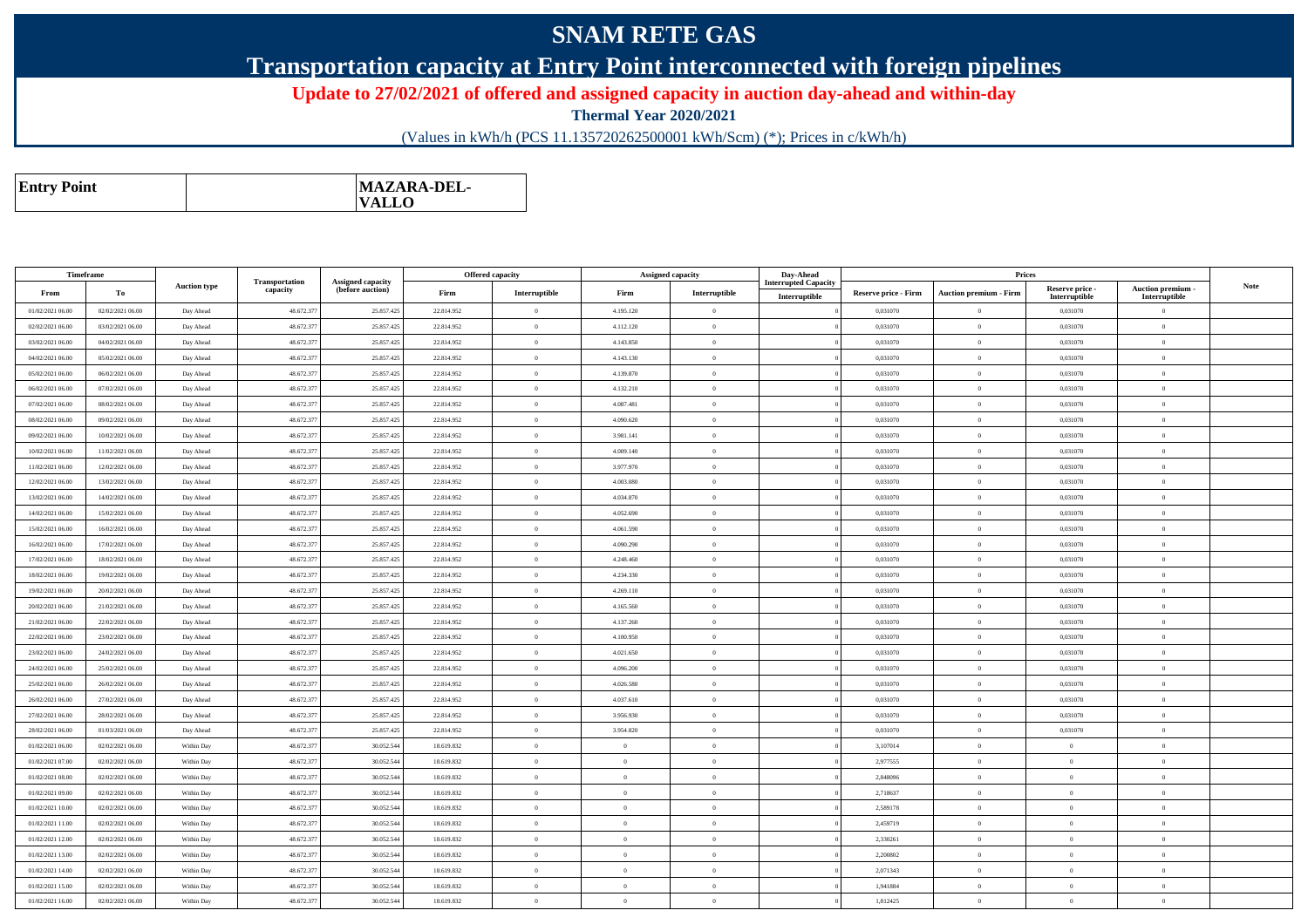## **SNAM RETE GAS**

## **Transportation capacity at Entry Point interconnected with foreign pipelines**

**Update to 27/02/2021 of offered and assigned capacity in auction day-ahead and within-day**

**Thermal Year 2020/2021**

(Values in kWh/h (PCS 11.135720262500001 kWh/Scm) (\*); Prices in c/kWh/h)

| <b>VALLO</b> | <b>Entry Point</b> |  | MAZARA-DEL- |
|--------------|--------------------|--|-------------|
|--------------|--------------------|--|-------------|

| Timeframe        |                  |                     |                            |                                              |            | Offered capacity | Assigned capacity |                | Day-Ahead                                    |                             | Prices                        |                                  |                                         |             |
|------------------|------------------|---------------------|----------------------------|----------------------------------------------|------------|------------------|-------------------|----------------|----------------------------------------------|-----------------------------|-------------------------------|----------------------------------|-----------------------------------------|-------------|
| From             | To               | <b>Auction type</b> | Transportation<br>capacity | <b>Assigned capacity</b><br>(before auction) | Firm       | Interruptible    | Firm              | Interruptible  | <b>Interrupted Capacity</b><br>Interruptible | <b>Reserve price - Firm</b> | <b>Auction premium - Firm</b> | Reserve price -<br>Interruptible | <b>Auction premium</b><br>Interruptible | <b>Note</b> |
| 01/02/2021 06:00 | 02/02/2021 06:00 | Day Ahead           | 48.672.377                 | 25.857.425                                   | 22.814.952 | $\Omega$         | 4.195.120         | $\overline{0}$ |                                              | 0.031070                    | $\Omega$                      | 0,031070                         | $\Omega$                                |             |
| 02/02/2021 06:00 | 03/02/2021 06:00 | Day Ahead           | 48.672.377                 | 25.857.425                                   | 22.814.952 | $\theta$         | 4.112.120         | $\overline{0}$ |                                              | 0,031070                    | $\theta$                      | 0,031070                         | $\overline{0}$                          |             |
| 03/02/2021 06:00 | 04/02/2021 06:00 | Day Ahead           | 48.672.377                 | 25.857.425                                   | 22.814.952 | $\theta$         | 4.143.850         | $\theta$       |                                              | 0.031070                    | $\theta$                      | 0.031070                         | $\overline{0}$                          |             |
| 04/02/2021 06:00 | 05/02/2021 06:00 | Day Ahead           | 48.672.377                 | 25.857.425                                   | 22.814.952 | $\overline{0}$   | 4.143.130         | $\overline{0}$ |                                              | 0.031070                    | $\mathbf{0}$                  | 0,031070                         | $\overline{0}$                          |             |
| 05/02/2021 06:00 | 06/02/2021 06:00 | Day Ahead           | 48.672.377                 | 25.857.425                                   | 22.814.952 | $\theta$         | 4.139.870         | $\overline{0}$ |                                              | 0.031070                    | $\Omega$                      | 0.031070                         | $\overline{0}$                          |             |
| 06/02/2021 06:00 | 07/02/2021 06:00 | Day Ahead           | 48.672.377                 | 25.857.425                                   | 22.814.952 | $\theta$         | 4.132.210         | $\overline{0}$ |                                              | 0,031070                    | $\Omega$                      | 0,031070                         | $\Omega$                                |             |
| 07/02/2021 06:00 | 08/02/2021 06:00 | Day Ahead           | 48.672.377                 | 25.857.425                                   | 22.814.952 | $\overline{0}$   | 4.087.481         | $\overline{0}$ |                                              | 0,031070                    | $\overline{0}$                | 0,031070                         | $\overline{0}$                          |             |
| 08/02/2021 06:00 | 09/02/2021 06:00 | Day Ahead           | 48.672.377                 | 25.857.425                                   | 22.814.952 | $\theta$         | 4.090.620         | $\overline{0}$ |                                              | 0,031070                    | $\Omega$                      | 0,031070                         | $\mathbf{0}$                            |             |
| 09/02/2021 06:00 | 10/02/2021 06:00 | Day Ahead           | 48.672.377                 | 25.857.425                                   | 22.814.952 | $\theta$         | 3.981.141         | $\overline{0}$ |                                              | 0.031070                    | $\theta$                      | 0.031070                         | $\theta$                                |             |
| 10/02/2021 06:00 | 11/02/2021 06:00 | Day Ahead           | 48.672.377                 | 25.857.425                                   | 22.814.952 | $\Omega$         | 4.009.140         | $\Omega$       |                                              | 0.031070                    | $\Omega$                      | 0.031070                         | $\Omega$                                |             |
| 11/02/2021 06:00 | 12/02/2021 06:00 | Day Ahead           | 48.672.377                 | 25.857.425                                   | 22.814.952 | $\overline{0}$   | 3.977.970         | $\overline{0}$ |                                              | 0,031070                    | $\mathbf{0}$                  | 0,031070                         | $\overline{0}$                          |             |
| 12/02/2021 06:00 | 13/02/2021 06:00 | Day Ahead           | 48.672.377                 | 25.857.425                                   | 22.814.952 | $\overline{0}$   | 4.003.080         | $\overline{0}$ |                                              | 0,031070                    | $\mathbf{0}$                  | 0,031070                         | $\overline{0}$                          |             |
| 13/02/2021 06:00 | 14/02/2021 06:00 | Day Ahead           | 48.672.377                 | 25.857.425                                   | 22.814.952 | $\theta$         | 4.034.870         | $\overline{0}$ |                                              | 0,031070                    | $\mathbf{0}$                  | 0,031070                         | $\overline{0}$                          |             |
| 14/02/2021 06:00 | 15/02/2021 06:00 | Day Ahead           | 48.672.377                 | 25.857.425                                   | 22.814.952 | $\theta$         | 4.052.690         | $\overline{0}$ |                                              | 0.031070                    | $\theta$                      | 0,031070                         | $\theta$                                |             |
| 15/02/2021 06:00 | 16/02/2021 06:00 | Day Ahead           | 48.672.377                 | 25.857.425                                   | 22.814.952 | $\theta$         | 4.061.590         | $\theta$       |                                              | 0.031070                    | $\Omega$                      | 0.031070                         | $\Omega$                                |             |
| 16/02/2021 06:00 | 17/02/2021 06:00 | Day Ahead           | 48.672.377                 | 25.857.425                                   | 22.814.952 | $\theta$         | 4.090.290         | $\Omega$       |                                              | 0,031070                    | $\Omega$                      | 0,031070                         | $\overline{0}$                          |             |
| 17/02/2021 06:00 | 18/02/2021 06:00 | Day Ahead           | 48.672.377                 | 25.857.425                                   | 22.814.952 | $\overline{0}$   | 4.248.460         | $\overline{0}$ |                                              | 0,031070                    | $\mathbf{0}$                  | 0,031070                         | $\overline{0}$                          |             |
| 18/02/2021 06:00 | 19/02/2021 06:00 | Day Ahead           | 48.672.377                 | 25.857.425                                   | 22.814.952 | $\overline{0}$   | 4.234.330         | $\overline{0}$ |                                              | 0,031070                    | $\mathbf{0}$                  | 0,031070                         | $\overline{0}$                          |             |
| 19/02/2021 06:00 | 20/02/2021 06:00 | Day Ahead           | 48.672.377                 | 25.857.425                                   | 22.814.952 | $\Omega$         | 4.269.110         | $\overline{0}$ |                                              | 0,031070                    | $\Omega$                      | 0,031070                         | $\overline{0}$                          |             |
| 20/02/2021 06:00 | 21/02/2021 06:00 | Day Ahead           | 48.672.377                 | 25.857.425                                   | 22.814.952 | $\theta$         | 4.165.560         | $\theta$       |                                              | 0.031070                    | $\theta$                      | 0.031070                         | $\Omega$                                |             |
| 21/02/2021 06:00 | 22/02/2021 06:00 | Day Ahead           | 48.672.377                 | 25.857.425                                   | 22.814.952 | $\overline{0}$   | 4.137.260         | $\overline{0}$ |                                              | 0,031070                    | $\Omega$                      | 0,031070                         | $\overline{0}$                          |             |
| 22/02/2021 06:00 | 23/02/2021 06:00 | Day Ahead           | 48.672.377                 | 25.857.425                                   | 22.814.952 | $\,$ 0           | 4.100.950         | $\overline{0}$ |                                              | 0,031070                    | $\,0\,$                       | 0,031070                         | $\overline{0}$                          |             |
| 23/02/2021 06:00 | 24/02/2021 06:00 | Day Ahead           | 48.672.377                 | 25.857.425                                   | 22.814.952 | $\overline{0}$   | 4.021.650         | $\overline{0}$ |                                              | 0,031070                    | $\mathbf{0}$                  | 0,031070                         | $\overline{0}$                          |             |
| 24/02/2021 06:00 | 25/02/2021 06:00 | Day Ahead           | 48.672.377                 | 25.857.425                                   | 22.814.952 | $\overline{0}$   | 4.096.200         | $\overline{0}$ |                                              | 0,031070                    | $\mathbf{0}$                  | 0,031070                         | $\overline{0}$                          |             |
| 25/02/2021 06:00 | 26/02/2021 06:00 | Day Ahead           | 48.672.377                 | 25.857.425                                   | 22.814.952 | $\theta$         | 4.026.580         | $\overline{0}$ |                                              | 0,031070                    | $\theta$                      | 0,031070                         | $\mathbf{0}$                            |             |
| 26/02/2021 06:00 | 27/02/2021 06:00 | Day Ahead           | 48.672.377                 | 25.857.425                                   | 22.814.952 | $\overline{0}$   | 4.037.610         | $\overline{0}$ |                                              | 0.031070                    | $\theta$                      | 0.031070                         | $\overline{0}$                          |             |
| 27/02/2021 06:00 | 28/02/2021 06:00 | Day Ahead           | 48.672.377                 | 25.857.425                                   | 22.814.952 | $\bf{0}$         | 3.956.930         | $\overline{0}$ |                                              | 0,031070                    | $\mathbf{0}$                  | 0,031070                         | $\overline{0}$                          |             |
| 28/02/2021 06:00 | 01/03/2021 06:00 | Day Ahead           | 48.672.377                 | 25.857.425                                   | 22.814.952 | $\theta$         | 3.954.820         | $\overline{0}$ |                                              | 0,031070                    | $\mathbf{0}$                  | 0,031070                         | $\overline{0}$                          |             |
| 01/02/2021 06:00 | 02/02/2021 06:00 | Within Day          | 48.672.377                 | 30.052.544                                   | 18.619.832 | $\theta$         | $\Omega$          | $\overline{0}$ |                                              | 3,107014                    | $\theta$                      | $\Omega$                         | $\theta$                                |             |
| 01/02/2021 07:00 | 02/02/2021 06:00 | Within Day          | 48.672.377                 | 30.052.544                                   | 18.619.832 | $\theta$         | $\Omega$          | $\theta$       |                                              | 2,977555                    | $\theta$                      | $\Omega$                         | $\theta$                                |             |
| 01/02/2021 08:00 | 02/02/2021 06:00 | Within Dav          | 48.672.377                 | 30.052.544                                   | 18.619.832 | $\theta$         | $\theta$          | $\overline{0}$ |                                              | 2,848096                    | $\theta$                      | $\theta$                         | $\Omega$                                |             |
| 01/02/2021 09:00 | 02/02/2021 06:00 | Within Day          | 48.672.377                 | 30.052.544                                   | 18.619.832 | $\overline{0}$   | $\Omega$          | $\overline{0}$ |                                              | 2,718637                    | $\Omega$                      | $\Omega$                         | $\overline{0}$                          |             |
| 01/02/2021 10:00 | 02/02/2021 06:00 | Within Day          | 48.672.377                 | 30.052.544                                   | 18.619.832 | $\overline{0}$   | $\Omega$          | $\overline{0}$ |                                              | 2,589178                    | $\theta$                      | $\theta$                         | $\theta$                                |             |
| 01/02/2021 11:00 | 02/02/2021 06:00 | Within Day          | 48.672.377                 | 30.052.544                                   | 18.619.832 | $\overline{0}$   | $\Omega$          | $\overline{0}$ |                                              | 2,459719                    | $\mathbf{0}$                  | $\theta$                         | $\bf{0}$                                |             |
| 01/02/2021 12:00 | 02/02/2021 06:00 | Within Day          | 48.672.377                 | 30.052.544                                   | 18.619.832 | $\theta$         | $\Omega$          | $\overline{0}$ |                                              | 2,330261                    | $\Omega$                      | $\theta$                         | $\theta$                                |             |
| 01/02/2021 13:00 | 02/02/2021 06:00 | Within Day          | 48.672.377                 | 30.052.544                                   | 18.619.832 | $\overline{0}$   | $\Omega$          | $\overline{0}$ |                                              | 2,200802                    | $\mathbf{0}$                  | $\overline{0}$                   | $\overline{0}$                          |             |
| 01/02/2021 14:00 | 02/02/2021 06:00 | Within Day          | 48.672.377                 | 30.052.544                                   | 18.619.832 | $\theta$         | $\Omega$          | $\theta$       |                                              | 2.071343                    | $\theta$                      | $\Omega$                         | $\theta$                                |             |
| 01/02/2021 15:00 | 02/02/2021 06:00 | Within Day          | 48.672.377                 | 30.052.544                                   | 18.619.832 | $\theta$         | $\Omega$          | $\overline{0}$ |                                              | 1.941884                    | $\Omega$                      | $\Omega$                         | $\overline{0}$                          |             |
| 01/02/2021 16:00 | 02/02/2021 06:00 | Within Day          | 48.672.377                 | 30.052.544                                   | 18.619.832 | $\theta$         | $\Omega$          | $\theta$       |                                              | 1,812425                    | $\Omega$                      | $\mathbf{a}$                     | $\Omega$                                |             |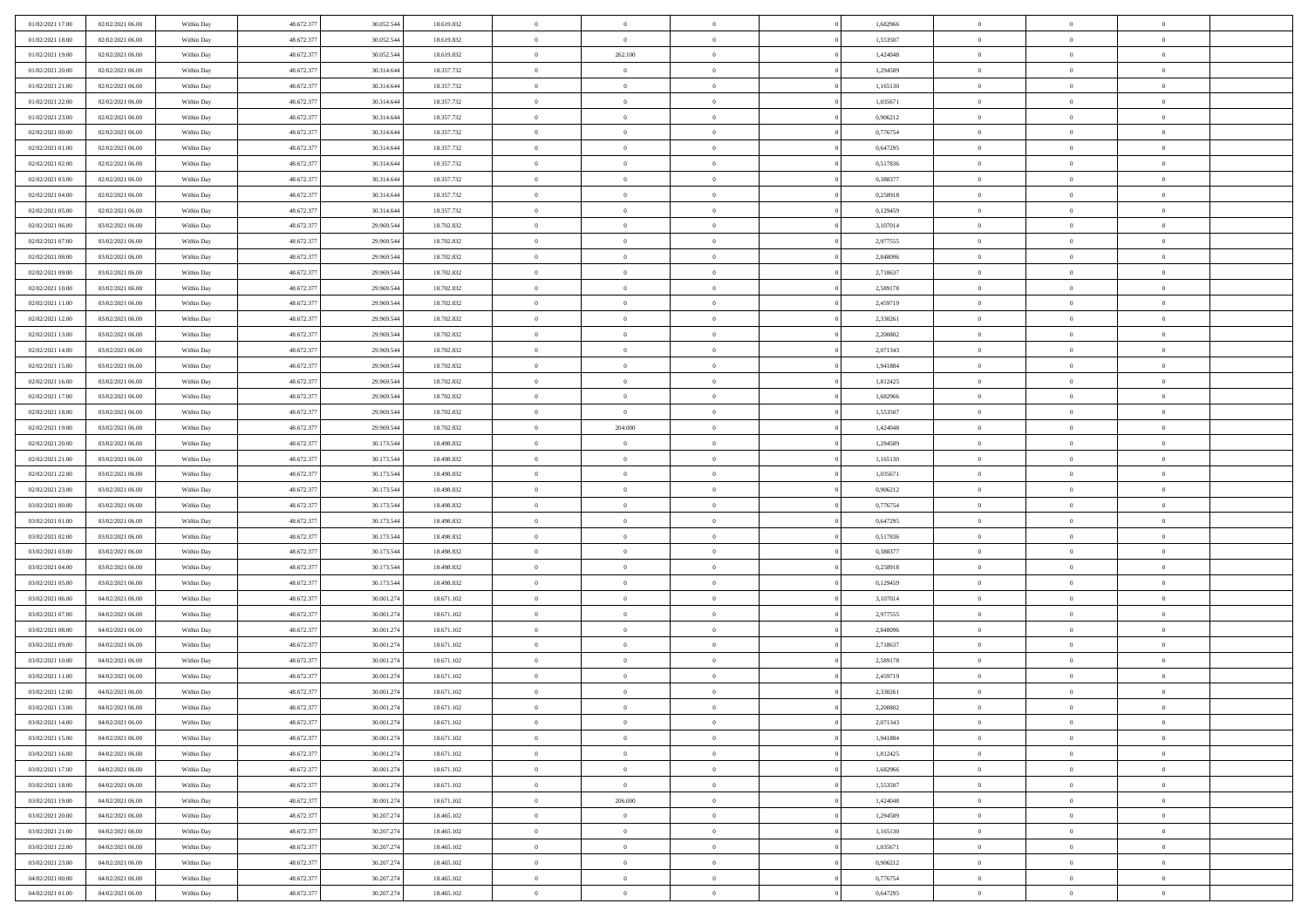| 01/02/2021 17.00                     | 02/02/2021 06:00                     | Within Day               | 48.672.377               | 30.052.544               | 18.619.832               | $\bf{0}$                   | $\overline{0}$                   | $\theta$                         |          | 1,682966             | $\bf{0}$                 | $\overline{0}$                   | $\,0\,$                          |  |
|--------------------------------------|--------------------------------------|--------------------------|--------------------------|--------------------------|--------------------------|----------------------------|----------------------------------|----------------------------------|----------|----------------------|--------------------------|----------------------------------|----------------------------------|--|
| 01/02/2021 18:00                     | 02/02/2021 06:00                     | Within Day               | 48.672.377               | 30.052.544               | 18.619.832               | $\overline{0}$             | $\overline{0}$                   | $\Omega$                         |          | 1,553507             | $\overline{0}$           | $\overline{0}$                   | $\theta$                         |  |
| 01/02/2021 19:00                     | 02/02/2021 06:00                     | Within Dav               | 48.672.377               | 30.052.544               | 18.619.832               | $\mathbf{0}$               | 262.100                          | $\overline{0}$                   |          | 1,424048             | $\mathbf{0}$             | $\overline{0}$                   | $\overline{0}$                   |  |
| 01/02/2021 20:00                     | 02/02/2021 06:00                     | Within Day               | 48.672.377               | 30.314.644               | 18.357.732               | $\bf{0}$                   | $\overline{0}$                   | $\bf{0}$                         |          | 1,294589             | $\bf{0}$                 | $\overline{0}$                   | $\bf{0}$                         |  |
| 01/02/2021 21:00                     | 02/02/2021 06:00                     | Within Day               | 48.672.377               | 30.314.644               | 18.357.732               | $\bf{0}$                   | $\overline{0}$                   | $\overline{0}$                   |          | 1,165130             | $\bf{0}$                 | $\theta$                         | $\,0\,$                          |  |
| 01/02/2021 22:00                     | 02/02/2021 06:00                     | Within Dav               | 48.672.377               | 30.314.644               | 18.357.732               | $\mathbf{0}$               | $\overline{0}$                   | $\overline{0}$                   |          | 1,035671             | $\mathbf{0}$             | $\overline{0}$                   | $\overline{0}$                   |  |
| 01/02/2021 23.00                     | 02/02/2021 06:00                     | Within Day               | 48.672.377               | 30.314.644               | 18.357.732               | $\bf{0}$                   | $\overline{0}$                   | $\overline{0}$                   |          | 0,906212             | $\bf{0}$                 | $\overline{0}$                   | $\,0\,$                          |  |
| 02/02/2021 00:00                     | 02/02/2021 06:00                     | Within Day               | 48.672.377               | 30.314.644               | 18.357.732               | $\overline{0}$             | $\overline{0}$                   | $\overline{0}$                   |          | 0,776754             | $\,$ 0 $\,$              | $\overline{0}$                   | $\theta$                         |  |
| 02/02/2021 01:00                     | 02/02/2021 06:00                     | Within Day               | 48.672.377               | 30.314.644               | 18.357.732               | $\mathbf{0}$               | $\overline{0}$                   | $\overline{0}$                   |          | 0,647295             | $\mathbf{0}$             | $\overline{0}$                   | $\overline{0}$                   |  |
| 02/02/2021 02:00                     | 02/02/2021 06:00                     | Within Day               | 48.672.377               | 30.314.644               | 18.357.732               | $\bf{0}$                   | $\overline{0}$                   | $\overline{0}$                   |          | 0,517836             | $\bf{0}$                 | $\overline{0}$                   | $\,0\,$                          |  |
| 02/02/2021 03:00                     | 02/02/2021 06:00                     | Within Day               | 48.672.377               | 30.314.644               | 18.357.732               | $\bf{0}$                   | $\overline{0}$                   | $\overline{0}$                   |          | 0.388377             | $\bf{0}$                 | $\mathbf{0}$                     | $\theta$                         |  |
| 02/02/2021 04:00                     | 02/02/2021 06:00                     | Within Dav               | 48.672.377               | 30.314.644               | 18.357.732               | $\mathbf{0}$               | $\overline{0}$                   | $\overline{0}$                   |          | 0,258918             | $\mathbf{0}$             | $\overline{0}$                   | $\overline{0}$                   |  |
| 02/02/2021 05:00                     | 02/02/2021 06:00                     | Within Day               | 48.672.377               | 30.314.644               | 18.357.732               | $\bf{0}$                   | $\overline{0}$                   | $\bf{0}$                         |          | 0,129459             | $\bf{0}$                 | $\overline{0}$                   | $\bf{0}$                         |  |
| 02/02/2021 06:00                     | 03/02/2021 06:00                     | Within Day               | 48.672.377               | 29.969.544               | 18.702.832               | $\bf{0}$                   | $\overline{0}$                   | $\overline{0}$                   |          | 3,107014             | $\bf{0}$                 | $\theta$                         | $\,0\,$                          |  |
| 02/02/2021 07:00                     | 03/02/2021 06:00                     | Within Dav               | 48.672.377               | 29.969.544               | 18.702.832               | $\overline{0}$             | $\overline{0}$                   | $\overline{0}$                   |          | 2,977555             | $\mathbf{0}$             | $\overline{0}$                   | $\overline{0}$                   |  |
| 02/02/2021 08:00                     | 03/02/2021 06:00                     | Within Day               | 48.672.377               | 29.969.544               | 18.702.832               | $\bf{0}$                   | $\overline{0}$                   | $\overline{0}$                   |          | 2,848096             | $\bf{0}$                 | $\overline{0}$                   | $\bf{0}$                         |  |
| 02/02/2021 09:00                     | 03/02/2021 06:00                     | Within Day               | 48.672.377               | 29.969.544               | 18.702.832               | $\overline{0}$             | $\overline{0}$                   | $\overline{0}$                   |          | 2,718637             | $\bf{0}$                 | $\overline{0}$                   | $\theta$                         |  |
| 02/02/2021 10:00                     | 03/02/2021 06:00                     | Within Day               | 48.672.377               | 29.969.544               | 18.702.832               | $\mathbf{0}$               | $\overline{0}$                   | $\overline{0}$                   |          | 2,589178             | $\mathbf{0}$             | $\overline{0}$                   | $\overline{0}$                   |  |
| 02/02/2021 11:00                     | 03/02/2021 06:00                     | Within Day               | 48.672.377               | 29.969.544               | 18.702.832               | $\bf{0}$                   | $\overline{0}$                   | $\overline{0}$                   |          | 2,459719             | $\bf{0}$                 | $\overline{0}$                   | $\,0\,$                          |  |
| 02/02/2021 12:00                     | 03/02/2021 06:00                     | Within Day               | 48.672.377               | 29.969.544               | 18.702.832               | $\bf{0}$                   | $\overline{0}$                   | $\overline{0}$                   |          | 2,330261             | $\bf{0}$                 | $\overline{0}$                   | $\overline{0}$                   |  |
| 02/02/2021 13:00                     | 03/02/2021 06:00                     | Within Dav               | 48.672.377               | 29.969.544               | 18.702.832               | $\mathbf{0}$               | $\overline{0}$                   | $\overline{0}$                   |          | 2,200802             | $\mathbf{0}$             | $\overline{0}$                   | $\overline{0}$                   |  |
| 02/02/2021 14:00                     | 03/02/2021 06:00                     | Within Day               | 48.672.377               | 29.969.544               | 18.702.832               | $\bf{0}$                   | $\bf{0}$                         | $\bf{0}$                         |          | 2,071343             | $\bf{0}$                 | $\overline{0}$                   | $\bf{0}$                         |  |
|                                      | 03/02/2021 06:00                     |                          | 48.672.377               |                          |                          | $\bf{0}$                   | $\bf{0}$                         | $\overline{0}$                   |          | 1,941884             | $\bf{0}$                 | $\bf{0}$                         | $\,0\,$                          |  |
| 02/02/2021 15:00<br>02/02/2021 16:00 | 03/02/2021 06:00                     | Within Day<br>Within Dav | 48.672.377               | 29.969.544<br>29.969.544 | 18.702.832<br>18.702.832 | $\mathbf{0}$               | $\overline{0}$                   | $\overline{0}$                   |          | 1,812425             | $\mathbf{0}$             | $\overline{0}$                   | $\overline{0}$                   |  |
| 02/02/2021 17:00                     | 03/02/2021 06:00                     | Within Day               | 48.672.377               | 29.969.544               | 18.702.832               | $\bf{0}$                   | $\bf{0}$                         | $\overline{0}$                   |          | 1,682966             | $\bf{0}$                 | $\overline{0}$                   | $\,0\,$                          |  |
|                                      |                                      |                          | 48.672.377               |                          |                          | $\overline{0}$             | $\overline{0}$                   | $\overline{0}$                   |          |                      | $\bf{0}$                 | $\overline{0}$                   | $\theta$                         |  |
| 02/02/2021 18:00<br>02/02/2021 19:00 | 03/02/2021 06:00<br>03/02/2021 06:00 | Within Day               |                          | 29.969.544               | 18.702.832               | $\mathbf{0}$               |                                  |                                  |          | 1,553507             | $\mathbf{0}$             |                                  | $\overline{0}$                   |  |
|                                      | 03/02/2021 06:00                     | Within Day               | 48.672.377               | 29.969.544               | 18.702.832               |                            | 204.000                          | $\overline{0}$<br>$\overline{0}$ |          | 1,424048             |                          | $\overline{0}$<br>$\overline{0}$ |                                  |  |
| 02/02/2021 20:00                     |                                      | Within Day               | 48.672.377               | 30.173.544               | 18.498.832               | $\bf{0}$                   | $\bf{0}$<br>$\overline{0}$       |                                  |          | 1,294589             | $\bf{0}$                 | $\mathbf{0}$                     | $\,0\,$<br>$\overline{0}$        |  |
| 02/02/2021 21:00<br>02/02/2021 22:00 | 03/02/2021 06:00<br>03/02/2021 06:00 | Within Day<br>Within Dav | 48.672.377<br>48.672.377 | 30.173.544<br>30.173.544 | 18.498.832<br>18.498.832 | $\bf{0}$<br>$\mathbf{0}$   | $\overline{0}$                   | $\overline{0}$<br>$\overline{0}$ |          | 1,165130<br>1,035671 | $\bf{0}$<br>$\mathbf{0}$ | $\overline{0}$                   | $\overline{0}$                   |  |
|                                      |                                      |                          |                          |                          |                          |                            |                                  |                                  |          |                      |                          |                                  | $\theta$                         |  |
| 02/02/2021 23:00                     | 03/02/2021 06:00                     | Within Day               | 48.672.377               | 30.173.544               | 18.498.832               | $\bf{0}$                   | $\overline{0}$                   | $\theta$                         |          | 0,906212             | $\,$ 0                   | $\overline{0}$<br>$\mathbf{0}$   |                                  |  |
| 03/02/2021 00:00                     | 03/02/2021 06:00                     | Within Day               | 48.672.377               | 30.173.544               | 18.498.832               | $\bf{0}$<br>$\overline{0}$ | $\bf{0}$                         | $\overline{0}$                   |          | 0,776754             | $\bf{0}$<br>$\mathbf{0}$ |                                  | $\overline{0}$<br>$\overline{0}$ |  |
| 03/02/2021 01:00                     | 03/02/2021 06:00                     | Within Dav               | 48.672.377               | 30.173.544               | 18.498.832               | $\bf{0}$                   | $\overline{0}$                   | $\overline{0}$                   |          | 0,647295             |                          | $\overline{0}$                   | $\theta$                         |  |
| 03/02/2021 02:00                     | 03/02/2021 06:00                     | Within Day               | 48.672.377               | 30.173.544               | 18.498.832               |                            | $\overline{0}$<br>$\overline{0}$ | $\theta$<br>$\overline{0}$       |          | 0,517836<br>0.388377 | $\,$ 0                   | $\overline{0}$<br>$\overline{0}$ | $\overline{0}$                   |  |
| 03/02/2021 03:00<br>03/02/2021 04:00 | 03/02/2021 06:00<br>03/02/2021 06:00 | Within Day<br>Within Day | 48.672.377<br>48.672.377 | 30.173.544<br>30.173.544 | 18.498.832<br>18.498.832 | $\bf{0}$<br>$\mathbf{0}$   | $\overline{0}$                   |                                  |          | 0,258918             | $\bf{0}$<br>$\mathbf{0}$ | $\overline{0}$                   | $\overline{0}$                   |  |
|                                      |                                      |                          |                          |                          |                          | $\bf{0}$                   |                                  | $\overline{0}$                   |          |                      |                          |                                  | $\theta$                         |  |
| 03/02/2021 05:00                     | 03/02/2021 06:00                     | Within Day               | 48.672.377               | 30.173.544               | 18.498.832               |                            | $\overline{0}$<br>$\overline{0}$ | $\theta$                         |          | 0,129459             | $\,$ 0                   | $\overline{0}$<br>$\mathbf{0}$   |                                  |  |
| 03/02/2021 06:00                     | 04/02/2021 06:00                     | Within Day               | 48.672.377               | 30.001.274               | 18.671.102               | $\bf{0}$<br>$\mathbf{0}$   |                                  | $\overline{0}$                   |          | 3,107014             | $\bf{0}$<br>$\mathbf{0}$ |                                  | $\bf{0}$<br>$\overline{0}$       |  |
| 03/02/2021 07:00                     | 04/02/2021 06:00                     | Within Dav               | 48.672.377               | 30.001.274               | 18.671.102               |                            | $\overline{0}$                   | $\overline{0}$                   |          | 2,977555             |                          | $\overline{0}$                   | $\theta$                         |  |
| 03/02/2021 08:00                     | 04/02/2021 06:00                     | Within Day               | 48.672.377               | 30.001.274               | 18.671.102               | $\bf{0}$                   | $\overline{0}$                   | $\theta$                         |          | 2,848096             | $\,$ 0                   | $\overline{0}$<br>$\overline{0}$ |                                  |  |
| 03/02/2021 09:00                     | 04/02/2021 06:00<br>04/02/2021 06:00 | Within Day               | 48.672.377               | 30.001.274               | 18.671.102               | $\bf{0}$<br>$\mathbf{0}$   | $\bf{0}$                         | $\overline{0}$                   |          | 2,718637             | $\bf{0}$<br>$\mathbf{0}$ |                                  | $\bf{0}$<br>$\overline{0}$       |  |
| 03/02/2021 10:00<br>03/02/2021 11:00 | 04/02/2021 06:00                     | Within Dav<br>Within Day | 48.672.377<br>48.672.377 | 30.001.274<br>30.001.274 | 18.671.102<br>18.671.102 | $\bf{0}$                   | $\overline{0}$<br>$\overline{0}$ | $\overline{0}$<br>$\theta$       |          | 2,589178<br>2,459719 | $\,$ 0                   | $\overline{0}$<br>$\overline{0}$ | $\theta$                         |  |
|                                      | 04/02/2021 06:00                     |                          | 48.672.377               |                          |                          | $\bf{0}$                   | $\overline{0}$                   | $\overline{0}$                   |          |                      | $\,$ 0 $\,$              | $\overline{0}$                   |                                  |  |
| 03/02/2021 12:00<br>03/02/2021 13:00 | 04/02/2021 06:00                     | Within Day<br>Within Day | 48.672.377               | 30.001.274<br>30.001.274 | 18.671.102<br>18.671.102 | $\bf{0}$                   | $\overline{0}$                   |                                  |          | 2,330261<br>2,200802 | $\overline{0}$           | $\theta$                         | $\bf{0}$<br>$\theta$             |  |
|                                      |                                      |                          |                          |                          |                          |                            |                                  |                                  |          |                      |                          |                                  | $\theta$                         |  |
| 03/02/2021 14:00                     | 04/02/2021 06:00<br>04/02/2021 06:00 | Within Day               | 48.672.377               | 30.001.274               | 18.671.102               | $\,0\,$                    | $\overline{0}$                   | $\theta$<br>$\overline{0}$       |          | 2,071343             | $\,$ 0 $\,$              | $\bf{0}$<br>$\overline{0}$       |                                  |  |
| 03/02/2021 15:00                     |                                      | Within Day               | 48.672.377               | 30.001.274               | 18.671.102               | $\overline{0}$             | $\overline{0}$                   |                                  |          | 1,941884             | $\overline{0}$           |                                  | $\overline{0}$                   |  |
| 03/02/2021 16:00                     | 04/02/2021 06:00                     | Within Day               | 48.672.377               | 30.001.274               | 18.671.102               | $\bf{0}$                   | $\overline{0}$                   | $\overline{0}$                   |          | 1,812425             | $\overline{0}$           | $\bf{0}$                         | $\mathbf{0}$                     |  |
| 03/02/2021 17:00                     | 04/02/2021 06:00                     | Within Day               | 48.672.377               | 30.001.274               | 18.671.102               | $\bf{0}$                   | $\overline{0}$                   | $\overline{0}$                   | $\theta$ | 1,682966             | $\mathbf{0}$             | $\bf{0}$                         | $\,$ 0 $\,$                      |  |
| 03/02/2021 18:00                     | 04/02/2021 06:00                     | Within Day               | 48.672.377               | 30.001.274               | 18.671.102               | $\overline{0}$             | $\overline{0}$                   | $\overline{0}$                   |          | 1,553507             | $\,$ 0 $\,$              | $\overline{0}$                   | $\overline{0}$                   |  |
| 03/02/2021 19:00                     | 04/02/2021 06:00                     | Within Day               | 48.672.377               | 30.001.274               | 18.671.102               | $\bf{0}$                   | 206.000                          | $\overline{0}$                   |          | 1,424048             | $\mathbf{0}$             | $\overline{0}$                   | $\overline{0}$                   |  |
| 03/02/2021 20:00                     | 04/02/2021 06:00                     | Within Day               | 48.672.377               | 30.207.274               | 18.465.102               | $\,$ 0 $\,$                | $\overline{0}$                   | $\overline{0}$                   | $\theta$ | 1,294589             | $\,$ 0 $\,$              | $\overline{0}$                   | $\overline{0}$                   |  |
| 03/02/2021 21:00                     | 04/02/2021 06:00                     | Within Day               | 48.672.377               | 30.207.274               | 18.465.102               | $\bf{0}$                   | $\overline{0}$                   | $\overline{0}$                   |          | 1,165130             | $\overline{0}$           | $\overline{0}$                   | $\overline{0}$                   |  |
| 03/02/2021 22:00                     | 04/02/2021 06:00                     | Within Day               | 48.672.377               | 30.207.274               | 18.465.102               | $\bf{0}$                   | $\overline{0}$                   | $\overline{0}$                   |          | 1,035671             | $\mathbf{0}$             | $\bf{0}$                         | $\overline{0}$                   |  |
| 03/02/2021 23:00                     | 04/02/2021 06:00                     | Within Day               | 48.672.377               | 30.207.274               | 18.465.102               | $\,0\,$                    | $\overline{0}$                   | $\overline{0}$                   |          | 0,906212             | $\,$ 0 $\,$              | $\overline{0}$                   | $\overline{0}$                   |  |
| 04/02/2021 00:00                     | 04/02/2021 06:00                     | Within Day               | 48.672.377               | 30.207.274               | 18.465.102               | $\bf{0}$                   | $\overline{0}$                   | $\overline{0}$                   |          | 0,776754             | $\mathbf 0$              | $\mathbf{0}$                     | $\overline{0}$                   |  |
| 04/02/2021 01:00                     | 04/02/2021 06:00                     | Within Day               | 48.672.377               | 30.207.274               | 18.465.102               | $\mathbf{0}$               | $\overline{0}$                   | $\overline{0}$                   |          | 0,647295             | $\mathbf{0}$             | $\overline{0}$                   | $\overline{0}$                   |  |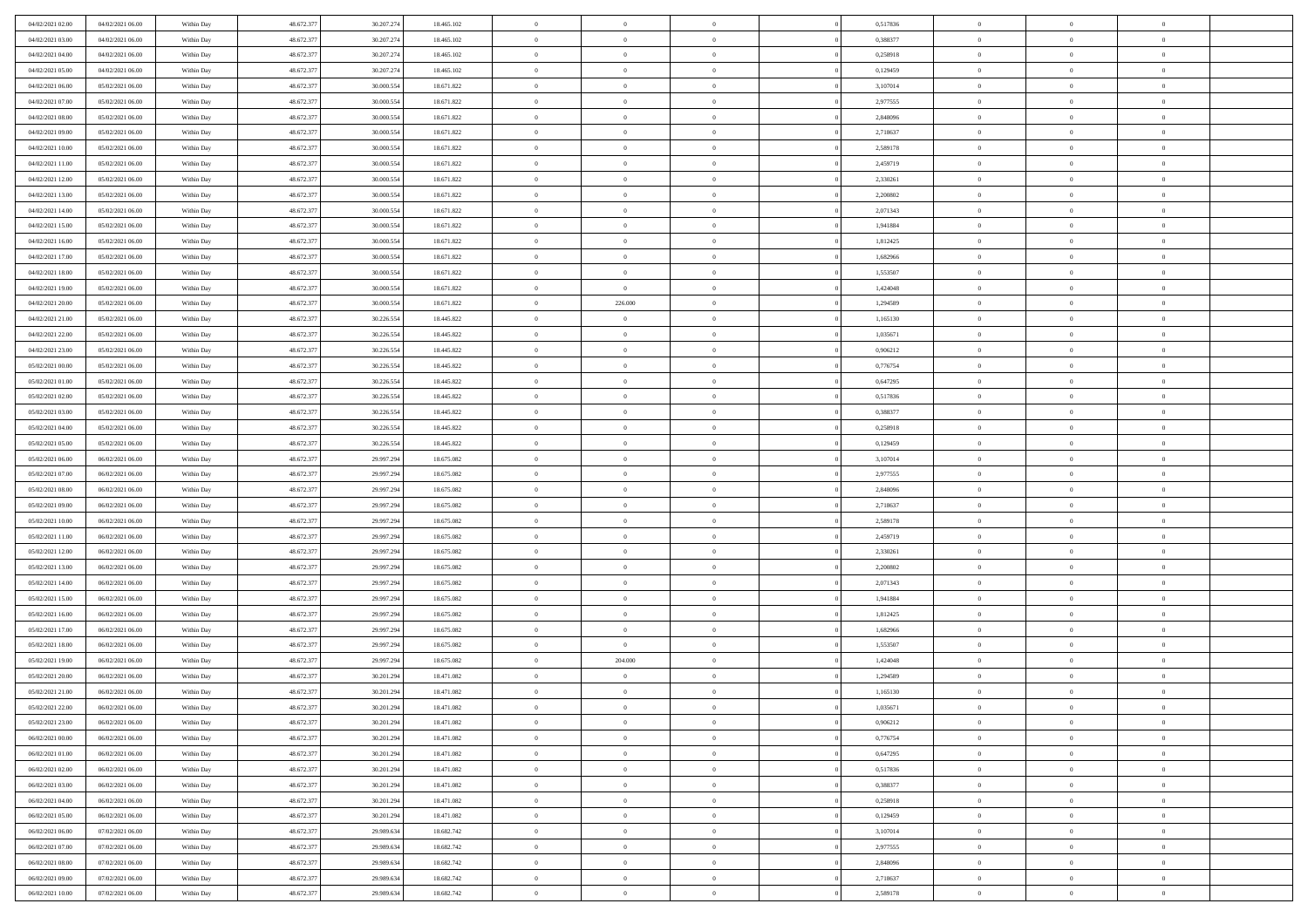| 04/02/2021 02.00                     | 04/02/2021 06:00 | Within Day               | 48.672.377 | 30.207.274 | 18.465.102               | $\,$ 0         | $\overline{0}$ | $\theta$       |          | 0,517836             | $\bf{0}$       | $\overline{0}$ | $\,0\,$        |  |
|--------------------------------------|------------------|--------------------------|------------|------------|--------------------------|----------------|----------------|----------------|----------|----------------------|----------------|----------------|----------------|--|
| 04/02/2021 03:00                     | 04/02/2021 06:00 | Within Day               | 48.672.377 | 30.207.274 | 18.465.102               | $\overline{0}$ | $\overline{0}$ | $\overline{0}$ |          | 0.388377             | $\overline{0}$ | $\overline{0}$ | $\theta$       |  |
| 04/02/2021 04:00                     | 04/02/2021 06:00 | Within Dav               | 48.672.377 | 30.207.274 | 18.465.102               | $\mathbf{0}$   | $\overline{0}$ | $\overline{0}$ |          | 0,258918             | $\mathbf{0}$   | $\overline{0}$ | $\overline{0}$ |  |
| 04/02/2021 05:00                     | 04/02/2021 06:00 | Within Day               | 48.672.377 | 30.207.274 | 18.465.102               | $\bf{0}$       | $\overline{0}$ | $\bf{0}$       |          | 0,129459             | $\bf{0}$       | $\overline{0}$ | $\bf{0}$       |  |
| 04/02/2021 06:00                     | 05/02/2021 06:00 | Within Day               | 48.672.377 | 30.000.554 | 18.671.822               | $\bf{0}$       | $\overline{0}$ | $\overline{0}$ |          | 3,107014             | $\bf{0}$       | $\theta$       | $\,0\,$        |  |
| 04/02/2021 07:00                     | 05/02/2021 06:00 | Within Dav               | 48.672.377 | 30.000.554 | 18.671.822               | $\mathbf{0}$   | $\overline{0}$ |                |          | 2,977555             | $\mathbf{0}$   | $\overline{0}$ | $\overline{0}$ |  |
|                                      |                  |                          |            |            |                          |                |                | $\overline{0}$ |          |                      |                |                |                |  |
| 04/02/2021 08:00                     | 05/02/2021 06:00 | Within Day               | 48.672.377 | 30.000.554 | 18.671.822               | $\bf{0}$       | $\overline{0}$ | $\overline{0}$ |          | 2,848096             | $\bf{0}$       | $\overline{0}$ | $\,0\,$        |  |
| 04/02/2021 09:00                     | 05/02/2021 06:00 | Within Day               | 48.672.377 | 30,000.554 | 18.671.822               | $\overline{0}$ | $\overline{0}$ | $\overline{0}$ |          | 2,718637             | $\,$ 0 $\,$    | $\overline{0}$ | $\theta$       |  |
| 04/02/2021 10:00                     | 05/02/2021 06:00 | Within Day               | 48.672.377 | 30.000.554 | 18.671.822               | $\mathbf{0}$   | $\overline{0}$ | $\overline{0}$ |          | 2,589178             | $\mathbf{0}$   | $\overline{0}$ | $\overline{0}$ |  |
| 04/02/2021 11:00                     | 05/02/2021 06:00 | Within Day               | 48.672.377 | 30.000.554 | 18.671.822               | $\bf{0}$       | $\overline{0}$ | $\overline{0}$ |          | 2,459719             | $\bf{0}$       | $\overline{0}$ | $\,0\,$        |  |
| 04/02/2021 12:00                     | 05/02/2021 06:00 | Within Day               | 48.672.377 | 30.000.554 | 18.671.822               | $\overline{0}$ | $\overline{0}$ | $\overline{0}$ |          | 2,330261             | $\bf{0}$       | $\mathbf{0}$   | $\theta$       |  |
| 04/02/2021 13:00                     | 05/02/2021 06:00 | Within Dav               | 48.672.377 | 30.000.554 | 18.671.822               | $\mathbf{0}$   | $\overline{0}$ | $\overline{0}$ |          | 2,200802             | $\mathbf{0}$   | $\overline{0}$ | $\overline{0}$ |  |
| 04/02/2021 14:00                     | 05/02/2021 06:00 | Within Day               | 48.672.377 | 30.000.554 | 18.671.822               | $\bf{0}$       | $\overline{0}$ | $\bf{0}$       |          | 2,071343             | $\bf{0}$       | $\overline{0}$ | $\,0\,$        |  |
| 04/02/2021 15:00                     | 05/02/2021 06:00 | Within Day               | 48.672.377 | 30.000.554 | 18.671.822               | $\bf{0}$       | $\overline{0}$ | $\overline{0}$ |          | 1,941884             | $\bf{0}$       | $\theta$       | $\,0\,$        |  |
| 04/02/2021 16:00                     | 05/02/2021 06:00 | Within Dav               | 48.672.377 | 30.000.554 | 18.671.822               | $\mathbf{0}$   | $\overline{0}$ | $\overline{0}$ |          | 1,812425             | $\mathbf{0}$   | $\overline{0}$ | $\overline{0}$ |  |
| 04/02/2021 17.00                     | 05/02/2021 06:00 | Within Day               | 48.672.377 | 30.000.554 | 18.671.822               | $\bf{0}$       | $\bf{0}$       | $\overline{0}$ |          | 1,682966             | $\bf{0}$       | $\overline{0}$ | $\bf{0}$       |  |
| 04/02/2021 18:00                     | 05/02/2021 06:00 | Within Day               | 48.672.377 | 30,000.554 | 18.671.822               | $\overline{0}$ | $\overline{0}$ | $\overline{0}$ |          | 1,553507             | $\bf{0}$       | $\overline{0}$ | $\theta$       |  |
| 04/02/2021 19:00                     | 05/02/2021 06:00 | Within Day               | 48.672.377 | 30.000.554 | 18.671.822               | $\mathbf{0}$   | $\overline{0}$ | $\overline{0}$ |          | 1,424048             | $\mathbf{0}$   | $\overline{0}$ | $\overline{0}$ |  |
| 04/02/2021 20:00                     | 05/02/2021 06:00 | Within Day               | 48.672.377 | 30.000.554 | 18.671.822               | $\bf{0}$       | 226.000        | $\overline{0}$ |          | 1,294589             | $\bf{0}$       | $\overline{0}$ | $\,0\,$        |  |
| 04/02/2021 21:00                     | 05/02/2021 06:00 | Within Day               | 48.672.377 | 30.226.554 | 18.445.822               | $\bf{0}$       | $\bf{0}$       | $\overline{0}$ |          | 1,165130             | $\bf{0}$       | $\overline{0}$ | $\overline{0}$ |  |
| 04/02/2021 22:00                     | 05/02/2021 06:00 | Within Dav               | 48.672.377 | 30.226.554 | 18.445.822               | $\mathbf{0}$   | $\overline{0}$ | $\overline{0}$ |          | 1,035671             | $\mathbf{0}$   | $\overline{0}$ | $\overline{0}$ |  |
| 04/02/2021 23.00                     | 05/02/2021 06:00 | Within Day               | 48.672.377 | 30.226.554 | 18.445.822               | $\bf{0}$       | $\overline{0}$ | $\bf{0}$       |          | 0,906212             | $\bf{0}$       | $\overline{0}$ | $\bf{0}$       |  |
| 05/02/2021 00:00                     | 05/02/2021 06:00 | Within Day               | 48.672.377 | 30.226.554 | 18.445.822               | $\bf{0}$       | $\bf{0}$       | $\overline{0}$ |          | 0,776754             | $\bf{0}$       | $\bf{0}$       | $\,0\,$        |  |
| 05/02/2021 01:00                     | 05/02/2021 06:00 | Within Dav               | 48.672.377 | 30.226.554 | 18.445.822               | $\mathbf{0}$   | $\overline{0}$ | $\overline{0}$ |          | 0,647295             | $\mathbf{0}$   | $\overline{0}$ | $\overline{0}$ |  |
| 05/02/2021 02:00                     | 05/02/2021 06:00 | Within Day               | 48.672.377 | 30.226.554 | 18.445.822               | $\bf{0}$       | $\bf{0}$       | $\overline{0}$ |          | 0,517836             | $\bf{0}$       | $\overline{0}$ | $\,0\,$        |  |
| 05/02/2021 03:00                     | 05/02/2021 06:00 | Within Day               | 48.672.377 | 30.226.554 | 18.445.822               | $\overline{0}$ | $\overline{0}$ | $\overline{0}$ |          | 0.388377             | $\bf{0}$       | $\overline{0}$ | $\overline{0}$ |  |
| 05/02/2021 04:00                     | 05/02/2021 06:00 | Within Dav               | 48.672.377 | 30.226.554 | 18.445.822               | $\mathbf{0}$   | $\overline{0}$ | $\overline{0}$ |          | 0,258918             | $\mathbf{0}$   | $\overline{0}$ | $\overline{0}$ |  |
| 05/02/2021 05:00                     | 05/02/2021 06:00 | Within Day               | 48.672.377 | 30.226.554 | 18.445.822               | $\bf{0}$       | $\bf{0}$       | $\overline{0}$ |          | 0,129459             | $\bf{0}$       | $\overline{0}$ | $\,0\,$        |  |
| 05/02/2021 06:00                     | 06/02/2021 06:00 | Within Day               | 48.672.377 | 29.997.294 | 18.675.082               | $\bf{0}$       | $\bf{0}$       | $\overline{0}$ |          | 3,107014             | $\bf{0}$       | $\mathbf{0}$   | $\overline{0}$ |  |
| 05/02/2021 07:00                     | 06/02/2021 06:00 | Within Dav               | 48.672.377 | 29.997.294 | 18.675.082               | $\mathbf{0}$   | $\overline{0}$ | $\overline{0}$ |          | 2,977555             | $\mathbf{0}$   | $\overline{0}$ | $\overline{0}$ |  |
| 05/02/2021 08:00                     | 06/02/2021 06:00 |                          | 48.672.377 | 29.997.294 | 18.675.082               | $\bf{0}$       | $\overline{0}$ | $\theta$       |          | 2,848096             | $\,$ 0         | $\overline{0}$ | $\theta$       |  |
|                                      | 06/02/2021 06:00 | Within Day               | 48.672.377 | 29.997.294 |                          | $\bf{0}$       | $\bf{0}$       | $\overline{0}$ |          |                      | $\bf{0}$       | $\mathbf{0}$   | $\bf{0}$       |  |
| 05/02/2021 09:00<br>05/02/2021 10:00 | 06/02/2021 06:00 | Within Day<br>Within Dav | 48.672.377 | 29.997.294 | 18.675.082<br>18.675.082 | $\mathbf{0}$   | $\overline{0}$ |                |          | 2,718637<br>2,589178 | $\mathbf{0}$   | $\overline{0}$ | $\overline{0}$ |  |
|                                      |                  |                          |            |            |                          |                |                | $\overline{0}$ |          |                      |                |                |                |  |
| 05/02/2021 11:00                     | 06/02/2021 06:00 | Within Day               | 48.672.377 | 29.997.294 | 18.675.082               | $\bf{0}$       | $\overline{0}$ | $\theta$       |          | 2,459719             | $\,$ 0         | $\overline{0}$ | $\theta$       |  |
| 05/02/2021 12:00                     | 06/02/2021 06:00 | Within Day               | 48.672.377 | 29.997.294 | 18.675.082               | $\overline{0}$ | $\overline{0}$ | $\overline{0}$ |          | 2,330261             | $\bf{0}$       | $\overline{0}$ | $\overline{0}$ |  |
| 05/02/2021 13:00                     | 06/02/2021 06:00 | Within Day               | 48.672.377 | 29.997.294 | 18.675.082               | $\mathbf{0}$   | $\overline{0}$ | $\overline{0}$ |          | 2,200802             | $\mathbf{0}$   | $\overline{0}$ | $\overline{0}$ |  |
| 05/02/2021 14:00                     | 06/02/2021 06:00 | Within Day               | 48.672.377 | 29.997.294 | 18.675.082               | $\bf{0}$       | $\overline{0}$ | $\theta$       |          | 2,071343             | $\,$ 0         | $\overline{0}$ | $\theta$       |  |
| 05/02/2021 15:00                     | 06/02/2021 06:00 | Within Day               | 48.672.377 | 29.997.294 | 18.675.082               | $\bf{0}$       | $\bf{0}$       | $\overline{0}$ |          | 1,941884             | $\bf{0}$       | $\mathbf{0}$   | $\bf{0}$       |  |
| 05/02/2021 16:00                     | 06/02/2021 06:00 | Within Dav               | 48.672.377 | 29.997.294 | 18.675.082               | $\mathbf{0}$   | $\overline{0}$ | $\overline{0}$ |          | 1,812425             | $\mathbf{0}$   | $\overline{0}$ | $\overline{0}$ |  |
| 05/02/2021 17:00                     | 06/02/2021 06:00 | Within Day               | 48.672.377 | 29.997.294 | 18.675.082               | $\,0\,$        | $\overline{0}$ | $\theta$       |          | 1,682966             | $\,$ 0         | $\overline{0}$ | $\theta$       |  |
| 05/02/2021 18:00                     | 06/02/2021 06:00 | Within Day               | 48.672.377 | 29.997.294 | 18.675.082               | $\bf{0}$       | $\overline{0}$ | $\overline{0}$ |          | 1,553507             | $\bf{0}$       | $\overline{0}$ | $\bf{0}$       |  |
| 05/02/2021 19:00                     | 06/02/2021 06:00 | Within Dav               | 48.672.377 | 29.997.294 | 18.675.082               | $\mathbf{0}$   | 204.000        | $\overline{0}$ |          | 1,424048             | $\mathbf{0}$   | $\overline{0}$ | $\overline{0}$ |  |
| 05/02/2021 20:00                     | 06/02/2021 06:00 | Within Day               | 48.672.377 | 30.201.294 | 18.471.082               | $\bf{0}$       | $\overline{0}$ | $\theta$       |          | 1,294589             | $\,$ 0         | $\overline{0}$ | $\theta$       |  |
| 05/02/2021 21:00                     | 06/02/2021 06:00 | Within Day               | 48.672.377 | 30.201.294 | 18.471.082               | $\bf{0}$       | $\overline{0}$ | $\overline{0}$ |          | 1,165130             | $\,$ 0 $\,$    | $\overline{0}$ | $\overline{0}$ |  |
| 05/02/2021 22:00                     | 06/02/2021 06:00 | Within Day               | 48.672.377 | 30.201.294 | 18.471.082               | $\bf{0}$       | $\overline{0}$ |                |          | 1,035671             | $\overline{0}$ | $\theta$       | $\theta$       |  |
| 05/02/2021 23:00                     | 06/02/2021 06:00 | Within Day               | 48.672.377 | 30.201.294 | 18.471.082               | $\,0\,$        | $\overline{0}$ | $\theta$       |          | 0,906212             | $\,$ 0 $\,$    | $\overline{0}$ | $\theta$       |  |
| 06/02/2021 00:00                     | 06/02/2021 06:00 | Within Day               | 48.672.377 | 30.201.294 | 18.471.082               | $\overline{0}$ | $\overline{0}$ | $\overline{0}$ |          | 0,776754             | $\overline{0}$ | $\overline{0}$ | $\overline{0}$ |  |
| 06/02/2021 01:00                     | 06/02/2021 06:00 | Within Day               | 48.672.377 | 30.201.294 | 18.471.082               | $\bf{0}$       | $\overline{0}$ | $\overline{0}$ |          | 0,647295             | $\overline{0}$ | $\bf{0}$       | $\mathbf{0}$   |  |
| 06/02/2021 02:00                     | 06/02/2021 06:00 | Within Day               | 48.672.377 | 30.201.294 | 18.471.082               | $\bf{0}$       | $\overline{0}$ | $\overline{0}$ | $\theta$ | 0,517836             | $\,$ 0 $\,$    | $\bf{0}$       | $\,$ 0 $\,$    |  |
| 06/02/2021 03:00                     | 06/02/2021 06:00 | Within Day               | 48.672.377 | 30.201.294 | 18.471.082               | $\bf{0}$       | $\overline{0}$ | $\overline{0}$ |          | 0,388377             | $\,$ 0 $\,$    | $\overline{0}$ | $\overline{0}$ |  |
| 06/02/2021 04:00                     | 06/02/2021 06:00 | Within Day               | 48.672.377 | 30.201.294 | 18.471.082               | $\bf{0}$       | $\overline{0}$ | $\overline{0}$ |          | 0,258918             | $\mathbf{0}$   | $\overline{0}$ | $\overline{0}$ |  |
| 06/02/2021 05:00                     | 06/02/2021 06:00 | Within Day               | 48.672.377 | 30.201.294 | 18.471.082               | $\,0\,$        | $\overline{0}$ | $\overline{0}$ | $\theta$ | 0,129459             | $\,$ 0 $\,$    | $\overline{0}$ | $\overline{0}$ |  |
| 06/02/2021 06:00                     | 07/02/2021 06:00 | Within Day               | 48.672.377 | 29.989.634 | 18.682.742               | $\bf{0}$       | $\overline{0}$ | $\overline{0}$ |          | 3,107014             | $\overline{0}$ | $\overline{0}$ | $\overline{0}$ |  |
| 06/02/2021 07:00                     | 07/02/2021 06:00 | Within Day               | 48.672.377 | 29.989.634 | 18.682.742               | $\bf{0}$       | $\overline{0}$ | $\overline{0}$ |          | 2,977555             | $\mathbf{0}$   | $\overline{0}$ | $\mathbf{0}$   |  |
| 06/02/2021 08:00                     | 07/02/2021 06:00 | Within Day               | 48.672.377 | 29.989.634 | 18.682.742               | $\,0\,$        | $\overline{0}$ | $\overline{0}$ |          | 2,848096             | $\,$ 0 $\,$    | $\overline{0}$ | $\theta$       |  |
| 06/02/2021 09:00                     | 07/02/2021 06:00 | Within Day               | 48.672.377 | 29.989.634 | 18.682.742               | $\bf{0}$       | $\overline{0}$ | $\overline{0}$ |          | 2,718637             | $\bf{0}$       | $\mathbf{0}$   | $\overline{0}$ |  |
| 06/02/2021 10:00                     | 07/02/2021 06:00 | Within Day               | 48.672.377 | 29.989.634 | 18.682.742               | $\overline{0}$ | $\overline{0}$ | $\overline{0}$ |          | 2,589178             | $\mathbf{0}$   | $\overline{0}$ | $\overline{0}$ |  |
|                                      |                  |                          |            |            |                          |                |                |                |          |                      |                |                |                |  |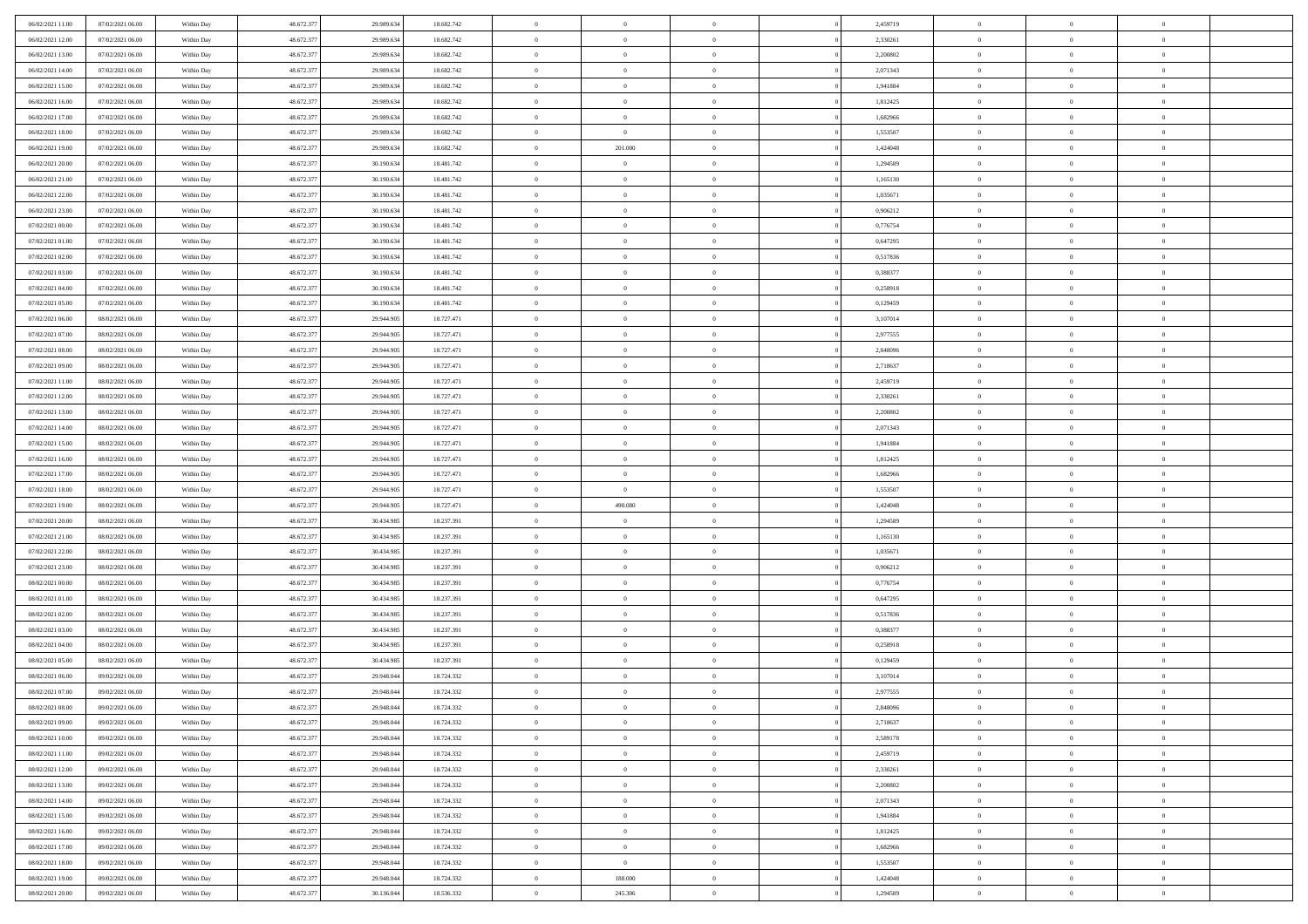| 06/02/2021 11:00                     | 07/02/2021 06:00 | Within Day | 48.672.377 | 29.989.634 | 18.682.742 | $\bf{0}$                 | $\overline{0}$ | $\theta$       |          | 2,459719 | $\bf{0}$                 | $\overline{0}$ | $\,0\,$        |  |
|--------------------------------------|------------------|------------|------------|------------|------------|--------------------------|----------------|----------------|----------|----------|--------------------------|----------------|----------------|--|
| 06/02/2021 12:00                     | 07/02/2021 06:00 | Within Day | 48.672.377 | 29.989.634 | 18.682.742 | $\overline{0}$           | $\overline{0}$ | $\overline{0}$ |          | 2,330261 | $\overline{0}$           | $\overline{0}$ | $\theta$       |  |
| 06/02/2021 13:00                     | 07/02/2021 06:00 | Within Dav | 48.672.377 | 29.989.634 | 18.682.742 | $\mathbf{0}$             | $\overline{0}$ | $\overline{0}$ |          | 2,200802 | $\mathbf{0}$             | $\overline{0}$ | $\overline{0}$ |  |
| 06/02/2021 14:00                     | 07/02/2021 06:00 | Within Day | 48.672.377 | 29.989.634 | 18.682.742 | $\bf{0}$                 | $\overline{0}$ | $\bf{0}$       |          | 2,071343 | $\bf{0}$                 | $\overline{0}$ | $\bf{0}$       |  |
| 06/02/2021 15:00                     | 07/02/2021 06:00 | Within Day | 48.672.377 | 29.989.634 | 18.682.742 | $\bf{0}$                 | $\overline{0}$ | $\overline{0}$ |          | 1,941884 | $\bf{0}$                 | $\theta$       | $\,0\,$        |  |
| 06/02/2021 16:00                     | 07/02/2021 06:00 | Within Dav | 48.672.377 | 29.989.634 | 18.682.742 | $\mathbf{0}$             | $\overline{0}$ | $\overline{0}$ |          | 1,812425 | $\mathbf{0}$             | $\overline{0}$ | $\overline{0}$ |  |
| 06/02/2021 17:00                     | 07/02/2021 06:00 | Within Day | 48.672.377 | 29.989.634 | 18.682.742 | $\bf{0}$                 | $\bf{0}$       | $\overline{0}$ |          | 1,682966 | $\bf{0}$                 | $\overline{0}$ | $\,0\,$        |  |
| 06/02/2021 18:00                     | 07/02/2021 06:00 | Within Day | 48.672.377 | 29.989.634 | 18.682.742 | $\overline{0}$           | $\overline{0}$ | $\overline{0}$ |          | 1,553507 | $\,$ 0 $\,$              | $\overline{0}$ | $\theta$       |  |
| 06/02/2021 19:00                     | 07/02/2021 06:00 | Within Day | 48.672.377 | 29.989.634 | 18.682.742 | $\mathbf{0}$             | 201.000        | $\overline{0}$ |          | 1,424048 | $\mathbf{0}$             | $\overline{0}$ | $\overline{0}$ |  |
| 06/02/2021 20:00                     | 07/02/2021 06:00 |            | 48.672.377 | 30.190.634 | 18.481.742 | $\bf{0}$                 | $\bf{0}$       | $\overline{0}$ |          | 1,294589 | $\bf{0}$                 | $\overline{0}$ | $\,0\,$        |  |
|                                      |                  | Within Day |            |            |            |                          | $\overline{0}$ |                |          |          |                          | $\mathbf{0}$   | $\theta$       |  |
| 06/02/2021 21:00<br>06/02/2021 22:00 | 07/02/2021 06:00 | Within Day | 48.672.377 | 30.190.634 | 18.481.742 | $\bf{0}$<br>$\mathbf{0}$ |                | $\overline{0}$ |          | 1,165130 | $\bf{0}$<br>$\mathbf{0}$ |                | $\overline{0}$ |  |
|                                      | 07/02/2021 06:00 | Within Dav | 48.672.377 | 30.190.634 | 18.481.742 |                          | $\overline{0}$ | $\overline{0}$ |          | 1,035671 |                          | $\overline{0}$ |                |  |
| 06/02/2021 23:00                     | 07/02/2021 06:00 | Within Day | 48.672.377 | 30.190.634 | 18.481.742 | $\bf{0}$                 | $\overline{0}$ | $\bf{0}$       |          | 0,906212 | $\bf{0}$                 | $\overline{0}$ | $\bf{0}$       |  |
| 07/02/2021 00:00                     | 07/02/2021 06:00 | Within Day | 48.672.377 | 30.190.634 | 18.481.742 | $\bf{0}$                 | $\overline{0}$ | $\overline{0}$ |          | 0,776754 | $\bf{0}$                 | $\theta$       | $\,0\,$        |  |
| 07/02/2021 01:00                     | 07/02/2021 06:00 | Within Dav | 48.672.377 | 30.190.634 | 18.481.742 | $\overline{0}$           | $\overline{0}$ | $\overline{0}$ |          | 0,647295 | $\mathbf{0}$             | $\overline{0}$ | $\overline{0}$ |  |
| 07/02/2021 02:00                     | 07/02/2021 06:00 | Within Day | 48.672.377 | 30.190.634 | 18.481.742 | $\bf{0}$                 | $\bf{0}$       | $\overline{0}$ |          | 0,517836 | $\bf{0}$                 | $\overline{0}$ | $\bf{0}$       |  |
| 07/02/2021 03:00                     | 07/02/2021 06:00 | Within Day | 48.672.377 | 30.190.634 | 18.481.742 | $\overline{0}$           | $\overline{0}$ | $\overline{0}$ |          | 0.388377 | $\bf{0}$                 | $\overline{0}$ | $\theta$       |  |
| 07/02/2021 04:00                     | 07/02/2021 06:00 | Within Day | 48.672.377 | 30.190.634 | 18.481.742 | $\mathbf{0}$             | $\overline{0}$ | $\overline{0}$ |          | 0,258918 | $\mathbf{0}$             | $\overline{0}$ | $\overline{0}$ |  |
| 07/02/2021 05:00                     | 07/02/2021 06:00 | Within Day | 48.672.377 | 30.190.634 | 18.481.742 | $\bf{0}$                 | $\bf{0}$       | $\overline{0}$ |          | 0,129459 | $\bf{0}$                 | $\overline{0}$ | $\,0\,$        |  |
| 07/02/2021 06:00                     | 08/02/2021 06:00 | Within Day | 48.672.377 | 29.944.905 | 18.727.471 | $\overline{0}$           | $\overline{0}$ | $\overline{0}$ |          | 3,107014 | $\bf{0}$                 | $\overline{0}$ | $\overline{0}$ |  |
| 07/02/2021 07:00                     | 08/02/2021 06:00 | Within Dav | 48.672.377 | 29.944.905 | 18.727.471 | $\mathbf{0}$             | $\overline{0}$ | $\overline{0}$ |          | 2,977555 | $\mathbf{0}$             | $\overline{0}$ | $\overline{0}$ |  |
| 07/02/2021 08:00                     | 08/02/2021 06:00 | Within Day | 48.672.377 | 29.944.905 | 18.727.471 | $\bf{0}$                 | $\overline{0}$ | $\bf{0}$       |          | 2,848096 | $\bf{0}$                 | $\overline{0}$ | $\bf{0}$       |  |
| 07/02/2021 09:00                     | 08/02/2021 06:00 | Within Day | 48.672.377 | 29.944.905 | 18.727.471 | $\bf{0}$                 | $\bf{0}$       | $\overline{0}$ |          | 2,718637 | $\bf{0}$                 | $\bf{0}$       | $\,0\,$        |  |
| 07/02/2021 11:00                     | 08/02/2021 06:00 | Within Dav | 48.672.377 | 29.944.905 | 18.727.471 | $\mathbf{0}$             | $\overline{0}$ | $\overline{0}$ |          | 2,459719 | $\mathbf{0}$             | $\overline{0}$ | $\overline{0}$ |  |
| 07/02/2021 12:00                     | 08/02/2021 06:00 | Within Day | 48.672.377 | 29.944.905 | 18.727.471 | $\bf{0}$                 | $\bf{0}$       | $\overline{0}$ |          | 2,330261 | $\bf{0}$                 | $\overline{0}$ | $\,0\,$        |  |
| 07/02/2021 13:00                     | 08/02/2021 06:00 | Within Day | 48.672.377 | 29.944.905 | 18.727.471 | $\overline{0}$           | $\overline{0}$ | $\overline{0}$ |          | 2,200802 | $\bf{0}$                 | $\overline{0}$ | $\overline{0}$ |  |
| 07/02/2021 14:00                     | 08/02/2021 06:00 | Within Day | 48.672.377 | 29.944.905 | 18.727.471 | $\mathbf{0}$             | $\overline{0}$ | $\overline{0}$ |          | 2,071343 | $\mathbf{0}$             | $\overline{0}$ | $\overline{0}$ |  |
| 07/02/2021 15:00                     | 08/02/2021 06:00 | Within Day | 48.672.377 | 29.944.905 | 18.727.471 | $\bf{0}$                 | $\bf{0}$       | $\overline{0}$ |          | 1,941884 | $\bf{0}$                 | $\overline{0}$ | $\,0\,$        |  |
| 07/02/2021 16:00                     | 08/02/2021 06:00 | Within Day | 48.672.377 | 29.944.905 | 18.727.471 | $\bf{0}$                 | $\overline{0}$ | $\overline{0}$ |          | 1,812425 | $\bf{0}$                 | $\mathbf{0}$   | $\overline{0}$ |  |
| 07/02/2021 17:00                     | 08/02/2021 06:00 | Within Dav | 48.672.377 | 29.944.905 | 18.727.471 | $\mathbf{0}$             | $\overline{0}$ | $\overline{0}$ |          | 1,682966 | $\mathbf{0}$             | $\overline{0}$ | $\overline{0}$ |  |
| 07/02/2021 18:00                     | 08/02/2021 06:00 | Within Day | 48.672.377 | 29.944.905 | 18.727.471 | $\bf{0}$                 | $\overline{0}$ | $\theta$       |          | 1,553507 | $\,$ 0                   | $\overline{0}$ | $\theta$       |  |
| 07/02/2021 19:00                     | 08/02/2021 06:00 | Within Day | 48.672.377 | 29.944.905 | 18.727.471 | $\bf{0}$                 | 490.080        | $\overline{0}$ |          | 1,424048 | $\bf{0}$                 | $\mathbf{0}$   | $\bf{0}$       |  |
| 07/02/2021 20:00                     | 08/02/2021 06:00 | Within Dav | 48.672.377 | 30.434.985 | 18.237.391 | $\mathbf{0}$             | $\overline{0}$ | $\overline{0}$ |          | 1,294589 | $\mathbf{0}$             | $\overline{0}$ | $\overline{0}$ |  |
| 07/02/2021 21:00                     | 08/02/2021 06:00 | Within Day | 48.672.377 | 30.434.985 | 18.237.391 | $\bf{0}$                 | $\overline{0}$ | $\theta$       |          | 1,165130 | $\,$ 0                   | $\overline{0}$ | $\theta$       |  |
| 07/02/2021 22:00                     | 08/02/2021 06:00 | Within Day | 48.672.377 | 30.434.985 | 18.237.391 | $\bf{0}$                 | $\overline{0}$ | $\overline{0}$ |          | 1,035671 | $\bf{0}$                 | $\overline{0}$ | $\overline{0}$ |  |
| 07/02/2021 23:00                     | 08/02/2021 06:00 | Within Day | 48.672.377 | 30.434.985 | 18.237.391 | $\mathbf{0}$             | $\overline{0}$ | $\overline{0}$ |          | 0,906212 | $\mathbf{0}$             | $\overline{0}$ | $\overline{0}$ |  |
| 08/02/2021 00:00                     | 08/02/2021 06:00 | Within Day | 48.672.377 | 30.434.985 | 18.237.391 | $\bf{0}$                 | $\overline{0}$ | $\theta$       |          | 0,776754 | $\,$ 0                   | $\overline{0}$ | $\theta$       |  |
| 08/02/2021 01:00                     | 08/02/2021 06:00 | Within Day | 48.672.377 | 30.434.985 | 18.237.391 | $\bf{0}$                 | $\overline{0}$ | $\overline{0}$ |          | 0,647295 | $\bf{0}$                 | $\mathbf{0}$   | $\bf{0}$       |  |
| 08/02/2021 02:00                     | 08/02/2021 06:00 | Within Dav | 48.672.377 | 30.434.985 | 18.237.391 | $\mathbf{0}$             | $\overline{0}$ | $\overline{0}$ |          | 0,517836 | $\mathbf{0}$             | $\overline{0}$ | $\overline{0}$ |  |
| 08/02/2021 03:00                     | 08/02/2021 06:00 | Within Day | 48.672.377 | 30.434.985 | 18.237.391 | $\,0\,$                  | $\overline{0}$ | $\theta$       |          | 0,388377 | $\,$ 0                   | $\overline{0}$ | $\theta$       |  |
| 08/02/2021 04:00                     | 08/02/2021 06:00 | Within Day | 48.672.377 | 30.434.985 | 18.237.391 | $\bf{0}$                 | $\overline{0}$ | $\overline{0}$ |          | 0,258918 | $\bf{0}$                 | $\overline{0}$ | $\overline{0}$ |  |
| 08/02/2021 05:00                     | 08/02/2021 06:00 | Within Dav | 48.672.377 | 30.434.985 | 18.237.391 | $\mathbf{0}$             | $\overline{0}$ | $\overline{0}$ |          | 0,129459 | $\mathbf{0}$             | $\overline{0}$ | $\overline{0}$ |  |
| 08/02/2021 06:00                     | 09/02/2021 06:00 | Within Day | 48.672.377 | 29.948.044 | 18.724.332 | $\bf{0}$                 | $\overline{0}$ | $\theta$       |          | 3,107014 | $\,$ 0                   | $\overline{0}$ | $\theta$       |  |
| 08/02/2021 07:00                     | 09/02/2021 06:00 | Within Day | 48.672.377 | 29.948.044 | 18.724.332 | $\bf{0}$                 | $\overline{0}$ | $\overline{0}$ |          | 2,977555 | $\,$ 0 $\,$              | $\overline{0}$ | $\overline{0}$ |  |
| 08/02/2021 08:00                     | 09/02/2021 06:00 | Within Day | 48.672.377 | 29.948.044 | 18.724.332 | $\bf{0}$                 | $\overline{0}$ |                |          | 2,848096 | $\overline{0}$           | $\theta$       | $\theta$       |  |
| 08/02/2021 09:00                     | 09/02/2021 06:00 | Within Day | 48.672.377 | 29.948.044 | 18.724.332 | $\,0\,$                  | $\overline{0}$ | $\theta$       |          | 2,718637 | $\,$ 0 $\,$              | $\bf{0}$       | $\theta$       |  |
| 08/02/2021 10:00                     | 09/02/2021 06:00 | Within Day | 48.672.377 | 29.948.044 | 18.724.332 | $\overline{0}$           | $\overline{0}$ | $\overline{0}$ |          | 2,589178 | $\overline{0}$           | $\overline{0}$ | $\overline{0}$ |  |
| 08/02/2021 11:00                     | 09/02/2021 06:00 | Within Day | 48.672.377 | 29.948.044 | 18.724.332 | $\bf{0}$                 | $\overline{0}$ | $\overline{0}$ |          | 2,459719 | $\overline{0}$           | $\bf{0}$       | $\mathbf{0}$   |  |
|                                      |                  |            |            |            |            |                          |                |                |          |          |                          |                |                |  |
| 08/02/2021 12:00                     | 09/02/2021 06:00 | Within Day | 48.672.377 | 29.948.044 | 18.724.332 | $\bf{0}$                 | $\overline{0}$ | $\overline{0}$ | $\theta$ | 2,330261 | $\,$ 0 $\,$              | $\bf{0}$       | $\,$ 0 $\,$    |  |
| 08/02/2021 13:00                     | 09/02/2021 06:00 | Within Day | 48.672.377 | 29.948.044 | 18.724.332 | $\bf{0}$                 | $\overline{0}$ | $\overline{0}$ |          | 2,200802 | $\,$ 0 $\,$              | $\overline{0}$ | $\overline{0}$ |  |
| 08/02/2021 14:00                     | 09/02/2021 06:00 | Within Day | 48.672.377 | 29.948.044 | 18.724.332 | $\bf{0}$                 | $\overline{0}$ | $\overline{0}$ |          | 2,071343 | $\mathbf{0}$             | $\overline{0}$ | $\overline{0}$ |  |
| 08/02/2021 15:00                     | 09/02/2021 06:00 | Within Day | 48.672.377 | 29.948.044 | 18.724.332 | $\,0\,$                  | $\overline{0}$ | $\mathbf{0}$   | $\theta$ | 1,941884 | $\,$ 0 $\,$              | $\overline{0}$ | $\overline{0}$ |  |
| 08/02/2021 16:00                     | 09/02/2021 06:00 | Within Day | 48.672.377 | 29.948.044 | 18.724.332 | $\bf{0}$                 | $\overline{0}$ | $\overline{0}$ |          | 1,812425 | $\overline{0}$           | $\overline{0}$ | $\overline{0}$ |  |
| 08/02/2021 17:00                     | 09/02/2021 06:00 | Within Day | 48.672.377 | 29.948.044 | 18.724.332 | $\bf{0}$                 | $\overline{0}$ | $\overline{0}$ |          | 1,682966 | $\mathbf{0}$             | $\overline{0}$ | $\mathbf{0}$   |  |
| 08/02/2021 18:00                     | 09/02/2021 06:00 | Within Day | 48.672.377 | 29.948.044 | 18.724.332 | $\,0\,$                  | $\overline{0}$ | $\theta$       |          | 1,553507 | $\,$ 0 $\,$              | $\mathbf{0}$   | $\overline{0}$ |  |
| 08/02/2021 19:00                     | 09/02/2021 06:00 | Within Day | 48.672.377 | 29.948.044 | 18.724.332 | $\overline{0}$           | 188,000        | $\overline{0}$ |          | 1,424048 | $\bf{0}$                 | $\mathbf{0}$   | $\overline{0}$ |  |
| 08/02/2021 20:00                     | 09/02/2021 06:00 | Within Day | 48.672.377 | 30.136.044 | 18.536.332 | $\bf{0}$                 | 245.306        | $\overline{0}$ |          | 1,294589 | $\mathbf{0}$             | $\overline{0}$ | $\overline{0}$ |  |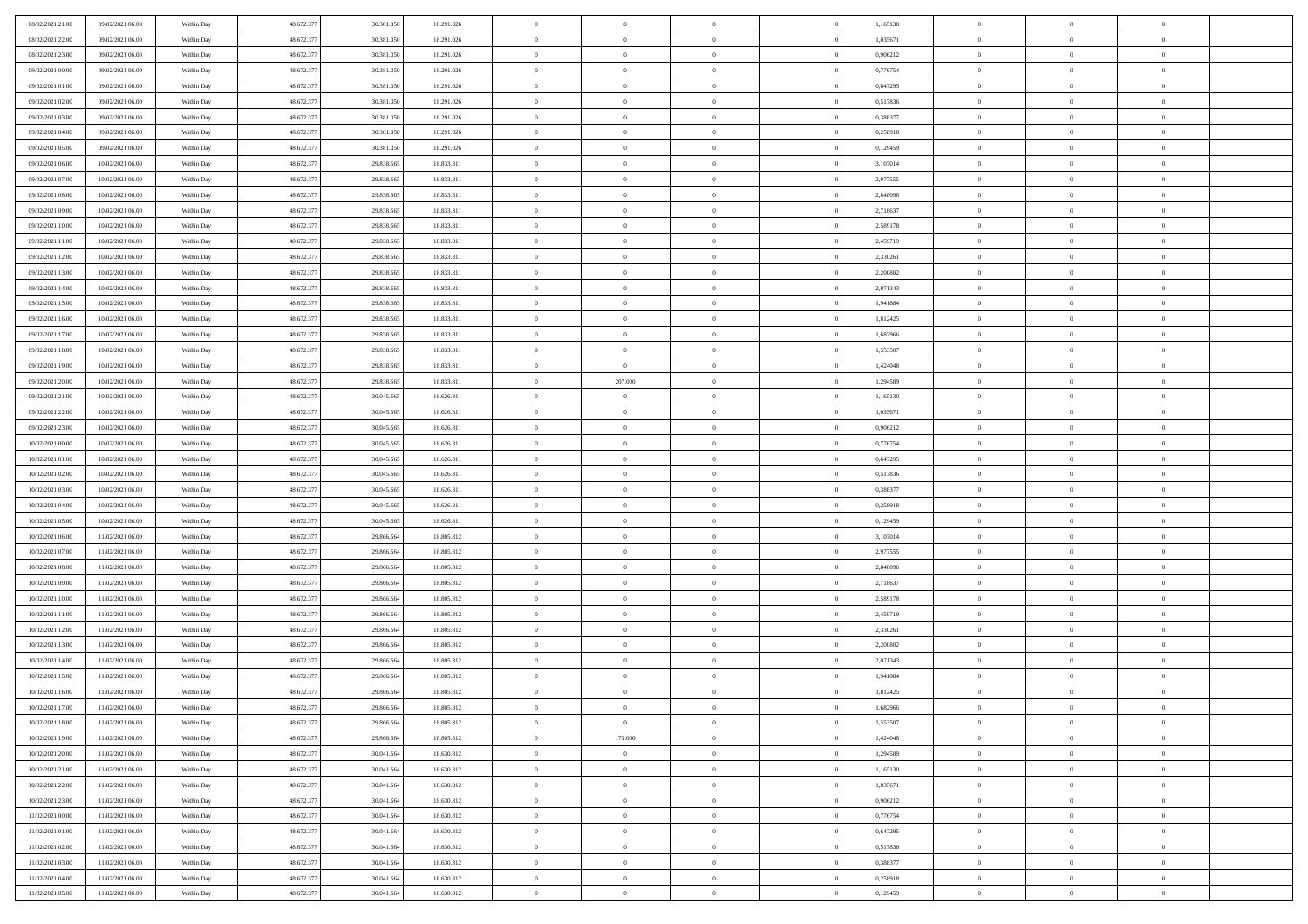| 08/02/2021 21:00 | 09/02/2021 06:00 | Within Day | 48.672.377 | 30.381.350 | 18.291.026 | $\,$ 0                   | $\bf{0}$       | $\theta$       |          | 1,165130 | $\bf{0}$                 | $\overline{0}$ | $\,0\,$        |  |
|------------------|------------------|------------|------------|------------|------------|--------------------------|----------------|----------------|----------|----------|--------------------------|----------------|----------------|--|
| 08/02/2021 22:00 | 09/02/2021 06:00 | Within Day | 48.672.377 | 30.381.350 | 18.291.026 | $\overline{0}$           | $\overline{0}$ | $\overline{0}$ |          | 1.035671 | $\overline{0}$           | $\overline{0}$ | $\theta$       |  |
| 08/02/2021 23:00 | 09/02/2021 06:00 | Within Dav | 48.672.377 | 30.381.350 | 18.291.026 | $\mathbf{0}$             | $\overline{0}$ | $\overline{0}$ |          | 0,906212 | $\mathbf{0}$             | $\overline{0}$ | $\overline{0}$ |  |
| 09/02/2021 00:00 | 09/02/2021 06:00 | Within Day | 48.672.377 | 30.381.350 | 18.291.026 | $\bf{0}$                 | $\overline{0}$ | $\bf{0}$       |          | 0,776754 | $\bf{0}$                 | $\overline{0}$ | $\bf{0}$       |  |
| 09/02/2021 01:00 | 09/02/2021 06:00 | Within Day | 48.672.377 | 30.381.350 | 18.291.026 | $\bf{0}$                 | $\bf{0}$       | $\overline{0}$ |          | 0,647295 | $\bf{0}$                 | $\theta$       | $\,0\,$        |  |
| 09/02/2021 02:00 | 09/02/2021 06:00 | Within Dav | 48.672.377 | 30.381.350 | 18.291.026 | $\mathbf{0}$             | $\overline{0}$ | $\overline{0}$ |          | 0,517836 | $\mathbf{0}$             | $\overline{0}$ | $\overline{0}$ |  |
| 09/02/2021 03:00 | 09/02/2021 06:00 | Within Day | 48.672.377 | 30.381.350 | 18.291.026 | $\bf{0}$                 | $\bf{0}$       | $\overline{0}$ |          | 0,388377 | $\bf{0}$                 | $\overline{0}$ | $\,0\,$        |  |
| 09/02/2021 04:00 | 09/02/2021 06:00 | Within Day | 48.672.377 | 30.381.350 | 18.291.026 | $\theta$                 | $\overline{0}$ | $\overline{0}$ |          | 0,258918 | $\,$ 0 $\,$              | $\overline{0}$ | $\theta$       |  |
| 09/02/2021 05:00 | 09/02/2021 06:00 | Within Day | 48.672.377 | 30.381.350 | 18.291.026 | $\mathbf{0}$             | $\overline{0}$ | $\overline{0}$ |          | 0,129459 | $\mathbf{0}$             | $\overline{0}$ | $\overline{0}$ |  |
| 09/02/2021 06:00 | 10/02/2021 06:00 |            | 48.672.377 | 29.838.565 | 18.833.811 | $\bf{0}$                 | $\bf{0}$       | $\overline{0}$ |          | 3,107014 | $\bf{0}$                 | $\overline{0}$ | $\,0\,$        |  |
|                  |                  | Within Day |            |            |            |                          | $\overline{0}$ |                |          |          |                          | $\mathbf{0}$   | $\theta$       |  |
| 09/02/2021 07:00 | 10/02/2021 06:00 | Within Day | 48.672.377 | 29.838.565 | 18.833.811 | $\bf{0}$<br>$\mathbf{0}$ |                | $\overline{0}$ |          | 2,977555 | $\bf{0}$<br>$\mathbf{0}$ |                | $\overline{0}$ |  |
| 09/02/2021 08:00 | 10/02/2021 06:00 | Within Dav | 48.672.377 | 29.838.565 | 18.833.811 |                          | $\overline{0}$ | $\overline{0}$ |          | 2,848096 |                          | $\overline{0}$ |                |  |
| 09/02/2021 09:00 | 10/02/2021 06:00 | Within Day | 48.672.377 | 29.838.565 | 18.833.811 | $\bf{0}$                 | $\overline{0}$ | $\bf{0}$       |          | 2,718637 | $\bf{0}$                 | $\overline{0}$ | $\bf{0}$       |  |
| 09/02/2021 10:00 | 10/02/2021 06:00 | Within Day | 48.672.377 | 29.838.565 | 18.833.811 | $\bf{0}$                 | $\overline{0}$ | $\overline{0}$ |          | 2,589178 | $\bf{0}$                 | $\theta$       | $\,0\,$        |  |
| 09/02/2021 11:00 | 10/02/2021 06:00 | Within Dav | 48.672.377 | 29.838.565 | 18.833.811 | $\overline{0}$           | $\overline{0}$ | $\overline{0}$ |          | 2,459719 | $\mathbf{0}$             | $\overline{0}$ | $\overline{0}$ |  |
| 09/02/2021 12:00 | 10/02/2021 06:00 | Within Day | 48.672.377 | 29.838.565 | 18.833.811 | $\bf{0}$                 | $\bf{0}$       | $\overline{0}$ |          | 2,330261 | $\bf{0}$                 | $\overline{0}$ | $\bf{0}$       |  |
| 09/02/2021 13:00 | 10/02/2021 06:00 | Within Day | 48.672.377 | 29.838.565 | 18.833.811 | $\overline{0}$           | $\overline{0}$ | $\overline{0}$ |          | 2,200802 | $\bf{0}$                 | $\overline{0}$ | $\theta$       |  |
| 09/02/2021 14:00 | 10/02/2021 06:00 | Within Day | 48.672.377 | 29.838.565 | 18.833.811 | $\mathbf{0}$             | $\overline{0}$ | $\overline{0}$ |          | 2,071343 | $\mathbf{0}$             | $\overline{0}$ | $\overline{0}$ |  |
| 09/02/2021 15:00 | 10/02/2021 06:00 | Within Day | 48.672.377 | 29.838.565 | 18.833.811 | $\bf{0}$                 | $\bf{0}$       | $\overline{0}$ |          | 1,941884 | $\bf{0}$                 | $\overline{0}$ | $\,0\,$        |  |
| 09/02/2021 16:00 | 10/02/2021 06:00 | Within Day | 48.672.377 | 29.838.565 | 18.833.811 | $\bf{0}$                 | $\overline{0}$ | $\overline{0}$ |          | 1,812425 | $\bf{0}$                 | $\overline{0}$ | $\overline{0}$ |  |
| 09/02/2021 17:00 | 10/02/2021 06:00 | Within Dav | 48.672.377 | 29.838.565 | 18.833.811 | $\mathbf{0}$             | $\overline{0}$ | $\overline{0}$ |          | 1,682966 | $\mathbf{0}$             | $\overline{0}$ | $\overline{0}$ |  |
| 09/02/2021 18:00 | 10/02/2021 06:00 | Within Day | 48.672.377 | 29.838.565 | 18.833.811 | $\bf{0}$                 | $\overline{0}$ | $\overline{0}$ |          | 1,553507 | $\bf{0}$                 | $\overline{0}$ | $\bf{0}$       |  |
| 09/02/2021 19:00 | 10/02/2021 06:00 | Within Day | 48.672.377 | 29.838.565 | 18.833.811 | $\bf{0}$                 | $\bf{0}$       | $\overline{0}$ |          | 1,424048 | $\bf{0}$                 | $\bf{0}$       | $\,0\,$        |  |
| 09/02/2021 20:00 | 10/02/2021 06:00 | Within Dav | 48.672.377 | 29.838.565 | 18.833.811 | $\mathbf{0}$             | 207.000        | $\overline{0}$ |          | 1,294589 | $\mathbf{0}$             | $\overline{0}$ | $\theta$       |  |
| 09/02/2021 21:00 | 10/02/2021 06:00 | Within Day | 48.672.377 | 30.045.565 | 18.626.811 | $\bf{0}$                 | $\bf{0}$       | $\overline{0}$ |          | 1,165130 | $\bf{0}$                 | $\overline{0}$ | $\,0\,$        |  |
| 09/02/2021 22.00 | 10/02/2021 06:00 | Within Day | 48.672.377 | 30.045.565 | 18.626.811 | $\bf{0}$                 | $\overline{0}$ | $\overline{0}$ |          | 1,035671 | $\bf{0}$                 | $\overline{0}$ | $\overline{0}$ |  |
| 09/02/2021 23:00 | 10/02/2021 06:00 | Within Dav | 48.672.377 | 30.045.565 | 18.626.811 | $\mathbf{0}$             | $\overline{0}$ | $\overline{0}$ |          | 0,906212 | $\mathbf{0}$             | $\overline{0}$ | $\overline{0}$ |  |
| 10/02/2021 00:00 | 10/02/2021 06:00 | Within Day | 48.672.377 | 30.045.565 | 18.626.811 | $\bf{0}$                 | $\bf{0}$       | $\overline{0}$ |          | 0,776754 | $\bf{0}$                 | $\overline{0}$ | $\,0\,$        |  |
| 10/02/2021 01:00 | 10/02/2021 06:00 | Within Day | 48.672.377 | 30.045.565 | 18.626.811 | $\bf{0}$                 | $\bf{0}$       | $\overline{0}$ |          | 0,647295 | $\bf{0}$                 | $\mathbf{0}$   | $\overline{0}$ |  |
| 10/02/2021 02:00 | 10/02/2021 06:00 | Within Dav | 48.672.377 | 30.045.565 | 18.626.811 | $\mathbf{0}$             | $\overline{0}$ | $\overline{0}$ |          | 0,517836 | $\mathbf{0}$             | $\overline{0}$ | $\overline{0}$ |  |
| 10/02/2021 03:00 | 10/02/2021 06:00 | Within Day | 48.672.377 | 30.045.565 | 18.626.811 | $\bf{0}$                 | $\overline{0}$ | $\overline{0}$ |          | 0,388377 | $\,$ 0                   | $\overline{0}$ | $\theta$       |  |
| 10/02/2021 04:00 | 10/02/2021 06:00 | Within Day | 48.672.377 | 30.045.565 | 18.626.811 | $\bf{0}$                 | $\bf{0}$       | $\overline{0}$ |          | 0,258918 | $\bf{0}$                 | $\mathbf{0}$   | $\bf{0}$       |  |
| 10/02/2021 05:00 | 10/02/2021 06:00 | Within Dav | 48.672.377 | 30.045.565 | 18.626.811 | $\mathbf{0}$             | $\overline{0}$ | $\overline{0}$ |          | 0,129459 | $\mathbf{0}$             | $\overline{0}$ | $\overline{0}$ |  |
| 10/02/2021 06:00 | 11/02/2021 06:00 | Within Day | 48.672.377 | 29.866.564 | 18.805.812 | $\bf{0}$                 | $\overline{0}$ | $\overline{0}$ |          | 3,107014 | $\,$ 0                   | $\overline{0}$ | $\theta$       |  |
| 10/02/2021 07:00 | 11/02/2021 06:00 | Within Day | 48.672.377 | 29.866.564 | 18.805.812 | $\bf{0}$                 | $\overline{0}$ | $\overline{0}$ |          | 2,977555 | $\bf{0}$                 | $\overline{0}$ | $\overline{0}$ |  |
| 10/02/2021 08:00 | 11/02/2021 06:00 | Within Day | 48.672.377 | 29.866.564 | 18.805.812 | $\mathbf{0}$             | $\overline{0}$ | $\overline{0}$ |          | 2,848096 | $\mathbf{0}$             | $\overline{0}$ | $\overline{0}$ |  |
| 10/02/2021 09:00 | 11/02/2021 06:00 | Within Day | 48.672.377 | 29.866.564 | 18.805.812 | $\bf{0}$                 | $\overline{0}$ | $\overline{0}$ |          | 2,718637 | $\,$ 0                   | $\overline{0}$ | $\theta$       |  |
| 10/02/2021 10:00 | 11/02/2021 06:00 | Within Day | 48.672.377 | 29.866.564 | 18.805.812 | $\bf{0}$                 | $\overline{0}$ | $\overline{0}$ |          | 2,589178 | $\bf{0}$                 | $\mathbf{0}$   | $\overline{0}$ |  |
| 10/02/2021 11:00 | 11/02/2021 06:00 | Within Dav | 48.672.377 | 29.866.564 | 18.805.812 | $\mathbf{0}$             | $\overline{0}$ | $\overline{0}$ |          | 2,459719 | $\mathbf{0}$             | $\overline{0}$ | $\overline{0}$ |  |
| 10/02/2021 12:00 | 11/02/2021 06:00 | Within Day | 48.672.377 | 29.866.564 | 18.805.812 | $\bf{0}$                 | $\overline{0}$ | $\overline{0}$ |          | 2,330261 | $\,$ 0                   | $\overline{0}$ | $\theta$       |  |
| 10/02/2021 13:00 | 11/02/2021 06:00 | Within Day | 48.672.377 | 29.866.564 | 18.805.812 | $\bf{0}$                 | $\overline{0}$ | $\overline{0}$ |          | 2,200802 | $\bf{0}$                 | $\overline{0}$ | $\overline{0}$ |  |
| 10/02/2021 14:00 | 11/02/2021 06:00 | Within Dav | 48.672.377 | 29.866.564 | 18.805.812 | $\mathbf{0}$             | $\overline{0}$ | $\overline{0}$ |          | 2,071343 | $\mathbf{0}$             | $\overline{0}$ | $\overline{0}$ |  |
| 10/02/2021 15:00 | 11/02/2021 06:00 | Within Day | 48.672.377 | 29.866.564 | 18.805.812 | $\bf{0}$                 | $\overline{0}$ | $\overline{0}$ |          | 1,941884 | $\,$ 0                   | $\overline{0}$ | $\theta$       |  |
| 10/02/2021 16:00 | 11/02/2021 06:00 | Within Day | 48.672.377 | 29.866.564 | 18.805.812 | $\bf{0}$                 | $\overline{0}$ | $\overline{0}$ |          | 1,812425 | $\,$ 0 $\,$              | $\overline{0}$ | $\overline{0}$ |  |
| 10/02/2021 17:00 | 11/02/2021 06:00 | Within Day | 48.672.377 | 29.866.564 | 18.805.812 | $\bf{0}$                 | $\overline{0}$ |                |          | 1,682966 | $\overline{0}$           | $\theta$       | $\theta$       |  |
| 10/02/2021 18:00 | 11/02/2021 06:00 | Within Day | 48.672.377 | 29.866.564 | 18.805.812 | $\,0\,$                  | $\overline{0}$ | $\overline{0}$ |          | 1,553507 | $\,$ 0 $\,$              | $\bf{0}$       | $\theta$       |  |
| 10/02/2021 19:00 | 11/02/2021 06:00 | Within Day | 48.672.377 | 29.866.564 | 18.805.812 | $\overline{0}$           | 175.000        | $\overline{0}$ |          | 1,424048 | $\overline{0}$           | $\overline{0}$ | $\overline{0}$ |  |
| 10/02/2021 20:00 | 11/02/2021 06:00 | Within Day | 48.672.377 | 30.041.564 | 18.630.812 | $\bf{0}$                 | $\overline{0}$ | $\overline{0}$ |          | 1,294589 | $\overline{0}$           | $\bf{0}$       | $\mathbf{0}$   |  |
| 10/02/2021 21:00 | 11/02/2021 06:00 | Within Day | 48.672.377 | 30.041.564 | 18.630.812 | $\bf{0}$                 | $\overline{0}$ | $\overline{0}$ | $\theta$ | 1,165130 | $\mathbf{0}$             | $\bf{0}$       | $\,$ 0 $\,$    |  |
| 10/02/2021 22:00 | 11/02/2021 06:00 | Within Day | 48.672.377 | 30.041.564 | 18.630.812 | $\bf{0}$                 | $\overline{0}$ | $\overline{0}$ |          | 1,035671 | $\,$ 0 $\,$              | $\overline{0}$ | $\overline{0}$ |  |
| 10/02/2021 23:00 | 11/02/2021 06:00 | Within Day | 48.672.377 | 30.041.564 | 18.630.812 | $\bf{0}$                 | $\overline{0}$ | $\overline{0}$ |          | 0,906212 | $\mathbf{0}$             | $\overline{0}$ | $\overline{0}$ |  |
|                  |                  |            |            |            |            | $\,$ 0 $\,$              |                | $\overline{0}$ | $\theta$ |          | $\,$ 0 $\,$              | $\mathbf{0}$   | $\,$ 0 $\,$    |  |
| 11/02/2021 00:00 | 11/02/2021 06:00 | Within Day | 48.672.377 | 30.041.564 | 18.630.812 |                          | $\overline{0}$ |                |          | 0,776754 |                          |                |                |  |
| 11/02/2021 01:00 | 11/02/2021 06:00 | Within Day | 48.672.377 | 30.041.564 | 18.630.812 | $\bf{0}$                 | $\overline{0}$ | $\overline{0}$ |          | 0,647295 | $\overline{0}$           | $\overline{0}$ | $\overline{0}$ |  |
| 11/02/2021 02:00 | 11/02/2021 06:00 | Within Day | 48.672.377 | 30.041.564 | 18.630.812 | $\bf{0}$                 | $\overline{0}$ | $\overline{0}$ |          | 0,517836 | $\mathbf{0}$             | $\bf{0}$       | $\overline{0}$ |  |
| 11/02/2021 03:00 | 11/02/2021 06:00 | Within Day | 48.672.377 | 30.041.564 | 18.630.812 | $\,0\,$                  | $\overline{0}$ | $\overline{0}$ |          | 0,388377 | $\,$ 0 $\,$              | $\mathbf{0}$   | $\overline{0}$ |  |
| 11/02/2021 04:00 | 11/02/2021 06:00 | Within Day | 48.672.377 | 30.041.564 | 18.630.812 | $\overline{0}$           | $\bf{0}$       | $\overline{0}$ |          | 0,258918 | $\mathbf 0$              | $\overline{0}$ | $\overline{0}$ |  |
| 11/02/2021 05:00 | 11/02/2021 06:00 | Within Day | 48.672.377 | 30.041.564 | 18.630.812 | $\bf{0}$                 | $\overline{0}$ | $\overline{0}$ |          | 0,129459 | $\mathbf{0}$             | $\overline{0}$ | $\overline{0}$ |  |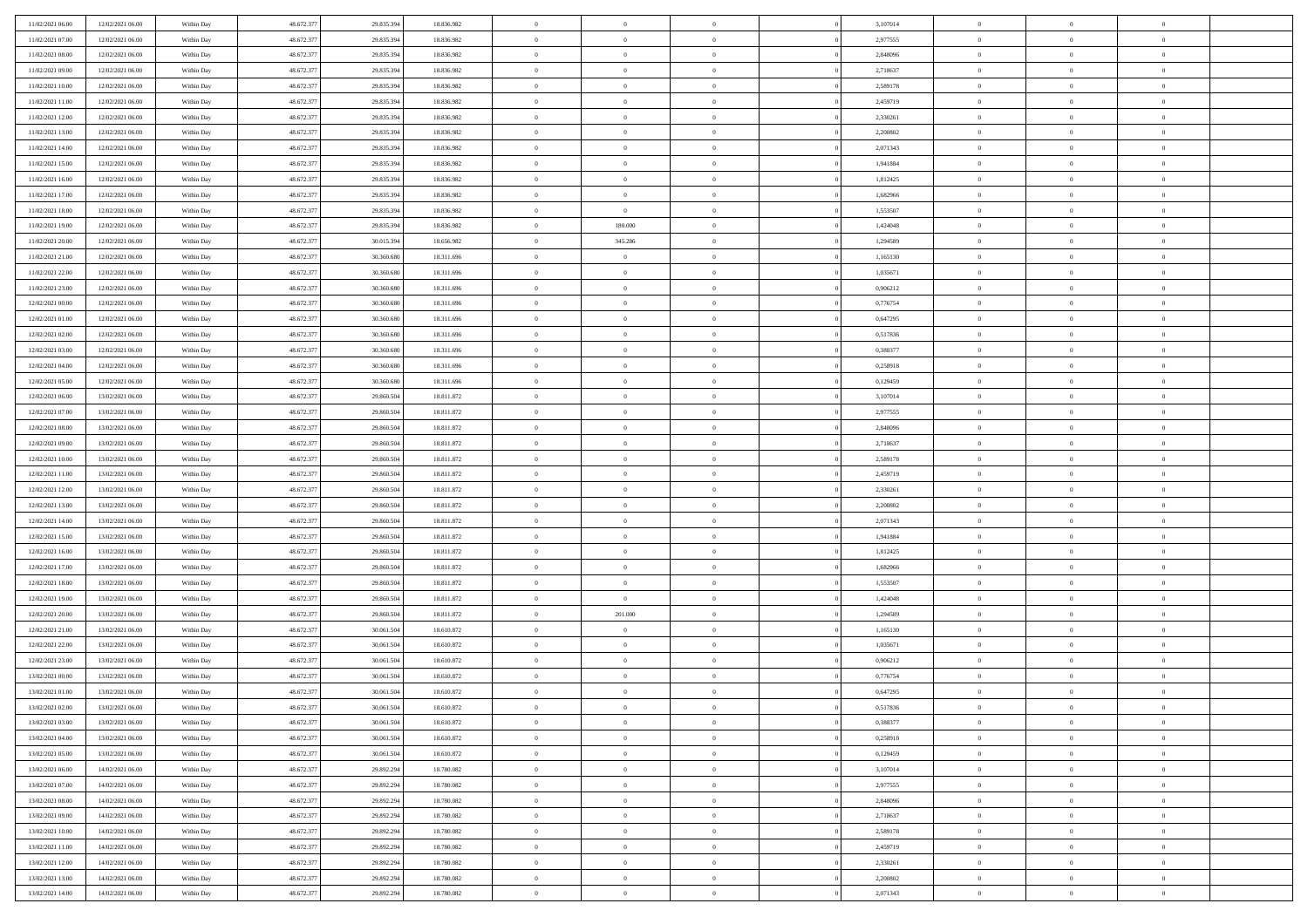| 11/02/2021 06:00 | 12/02/2021 06:00 | Within Day               | 48.672.377 | 29.835.394 | 18.836.982 | $\bf{0}$       | $\bf{0}$       | $\overline{0}$ |          | 3,107014 | $\bf{0}$       | $\overline{0}$ | $\,0\,$        |  |
|------------------|------------------|--------------------------|------------|------------|------------|----------------|----------------|----------------|----------|----------|----------------|----------------|----------------|--|
| 11/02/2021 07:00 | 12/02/2021 06:00 | Within Day               | 48.672.377 | 29.835.394 | 18.836.982 | $\overline{0}$ | $\overline{0}$ | $\overline{0}$ |          | 2,977555 | $\theta$       | $\overline{0}$ | $\theta$       |  |
| 11/02/2021 08:00 | 12/02/2021 06:00 | Within Dav               | 48.672.377 | 29.835.394 | 18.836.982 | $\mathbf{0}$   | $\overline{0}$ | $\overline{0}$ |          | 2,848096 | $\mathbf{0}$   | $\overline{0}$ | $\overline{0}$ |  |
| 11/02/2021 09:00 | 12/02/2021 06:00 | Within Day               | 48.672.377 | 29.835.394 | 18.836.982 | $\bf{0}$       | $\overline{0}$ | $\overline{0}$ |          | 2,718637 | $\bf{0}$       | $\overline{0}$ | $\bf{0}$       |  |
| 11/02/2021 10:00 | 12/02/2021 06:00 | Within Day               | 48.672.377 | 29.835.394 | 18.836.982 | $\bf{0}$       | $\bf{0}$       | $\overline{0}$ |          | 2,589178 | $\bf{0}$       | $\bf{0}$       | $\,0\,$        |  |
| 11/02/2021 11:00 | 12/02/2021 06:00 | Within Dav               | 48.672.377 | 29.835.394 | 18.836.982 | $\mathbf{0}$   | $\overline{0}$ | $\overline{0}$ |          | 2,459719 | $\mathbf{0}$   | $\overline{0}$ | $\overline{0}$ |  |
|                  |                  |                          |            |            |            |                |                |                |          |          |                |                |                |  |
| 11/02/2021 12:00 | 12/02/2021 06:00 | Within Day               | 48.672.377 | 29.835.394 | 18.836.982 | $\bf{0}$       | $\bf{0}$       | $\overline{0}$ |          | 2,330261 | $\bf{0}$       | $\overline{0}$ | $\,0\,$        |  |
| 11/02/2021 13:00 | 12/02/2021 06:00 | Within Day               | 48.672.377 | 29.835.394 | 18.836.982 | $\overline{0}$ | $\overline{0}$ | $\overline{0}$ |          | 2,200802 | $\,$ 0 $\,$    | $\overline{0}$ | $\overline{0}$ |  |
| 11/02/2021 14:00 | 12/02/2021 06:00 | Within Dav               | 48.672.377 | 29.835.394 | 18.836.982 | $\mathbf{0}$   | $\overline{0}$ | $\overline{0}$ |          | 2,071343 | $\mathbf{0}$   | $\overline{0}$ | $\overline{0}$ |  |
| 11/02/2021 15:00 | 12/02/2021 06:00 | Within Day               | 48.672.377 | 29.835.394 | 18.836.982 | $\bf{0}$       | $\bf{0}$       | $\overline{0}$ |          | 1,941884 | $\bf{0}$       | $\overline{0}$ | $\,0\,$        |  |
| 11/02/2021 16:00 | 12/02/2021 06:00 | Within Day               | 48.672.377 | 29.835.394 | 18.836.982 | $\bf{0}$       | $\overline{0}$ | $\overline{0}$ |          | 1,812425 | $\bf{0}$       | $\overline{0}$ | $\theta$       |  |
| 11/02/2021 17:00 | 12/02/2021 06:00 | Within Dav               | 48.672.377 | 29.835.394 | 18.836.982 | $\mathbf{0}$   | $\overline{0}$ | $\overline{0}$ |          | 1,682966 | $\mathbf{0}$   | $\overline{0}$ | $\overline{0}$ |  |
| 11/02/2021 18:00 | 12/02/2021 06:00 | Within Day               | 48.672.377 | 29.835.394 | 18.836.982 | $\bf{0}$       | $\overline{0}$ | $\bf{0}$       |          | 1,553507 | $\bf{0}$       | $\overline{0}$ | $\bf{0}$       |  |
| 11/02/2021 19:00 | 12/02/2021 06:00 | Within Day               | 48.672.377 | 29.835.394 | 18.836.982 | $\bf{0}$       | 180.000        | $\overline{0}$ |          | 1,424048 | $\bf{0}$       | $\mathbf{0}$   | $\,0\,$        |  |
| 11/02/2021 20:00 | 12/02/2021 06:00 | Within Dav               | 48.672.377 | 30.015.394 | 18.656.982 | $\overline{0}$ | 345.286        | $\overline{0}$ |          | 1,294589 | $\mathbf{0}$   | $\overline{0}$ | $\overline{0}$ |  |
| 11/02/2021 21:00 | 12/02/2021 06:00 | Within Day               | 48.672.377 | 30.360.680 | 18.311.696 | $\bf{0}$       | $\bf{0}$       | $\overline{0}$ |          | 1,165130 | $\bf{0}$       | $\overline{0}$ | $\bf{0}$       |  |
| 11/02/2021 22:00 | 12/02/2021 06:00 | Within Day               | 48.672.377 | 30.360.680 | 18.311.696 | $\bf{0}$       | $\overline{0}$ | $\overline{0}$ |          | 1,035671 | $\bf{0}$       | $\overline{0}$ | $\theta$       |  |
| 11/02/2021 23:00 | 12/02/2021 06:00 | Within Day               | 48.672.377 | 30.360.680 | 18.311.696 | $\mathbf{0}$   | $\overline{0}$ | $\overline{0}$ |          | 0,906212 | $\mathbf{0}$   | $\overline{0}$ | $\overline{0}$ |  |
| 12/02/2021 00:00 | 12/02/2021 06:00 | Within Day               | 48.672.377 | 30.360.680 | 18.311.696 | $\bf{0}$       | $\bf{0}$       | $\overline{0}$ |          | 0,776754 | $\bf{0}$       | $\overline{0}$ | $\,0\,$        |  |
| 12/02/2021 01:00 | 12/02/2021 06:00 | Within Day               | 48.672.377 | 30.360.680 | 18.311.696 | $\bf{0}$       | $\overline{0}$ | $\overline{0}$ |          | 0,647295 | $\bf{0}$       | $\overline{0}$ | $\overline{0}$ |  |
| 12/02/2021 02:00 | 12/02/2021 06:00 | Within Dav               | 48.672.377 | 30.360.680 | 18.311.696 | $\mathbf{0}$   | $\overline{0}$ | $\overline{0}$ |          | 0,517836 | $\mathbf{0}$   | $\overline{0}$ | $\overline{0}$ |  |
| 12/02/2021 03:00 | 12/02/2021 06:00 | Within Day               | 48.672.377 | 30.360.680 | 18.311.696 | $\bf{0}$       | $\overline{0}$ | $\overline{0}$ |          | 0,388377 | $\bf{0}$       | $\overline{0}$ | $\bf{0}$       |  |
| 12/02/2021 04:00 | 12/02/2021 06:00 | Within Day               | 48.672.377 | 30,360,680 | 18.311.696 | $\bf{0}$       | $\bf{0}$       | $\overline{0}$ |          | 0,258918 | $\bf{0}$       | $\overline{0}$ | $\,0\,$        |  |
| 12/02/2021 05:00 | 12/02/2021 06:00 | Within Dav               | 48.672.377 | 30.360.680 | 18.311.696 | $\mathbf{0}$   | $\overline{0}$ | $\overline{0}$ |          | 0,129459 | $\mathbf{0}$   | $\overline{0}$ | $\overline{0}$ |  |
| 12/02/2021 06:00 | 13/02/2021 06:00 | Within Day               | 48.672.377 | 29.860.504 | 18.811.872 | $\bf{0}$       | $\overline{0}$ | $\overline{0}$ |          | 3,107014 | $\bf{0}$       | $\overline{0}$ | $\bf{0}$       |  |
| 12/02/2021 07:00 | 13/02/2021 06:00 |                          | 48.672.377 | 29.860.504 | 18.811.872 | $\bf{0}$       | $\overline{0}$ | $\overline{0}$ |          | 2,977555 | $\bf{0}$       | $\mathbf{0}$   | $\overline{0}$ |  |
| 12/02/2021 08:00 | 13/02/2021 06:00 | Within Day<br>Within Dav | 48.672.377 | 29.860.504 | 18.811.872 | $\mathbf{0}$   | $\overline{0}$ | $\overline{0}$ |          | 2,848096 | $\mathbf{0}$   | $\overline{0}$ | $\overline{0}$ |  |
|                  | 13/02/2021 06:00 |                          |            |            |            |                |                | $\overline{0}$ |          |          |                | $\overline{0}$ |                |  |
| 12/02/2021 09:00 |                  | Within Day               | 48.672.377 | 29.860.504 | 18.811.872 | $\bf{0}$       | $\overline{0}$ |                |          | 2,718637 | $\bf{0}$       |                | $\,0\,$        |  |
| 12/02/2021 10:00 | 13/02/2021 06:00 | Within Day               | 48.672.377 | 29.860.504 | 18.811.872 | $\bf{0}$       | $\overline{0}$ | $\overline{0}$ |          | 2,589178 | $\bf{0}$       | $\overline{0}$ | $\overline{0}$ |  |
| 12/02/2021 11:00 | 13/02/2021 06:00 | Within Dav               | 48.672.377 | 29.860.504 | 18.811.872 | $\mathbf{0}$   | $\overline{0}$ | $\overline{0}$ |          | 2,459719 | $\mathbf{0}$   | $\overline{0}$ | $\overline{0}$ |  |
| 12/02/2021 12:00 | 13/02/2021 06:00 | Within Day               | 48.672.377 | 29.860.504 | 18.811.872 | $\bf{0}$       | $\overline{0}$ | $\overline{0}$ |          | 2,330261 | $\,$ 0         | $\overline{0}$ | $\theta$       |  |
| 12/02/2021 13:00 | 13/02/2021 06:00 | Within Day               | 48.672.377 | 29.860.504 | 18.811.872 | $\bf{0}$       | $\overline{0}$ | $\overline{0}$ |          | 2,200802 | $\bf{0}$       | $\overline{0}$ | $\overline{0}$ |  |
| 12/02/2021 14:00 | 13/02/2021 06:00 | Within Dav               | 48.672.377 | 29.860.504 | 18.811.872 | $\overline{0}$ | $\overline{0}$ | $\overline{0}$ |          | 2,071343 | $\mathbf{0}$   | $\overline{0}$ | $\overline{0}$ |  |
| 12/02/2021 15:00 | 13/02/2021 06:00 | Within Day               | 48.672.377 | 29.860.504 | 18.811.872 | $\bf{0}$       | $\overline{0}$ | $\overline{0}$ |          | 1,941884 | $\,$ 0         | $\overline{0}$ | $\theta$       |  |
| 12/02/2021 16:00 | 13/02/2021 06:00 | Within Day               | 48.672.377 | 29.860.504 | 18.811.872 | $\overline{0}$ | $\overline{0}$ | $\overline{0}$ |          | 1,812425 | $\bf{0}$       | $\overline{0}$ | $\overline{0}$ |  |
| 12/02/2021 17:00 | 13/02/2021 06:00 | Within Day               | 48.672.377 | 29.860.504 | 18.811.872 | $\mathbf{0}$   | $\overline{0}$ | $\overline{0}$ |          | 1,682966 | $\mathbf{0}$   | $\overline{0}$ | $\overline{0}$ |  |
| 12/02/2021 18:00 | 13/02/2021 06:00 | Within Day               | 48.672.377 | 29.860.504 | 18.811.872 | $\bf{0}$       | $\overline{0}$ | $\overline{0}$ |          | 1,553507 | $\,$ 0         | $\overline{0}$ | $\theta$       |  |
| 12/02/2021 19:00 | 13/02/2021 06:00 | Within Day               | 48.672.377 | 29.860.504 | 18.811.872 | $\bf{0}$       | $\overline{0}$ | $\overline{0}$ |          | 1,424048 | $\bf{0}$       | $\bf{0}$       | $\overline{0}$ |  |
| 12/02/2021 20:00 | 13/02/2021 06:00 | Within Dav               | 48.672.377 | 29.860.504 | 18.811.872 | $\mathbf{0}$   | 201.000        | $\overline{0}$ |          | 1,294589 | $\mathbf{0}$   | $\overline{0}$ | $\overline{0}$ |  |
| 12/02/2021 21:00 | 13/02/2021 06:00 | Within Day               | 48.672.377 | 30.061.504 | 18.610.872 | $\,0\,$        | $\overline{0}$ | $\overline{0}$ |          | 1,165130 | $\,$ 0         | $\overline{0}$ | $\theta$       |  |
| 12/02/2021 22:00 | 13/02/2021 06:00 | Within Day               | 48.672.377 | 30.061.504 | 18.610.872 | $\bf{0}$       | $\overline{0}$ | $\overline{0}$ |          | 1,035671 | $\bf{0}$       | $\overline{0}$ | $\overline{0}$ |  |
| 12/02/2021 23:00 | 13/02/2021 06:00 | Within Dav               | 48.672.377 | 30.061.504 | 18.610.872 | $\mathbf{0}$   | $\overline{0}$ | $\overline{0}$ |          | 0,906212 | $\mathbf{0}$   | $\overline{0}$ | $\overline{0}$ |  |
| 13/02/2021 00:00 | 13/02/2021 06:00 | Within Day               | 48.672.377 | 30.061.504 | 18.610.872 | $\bf{0}$       | $\overline{0}$ | $\overline{0}$ |          | 0,776754 | $\,$ 0         | $\overline{0}$ | $\theta$       |  |
| 13/02/2021 01:00 | 13/02/2021 06:00 | Within Day               | 48.672.377 | 30.061.504 | 18.610.872 | $\bf{0}$       | $\overline{0}$ | $\overline{0}$ |          | 0,647295 | $\,$ 0 $\,$    | $\overline{0}$ | $\overline{0}$ |  |
| 13/02/2021 02:00 | 13/02/2021 06:00 | Within Day               | 48.672.377 | 30.061.504 | 18.610.872 | $\bf{0}$       | $\overline{0}$ |                |          | 0,517836 | $\overline{0}$ | $\theta$       | $\theta$       |  |
| 13/02/2021 03:00 | 13/02/2021 06:00 | Within Day               | 48.672.377 | 30.061.504 | 18.610.872 | $\,0\,$        | $\overline{0}$ | $\overline{0}$ |          | 0,388377 | $\,$ 0 $\,$    | $\bf{0}$       | $\theta$       |  |
| 13/02/2021 04:00 | 13/02/2021 06:00 | Within Day               | 48.672.377 | 30.061.504 | 18.610.872 | $\overline{0}$ | $\overline{0}$ | $\overline{0}$ |          | 0,258918 | $\overline{0}$ | $\overline{0}$ | $\overline{0}$ |  |
| 13/02/2021 05:00 | 13/02/2021 06:00 | Within Day               | 48.672.377 | 30.061.504 | 18.610.872 | $\bf{0}$       | $\overline{0}$ | $\overline{0}$ |          | 0,129459 | $\overline{0}$ | $\bf{0}$       | $\mathbf{0}$   |  |
| 13/02/2021 06:00 | 14/02/2021 06:00 | Within Day               | 48.672.377 | 29.892.294 | 18.780.082 | $\bf{0}$       | $\overline{0}$ | $\overline{0}$ | $\theta$ | 3,107014 | $\,$ 0 $\,$    | $\bf{0}$       | $\,$ 0 $\,$    |  |
| 13/02/2021 07:00 | 14/02/2021 06:00 | Within Day               | 48.672.377 | 29.892.294 | 18.780.082 | $\bf{0}$       | $\overline{0}$ | $\overline{0}$ |          | 2,977555 | $\,$ 0 $\,$    | $\overline{0}$ | $\overline{0}$ |  |
| 13/02/2021 08:00 | 14/02/2021 06:00 | Within Day               | 48.672.377 | 29.892.294 | 18.780.082 | $\bf{0}$       | $\overline{0}$ | $\overline{0}$ |          | 2,848096 | $\mathbf{0}$   | $\overline{0}$ | $\overline{0}$ |  |
| 13/02/2021 09:00 | 14/02/2021 06:00 | Within Day               | 48.672.377 | 29.892.294 | 18.780.082 | $\,0\,$        | $\overline{0}$ | $\overline{0}$ | $\theta$ | 2,718637 | $\,$ 0 $\,$    | $\overline{0}$ | $\overline{0}$ |  |
| 13/02/2021 10:00 | 14/02/2021 06:00 | Within Day               | 48.672.377 | 29.892.294 | 18.780.082 | $\bf{0}$       | $\overline{0}$ | $\overline{0}$ |          | 2,589178 | $\overline{0}$ | $\overline{0}$ | $\overline{0}$ |  |
| 13/02/2021 11:00 | 14/02/2021 06:00 | Within Day               | 48.672.377 | 29.892.294 | 18.780.082 | $\bf{0}$       | $\overline{0}$ | $\overline{0}$ |          | 2,459719 | $\mathbf{0}$   | $\bf{0}$       | $\overline{0}$ |  |
| 13/02/2021 12:00 | 14/02/2021 06:00 | Within Day               | 48.672.377 | 29.892.294 | 18.780.082 | $\,0\,$        | $\overline{0}$ | $\overline{0}$ |          | 2,330261 | $\,$ 0 $\,$    | $\mathbf{0}$   | $\overline{0}$ |  |
| 13/02/2021 13:00 | 14/02/2021 06:00 | Within Day               | 48.672.377 | 29.892.294 | 18.780.082 | $\bf{0}$       | $\bf{0}$       | $\overline{0}$ |          | 2,200802 | $\mathbf 0$    | $\mathbf{0}$   | $\overline{0}$ |  |
|                  |                  |                          |            |            |            |                |                |                |          |          |                |                |                |  |
| 13/02/2021 14:00 | 14/02/2021 06:00 | Within Day               | 48.672.377 | 29.892.294 | 18.780.082 | $\bf{0}$       | $\overline{0}$ | $\overline{0}$ |          | 2,071343 | $\mathbf{0}$   | $\overline{0}$ | $\overline{0}$ |  |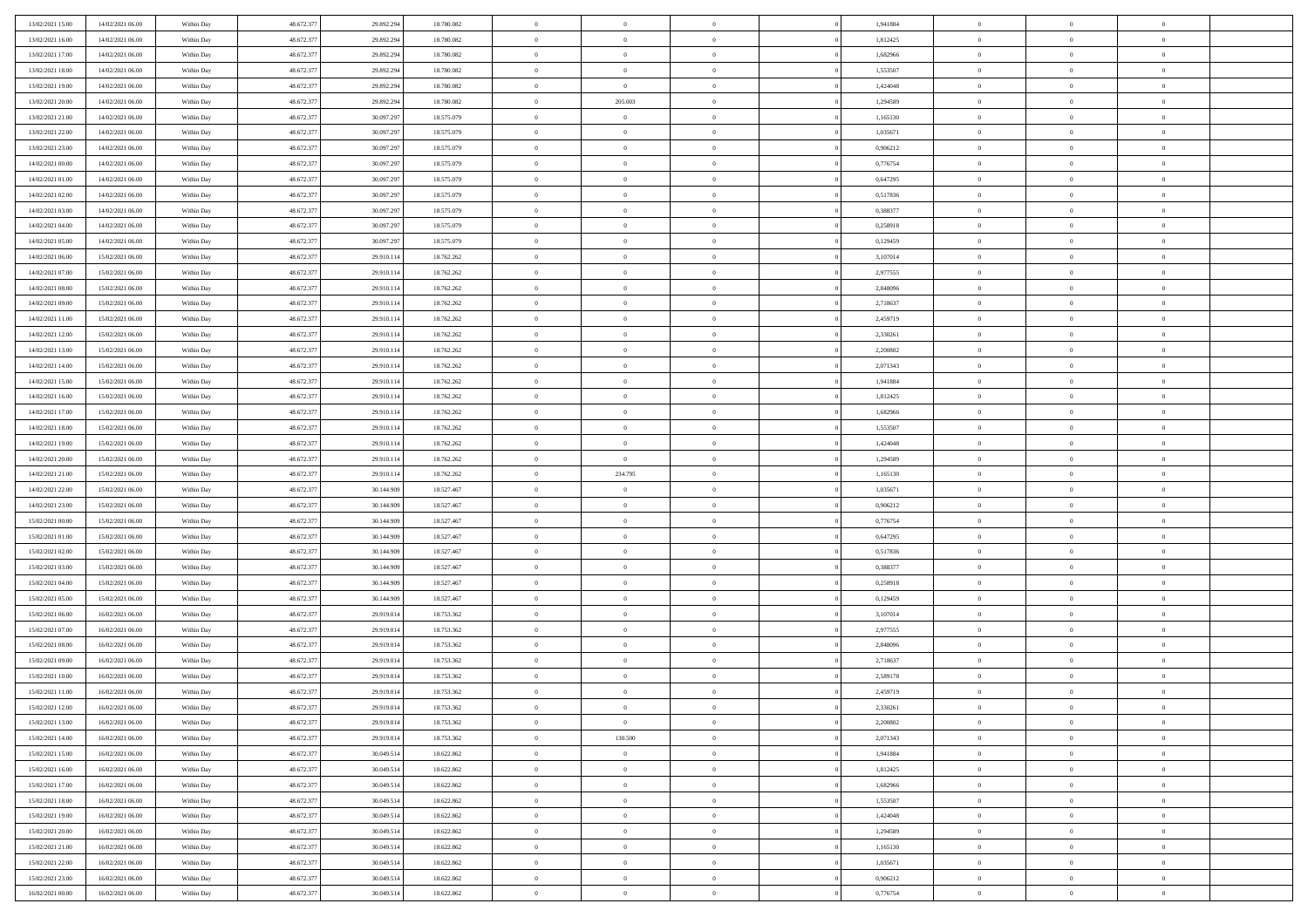| 13/02/2021 15:00                     | 14/02/2021 06:00 | Within Day               | 48.672.377 | 29.892.294 | 18.780.082 | $\bf{0}$                 | $\bf{0}$       | $\theta$       |          | 1,941884 | $\bf{0}$                 | $\overline{0}$ | $\,0\,$        |  |
|--------------------------------------|------------------|--------------------------|------------|------------|------------|--------------------------|----------------|----------------|----------|----------|--------------------------|----------------|----------------|--|
| 13/02/2021 16:00                     | 14/02/2021 06:00 | Within Day               | 48.672.377 | 29.892.294 | 18.780.082 | $\overline{0}$           | $\overline{0}$ | $\overline{0}$ |          | 1,812425 | $\overline{0}$           | $\overline{0}$ | $\theta$       |  |
| 13/02/2021 17:00                     | 14/02/2021 06:00 | Within Dav               | 48.672.377 | 29.892.294 | 18.780.082 | $\mathbf{0}$             | $\overline{0}$ | $\overline{0}$ |          | 1,682966 | $\mathbf{0}$             | $\overline{0}$ | $\overline{0}$ |  |
| 13/02/2021 18:00                     | 14/02/2021 06:00 | Within Day               | 48.672.377 | 29.892.294 | 18.780.082 | $\bf{0}$                 | $\overline{0}$ | $\bf{0}$       |          | 1,553507 | $\bf{0}$                 | $\overline{0}$ | $\bf{0}$       |  |
| 13/02/2021 19:00                     | 14/02/2021 06:00 | Within Day               | 48.672.377 | 29.892.294 | 18.780.082 | $\bf{0}$                 | $\overline{0}$ | $\overline{0}$ |          | 1,424048 | $\bf{0}$                 | $\bf{0}$       | $\,0\,$        |  |
| 13/02/2021 20:00                     | 14/02/2021 06:00 | Within Dav               | 48.672.377 | 29.892.294 | 18.780.082 | $\mathbf{0}$             | 205.003        | $\overline{0}$ |          | 1,294589 | $\mathbf{0}$             | $\overline{0}$ | $\overline{0}$ |  |
| 13/02/2021 21:00                     | 14/02/2021 06:00 | Within Day               | 48.672.377 | 30.097.297 | 18.575.079 | $\bf{0}$                 | $\bf{0}$       | $\overline{0}$ |          | 1,165130 | $\bf{0}$                 | $\overline{0}$ | $\,0\,$        |  |
| 13/02/2021 22:00                     | 14/02/2021 06:00 | Within Day               | 48.672.377 | 30.097.297 | 18.575.079 | $\overline{0}$           | $\overline{0}$ | $\overline{0}$ |          | 1,035671 | $\,$ 0 $\,$              | $\overline{0}$ | $\overline{0}$ |  |
| 13/02/2021 23:00                     | 14/02/2021 06:00 | Within Day               | 48.672.377 | 30.097.297 | 18.575.079 | $\mathbf{0}$             | $\overline{0}$ | $\overline{0}$ |          | 0,906212 | $\mathbf{0}$             | $\overline{0}$ | $\overline{0}$ |  |
| 14/02/2021 00:00                     | 14/02/2021 06:00 |                          | 48.672.377 | 30.097.297 | 18.575.079 | $\bf{0}$                 | $\bf{0}$       | $\overline{0}$ |          | 0,776754 | $\bf{0}$                 | $\overline{0}$ | $\,0\,$        |  |
|                                      |                  | Within Day               |            |            |            |                          | $\overline{0}$ |                |          |          |                          | $\overline{0}$ | $\theta$       |  |
| 14/02/2021 01:00<br>14/02/2021 02:00 | 14/02/2021 06:00 | Within Day               | 48.672.377 | 30.097.297 | 18.575.079 | $\bf{0}$<br>$\mathbf{0}$ |                | $\overline{0}$ |          | 0,647295 | $\bf{0}$<br>$\mathbf{0}$ |                | $\overline{0}$ |  |
|                                      | 14/02/2021 06:00 | Within Dav               | 48.672.377 | 30.097.297 | 18.575.079 |                          | $\overline{0}$ | $\overline{0}$ |          | 0,517836 |                          | $\overline{0}$ |                |  |
| 14/02/2021 03:00                     | 14/02/2021 06:00 | Within Day               | 48.672.377 | 30.097.297 | 18.575.079 | $\bf{0}$                 | $\overline{0}$ | $\bf{0}$       |          | 0,388377 | $\bf{0}$                 | $\overline{0}$ | $\bf{0}$       |  |
| 14/02/2021 04:00                     | 14/02/2021 06:00 | Within Day               | 48.672.377 | 30.097.297 | 18.575.079 | $\bf{0}$                 | $\overline{0}$ | $\overline{0}$ |          | 0,258918 | $\bf{0}$                 | $\theta$       | $\,0\,$        |  |
| 14/02/2021 05:00                     | 14/02/2021 06:00 | Within Dav               | 48.672.377 | 30.097.297 | 18.575.079 | $\overline{0}$           | $\overline{0}$ | $\overline{0}$ |          | 0,129459 | $\mathbf{0}$             | $\overline{0}$ | $\overline{0}$ |  |
| 14/02/2021 06:00                     | 15/02/2021 06:00 | Within Day               | 48.672.377 | 29.910.114 | 18.762.262 | $\bf{0}$                 | $\overline{0}$ | $\overline{0}$ |          | 3,107014 | $\bf{0}$                 | $\overline{0}$ | $\bf{0}$       |  |
| 14/02/2021 07:00                     | 15/02/2021 06:00 | Within Day               | 48.672.377 | 29.910.114 | 18.762.262 | $\bf{0}$                 | $\overline{0}$ | $\overline{0}$ |          | 2,977555 | $\,$ 0 $\,$              | $\overline{0}$ | $\theta$       |  |
| 14/02/2021 08:00                     | 15/02/2021 06:00 | Within Day               | 48.672.377 | 29.910.114 | 18.762.262 | $\mathbf{0}$             | $\overline{0}$ | $\overline{0}$ |          | 2,848096 | $\mathbf{0}$             | $\overline{0}$ | $\overline{0}$ |  |
| 14/02/2021 09:00                     | 15/02/2021 06:00 | Within Day               | 48.672.377 | 29.910.114 | 18.762.262 | $\bf{0}$                 | $\overline{0}$ | $\overline{0}$ |          | 2,718637 | $\bf{0}$                 | $\overline{0}$ | $\,0\,$        |  |
| 14/02/2021 11:00                     | 15/02/2021 06:00 | Within Day               | 48.672.377 | 29.910.114 | 18.762.262 | $\bf{0}$                 | $\overline{0}$ | $\overline{0}$ |          | 2,459719 | $\bf{0}$                 | $\overline{0}$ | $\overline{0}$ |  |
| 14/02/2021 12:00                     | 15/02/2021 06:00 | Within Dav               | 48.672.377 | 29.910.114 | 18.762.262 | $\overline{0}$           | $\overline{0}$ | $\overline{0}$ |          | 2,330261 | $\mathbf{0}$             | $\overline{0}$ | $\overline{0}$ |  |
| 14/02/2021 13:00                     | 15/02/2021 06:00 | Within Day               | 48.672.377 | 29.910.114 | 18.762.262 | $\bf{0}$                 | $\overline{0}$ | $\overline{0}$ |          | 2,200802 | $\bf{0}$                 | $\overline{0}$ | $\bf{0}$       |  |
| 14/02/2021 14:00                     | 15/02/2021 06:00 | Within Day               | 48.672.377 | 29.910.114 | 18.762.262 | $\bf{0}$                 | $\overline{0}$ | $\overline{0}$ |          | 2,071343 | $\bf{0}$                 | $\bf{0}$       | $\,0\,$        |  |
| 14/02/2021 15:00                     | 15/02/2021 06:00 | Within Dav               | 48.672.377 | 29.910.114 | 18.762.262 | $\mathbf{0}$             | $\overline{0}$ | $\overline{0}$ |          | 1,941884 | $\mathbf{0}$             | $\overline{0}$ | $\overline{0}$ |  |
| 14/02/2021 16:00                     | 15/02/2021 06:00 | Within Day               | 48.672.377 | 29.910.114 | 18.762.262 | $\bf{0}$                 | $\overline{0}$ | $\overline{0}$ |          | 1,812425 | $\bf{0}$                 | $\overline{0}$ | $\,0\,$        |  |
| 14/02/2021 17.00                     | 15/02/2021 06:00 | Within Day               | 48.672.377 | 29.910.114 | 18.762.262 | $\bf{0}$                 | $\overline{0}$ | $\overline{0}$ |          | 1,682966 | $\bf{0}$                 | $\overline{0}$ | $\overline{0}$ |  |
| 14/02/2021 18:00                     | 15/02/2021 06:00 | Within Dav               | 48.672.377 | 29.910.114 | 18.762.262 | $\overline{0}$           | $\overline{0}$ | $\overline{0}$ |          | 1,553507 | $\mathbf{0}$             | $\overline{0}$ | $\overline{0}$ |  |
| 14/02/2021 19:00                     | 15/02/2021 06:00 | Within Day               | 48.672.377 | 29.910.114 | 18.762.262 | $\bf{0}$                 | $\overline{0}$ | $\overline{0}$ |          | 1,424048 | $\bf{0}$                 | $\overline{0}$ | $\,0\,$        |  |
| 14/02/2021 20:00                     | 15/02/2021 06:00 | Within Day               | 48.672.377 | 29.910.114 | 18.762.262 | $\bf{0}$                 | $\overline{0}$ | $\overline{0}$ |          | 1,294589 | $\bf{0}$                 | $\bf{0}$       | $\overline{0}$ |  |
| 14/02/2021 21:00                     | 15/02/2021 06:00 | Within Dav               | 48.672.377 | 29.910.114 | 18.762.262 | $\mathbf{0}$             | 234.795        | $\overline{0}$ |          | 1,165130 | $\mathbf{0}$             | $\overline{0}$ | $\overline{0}$ |  |
| 14/02/2021 22.00                     | 15/02/2021 06:00 | Within Day               | 48.672.377 | 30.144.909 | 18.527.467 | $\bf{0}$                 | $\overline{0}$ | $\theta$       |          | 1,035671 | $\,$ 0                   | $\overline{0}$ | $\theta$       |  |
| 14/02/2021 23:00                     | 15/02/2021 06:00 | Within Day               | 48.672.377 | 30.144.909 | 18.527.467 | $\bf{0}$                 | $\overline{0}$ | $\overline{0}$ |          | 0,906212 | $\bf{0}$                 | $\bf{0}$       | $\overline{0}$ |  |
| 15/02/2021 00:00                     | 15/02/2021 06:00 | Within Dav               | 48.672.377 | 30.144.909 | 18.527.467 | $\overline{0}$           | $\overline{0}$ | $\overline{0}$ |          | 0,776754 | $\mathbf{0}$             | $\overline{0}$ | $\overline{0}$ |  |
| 15/02/2021 01:00                     | 15/02/2021 06:00 | Within Day               | 48.672.377 | 30.144.909 | 18.527.467 | $\bf{0}$                 | $\overline{0}$ | $\theta$       |          | 0,647295 | $\,$ 0                   | $\overline{0}$ | $\theta$       |  |
| 15/02/2021 02:00                     | 15/02/2021 06:00 | Within Day               | 48.672.377 | 30.144.909 | 18.527.467 | $\bf{0}$                 | $\overline{0}$ | $\overline{0}$ |          | 0,517836 | $\bf{0}$                 | $\overline{0}$ | $\overline{0}$ |  |
| 15/02/2021 03:00                     | 15/02/2021 06:00 | Within Day               | 48.672.377 | 30.144.909 | 18.527.467 | $\mathbf{0}$             | $\overline{0}$ | $\overline{0}$ |          | 0,388377 | $\mathbf{0}$             | $\overline{0}$ | $\overline{0}$ |  |
| 15/02/2021 04:00                     | 15/02/2021 06:00 | Within Day               | 48.672.377 | 30.144.909 | 18.527.467 | $\bf{0}$                 | $\overline{0}$ | $\theta$       |          | 0,258918 | $\,$ 0                   | $\overline{0}$ | $\theta$       |  |
| 15/02/2021 05:00                     | 15/02/2021 06:00 | Within Day               | 48.672.377 | 30.144.909 | 18.527.467 | $\bf{0}$                 | $\overline{0}$ | $\overline{0}$ |          | 0,129459 | $\bf{0}$                 | $\overline{0}$ | $\overline{0}$ |  |
| 15/02/2021 06:00                     | 16/02/2021 06:00 | Within Dav               | 48.672.377 | 29.919.014 | 18.753.362 | $\mathbf{0}$             | $\overline{0}$ | $\overline{0}$ |          | 3,107014 | $\mathbf{0}$             | $\overline{0}$ | $\overline{0}$ |  |
| 15/02/2021 07:00                     | 16/02/2021 06:00 | Within Day               | 48.672.377 | 29.919.014 | 18.753.362 | $\,0\,$                  | $\overline{0}$ | $\theta$       |          | 2,977555 | $\,$ 0                   | $\overline{0}$ | $\theta$       |  |
| 15/02/2021 08:00                     | 16/02/2021 06:00 | Within Day               | 48.672.377 | 29.919.014 | 18.753.362 | $\bf{0}$                 | $\overline{0}$ | $\overline{0}$ |          | 2,848096 | $\bf{0}$                 | $\overline{0}$ | $\overline{0}$ |  |
| 15/02/2021 09:00                     | 16/02/2021 06:00 | Within Dav               | 48.672.377 | 29.919.014 | 18.753.362 | $\mathbf{0}$             | $\overline{0}$ | $\overline{0}$ |          | 2,718637 | $\mathbf{0}$             | $\overline{0}$ | $\overline{0}$ |  |
| 15/02/2021 10:00                     | 16/02/2021 06:00 | Within Day               | 48.672.377 | 29.919.014 | 18.753.362 | $\bf{0}$                 | $\overline{0}$ | $\theta$       |          | 2,589178 | $\,$ 0                   | $\overline{0}$ | $\theta$       |  |
| 15/02/2021 11:00                     | 16/02/2021 06:00 | Within Day               | 48.672.377 | 29.919.014 | 18.753.362 | $\bf{0}$                 | $\overline{0}$ | $\overline{0}$ |          | 2,459719 | $\,$ 0 $\,$              | $\overline{0}$ | $\overline{0}$ |  |
| 15/02/2021 12:00                     | 16/02/2021 06:00 | Within Day               | 48.672.377 | 29.919.014 | 18.753.362 | $\bf{0}$                 | $\overline{0}$ |                |          | 2,330261 | $\overline{0}$           | $\theta$       | $\theta$       |  |
| 15/02/2021 13:00                     | 16/02/2021 06:00 | Within Day               | 48.672.377 | 29.919.014 | 18.753.362 | $\,0\,$                  | $\overline{0}$ | $\theta$       |          | 2,200802 | $\,$ 0 $\,$              | $\bf{0}$       | $\theta$       |  |
| 15/02/2021 14:00                     | 16/02/2021 06:00 | Within Day               | 48.672.377 | 29.919.014 | 18.753.362 | $\overline{0}$           | 130.500        | $\overline{0}$ |          | 2,071343 | $\overline{0}$           | $\overline{0}$ | $\overline{0}$ |  |
| 15/02/2021 15:00                     | 16/02/2021 06:00 | Within Day               | 48.672.377 | 30.049.514 | 18.622.862 | $\bf{0}$                 | $\overline{0}$ | $\overline{0}$ |          | 1,941884 | $\overline{0}$           | $\bf{0}$       | $\overline{0}$ |  |
| 15/02/2021 16:00                     | 16/02/2021 06:00 | Within Day               | 48.672.377 | 30.049.514 | 18.622.862 | $\bf{0}$                 | $\overline{0}$ | $\overline{0}$ | $\theta$ | 1,812425 | $\mathbf{0}$             | $\bf{0}$       | $\,$ 0 $\,$    |  |
|                                      | 16/02/2021 06:00 |                          | 48.672.377 | 30.049.514 | 18.622.862 | $\bf{0}$                 | $\overline{0}$ | $\overline{0}$ |          | 1,682966 | $\,$ 0 $\,$              | $\overline{0}$ | $\overline{0}$ |  |
| 15/02/2021 17:00<br>15/02/2021 18:00 | 16/02/2021 06:00 | Within Day<br>Within Day | 48.672.377 | 30.049.514 | 18.622.862 | $\bf{0}$                 | $\overline{0}$ | $\overline{0}$ |          | 1,553507 | $\mathbf{0}$             | $\overline{0}$ | $\overline{0}$ |  |
|                                      |                  |                          |            |            |            |                          |                |                |          |          |                          |                |                |  |
| 15/02/2021 19:00                     | 16/02/2021 06:00 | Within Day               | 48.672.377 | 30.049.514 | 18.622.862 | $\,$ 0 $\,$              | $\overline{0}$ | $\overline{0}$ | $\theta$ | 1,424048 | $\,$ 0 $\,$              | $\mathbf{0}$   | $\overline{0}$ |  |
| 15/02/2021 20:00                     | 16/02/2021 06:00 | Within Day               | 48.672.377 | 30.049.514 | 18.622.862 | $\bf{0}$                 | $\overline{0}$ | $\overline{0}$ |          | 1,294589 | $\overline{0}$           | $\overline{0}$ | $\overline{0}$ |  |
| 15/02/2021 21:00                     | 16/02/2021 06:00 | Within Day               | 48.672.377 | 30.049.514 | 18.622.862 | $\bf{0}$                 | $\overline{0}$ | $\overline{0}$ |          | 1,165130 | $\mathbf{0}$             | $\bf{0}$       | $\overline{0}$ |  |
| 15/02/2021 22:00                     | 16/02/2021 06:00 | Within Day               | 48.672.377 | 30.049.514 | 18.622.862 | $\,0\,$                  | $\overline{0}$ | $\overline{0}$ |          | 1,035671 | $\mathbf{0}$             | $\mathbf{0}$   | $\overline{0}$ |  |
| 15/02/2021 23.00                     | 16/02/2021 06:00 | Within Day               | 48.672.377 | 30.049.514 | 18.622.862 | $\overline{0}$           | $\bf{0}$       | $\overline{0}$ |          | 0,906212 | $\bf{0}$                 | $\overline{0}$ | $\overline{0}$ |  |
| 16/02/2021 00:00                     | 16/02/2021 06:00 | Within Day               | 48.672.377 | 30.049.514 | 18.622.862 | $\bf{0}$                 | $\overline{0}$ | $\overline{0}$ |          | 0,776754 | $\mathbf{0}$             | $\overline{0}$ | $\overline{0}$ |  |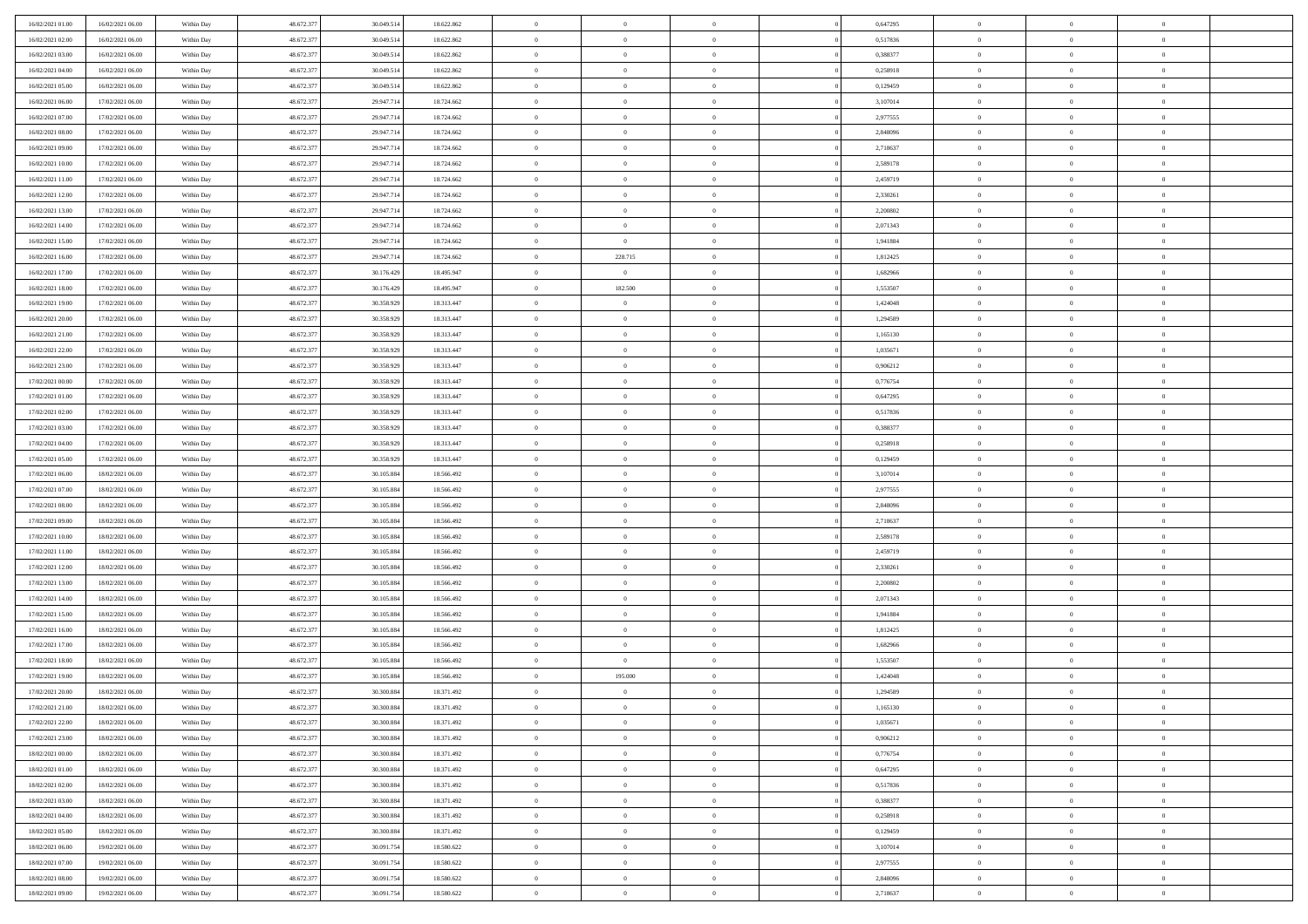| 16/02/2021 01:00                     | 16/02/2021 06:00 | Within Day | 48.672.377 | 30.049.514 | 18.622.862 | $\bf{0}$       | $\bf{0}$       | $\theta$       |          | 0,647295 | $\bf{0}$       | $\overline{0}$ | $\,0\,$        |  |
|--------------------------------------|------------------|------------|------------|------------|------------|----------------|----------------|----------------|----------|----------|----------------|----------------|----------------|--|
| 16/02/2021 02:00                     | 16/02/2021 06:00 | Within Day | 48.672.377 | 30.049.514 | 18.622.862 | $\overline{0}$ | $\overline{0}$ | $\overline{0}$ |          | 0,517836 | $\overline{0}$ | $\overline{0}$ | $\theta$       |  |
| 16/02/2021 03:00                     | 16/02/2021 06:00 | Within Dav | 48.672.377 | 30.049.514 | 18.622.862 | $\mathbf{0}$   | $\overline{0}$ | $\overline{0}$ |          | 0,388377 | $\mathbf{0}$   | $\overline{0}$ | $\overline{0}$ |  |
| 16/02/2021 04:00                     | 16/02/2021 06:00 | Within Day | 48.672.377 | 30.049.514 | 18.622.862 | $\bf{0}$       | $\overline{0}$ | $\overline{0}$ |          | 0,258918 | $\bf{0}$       | $\overline{0}$ | $\bf{0}$       |  |
| 16/02/2021 05:00                     | 16/02/2021 06:00 | Within Day | 48.672.377 | 30.049.514 | 18.622.862 | $\bf{0}$       | $\bf{0}$       | $\overline{0}$ |          | 0,129459 | $\bf{0}$       | $\bf{0}$       | $\,0\,$        |  |
| 16/02/2021 06:00                     | 17/02/2021 06:00 | Within Dav | 48.672.377 | 29.947.714 | 18.724.662 | $\mathbf{0}$   | $\overline{0}$ |                |          | 3,107014 | $\mathbf{0}$   | $\overline{0}$ | $\overline{0}$ |  |
|                                      |                  |            |            |            |            |                |                | $\overline{0}$ |          |          |                |                |                |  |
| 16/02/2021 07:00                     | 17/02/2021 06:00 | Within Day | 48.672.377 | 29.947.714 | 18.724.662 | $\bf{0}$       | $\bf{0}$       | $\overline{0}$ |          | 2,977555 | $\bf{0}$       | $\overline{0}$ | $\,0\,$        |  |
| 16/02/2021 08:00                     | 17/02/2021 06:00 | Within Day | 48.672.377 | 29.947.714 | 18.724.662 | $\overline{0}$ | $\overline{0}$ | $\overline{0}$ |          | 2,848096 | $\,$ 0 $\,$    | $\overline{0}$ | $\overline{0}$ |  |
| 16/02/2021 09:00                     | 17/02/2021 06:00 | Within Dav | 48.672.377 | 29.947.714 | 18.724.662 | $\mathbf{0}$   | $\overline{0}$ | $\overline{0}$ |          | 2,718637 | $\mathbf{0}$   | $\overline{0}$ | $\overline{0}$ |  |
| 16/02/2021 10:00                     | 17/02/2021 06:00 | Within Day | 48.672.377 | 29.947.714 | 18.724.662 | $\bf{0}$       | $\overline{0}$ | $\overline{0}$ |          | 2,589178 | $\bf{0}$       | $\overline{0}$ | $\,0\,$        |  |
| 16/02/2021 11:00                     | 17/02/2021 06:00 | Within Day | 48.672.377 | 29.947.714 | 18.724.662 | $\bf{0}$       | $\overline{0}$ | $\overline{0}$ |          | 2,459719 | $\bf{0}$       | $\overline{0}$ | $\theta$       |  |
| 16/02/2021 12:00                     | 17/02/2021 06:00 | Within Dav | 48.672.377 | 29.947.714 | 18.724.662 | $\mathbf{0}$   | $\overline{0}$ | $\overline{0}$ |          | 2,330261 | $\mathbf{0}$   | $\overline{0}$ | $\overline{0}$ |  |
| 16/02/2021 13:00                     | 17/02/2021 06:00 | Within Day | 48.672.377 | 29.947.714 | 18.724.662 | $\bf{0}$       | $\overline{0}$ | $\bf{0}$       |          | 2,200802 | $\bf{0}$       | $\overline{0}$ | $\bf{0}$       |  |
| 16/02/2021 14:00                     | 17/02/2021 06:00 | Within Day | 48.672.377 | 29.947.714 | 18.724.662 | $\bf{0}$       | $\overline{0}$ | $\overline{0}$ |          | 2,071343 | $\bf{0}$       | $\theta$       | $\,0\,$        |  |
| 16/02/2021 15:00                     | 17/02/2021 06:00 | Within Dav | 48.672.377 | 29.947.714 | 18.724.662 | $\overline{0}$ | $\overline{0}$ | $\overline{0}$ |          | 1,941884 | $\mathbf{0}$   | $\overline{0}$ | $\overline{0}$ |  |
| 16/02/2021 16:00                     | 17/02/2021 06:00 | Within Day | 48.672.377 | 29.947.714 | 18.724.662 | $\bf{0}$       | 228.715        | $\overline{0}$ |          | 1,812425 | $\bf{0}$       | $\overline{0}$ | $\bf{0}$       |  |
| 16/02/2021 17:00                     | 17/02/2021 06:00 | Within Day | 48.672.377 | 30.176.429 | 18.495.947 | $\bf{0}$       | $\overline{0}$ | $\overline{0}$ |          | 1,682966 | $\bf{0}$       | $\overline{0}$ | $\theta$       |  |
| 16/02/2021 18:00                     | 17/02/2021 06:00 | Within Day | 48.672.377 | 30.176.429 | 18.495.947 | $\mathbf{0}$   | 182.500        | $\overline{0}$ |          | 1,553507 | $\mathbf{0}$   | $\overline{0}$ | $\overline{0}$ |  |
| 16/02/2021 19:00                     | 17/02/2021 06:00 | Within Day | 48.672.377 | 30.358.929 | 18.313.447 | $\bf{0}$       | $\overline{0}$ | $\overline{0}$ |          | 1,424048 | $\bf{0}$       | $\overline{0}$ | $\,0\,$        |  |
| 16/02/2021 20:00                     | 17/02/2021 06:00 | Within Day | 48.672.377 | 30.358.929 | 18.313.447 | $\bf{0}$       | $\overline{0}$ | $\overline{0}$ |          | 1,294589 | $\bf{0}$       | $\overline{0}$ | $\overline{0}$ |  |
| 16/02/2021 21:00                     | 17/02/2021 06:00 | Within Dav | 48.672.377 | 30.358.929 | 18.313.447 | $\mathbf{0}$   | $\overline{0}$ | $\overline{0}$ |          | 1,165130 | $\mathbf{0}$   | $\overline{0}$ | $\overline{0}$ |  |
| 16/02/2021 22.00                     | 17/02/2021 06:00 | Within Day | 48.672.377 | 30.358.929 | 18.313.447 | $\bf{0}$       | $\overline{0}$ | $\overline{0}$ |          | 1,035671 | $\bf{0}$       | $\overline{0}$ | $\bf{0}$       |  |
|                                      |                  |            | 48.672.377 | 30.358.929 |            | $\bf{0}$       |                |                |          |          | $\bf{0}$       | $\overline{0}$ | $\,0\,$        |  |
| 16/02/2021 23:00<br>17/02/2021 00:00 | 17/02/2021 06:00 | Within Day |            |            | 18.313.447 |                | $\overline{0}$ | $\overline{0}$ |          | 0,906212 |                |                |                |  |
|                                      | 17/02/2021 06:00 | Within Dav | 48.672.377 | 30.358.929 | 18.313.447 | $\mathbf{0}$   | $\overline{0}$ | $\overline{0}$ |          | 0,776754 | $\mathbf{0}$   | $\overline{0}$ | $\overline{0}$ |  |
| 17/02/2021 01:00                     | 17/02/2021 06:00 | Within Day | 48.672.377 | 30.358.929 | 18.313.447 | $\bf{0}$       | $\overline{0}$ | $\overline{0}$ |          | 0,647295 | $\bf{0}$       | $\overline{0}$ | $\,0\,$        |  |
| 17/02/2021 02:00                     | 17/02/2021 06:00 | Within Day | 48.672.377 | 30.358.929 | 18.313.447 | $\overline{0}$ | $\overline{0}$ | $\overline{0}$ |          | 0,517836 | $\bf{0}$       | $\overline{0}$ | $\overline{0}$ |  |
| 17/02/2021 03:00                     | 17/02/2021 06:00 | Within Dav | 48.672.377 | 30.358.929 | 18.313.447 | $\mathbf{0}$   | $\overline{0}$ | $\overline{0}$ |          | 0,388377 | $\mathbf{0}$   | $\overline{0}$ | $\overline{0}$ |  |
| 17/02/2021 04:00                     | 17/02/2021 06:00 | Within Day | 48.672.377 | 30.358.929 | 18.313.447 | $\bf{0}$       | $\overline{0}$ | $\overline{0}$ |          | 0,258918 | $\bf{0}$       | $\overline{0}$ | $\,0\,$        |  |
| 17/02/2021 05:00                     | 17/02/2021 06:00 | Within Day | 48.672.377 | 30.358.929 | 18.313.447 | $\bf{0}$       | $\overline{0}$ | $\overline{0}$ |          | 0,129459 | $\bf{0}$       | $\mathbf{0}$   | $\overline{0}$ |  |
| 17/02/2021 06:00                     | 18/02/2021 06:00 | Within Dav | 48.672.377 | 30.105.884 | 18.566.492 | $\mathbf{0}$   | $\overline{0}$ | $\overline{0}$ |          | 3,107014 | $\mathbf{0}$   | $\overline{0}$ | $\overline{0}$ |  |
| 17/02/2021 07:00                     | 18/02/2021 06:00 | Within Day | 48.672.377 | 30.105.884 | 18.566.492 | $\bf{0}$       | $\overline{0}$ | $\overline{0}$ |          | 2,977555 | $\,$ 0         | $\overline{0}$ | $\theta$       |  |
| 17/02/2021 08:00                     | 18/02/2021 06:00 | Within Day | 48.672.377 | 30.105.884 | 18.566.492 | $\bf{0}$       | $\bf{0}$       | $\overline{0}$ |          | 2,848096 | $\bf{0}$       | $\mathbf{0}$   | $\overline{0}$ |  |
| 17/02/2021 09:00                     | 18/02/2021 06:00 | Within Dav | 48.672.377 | 30.105.884 | 18.566.492 | $\overline{0}$ | $\overline{0}$ | $\overline{0}$ |          | 2,718637 | $\mathbf{0}$   | $\overline{0}$ | $\overline{0}$ |  |
| 17/02/2021 10:00                     | 18/02/2021 06:00 | Within Day | 48.672.377 | 30.105.884 | 18.566.492 | $\bf{0}$       | $\overline{0}$ | $\overline{0}$ |          | 2,589178 | $\,$ 0         | $\overline{0}$ | $\theta$       |  |
| 17/02/2021 11:00                     | 18/02/2021 06:00 | Within Day | 48.672.377 | 30.105.884 | 18.566.492 | $\bf{0}$       | $\overline{0}$ | $\overline{0}$ |          | 2,459719 | $\bf{0}$       | $\overline{0}$ | $\overline{0}$ |  |
| 17/02/2021 12:00                     | 18/02/2021 06:00 | Within Day | 48.672.377 | 30.105.884 | 18.566.492 | $\mathbf{0}$   | $\overline{0}$ | $\overline{0}$ |          | 2,330261 | $\mathbf{0}$   | $\overline{0}$ | $\overline{0}$ |  |
| 17/02/2021 13:00                     | 18/02/2021 06:00 | Within Day | 48.672.377 | 30.105.884 | 18.566.492 | $\bf{0}$       | $\overline{0}$ | $\overline{0}$ |          | 2,200802 | $\,$ 0         | $\overline{0}$ | $\theta$       |  |
| 17/02/2021 14:00                     | 18/02/2021 06:00 | Within Day | 48.672.377 | 30.105.884 | 18.566.492 | $\bf{0}$       | $\overline{0}$ | $\overline{0}$ |          | 2,071343 | $\bf{0}$       | $\overline{0}$ | $\overline{0}$ |  |
| 17/02/2021 15:00                     | 18/02/2021 06:00 | Within Dav | 48.672.377 | 30.105.884 | 18.566.492 | $\mathbf{0}$   | $\overline{0}$ | $\overline{0}$ |          | 1,941884 | $\mathbf{0}$   | $\overline{0}$ | $\overline{0}$ |  |
| 17/02/2021 16:00                     | 18/02/2021 06:00 | Within Day | 48.672.377 | 30.105.884 | 18.566.492 | $\,0\,$        | $\overline{0}$ | $\overline{0}$ |          | 1,812425 | $\,$ 0         | $\overline{0}$ | $\theta$       |  |
| 17/02/2021 17:00                     | 18/02/2021 06:00 | Within Day | 48.672.377 | 30.105.884 | 18.566.492 | $\bf{0}$       | $\bf{0}$       | $\overline{0}$ |          | 1,682966 | $\bf{0}$       | $\overline{0}$ | $\bf{0}$       |  |
| 17/02/2021 18:00                     | 18/02/2021 06:00 | Within Dav | 48.672.377 | 30.105.884 | 18.566.492 | $\mathbf{0}$   | $\overline{0}$ | $\overline{0}$ |          | 1,553507 | $\mathbf{0}$   | $\overline{0}$ | $\overline{0}$ |  |
| 17/02/2021 19:00                     | 18/02/2021 06:00 | Within Day | 48.672.377 | 30.105.884 | 18.566.492 | $\bf{0}$       | 195.000        | $\overline{0}$ |          | 1,424048 | $\,$ 0         | $\overline{0}$ | $\theta$       |  |
| 17/02/2021 20:00                     | 18/02/2021 06:00 |            | 48.672.377 | 30.300.884 |            | $\bf{0}$       | $\bf{0}$       | $\overline{0}$ |          | 1,294589 | $\,$ 0 $\,$    | $\overline{0}$ | $\bf{0}$       |  |
|                                      |                  | Within Day |            |            | 18.371.492 |                |                |                |          |          |                |                |                |  |
| 17/02/2021 21:00                     | 18/02/2021 06:00 | Within Day | 48.672.377 | 30.300.884 | 18.371.492 | $\bf{0}$       | $\overline{0}$ | $\Omega$       |          | 1,165130 | $\overline{0}$ | $\theta$       | $\theta$       |  |
| 17/02/2021 22.00                     | 18/02/2021 06:00 | Within Day | 48.672.377 | 30.300.884 | 18.371.492 | $\,0\,$        | $\overline{0}$ | $\overline{0}$ |          | 1,035671 | $\,$ 0 $\,$    | $\bf{0}$       | $\theta$       |  |
| 17/02/2021 23.00                     | 18/02/2021 06:00 | Within Day | 48.672.377 | 30.300.884 | 18.371.492 | $\overline{0}$ | $\overline{0}$ | $\overline{0}$ |          | 0,906212 | $\overline{0}$ | $\overline{0}$ | $\overline{0}$ |  |
| 18/02/2021 00:00                     | 18/02/2021 06:00 | Within Day | 48.672.377 | 30.300.884 | 18.371.492 | $\bf{0}$       | $\overline{0}$ | $\overline{0}$ |          | 0,776754 | $\overline{0}$ | $\bf{0}$       | $\mathbf{0}$   |  |
| 18/02/2021 01:00                     | 18/02/2021 06:00 | Within Day | 48.672.377 | 30.300.884 | 18.371.492 | $\bf{0}$       | $\overline{0}$ | $\overline{0}$ | $\theta$ | 0,647295 | $\mathbf{0}$   | $\bf{0}$       | $\,$ 0 $\,$    |  |
| 18/02/2021 02:00                     | 18/02/2021 06:00 | Within Day | 48.672.377 | 30.300.884 | 18.371.492 | $\bf{0}$       | $\overline{0}$ | $\overline{0}$ |          | 0,517836 | $\,$ 0 $\,$    | $\overline{0}$ | $\overline{0}$ |  |
| 18/02/2021 03:00                     | 18/02/2021 06:00 | Within Day | 48.672.377 | 30.300.884 | 18.371.492 | $\bf{0}$       | $\overline{0}$ | $\overline{0}$ |          | 0,388377 | $\mathbf{0}$   | $\overline{0}$ | $\overline{0}$ |  |
| 18/02/2021 04:00                     | 18/02/2021 06:00 | Within Day | 48.672.377 | 30.300.884 | 18.371.492 | $\,$ 0 $\,$    | $\overline{0}$ | $\overline{0}$ | $\theta$ | 0,258918 | $\,$ 0 $\,$    | $\overline{0}$ | $\overline{0}$ |  |
| 18/02/2021 05:00                     | 18/02/2021 06:00 | Within Day | 48.672.377 | 30.300,884 | 18.371.492 | $\bf{0}$       | $\overline{0}$ | $\overline{0}$ |          | 0,129459 | $\overline{0}$ | $\overline{0}$ | $\overline{0}$ |  |
| 18/02/2021 06:00                     | 19/02/2021 06:00 | Within Day | 48.672.377 | 30.091.754 | 18.580.622 | $\bf{0}$       | $\overline{0}$ | $\overline{0}$ |          | 3,107014 | $\mathbf{0}$   | $\bf{0}$       | $\overline{0}$ |  |
| 18/02/2021 07:00                     | 19/02/2021 06:00 | Within Day | 48.672.377 | 30.091.754 | 18.580.622 | $\,0\,$        | $\overline{0}$ | $\overline{0}$ |          | 2,977555 | $\,$ 0 $\,$    | $\mathbf{0}$   | $\overline{0}$ |  |
| 18/02/2021 08:00                     | 19/02/2021 06:00 | Within Day | 48.672.377 | 30.091.754 | 18.580.622 | $\bf{0}$       | $\bf{0}$       | $\overline{0}$ |          | 2,848096 | $\mathbf{0}$   | $\mathbf{0}$   | $\overline{0}$ |  |
| 18/02/2021 09:00                     | 19/02/2021 06:00 | Within Day | 48.672.377 | 30.091.754 | 18.580.622 | $\bf{0}$       | $\overline{0}$ | $\overline{0}$ |          | 2,718637 | $\mathbf{0}$   | $\overline{0}$ | $\overline{0}$ |  |
|                                      |                  |            |            |            |            |                |                |                |          |          |                |                |                |  |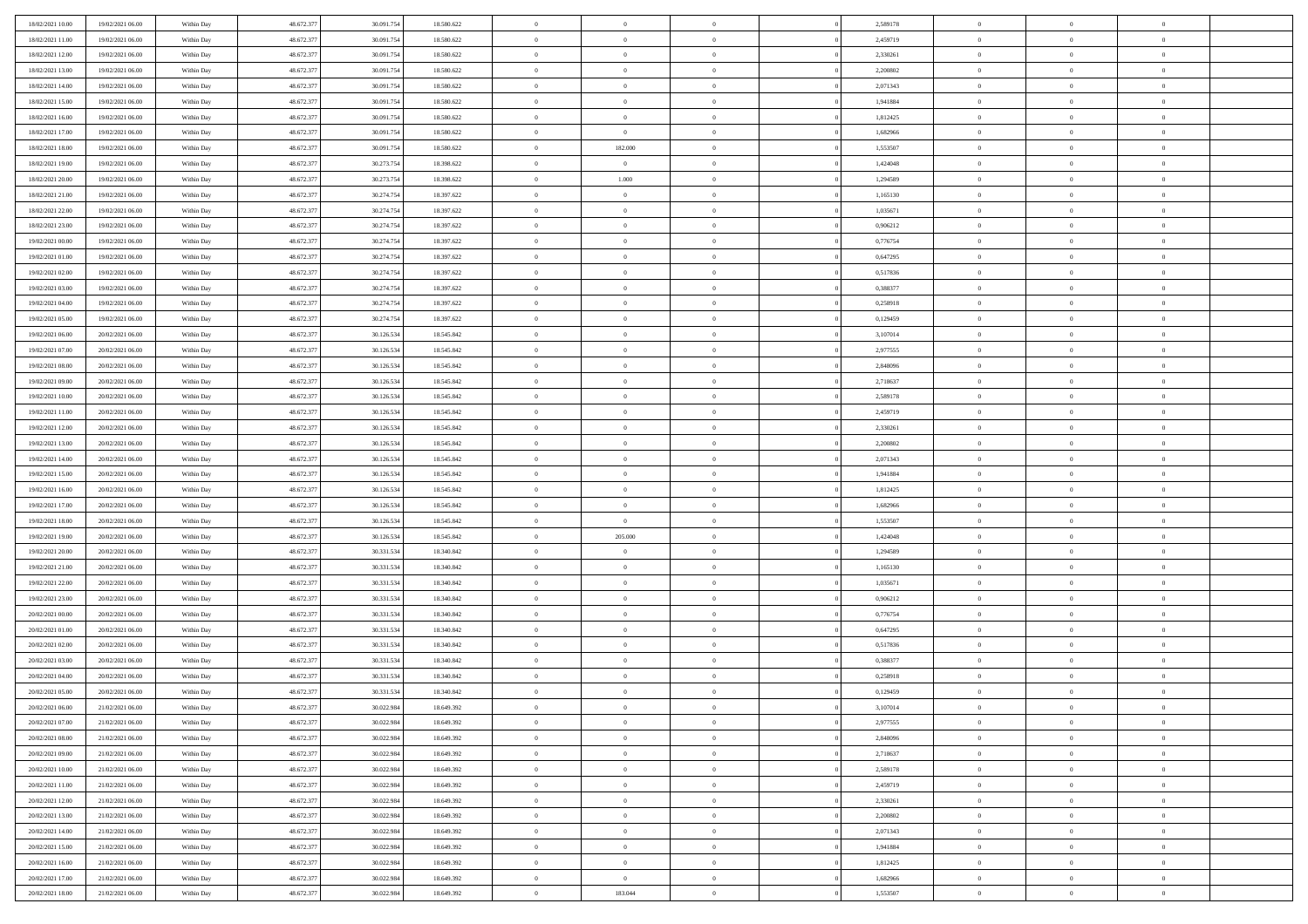| 48.672.377<br>$\overline{0}$<br>18/02/2021 11:00<br>19/02/2021 06:00<br>30.091.754<br>18.580.622<br>$\overline{0}$<br>2,459719<br>$\overline{0}$<br>Within Day<br>$\overline{0}$                             | $\overline{0}$ | $\theta$       |
|--------------------------------------------------------------------------------------------------------------------------------------------------------------------------------------------------------------|----------------|----------------|
| 18/02/2021 12:00<br>48.672.377<br>30.091.754<br>18.580.622<br>$\mathbf{0}$<br>$\overline{0}$<br>2,330261<br>$\mathbf{0}$<br>19/02/2021 06:00<br>Within Dav<br>$\overline{0}$                                 | $\overline{0}$ | $\overline{0}$ |
| 18/02/2021 13:00<br>19/02/2021 06:00<br>Within Day<br>48.672.377<br>30.091.754<br>18.580.622<br>$\bf{0}$<br>$\overline{0}$<br>$\bf{0}$<br>2,200802<br>$\bf{0}$                                               | $\overline{0}$ | $\bf{0}$       |
| 48.672.377<br>30.091.754<br>2,071343<br>18/02/2021 14:00<br>19/02/2021 06:00<br>18.580.622<br>$\bf{0}$<br>$\overline{0}$<br>$\bf{0}$<br>Within Day<br>$\overline{0}$                                         | $\bf{0}$       | $\,0\,$        |
| 18/02/2021 15:00<br>48.672.377<br>30.091.754<br>18.580.622<br>$\mathbf{0}$<br>$\overline{0}$<br>1,941884<br>$\mathbf{0}$<br>19/02/2021 06:00<br>Within Dav                                                   | $\overline{0}$ | $\overline{0}$ |
| $\overline{0}$                                                                                                                                                                                               |                |                |
| 18/02/2021 16:00<br>19/02/2021 06:00<br>Within Day<br>48.672.377<br>30.091.754<br>18.580.622<br>$\bf{0}$<br>$\overline{0}$<br>$\overline{0}$<br>1,812425<br>$\bf{0}$                                         | $\overline{0}$ | $\,0\,$        |
| 48.672.377<br>$\overline{0}$<br>$\,$ 0 $\,$<br>18/02/2021 17:00<br>19/02/2021 06:00<br>30.091.754<br>18.580.622<br>$\overline{0}$<br>1,682966<br>Within Day<br>$\overline{0}$                                | $\overline{0}$ | $\overline{0}$ |
| 18/02/2021 18:00<br>19/02/2021 06:00<br>48.672.377<br>30.091.754<br>18.580.622<br>$\mathbf{0}$<br>182.000<br>1,553507<br>$\mathbf{0}$<br>Within Dav<br>$\overline{0}$                                        | $\overline{0}$ | $\overline{0}$ |
| 48.672.377<br>18/02/2021 19:00<br>19/02/2021 06:00<br>Within Day<br>30.273.754<br>18.398.622<br>$\bf{0}$<br>$\overline{0}$<br>$\theta$<br>1,424048<br>$\bf{0}$                                               | $\overline{0}$ | $\,0\,$        |
| 48.672.377<br>30.273.754<br>1.000<br>18/02/2021 20:00<br>19/02/2021 06:00<br>18.398.622<br>$\bf{0}$<br>1,294589<br>$\bf{0}$<br>Within Day<br>$\overline{0}$                                                  | $\overline{0}$ | $\theta$       |
| 18/02/2021 21:00<br>48.672.377<br>30.274.754<br>18.397.622<br>$\mathbf{0}$<br>$\overline{0}$<br>1,165130<br>$\mathbf{0}$<br>19/02/2021 06:00<br>Within Dav<br>$\overline{0}$                                 | $\overline{0}$ | $\overline{0}$ |
| 18/02/2021 22:00<br>19/02/2021 06:00<br>Within Day<br>48.672.377<br>30.274.754<br>18.397.622<br>$\bf{0}$<br>$\overline{0}$<br>$\bf{0}$<br>1,035671<br>$\bf{0}$                                               | $\overline{0}$ | $\bf{0}$       |
| 48.672.377<br>30.274.754<br>18.397.622<br>18/02/2021 23:00<br>19/02/2021 06:00<br>$\bf{0}$<br>$\overline{0}$<br>0,906212<br>$\bf{0}$<br>Within Day<br>$\overline{0}$                                         | $\theta$       | $\,0\,$        |
| 19/02/2021 00:00<br>48.672.377<br>30.274.754<br>18.397.622<br>$\overline{0}$<br>$\overline{0}$<br>0,776754<br>$\mathbf{0}$<br>19/02/2021 06:00<br>Within Dav<br>$\overline{0}$                               | $\overline{0}$ | $\overline{0}$ |
| 19/02/2021 01:00<br>19/02/2021 06:00<br>Within Day<br>48.672.377<br>30.274.754<br>18.397.622<br>$\bf{0}$<br>$\overline{0}$<br>$\overline{0}$<br>0,647295<br>$\bf{0}$                                         | $\overline{0}$ | $\bf{0}$       |
| 48.672.377<br>30.274.754<br>$\overline{0}$<br>19/02/2021 02:00<br>19/02/2021 06:00<br>18.397.622<br>$\overline{0}$<br>0,517836<br>$\bf{0}$<br>Within Day<br>$\overline{0}$                                   | $\overline{0}$ | $\theta$       |
| 19/02/2021 03:00<br>19/02/2021 06:00<br>Within Day<br>48.672.377<br>30.274.754<br>18.397.622<br>$\mathbf{0}$<br>$\overline{0}$<br>0,388377<br>$\mathbf{0}$<br>$\overline{0}$                                 | $\overline{0}$ | $\overline{0}$ |
| 48.672.377<br>19/02/2021 04:00<br>19/02/2021 06:00<br>Within Day<br>30.274.754<br>18.397.622<br>$\bf{0}$<br>$\overline{0}$<br>$\overline{0}$<br>0,258918<br>$\bf{0}$                                         | $\overline{0}$ | $\,0\,$        |
| 48.672.377<br>18.397.622<br>19/02/2021 05:00<br>19/02/2021 06:00<br>30.274.754<br>$\bf{0}$<br>$\overline{0}$<br>0,129459<br>$\bf{0}$<br>Within Day<br>$\overline{0}$                                         | $\overline{0}$ | $\overline{0}$ |
| 19/02/2021 06:00<br>48.672.377<br>30.126.534<br>18.545.842<br>$\overline{0}$<br>$\overline{0}$<br>3,107014<br>$\mathbf{0}$<br>20/02/2021 06:00<br>Within Dav<br>$\overline{0}$                               | $\overline{0}$ | $\overline{0}$ |
| 19/02/2021 07:00<br>20/02/2021 06:00<br>Within Day<br>48.672.377<br>30.126.534<br>18.545.842<br>$\bf{0}$<br>$\overline{0}$<br>$\overline{0}$<br>2,977555<br>$\bf{0}$                                         | $\overline{0}$ | $\bf{0}$       |
| 48.672.377<br>19/02/2021 08:00<br>20/02/2021 06:00<br>30.126.534<br>18.545.842<br>$\bf{0}$<br>$\overline{0}$<br>2,848096<br>$\bf{0}$<br>Within Day<br>$\overline{0}$                                         | $\bf{0}$       | $\,0\,$        |
| 19/02/2021 09:00<br>48.672.377<br>30.126.534<br>18.545.842<br>$\mathbf{0}$<br>$\overline{0}$<br>2,718637<br>$\mathbf{0}$<br>20/02/2021 06:00<br>Within Dav<br>$\overline{0}$                                 | $\overline{0}$ | $\theta$       |
| 19/02/2021 10:00<br>20/02/2021 06:00<br>Within Day<br>48.672.377<br>30.126.534<br>18.545.842<br>$\bf{0}$<br>$\bf{0}$<br>$\overline{0}$<br>2,589178<br>$\bf{0}$                                               | $\overline{0}$ | $\,0\,$        |
| 48.672.377<br>$\overline{0}$<br>19/02/2021 11:00<br>20/02/2021 06:00<br>30.126.534<br>18.545.842<br>$\bf{0}$<br>2,459719<br>$\bf{0}$<br>Within Day<br>$\overline{0}$                                         | $\overline{0}$ | $\overline{0}$ |
| 19/02/2021 12:00<br>48.672.377<br>30.126.534<br>18.545.842<br>$\mathbf{0}$<br>$\overline{0}$<br>2,330261<br>$\mathbf{0}$<br>20/02/2021 06:00<br>Within Dav<br>$\overline{0}$                                 | $\overline{0}$ | $\overline{0}$ |
| 19/02/2021 13:00<br>20/02/2021 06:00<br>Within Day<br>48.672.377<br>30.126.534<br>18.545.842<br>$\bf{0}$<br>$\bf{0}$<br>$\overline{0}$<br>2,200802<br>$\bf{0}$                                               | $\overline{0}$ | $\,0\,$        |
| 48.672.377<br>19/02/2021 14:00<br>20/02/2021 06:00<br>30.126.534<br>18.545.842<br>$\bf{0}$<br>$\bf{0}$<br>2,071343<br>$\bf{0}$<br>Within Day<br>$\overline{0}$                                               | $\mathbf{0}$   | $\overline{0}$ |
| 19/02/2021 15:00<br>48.672.377<br>30.126.534<br>18.545.842<br>$\mathbf{0}$<br>$\overline{0}$<br>1,941884<br>$\mathbf{0}$<br>20/02/2021 06:00<br>Within Dav<br>$\overline{0}$                                 | $\overline{0}$ | $\overline{0}$ |
| 19/02/2021 16:00<br>48.672.377<br>30.126.534<br>$\bf{0}$<br>$\overline{0}$<br>1,812425<br>$\,$ 0<br>$\theta$                                                                                                 | $\overline{0}$ | $\theta$       |
| 20/02/2021 06:00<br>Within Day<br>18.545.842<br>48.672.377<br>30.126.534<br>20/02/2021 06:00<br>$\bf{0}$<br>$\bf{0}$<br>1,682966<br>$\bf{0}$<br>$\overline{0}$                                               | $\mathbf{0}$   | $\overline{0}$ |
| 19/02/2021 17:00<br>18.545.842<br>Within Day<br>19/02/2021 18:00<br>48.672.377<br>30.126.534<br>18.545.842<br>$\overline{0}$<br>$\overline{0}$<br>1,553507<br>$\mathbf{0}$<br>20/02/2021 06:00<br>Within Dav | $\overline{0}$ | $\overline{0}$ |
| $\overline{0}$                                                                                                                                                                                               |                |                |
| 48.672.377<br>30.126.534<br>$\bf{0}$<br>205.000<br>1,424048<br>$\,$ 0<br>19/02/2021 19:00<br>20/02/2021 06:00<br>Within Day<br>18.545.842<br>$\theta$                                                        | $\overline{0}$ | $\theta$       |
| 48.672.377<br>30.331.534<br>19/02/2021 20:00<br>20/02/2021 06:00<br>18.340.842<br>$\bf{0}$<br>$\overline{0}$<br>$\overline{0}$<br>1,294589<br>$\bf{0}$<br>Within Day                                         | $\overline{0}$ | $\overline{0}$ |
| 19/02/2021 21:00<br>20/02/2021 06:00<br>Within Day<br>48.672.377<br>30.331.534<br>18.340.842<br>$\mathbf{0}$<br>$\overline{0}$<br>1,165130<br>$\mathbf{0}$<br>$\overline{0}$                                 | $\overline{0}$ | $\overline{0}$ |
| 19/02/2021 22:00<br>48.672.377<br>30.331.534<br>$\bf{0}$<br>$\overline{0}$<br>1,035671<br>$\,$ 0<br>20/02/2021 06:00<br>Within Day<br>18.340.842<br>$\theta$                                                 | $\overline{0}$ | $\theta$       |
| 48.672.377<br>30.331.534<br>19/02/2021 23:00<br>20/02/2021 06:00<br>18.340.842<br>$\bf{0}$<br>$\overline{0}$<br>0,906212<br>$\bf{0}$<br>Within Day<br>$\overline{0}$                                         | $\bf{0}$       | $\bf{0}$       |
| 20/02/2021 00:00<br>48.672.377<br>30.331.534<br>18.340.842<br>$\mathbf{0}$<br>$\overline{0}$<br>0,776754<br>$\mathbf{0}$<br>20/02/2021 06:00<br>Within Dav<br>$\overline{0}$                                 | $\overline{0}$ | $\overline{0}$ |
| 20/02/2021 01:00<br>20/02/2021 06:00<br>Within Day<br>48.672.377<br>30.331.534<br>18.340.842<br>$\,0\,$<br>$\overline{0}$<br>0,647295<br>$\,$ 0<br>$\theta$                                                  | $\overline{0}$ | $\theta$       |
| 48.672.377<br>30.331.534<br>$\overline{0}$<br>20/02/2021 02:00<br>20/02/2021 06:00<br>18.340.842<br>$\bf{0}$<br>0,517836<br>$\bf{0}$<br>Within Day<br>$\overline{0}$                                         | $\overline{0}$ | $\bf{0}$       |
| 20/02/2021 03:00<br>48.672.377<br>30.331.534<br>18.340.842<br>$\mathbf{0}$<br>$\overline{0}$<br>0,388377<br>$\mathbf{0}$<br>20/02/2021 06:00<br>Within Dav<br>$\overline{0}$                                 | $\overline{0}$ | $\overline{0}$ |
| 48.672.377<br>30.331.534<br>$\bf{0}$<br>$\overline{0}$<br>0,258918<br>$\,$ 0<br>20/02/2021 04:00<br>20/02/2021 06:00<br>Within Day<br>18.340.842<br>$\theta$                                                 | $\overline{0}$ | $\theta$       |
| 48.672.377<br>$\overline{0}$<br>$\,$ 0 $\,$<br>20/02/2021 05:00<br>20/02/2021 06:00<br>30.331.534<br>18.340.842<br>$\bf{0}$<br>$\overline{0}$<br>0,129459<br>Within Day                                      | $\overline{0}$ | $\bf{0}$       |
| 20/02/2021 06:00<br>48.672.377<br>30.022.984<br>18.649.392<br>3,107014<br>21/02/2021 06:00<br>Within Day<br>$\bf{0}$<br>$\overline{0}$<br>$\overline{0}$                                                     | $\theta$       | $\theta$       |
| 20/02/2021 07:00<br>21/02/2021 06:00<br>48.672.377<br>30.022.984<br>18.649.392<br>$\,0\,$<br>$\overline{0}$<br>2,977555<br>$\,$ 0 $\,$<br>Within Day<br>$\theta$                                             | $\bf{0}$       | $\theta$       |
| 48.672.377<br>30.022.984<br>$\overline{0}$<br>$\overline{0}$<br>20/02/2021 08:00<br>21/02/2021 06:00<br>Within Day<br>18.649.392<br>$\overline{0}$<br>$\overline{0}$<br>2,848096                             | $\overline{0}$ | $\overline{0}$ |
| $\overline{0}$<br>20/02/2021 09:00<br>21/02/2021 06:00<br>Within Day<br>48.672.377<br>30.022.984<br>18.649.392<br>$\bf{0}$<br>$\overline{0}$<br>$\overline{0}$<br>2,718637                                   | $\bf{0}$       | $\mathbf{0}$   |
| 20/02/2021 10:00<br>21/02/2021 06:00<br>Within Day<br>48.672.377<br>30.022.984<br>18.649.392<br>$\bf{0}$<br>$\overline{0}$<br>$\overline{0}$<br>2,589178<br>$\mathbf{0}$<br>$\theta$                         | $\bf{0}$       | $\,$ 0 $\,$    |
| 48.672.377<br>30.022.984<br>$\bf{0}$<br>$\overline{0}$<br>$\,$ 0 $\,$<br>20/02/2021 11:00<br>21/02/2021 06:00<br>Within Day<br>18.649.392<br>$\overline{0}$<br>2,459719                                      | $\overline{0}$ | $\overline{0}$ |
| 20/02/2021 12:00<br>21/02/2021 06:00<br>Within Day<br>48.672.377<br>30.022.984<br>18.649.392<br>$\bf{0}$<br>$\overline{0}$<br>2,330261<br>$\mathbf{0}$<br>$\overline{0}$                                     | $\overline{0}$ | $\overline{0}$ |
| 20/02/2021 13:00<br>21/02/2021 06:00<br>48.672.377<br>30.022.984<br>18.649.392<br>$\,0\,$<br>$\overline{0}$<br>$\overline{0}$<br>2,200802<br>$\,$ 0 $\,$<br>Within Day<br>$\theta$                           | $\mathbf{0}$   | $\overline{0}$ |
| 48.672.377<br>30.022.984<br>$\bf{0}$<br>$\overline{0}$<br>$\overline{0}$<br>20/02/2021 14:00<br>21/02/2021 06:00<br>18.649.392<br>$\overline{0}$<br>2,071343<br>Within Day                                   | $\overline{0}$ | $\overline{0}$ |
| 48.672.377<br>20/02/2021 15:00<br>21/02/2021 06:00<br>Within Day<br>30.022.984<br>18.649.392<br>$\bf{0}$<br>$\overline{0}$<br>1,941884<br>$\mathbf{0}$<br>$\overline{0}$                                     | $\bf{0}$       | $\overline{0}$ |
| 20/02/2021 16:00<br>21/02/2021 06:00<br>Within Day<br>48.672.377<br>30.022.984<br>18.649.392<br>$\,0\,$<br>$\overline{0}$<br>1,812425<br>$\mathbf{0}$<br>$\overline{0}$                                      | $\overline{0}$ | $\overline{0}$ |
| 48.672.377<br>$\mathbf{0}$<br>20/02/2021 17:00<br>21/02/2021 06:00<br>Within Day<br>30.022.984<br>18.649.392<br>$\bf{0}$<br>$\overline{0}$<br>$\overline{0}$<br>1,682966                                     | $\mathbf{0}$   | $\overline{0}$ |
| 48.672.377<br>30.022.984<br>183.044<br>20/02/2021 18:00<br>21/02/2021 06:00<br>Within Day<br>18.649.392<br>$\bf{0}$<br>$\overline{0}$<br>1,553507<br>$\mathbf{0}$                                            | $\overline{0}$ | $\overline{0}$ |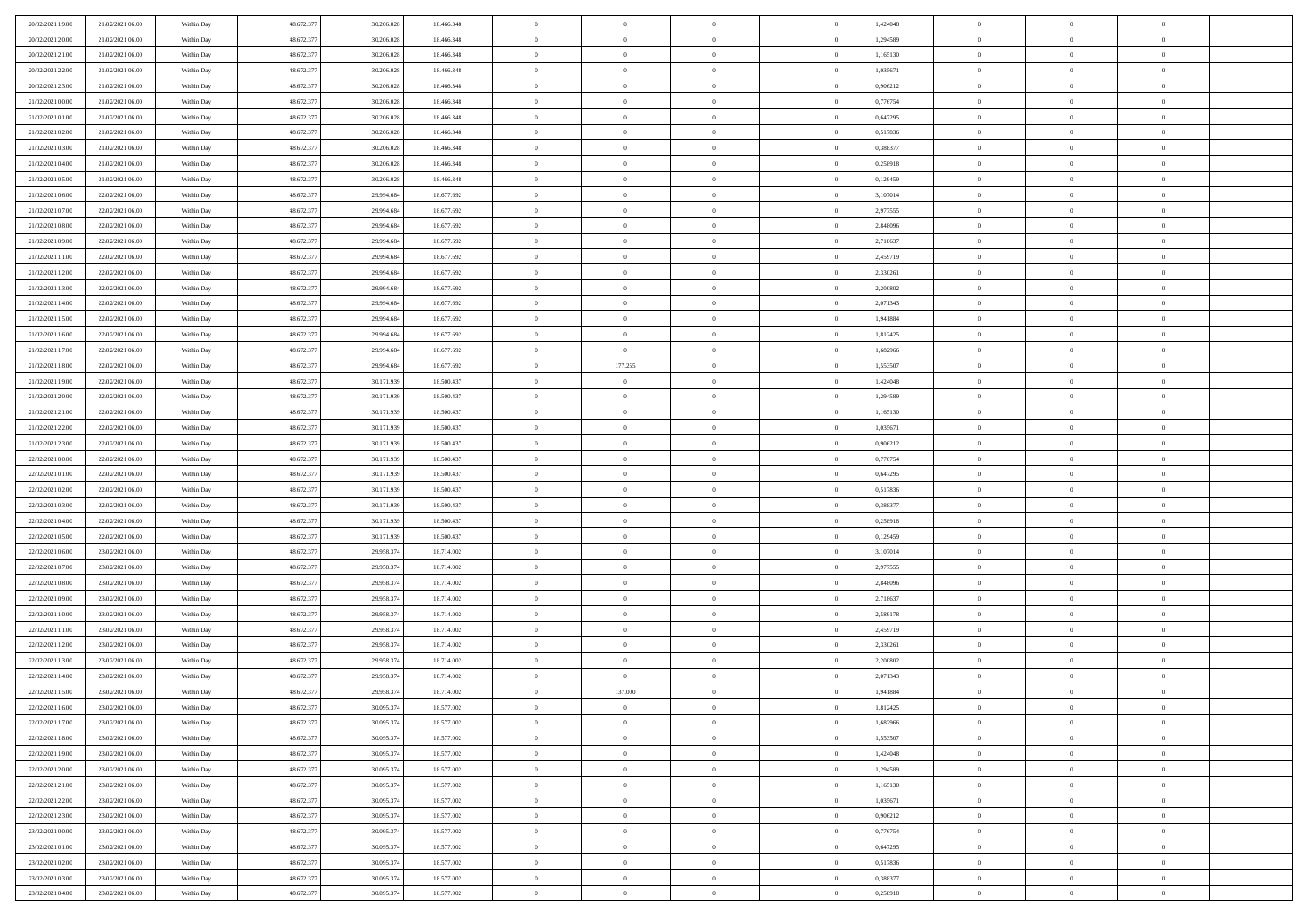| 20/02/2021 19:00 | 21/02/2021 06:00 | Within Day | 48.672.377 | 30.206.02  | 18.466.348 | $\theta$       | $\overline{0}$ | $\overline{0}$ | 1,424048 | $\bf{0}$       | $\overline{0}$ | $\bf{0}$       |  |
|------------------|------------------|------------|------------|------------|------------|----------------|----------------|----------------|----------|----------------|----------------|----------------|--|
| 20/02/2021 20:00 | 21/02/2021 06:00 | Within Day | 48.672.377 | 30.206.028 | 18.466.348 | $\overline{0}$ | $\overline{0}$ | $\overline{0}$ | 1,294589 | $\theta$       | $\overline{0}$ | $\theta$       |  |
| 20/02/2021 21:00 | 21/02/2021 06:00 | Within Day | 48.672.377 | 30.206.028 | 18.466.348 | $\,0\,$        | $\overline{0}$ | $\bf{0}$       | 1,165130 | $\,$ 0 $\,$    | $\overline{0}$ | $\,$ 0 $\,$    |  |
| 20/02/2021 22:00 | 21/02/2021 06:00 | Within Day | 48.672.377 | 30.206.02  | 18,466,348 | $\bf{0}$       | $\Omega$       | $\overline{0}$ | 1.035671 | $\theta$       | $\mathbf{0}$   | $\theta$       |  |
| 20/02/2021 23:00 | 21/02/2021 06:00 | Within Day | 48.672.377 | 30.206.028 | 18.466.348 | $\bf{0}$       | $\overline{0}$ | $\overline{0}$ | 0,906212 | $\overline{0}$ | $\overline{0}$ | $\overline{0}$ |  |
| 21/02/2021 00:00 | 21/02/2021 06:00 | Within Day | 48.672.377 | 30.206.028 | 18.466.348 | $\,$ 0 $\,$    | $\overline{0}$ | $\bf{0}$       | 0,776754 | $\,$ 0 $\,$    | $\overline{0}$ | $\,$ 0 $\,$    |  |
| 21/02/2021 01:00 | 21/02/2021 06:00 | Within Day | 48.672.377 | 30.206.02  | 18.466.348 | $\bf{0}$       | $\overline{0}$ | $\overline{0}$ | 0,647295 | $\bf{0}$       | $\bf{0}$       | $\theta$       |  |
| 21/02/2021 02:00 | 21/02/2021 06:00 | Within Day | 48.672.377 | 30.206.028 | 18.466.348 | $\overline{0}$ | $\overline{0}$ | $\overline{0}$ | 0,517836 | $\overline{0}$ | $\overline{0}$ | $\overline{0}$ |  |
| 21/02/2021 03:00 | 21/02/2021 06:00 | Within Day | 48.672.377 | 30.206.028 | 18.466.348 | $\,$ 0 $\,$    | $\overline{0}$ | $\bf{0}$       | 0,388377 | $\,$ 0 $\,$    | $\overline{0}$ | $\,$ 0 $\,$    |  |
| 21/02/2021 04:00 | 21/02/2021 06:00 | Within Day | 48.672.377 | 30.206.028 | 18,466,348 | $\bf{0}$       | $\mathbf{0}$   | $\overline{0}$ | 0,258918 | $\theta$       | $\mathbf{0}$   | $\theta$       |  |
| 21/02/2021 05:00 | 21/02/2021 06:00 | Within Day | 48.672.377 | 30.206.028 | 18.466.348 | $\mathbf{0}$   | $\overline{0}$ | $\overline{0}$ | 0,129459 | $\overline{0}$ | $\overline{0}$ | $\overline{0}$ |  |
| 21/02/2021 06:00 | 22/02/2021 06:00 | Within Day | 48.672.377 | 29.994.684 | 18.677.692 | $\,$ 0 $\,$    | $\overline{0}$ | $\bf{0}$       | 3,107014 | $\,$ 0 $\,$    | $\overline{0}$ | $\,$ 0 $\,$    |  |
| 21/02/2021 07:00 | 22/02/2021 06:00 | Within Day | 48.672.377 | 29.994.68  | 18.677.692 | $\bf{0}$       | $\overline{0}$ | $\overline{0}$ | 2,977555 | $\bf{0}$       | $\bf{0}$       | $\theta$       |  |
| 21/02/2021 08:00 | 22/02/2021 06:00 | Within Day | 48.672.377 | 29.994.684 | 18.677.692 | $\overline{0}$ | $\overline{0}$ | $\overline{0}$ | 2,848096 | $\overline{0}$ | $\overline{0}$ | $\overline{0}$ |  |
| 21/02/2021 09:00 | 22/02/2021 06:00 | Within Day | 48.672.377 | 29.994.684 | 18.677.692 | $\,$ 0 $\,$    | $\overline{0}$ | $\bf{0}$       | 2,718637 | $\,$ 0 $\,$    | $\overline{0}$ | $\,$ 0 $\,$    |  |
| 21/02/2021 11:00 | 22/02/2021 06:00 | Within Day | 48.672.377 | 29.994.68  | 18.677.692 | $\mathbf{0}$   | $\mathbf{0}$   | $\overline{0}$ | 2,459719 | $\theta$       | $\mathbf{0}$   | $\theta$       |  |
| 21/02/2021 12:00 | 22/02/2021 06:00 | Within Day | 48.672.377 | 29.994.684 | 18.677.692 | $\overline{0}$ | $\overline{0}$ | $\overline{0}$ | 2,330261 | $\overline{0}$ | $\overline{0}$ | $\overline{0}$ |  |
| 21/02/2021 13:00 | 22/02/2021 06:00 | Within Day | 48.672.377 | 29.994.684 | 18.677.692 | $\,$ 0 $\,$    | $\overline{0}$ | $\bf{0}$       | 2,200802 | $\,$ 0 $\,$    | $\overline{0}$ | $\,$ 0 $\,$    |  |
| 21/02/2021 14:00 | 22/02/2021 06:00 | Within Day | 48.672.377 | 29.994.68  | 18.677.692 | $\mathbf{0}$   | $\Omega$       | $\overline{0}$ | 2.071343 | $\theta$       | $\theta$       | $\theta$       |  |
| 21/02/2021 15:00 | 22/02/2021 06:00 | Within Day | 48.672.377 | 29.994.684 | 18.677.692 | $\overline{0}$ | $\overline{0}$ | $\overline{0}$ | 1,941884 | $\overline{0}$ | $\overline{0}$ | $\overline{0}$ |  |
| 21/02/2021 16:00 | 22/02/2021 06:00 | Within Day | 48.672.377 | 29.994.684 | 18.677.692 | $\,$ 0 $\,$    | $\overline{0}$ | $\bf{0}$       | 1,812425 | $\,$ 0 $\,$    | $\overline{0}$ | $\,$ 0 $\,$    |  |
| 21/02/2021 17:00 | 22/02/2021 06:00 | Within Day | 48.672.377 | 29.994.68  | 18.677.692 | $\overline{0}$ | $\overline{0}$ | $\overline{0}$ | 1,682966 | $\bf{0}$       | $\overline{0}$ | $\theta$       |  |
| 21/02/2021 18:00 | 22/02/2021 06:00 | Within Day | 48.672.377 | 29.994.684 | 18.677.692 | $\overline{0}$ | 177.255        | $\overline{0}$ | 1,553507 | $\mathbf{0}$   | $\overline{0}$ | $\overline{0}$ |  |
| 21/02/2021 19:00 | 22/02/2021 06:00 | Within Day | 48.672.377 | 30.171.939 | 18.500.437 | $\,$ 0 $\,$    | $\overline{0}$ | $\bf{0}$       | 1,424048 | $\,$ 0 $\,$    | $\overline{0}$ | $\bf{0}$       |  |
| 21/02/2021 20:00 | 22/02/2021 06:00 | Within Day | 48.672.377 | 30.171.93  | 18.500.437 | $\overline{0}$ | $\overline{0}$ | $\overline{0}$ | 1,294589 | $\theta$       | $\mathbf{0}$   | $\theta$       |  |
| 21/02/2021 21:00 | 22/02/2021 06:00 | Within Day | 48.672.377 | 30.171.939 | 18.500.437 | $\overline{0}$ | $\overline{0}$ | $\overline{0}$ | 1,165130 | $\mathbf{0}$   | $\overline{0}$ | $\overline{0}$ |  |
| 21/02/2021 22:00 | 22/02/2021 06:00 | Within Day | 48.672.377 | 30.171.939 | 18.500.437 | $\,$ 0 $\,$    | $\overline{0}$ | $\bf{0}$       | 1,035671 | $\,$ 0 $\,$    | $\overline{0}$ | $\,$ 0 $\,$    |  |
| 21/02/2021 23:00 | 22/02/2021 06:00 | Within Day | 48.672.377 | 30.171.939 | 18.500.437 | $\bf{0}$       | $\overline{0}$ | $\overline{0}$ | 0,906212 | $\bf{0}$       | $\overline{0}$ | $\bf{0}$       |  |
| 22/02/2021 00:00 | 22/02/2021 06:00 | Within Day | 48.672.377 | 30.171.939 | 18.500.437 | $\overline{0}$ | $\overline{0}$ | $\overline{0}$ | 0,776754 | $\mathbf{0}$   | $\overline{0}$ | $\overline{0}$ |  |
| 22/02/2021 01:00 | 22/02/2021 06:00 | Within Day | 48.672.377 | 30.171.939 | 18.500.437 | $\,$ 0 $\,$    | $\overline{0}$ | $\bf{0}$       | 0,647295 | $\,$ 0 $\,$    | $\overline{0}$ | $\,$ 0 $\,$    |  |
| 22/02/2021 02:00 | 22/02/2021 06:00 | Within Day | 48.672.377 | 30.171.939 | 18.500.437 | $\,0\,$        | $\overline{0}$ | $\bf{0}$       | 0,517836 | $\bf{0}$       | $\overline{0}$ | $\bf{0}$       |  |
| 22/02/2021 03:00 | 22/02/2021 06:00 | Within Day | 48.672.377 | 30.171.939 | 18.500.437 | $\overline{0}$ | $\overline{0}$ | $\overline{0}$ | 0,388377 | $\mathbf{0}$   | $\overline{0}$ | $\overline{0}$ |  |
| 22/02/2021 04:00 | 22/02/2021 06:00 | Within Day | 48.672.377 | 30.171.939 | 18.500.437 | $\,$ 0 $\,$    | $\overline{0}$ | $\bf{0}$       | 0,258918 | $\,$ 0 $\,$    | $\overline{0}$ | $\,$ 0 $\,$    |  |
| 22/02/2021 05:00 | 22/02/2021 06:00 | Within Day | 48.672.377 | 30.171.939 | 18.500.437 | $\,0\,$        | $\overline{0}$ | $\bf{0}$       | 0,129459 | $\bf{0}$       | $\overline{0}$ | $\bf{0}$       |  |
| 22/02/2021 06:00 | 23/02/2021 06:00 | Within Day | 48.672.377 | 29.958.374 | 18.714.002 | $\overline{0}$ | $\overline{0}$ | $\overline{0}$ | 3,107014 | $\theta$       | $\overline{0}$ | $\overline{0}$ |  |
| 22/02/2021 07:00 | 23/02/2021 06:00 | Within Day | 48.672.377 | 29.958.374 | 18.714.002 | $\,$ 0 $\,$    | $\overline{0}$ | $\bf{0}$       | 2,977555 | $\,$ 0 $\,$    | $\overline{0}$ | $\,$ 0 $\,$    |  |
| 22/02/2021 08:00 | 23/02/2021 06:00 | Within Day | 48.672.377 | 29.958.374 | 18.714.002 | $\bf{0}$       | $\overline{0}$ | $\bf{0}$       | 2,848096 | $\bf{0}$       | $\overline{0}$ | $\bf{0}$       |  |
| 22/02/2021 09:00 | 23/02/2021 06:00 | Within Day | 48.672.377 | 29.958.374 | 18.714.002 | $\overline{0}$ | $\overline{0}$ | $\overline{0}$ | 2,718637 | $\mathbf{0}$   | $\overline{0}$ | $\overline{0}$ |  |
| 22/02/2021 10:00 | 23/02/2021 06:00 | Within Day | 48.672.377 | 29.958.374 | 18.714.002 | $\,$ 0 $\,$    | $\overline{0}$ | $\bf{0}$       | 2,589178 | $\,$ 0 $\,$    | $\overline{0}$ | $\,$ 0 $\,$    |  |
| 22/02/2021 11:00 | 23/02/2021 06:00 | Within Day | 48.672.377 | 29.958.374 | 18.714.002 | $\,0\,$        | $\overline{0}$ | $\overline{0}$ | 2,459719 | $\bf{0}$       | $\overline{0}$ | $\bf{0}$       |  |
| 22/02/2021 12:00 | 23/02/2021 06:00 | Within Day | 48.672.377 | 29.958.374 | 18.714.002 | $\mathbf{0}$   | $\overline{0}$ | $\overline{0}$ | 2,330261 | $\mathbf{0}$   | $\overline{0}$ | $\overline{0}$ |  |
| 22/02/2021 13:00 | 23/02/2021 06:00 | Within Day | 48.672.377 | 29.958.374 | 18.714.002 | $\,$ 0 $\,$    | $\overline{0}$ | $\bf{0}$       | 2,200802 | $\,$ 0 $\,$    | $\overline{0}$ | $\,$ 0 $\,$    |  |
| 22/02/2021 14:00 | 23/02/2021 06:00 | Within Day | 48.672.377 | 29.958.37  | 18.714.002 | $\bf{0}$       | $\overline{0}$ | $\bf{0}$       | 2,071343 | $\bf{0}$       | $\overline{0}$ | $\bf{0}$       |  |
| 22/02/2021 15:00 | 23/02/2021 06:00 | Within Day | 48.672.377 | 29.958.374 | 18.714.002 | $\mathbf{0}$   | 137.000        | $\overline{0}$ | 1,941884 | $\theta$       | $\overline{0}$ | $\overline{0}$ |  |
| 22/02/2021 16:00 | 23/02/2021 06:00 | Within Day | 48.672.377 | 30.095.374 | 18.577.002 | $\mathbf{0}$   | $\overline{0}$ | $\theta$       | 1,812425 | $\overline{0}$ | $\overline{0}$ | $\theta$       |  |
| 22/02/2021 17:00 | 23/02/2021 06:00 | Within Day | 48.672.377 | 30.095.374 | 18.577.002 | $\bf{0}$       | $\overline{0}$ | $\bf{0}$       | 1,682966 | $\bf{0}$       | $\overline{0}$ | $\bf{0}$       |  |
| 22/02/2021 18:00 | 23/02/2021 06:00 | Within Day | 48.672.377 | 30.095.374 | 18.577.002 | $\overline{0}$ | $\overline{0}$ | $\overline{0}$ | 1,553507 | $\overline{0}$ | $\overline{0}$ | $\overline{0}$ |  |
| 22/02/2021 19:00 | 23/02/2021 06:00 | Within Day | 48.672.377 | 30.095.374 | 18.577.002 | $\,$ 0 $\,$    | $\overline{0}$ | $\overline{0}$ | 1,424048 | $\,$ 0 $\,$    | $\,$ 0 $\,$    | $\,$ 0 $\,$    |  |
| 22/02/2021 20:00 | 23/02/2021 06:00 | Within Day | 48.672.377 | 30.095.374 | 18.577.002 | $\bf{0}$       | $\overline{0}$ | $\overline{0}$ | 1,294589 | $\mathbf{0}$   | $\overline{0}$ | $\bf{0}$       |  |
| 22/02/2021 21:00 | 23/02/2021 06:00 | Within Day | 48.672.377 | 30.095.374 | 18.577.002 | $\overline{0}$ | $\overline{0}$ | $\overline{0}$ | 1,165130 | $\mathbf{0}$   | $\overline{0}$ | $\overline{0}$ |  |
| 22/02/2021 22:00 | 23/02/2021 06:00 | Within Day | 48.672.377 | 30.095.374 | 18.577.002 | $\,$ 0         | $\overline{0}$ | $\overline{0}$ | 1,035671 | $\,$ 0 $\,$    | $\overline{0}$ | $\,$ 0 $\,$    |  |
| 22/02/2021 23:00 | 23/02/2021 06:00 | Within Day | 48.672.377 | 30.095.374 | 18.577.002 | $\overline{0}$ | $\overline{0}$ | $\overline{0}$ | 0,906212 | $\overline{0}$ | $\overline{0}$ | $\bf{0}$       |  |
| 23/02/2021 00:00 | 23/02/2021 06:00 | Within Day | 48.672.377 | 30.095.374 | 18.577.002 | $\mathbf{0}$   | $\overline{0}$ | $\overline{0}$ | 0,776754 | $\overline{0}$ | $\overline{0}$ | $\overline{0}$ |  |
| 23/02/2021 01:00 | 23/02/2021 06:00 | Within Day | 48.672.377 | 30.095.374 | 18.577.002 | $\,$ 0         | $\overline{0}$ | $\overline{0}$ | 0,647295 | $\,$ 0 $\,$    | $\,$ 0 $\,$    | $\,$ 0 $\,$    |  |
| 23/02/2021 02:00 | 23/02/2021 06:00 | Within Day | 48.672.377 | 30.095.374 | 18.577.002 | $\bf{0}$       | $\overline{0}$ | $\overline{0}$ | 0,517836 | $\mathbf{0}$   | $\overline{0}$ | $\bf{0}$       |  |
| 23/02/2021 03:00 | 23/02/2021 06:00 | Within Day | 48.672.377 | 30.095.374 | 18.577.002 | $\mathbf{0}$   | $\overline{0}$ | $\overline{0}$ | 0,388377 | $\overline{0}$ | $\overline{0}$ | $\overline{0}$ |  |
| 23/02/2021 04:00 | 23/02/2021 06:00 | Within Day | 48.672.377 | 30.095.374 | 18.577.002 | $\,$ 0         | $\overline{0}$ | $\overline{0}$ | 0,258918 | $\,$ 0 $\,$    | $\overline{0}$ | $\,$ 0 $\,$    |  |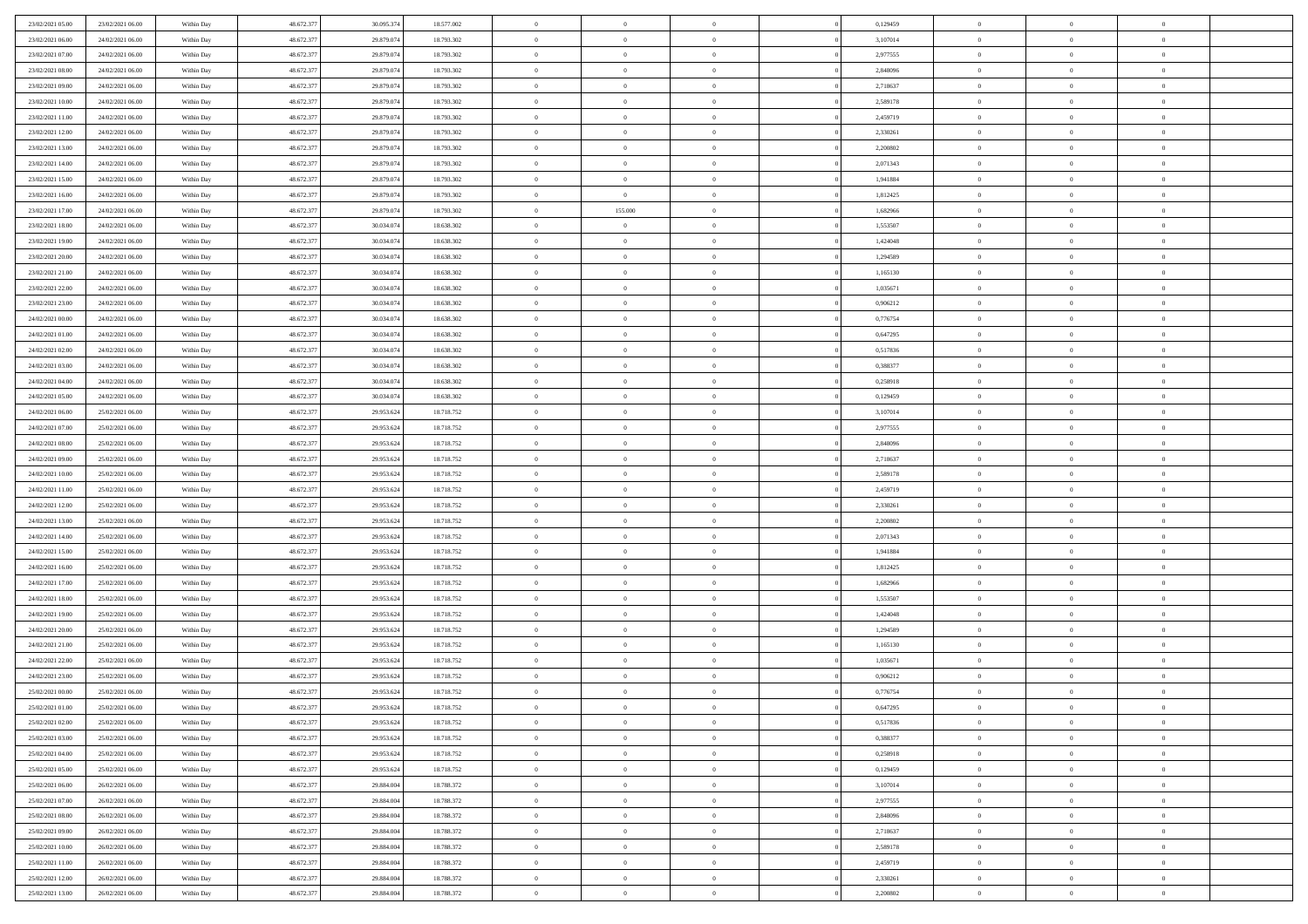| 23/02/2021 05:00                     | 23/02/2021 06:00                     | Within Day               | 48.672.377 | 30.095.374 | 18.577.002               | $\,$ 0         | $\overline{0}$ | $\overline{0}$ |          | 0,129459             | $\bf{0}$          | $\overline{0}$ | $\,0\,$        |  |
|--------------------------------------|--------------------------------------|--------------------------|------------|------------|--------------------------|----------------|----------------|----------------|----------|----------------------|-------------------|----------------|----------------|--|
| 23/02/2021 06:00                     | 24/02/2021 06:00                     | Within Day               | 48.672.377 | 29.879.074 | 18.793.302               | $\overline{0}$ | $\overline{0}$ | $\overline{0}$ |          | 3,107014             | $\overline{0}$    | $\overline{0}$ | $\theta$       |  |
| 23/02/2021 07:00                     | 24/02/2021 06:00                     | Within Dav               | 48.672.377 | 29.879.074 | 18.793.302               | $\mathbf{0}$   | $\overline{0}$ | $\overline{0}$ |          | 2,977555             | $\mathbf{0}$      | $\overline{0}$ | $\overline{0}$ |  |
| 23/02/2021 08:00                     | 24/02/2021 06:00                     | Within Day               | 48.672.377 | 29.879.074 | 18.793.302               | $\bf{0}$       | $\overline{0}$ | $\bf{0}$       |          | 2,848096             | $\bf{0}$          | $\overline{0}$ | $\bf{0}$       |  |
| 23/02/2021 09:00                     | 24/02/2021 06:00                     | Within Day               | 48.672.377 | 29.879.074 | 18.793.302               | $\bf{0}$       | $\overline{0}$ | $\overline{0}$ |          | 2,718637             | $\bf{0}$          | $\bf{0}$       | $\,0\,$        |  |
| 23/02/2021 10:00                     | 24/02/2021 06:00                     | Within Dav               | 48.672.377 | 29.879.074 | 18.793.302               | $\mathbf{0}$   | $\overline{0}$ |                |          | 2,589178             | $\mathbf{0}$      | $\overline{0}$ | $\overline{0}$ |  |
|                                      |                                      |                          |            |            |                          |                |                | $\overline{0}$ |          |                      |                   |                |                |  |
| 23/02/2021 11:00                     | 24/02/2021 06:00                     | Within Day               | 48.672.377 | 29.879.074 | 18.793.302               | $\bf{0}$       | $\overline{0}$ | $\overline{0}$ |          | 2,459719             | $\bf{0}$          | $\overline{0}$ | $\,0\,$        |  |
| 23/02/2021 12:00                     | 24/02/2021 06:00                     | Within Day               | 48.672.377 | 29.879.074 | 18.793.302               | $\overline{0}$ | $\overline{0}$ | $\overline{0}$ |          | 2,330261             | $\,$ 0 $\,$       | $\overline{0}$ | $\overline{0}$ |  |
| 23/02/2021 13:00                     | 24/02/2021 06:00                     | Within Dav               | 48.672.377 | 29.879.074 | 18.793.302               | $\mathbf{0}$   | $\overline{0}$ | $\overline{0}$ |          | 2,200802             | $\mathbf{0}$      | $\overline{0}$ | $\overline{0}$ |  |
| 23/02/2021 14:00                     | 24/02/2021 06:00                     | Within Day               | 48.672.377 | 29.879.074 | 18.793.302               | $\bf{0}$       | $\overline{0}$ | $\overline{0}$ |          | 2,071343             | $\bf{0}$          | $\overline{0}$ | $\,0\,$        |  |
| 23/02/2021 15:00                     | 24/02/2021 06:00                     | Within Day               | 48.672.377 | 29.879.074 | 18.793.302               | $\bf{0}$       | $\overline{0}$ | $\overline{0}$ |          | 1,941884             | $\bf{0}$          | $\overline{0}$ | $\theta$       |  |
| 23/02/2021 16:00                     | 24/02/2021 06:00                     | Within Dav               | 48.672.377 | 29.879.074 | 18.793.302               | $\mathbf{0}$   | $\overline{0}$ | $\overline{0}$ |          | 1,812425             | $\mathbf{0}$      | $\overline{0}$ | $\overline{0}$ |  |
| 23/02/2021 17:00                     | 24/02/2021 06:00                     | Within Day               | 48.672.377 | 29.879.074 | 18.793.302               | $\bf{0}$       | 155.000        | $\bf{0}$       |          | 1,682966             | $\bf{0}$          | $\overline{0}$ | $\bf{0}$       |  |
| 23/02/2021 18:00                     | 24/02/2021 06:00                     | Within Day               | 48.672.377 | 30.034.074 | 18.638.302               | $\bf{0}$       | $\overline{0}$ | $\overline{0}$ |          | 1,553507             | $\bf{0}$          | $\theta$       | $\,0\,$        |  |
| 23/02/2021 19:00                     | 24/02/2021 06:00                     | Within Dav               | 48.672.377 | 30.034.074 | 18.638.302               | $\overline{0}$ | $\overline{0}$ | $\overline{0}$ |          | 1,424048             | $\mathbf{0}$      | $\overline{0}$ | $\overline{0}$ |  |
| 23/02/2021 20:00                     | 24/02/2021 06:00                     | Within Day               | 48.672.377 | 30.034.074 | 18.638.302               | $\bf{0}$       | $\overline{0}$ | $\overline{0}$ |          | 1,294589             | $\bf{0}$          | $\overline{0}$ | $\bf{0}$       |  |
| 23/02/2021 21:00                     | 24/02/2021 06:00                     | Within Day               | 48.672.377 | 30.034.074 | 18.638.302               | $\bf{0}$       | $\overline{0}$ | $\overline{0}$ |          | 1,165130             | $\hspace{0.1cm}0$ | $\overline{0}$ | $\theta$       |  |
| 23/02/2021 22:00                     | 24/02/2021 06:00                     | Within Day               | 48.672.377 | 30.034.074 | 18.638.302               | $\mathbf{0}$   | $\overline{0}$ | $\overline{0}$ |          | 1,035671             | $\mathbf{0}$      | $\overline{0}$ | $\overline{0}$ |  |
| 23/02/2021 23:00                     | 24/02/2021 06:00                     | Within Day               | 48.672.377 | 30.034.074 | 18.638.302               | $\bf{0}$       | $\bf{0}$       | $\overline{0}$ |          | 0,906212             | $\bf{0}$          | $\overline{0}$ | $\,0\,$        |  |
| 24/02/2021 00:00                     | 24/02/2021 06:00                     | Within Day               | 48.672.377 | 30.034.074 | 18.638.302               | $\bf{0}$       | $\overline{0}$ | $\overline{0}$ |          | 0,776754             | $\bf{0}$          | $\overline{0}$ | $\overline{0}$ |  |
| 24/02/2021 01:00                     | 24/02/2021 06:00                     | Within Dav               | 48.672.377 | 30.034.074 | 18.638.302               | $\mathbf{0}$   | $\overline{0}$ | $\overline{0}$ |          | 0,647295             | $\mathbf{0}$      | $\overline{0}$ | $\overline{0}$ |  |
| 24/02/2021 02.00                     | 24/02/2021 06:00                     | Within Day               | 48.672.377 | 30.034.074 | 18.638.302               | $\bf{0}$       | $\bf{0}$       | $\overline{0}$ |          | 0,517836             | $\bf{0}$          | $\overline{0}$ | $\bf{0}$       |  |
| 24/02/2021 03:00                     | 24/02/2021 06:00                     | Within Day               | 48.672.377 | 30.034.074 | 18.638.302               | $\bf{0}$       | $\bf{0}$       | $\overline{0}$ |          | 0,388377             | $\bf{0}$          | $\overline{0}$ | $\,0\,$        |  |
| 24/02/2021 04:00                     | 24/02/2021 06:00                     | Within Dav               | 48.672.377 | 30.034.074 | 18.638.302               | $\mathbf{0}$   | $\overline{0}$ | $\overline{0}$ |          | 0,258918             | $\mathbf{0}$      | $\overline{0}$ | $\overline{0}$ |  |
| 24/02/2021 05:00                     | 24/02/2021 06:00                     | Within Day               | 48.672.377 | 30.034.074 | 18.638.302               | $\bf{0}$       | $\bf{0}$       | $\overline{0}$ |          | 0,129459             | $\bf{0}$          | $\overline{0}$ | $\,0\,$        |  |
| 24/02/2021 06:00                     | 25/02/2021 06:00                     | Within Day               | 48.672.377 | 29.953.624 | 18.718.752               | $\bf{0}$       | $\overline{0}$ | $\overline{0}$ |          | 3,107014             | $\bf{0}$          | $\mathbf{0}$   | $\overline{0}$ |  |
| 24/02/2021 07:00                     | 25/02/2021 06:00                     | Within Dav               | 48.672.377 | 29.953.624 | 18.718.752               | $\overline{0}$ | $\overline{0}$ | $\overline{0}$ |          | 2,977555             | $\mathbf{0}$      | $\overline{0}$ | $\overline{0}$ |  |
| 24/02/2021 08:00                     | 25/02/2021 06:00                     | Within Day               | 48.672.377 | 29.953.624 | 18.718.752               | $\bf{0}$       | $\bf{0}$       | $\overline{0}$ |          | 2,848096             | $\bf{0}$          | $\overline{0}$ | $\,0\,$        |  |
| 24/02/2021 09:00                     | 25/02/2021 06:00                     | Within Day               | 48.672.377 | 29.953.624 | 18.718.752               | $\bf{0}$       | $\bf{0}$       | $\overline{0}$ |          | 2,718637             | $\bf{0}$          | $\overline{0}$ | $\overline{0}$ |  |
| 24/02/2021 10:00                     | 25/02/2021 06:00                     | Within Dav               | 48.672.377 | 29.953.624 | 18.718.752               | $\mathbf{0}$   | $\overline{0}$ | $\overline{0}$ |          | 2,589178             | $\mathbf{0}$      | $\overline{0}$ | $\overline{0}$ |  |
| 24/02/2021 11:00                     |                                      |                          | 48.672.377 | 29.953.624 | 18.718.752               | $\bf{0}$       | $\overline{0}$ | $\theta$       |          | 2,459719             | $\,$ 0            | $\overline{0}$ | $\theta$       |  |
|                                      | 25/02/2021 06:00<br>25/02/2021 06:00 | Within Day               | 48.672.377 | 29.953.624 |                          | $\bf{0}$       | $\bf{0}$       | $\overline{0}$ |          |                      | $\bf{0}$          | $\overline{0}$ | $\bf{0}$       |  |
| 24/02/2021 12:00<br>24/02/2021 13:00 | 25/02/2021 06:00                     | Within Day<br>Within Dav | 48.672.377 | 29.953.624 | 18.718.752<br>18.718.752 | $\overline{0}$ | $\overline{0}$ |                |          | 2,330261<br>2,200802 | $\mathbf{0}$      | $\overline{0}$ | $\overline{0}$ |  |
|                                      |                                      |                          |            |            |                          |                |                | $\overline{0}$ |          |                      |                   |                |                |  |
| 24/02/2021 14:00                     | 25/02/2021 06:00                     | Within Day               | 48.672.377 | 29.953.624 | 18.718.752               | $\bf{0}$       | $\overline{0}$ | $\theta$       |          | 2,071343             | $\,$ 0            | $\overline{0}$ | $\theta$       |  |
| 24/02/2021 15:00                     | 25/02/2021 06:00                     | Within Day               | 48.672.377 | 29.953.624 | 18.718.752               | $\overline{0}$ | $\overline{0}$ | $\overline{0}$ |          | 1,941884             | $\bf{0}$          | $\overline{0}$ | $\overline{0}$ |  |
| 24/02/2021 16:00                     | 25/02/2021 06:00                     | Within Day               | 48.672.377 | 29.953.624 | 18.718.752               | $\mathbf{0}$   | $\overline{0}$ | $\overline{0}$ |          | 1,812425             | $\mathbf{0}$      | $\overline{0}$ | $\overline{0}$ |  |
| 24/02/2021 17:00                     | 25/02/2021 06:00                     | Within Day               | 48.672.377 | 29.953.624 | 18.718.752               | $\bf{0}$       | $\overline{0}$ | $\theta$       |          | 1,682966             | $\,$ 0            | $\overline{0}$ | $\theta$       |  |
| 24/02/2021 18:00                     | 25/02/2021 06:00                     | Within Day               | 48.672.377 | 29.953.624 | 18.718.752               | $\bf{0}$       | $\overline{0}$ | $\overline{0}$ |          | 1,553507             | $\bf{0}$          | $\overline{0}$ | $\bf{0}$       |  |
| 24/02/2021 19:00                     | 25/02/2021 06:00                     | Within Dav               | 48.672.377 | 29.953.624 | 18.718.752               | $\mathbf{0}$   | $\overline{0}$ | $\overline{0}$ |          | 1,424048             | $\mathbf{0}$      | $\overline{0}$ | $\overline{0}$ |  |
| 24/02/2021 20:00                     | 25/02/2021 06:00                     | Within Day               | 48.672.377 | 29.953.624 | 18.718.752               | $\,0\,$        | $\overline{0}$ | $\theta$       |          | 1,294589             | $\,$ 0            | $\overline{0}$ | $\theta$       |  |
| 24/02/2021 21:00                     | 25/02/2021 06:00                     | Within Day               | 48.672.377 | 29.953.624 | 18.718.752               | $\bf{0}$       | $\overline{0}$ | $\overline{0}$ |          | 1,165130             | $\bf{0}$          | $\overline{0}$ | $\bf{0}$       |  |
| 24/02/2021 22:00                     | 25/02/2021 06:00                     | Within Dav               | 48.672.377 | 29.953.624 | 18.718.752               | $\mathbf{0}$   | $\overline{0}$ | $\overline{0}$ |          | 1,035671             | $\mathbf{0}$      | $\overline{0}$ | $\overline{0}$ |  |
| 24/02/2021 23:00                     | 25/02/2021 06:00                     | Within Day               | 48.672.377 | 29.953.624 | 18.718.752               | $\bf{0}$       | $\overline{0}$ | $\theta$       |          | 0,906212             | $\,$ 0            | $\overline{0}$ | $\theta$       |  |
| 25/02/2021 00:00                     | 25/02/2021 06:00                     | Within Day               | 48.672.377 | 29.953.624 | 18.718.752               | $\bf{0}$       | $\overline{0}$ | $\overline{0}$ |          | 0,776754             | $\,$ 0 $\,$       | $\overline{0}$ | $\overline{0}$ |  |
| 25/02/2021 01:00                     | 25/02/2021 06:00                     | Within Day               | 48.672.377 | 29.953.624 | 18.718.752               | $\bf{0}$       | $\overline{0}$ |                |          | 0,647295             | $\overline{0}$    | $\theta$       | $\theta$       |  |
| 25/02/2021 02:00                     | 25/02/2021 06:00                     | Within Day               | 48.672.377 | 29.953.624 | 18.718.752               | $\,0\,$        | $\overline{0}$ | $\theta$       |          | 0,517836             | $\,$ 0 $\,$       | $\bf{0}$       | $\theta$       |  |
| 25/02/2021 03:00                     | 25/02/2021 06:00                     | Within Day               | 48.672.377 | 29.953.624 | 18.718.752               | $\overline{0}$ | $\overline{0}$ | $\overline{0}$ |          | 0.388377             | $\overline{0}$    | $\overline{0}$ | $\overline{0}$ |  |
| 25/02/2021 04:00                     | 25/02/2021 06:00                     | Within Day               | 48.672.377 | 29.953.624 | 18.718.752               | $\bf{0}$       | $\overline{0}$ | $\overline{0}$ |          | 0,258918             | $\overline{0}$    | $\bf{0}$       | $\mathbf{0}$   |  |
| 25/02/2021 05:00                     | 25/02/2021 06:00                     | Within Day               | 48.672.377 | 29.953.624 | 18.718.752               | $\bf{0}$       | $\overline{0}$ | $\overline{0}$ | $\theta$ | 0,129459             | $\mathbf{0}$      | $\bf{0}$       | $\,$ 0 $\,$    |  |
| 25/02/2021 06:00                     | 26/02/2021 06:00                     | Within Day               | 48.672.377 | 29.884.004 | 18.788.372               | $\,$ 0 $\,$    | $\overline{0}$ | $\overline{0}$ |          | 3,107014             | $\,$ 0 $\,$       | $\overline{0}$ | $\overline{0}$ |  |
| 25/02/2021 07:00                     | 26/02/2021 06:00                     | Within Day               | 48.672.377 | 29.884.004 | 18.788.372               | $\bf{0}$       | $\overline{0}$ | $\overline{0}$ |          | 2,977555             | $\mathbf{0}$      | $\overline{0}$ | $\overline{0}$ |  |
| 25/02/2021 08:00                     | 26/02/2021 06:00                     | Within Day               | 48.672.377 | 29.884.004 | 18.788.372               | $\,$ 0 $\,$    | $\overline{0}$ | $\overline{0}$ | $\theta$ | 2,848096             | $\,$ 0 $\,$       | $\overline{0}$ | $\overline{0}$ |  |
| 25/02/2021 09:00                     | 26/02/2021 06:00                     | Within Day               | 48.672.377 | 29.884.004 | 18.788.372               | $\bf{0}$       | $\overline{0}$ | $\overline{0}$ |          | 2,718637             | $\overline{0}$    | $\overline{0}$ | $\overline{0}$ |  |
| 25/02/2021 10:00                     | 26/02/2021 06:00                     | Within Day               | 48.672.377 | 29.884.004 | 18.788.372               | $\bf{0}$       | $\overline{0}$ | $\overline{0}$ |          | 2,589178             | $\mathbf{0}$      | $\overline{0}$ | $\overline{0}$ |  |
| 25/02/2021 11:00                     | 26/02/2021 06:00                     | Within Day               | 48.672.377 | 29.884.004 | 18.788.372               | $\,0\,$        | $\overline{0}$ | $\overline{0}$ |          | 2,459719             | $\,$ 0 $\,$       | $\overline{0}$ | $\overline{0}$ |  |
| 25/02/2021 12:00                     | 26/02/2021 06:00                     | Within Day               | 48.672.377 | 29.884.004 | 18.788.372               | $\bf{0}$       | $\overline{0}$ | $\overline{0}$ |          | 2,330261             | $\bf{0}$          | $\mathbf{0}$   | $\overline{0}$ |  |
| 25/02/2021 13:00                     | 26/02/2021 06:00                     | Within Day               | 48.672.377 | 29.884.004 | 18.788.372               | $\bf{0}$       | $\overline{0}$ | $\overline{0}$ |          | 2,200802             | $\mathbf{0}$      | $\overline{0}$ | $\overline{0}$ |  |
|                                      |                                      |                          |            |            |                          |                |                |                |          |                      |                   |                |                |  |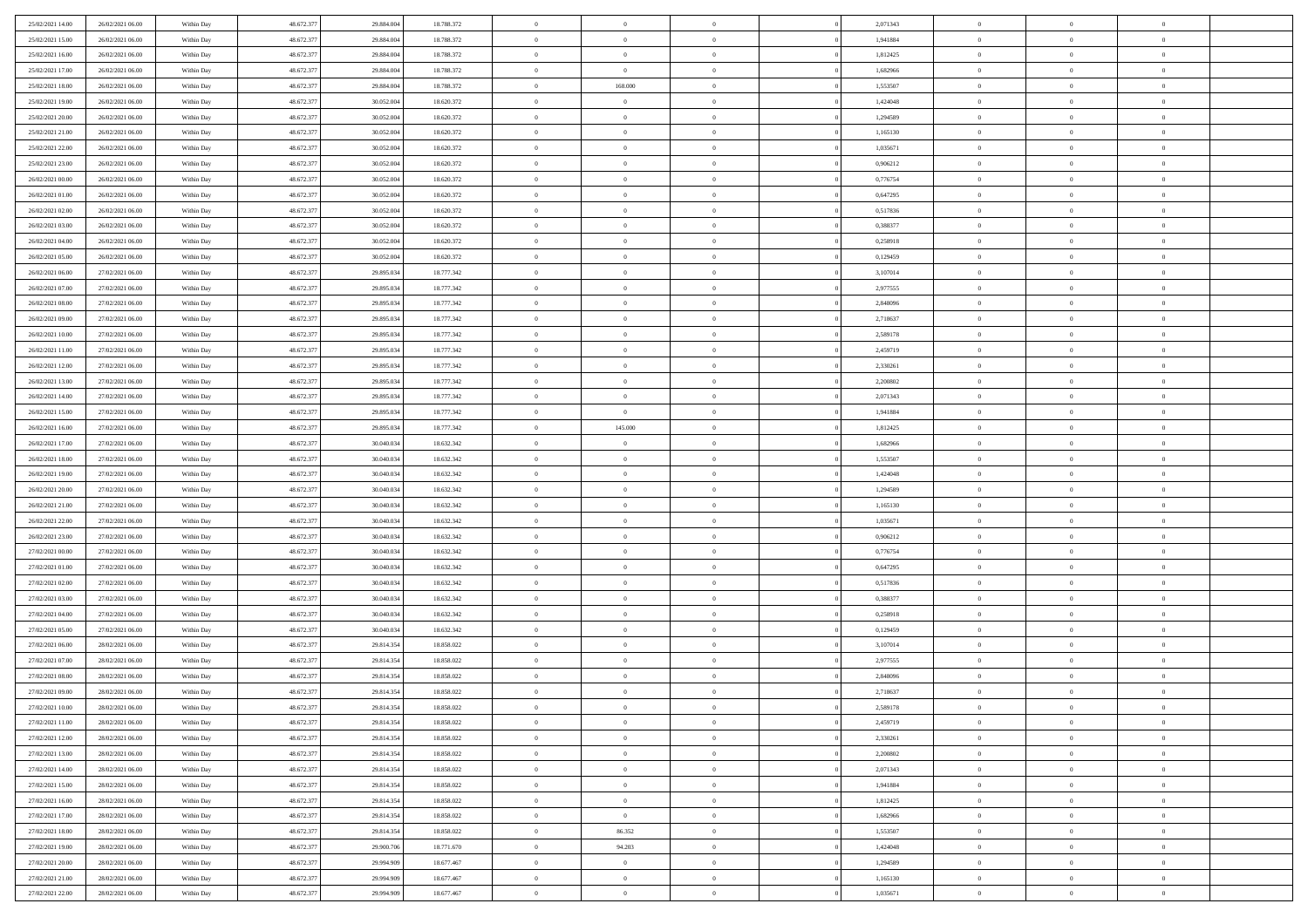| 25/02/2021 14:00                     | 26/02/2021 06:00                     | Within Day               | 48.672.377 | 29.884.004 | 18.788.372 | $\bf{0}$       | $\overline{0}$ | $\theta$       |          | 2,071343 | $\bf{0}$          | $\overline{0}$ | $\,0\,$        |  |
|--------------------------------------|--------------------------------------|--------------------------|------------|------------|------------|----------------|----------------|----------------|----------|----------|-------------------|----------------|----------------|--|
| 25/02/2021 15:00                     | 26/02/2021 06:00                     | Within Day               | 48.672.377 | 29.884.004 | 18.788.372 | $\overline{0}$ | $\overline{0}$ | $\overline{0}$ |          | 1,941884 | $\theta$          | $\overline{0}$ | $\theta$       |  |
| 25/02/2021 16:00                     | 26/02/2021 06:00                     | Within Dav               | 48.672.377 | 29.884.004 | 18.788.372 | $\mathbf{0}$   | $\overline{0}$ | $\overline{0}$ |          | 1,812425 | $\mathbf{0}$      | $\overline{0}$ | $\overline{0}$ |  |
| 25/02/2021 17:00                     | 26/02/2021 06:00                     | Within Day               | 48.672.377 | 29.884.004 | 18.788.372 | $\bf{0}$       | $\overline{0}$ | $\bf{0}$       |          | 1,682966 | $\bf{0}$          | $\overline{0}$ | $\bf{0}$       |  |
| 25/02/2021 18:00                     | 26/02/2021 06:00                     | Within Day               | 48.672.377 | 29.884.004 | 18.788.372 | $\bf{0}$       | 168.000        | $\overline{0}$ |          | 1,553507 | $\bf{0}$          | $\bf{0}$       | $\,0\,$        |  |
| 25/02/2021 19:00                     | 26/02/2021 06:00                     | Within Dav               | 48.672.377 | 30.052.004 | 18.620.372 | $\mathbf{0}$   | $\overline{0}$ | $\overline{0}$ |          | 1,424048 | $\mathbf{0}$      | $\overline{0}$ | $\overline{0}$ |  |
| 25/02/2021 20:00                     | 26/02/2021 06:00                     | Within Day               | 48.672.377 | 30.052.004 | 18.620.372 | $\bf{0}$       | $\bf{0}$       | $\overline{0}$ |          | 1,294589 | $\bf{0}$          | $\overline{0}$ | $\,0\,$        |  |
| 25/02/2021 21:00                     | 26/02/2021 06:00                     | Within Day               | 48.672.377 | 30.052.004 | 18.620.372 | $\overline{0}$ | $\overline{0}$ | $\overline{0}$ |          | 1,165130 | $\,$ 0 $\,$       | $\overline{0}$ | $\theta$       |  |
| 25/02/2021 22:00                     | 26/02/2021 06:00                     | Within Dav               | 48.672.377 | 30.052.004 | 18.620.372 | $\mathbf{0}$   | $\overline{0}$ | $\overline{0}$ |          | 1,035671 | $\mathbf{0}$      | $\overline{0}$ | $\overline{0}$ |  |
| 25/02/2021 23:00                     | 26/02/2021 06:00                     | Within Day               | 48.672.377 | 30.052.004 | 18.620.372 | $\bf{0}$       | $\bf{0}$       | $\overline{0}$ |          | 0,906212 | $\bf{0}$          | $\overline{0}$ | $\,0\,$        |  |
| 26/02/2021 00:00                     | 26/02/2021 06:00                     | Within Day               | 48.672.377 | 30.052.004 | 18.620.372 | $\bf{0}$       | $\overline{0}$ | $\overline{0}$ |          | 0,776754 | $\bf{0}$          | $\overline{0}$ | $\theta$       |  |
| 26/02/2021 01:00                     | 26/02/2021 06:00                     | Within Dav               | 48.672.377 | 30.052.004 | 18.620.372 | $\mathbf{0}$   | $\overline{0}$ | $\overline{0}$ |          | 0,647295 | $\mathbf{0}$      | $\overline{0}$ | $\overline{0}$ |  |
| 26/02/2021 02:00                     | 26/02/2021 06:00                     | Within Day               | 48.672.377 | 30.052.004 | 18.620.372 | $\bf{0}$       | $\overline{0}$ | $\bf{0}$       |          | 0,517836 | $\bf{0}$          | $\overline{0}$ | $\bf{0}$       |  |
| 26/02/2021 03:00                     | 26/02/2021 06:00                     | Within Day               | 48.672.377 | 30.052.004 | 18.620.372 | $\bf{0}$       | $\overline{0}$ | $\overline{0}$ |          | 0,388377 | $\bf{0}$          | $\theta$       | $\,0\,$        |  |
| 26/02/2021 04:00                     | 26/02/2021 06:00                     | Within Dav               | 48.672.377 | 30.052.004 | 18.620.372 | $\overline{0}$ | $\overline{0}$ | $\overline{0}$ |          | 0,258918 | $\mathbf{0}$      | $\overline{0}$ | $\overline{0}$ |  |
| 26/02/2021 05:00                     | 26/02/2021 06:00                     | Within Day               | 48.672.377 | 30.052.004 | 18.620.372 | $\bf{0}$       | $\bf{0}$       | $\overline{0}$ |          | 0,129459 | $\bf{0}$          | $\overline{0}$ | $\bf{0}$       |  |
| 26/02/2021 06:00                     | 27/02/2021 06:00                     |                          | 48.672.377 | 29.895.034 | 18.777.342 | $\bf{0}$       | $\overline{0}$ | $\overline{0}$ |          | 3,107014 | $\hspace{0.1cm}0$ | $\overline{0}$ | $\theta$       |  |
| 26/02/2021 07:00                     | 27/02/2021 06:00                     | Within Day<br>Within Day | 48.672.377 | 29.895.034 | 18.777.342 | $\mathbf{0}$   | $\overline{0}$ | $\overline{0}$ |          | 2,977555 | $\mathbf{0}$      | $\overline{0}$ | $\overline{0}$ |  |
| 26/02/2021 08:00                     | 27/02/2021 06:00                     | Within Day               | 48.672.377 | 29.895.034 | 18.777.342 | $\bf{0}$       | $\bf{0}$       | $\overline{0}$ |          | 2,848096 | $\bf{0}$          | $\overline{0}$ | $\,0\,$        |  |
| 26/02/2021 09:00                     | 27/02/2021 06:00                     |                          | 48.672.377 | 29.895.034 | 18.777.342 | $\bf{0}$       | $\overline{0}$ | $\overline{0}$ |          | 2,718637 | $\bf{0}$          | $\overline{0}$ | $\overline{0}$ |  |
| 26/02/2021 10:00                     | 27/02/2021 06:00                     | Within Day<br>Within Dav | 48.672.377 | 29.895.034 | 18.777.342 | $\mathbf{0}$   | $\overline{0}$ | $\overline{0}$ |          | 2,589178 | $\mathbf{0}$      | $\overline{0}$ | $\overline{0}$ |  |
|                                      | 27/02/2021 06:00                     |                          |            |            |            | $\bf{0}$       |                |                |          |          | $\bf{0}$          |                | $\bf{0}$       |  |
| 26/02/2021 11:00                     |                                      | Within Day               | 48.672.377 | 29.895.034 | 18.777.342 |                | $\overline{0}$ | $\overline{0}$ |          | 2,459719 |                   | $\overline{0}$ |                |  |
| 26/02/2021 12:00<br>26/02/2021 13:00 | 27/02/2021 06:00<br>27/02/2021 06:00 | Within Day               | 48.672.377 | 29.895.034 | 18.777.342 | $\bf{0}$       | $\bf{0}$       | $\overline{0}$ |          | 2,330261 | $\bf{0}$          | $\bf{0}$       | $\,0\,$        |  |
|                                      |                                      | Within Dav               | 48.672.377 | 29.895.034 | 18.777.342 | $\mathbf{0}$   | $\overline{0}$ | $\overline{0}$ |          | 2,200802 | $\mathbf{0}$      | $\overline{0}$ | $\overline{0}$ |  |
| 26/02/2021 14:00                     | 27/02/2021 06:00                     | Within Day               | 48.672.377 | 29.895.034 | 18.777.342 | $\bf{0}$       | $\bf{0}$       | $\overline{0}$ |          | 2,071343 | $\bf{0}$          | $\overline{0}$ | $\,0\,$        |  |
| 26/02/2021 15:00                     | 27/02/2021 06:00                     | Within Day               | 48.672.377 | 29.895.034 | 18.777.342 | $\bf{0}$       | $\overline{0}$ | $\overline{0}$ |          | 1,941884 | $\bf{0}$          | $\mathbf{0}$   | $\overline{0}$ |  |
| 26/02/2021 16:00                     | 27/02/2021 06:00                     | Within Dav               | 48.672.377 | 29.895.034 | 18.777.342 | $\overline{0}$ | 145.000        | $\overline{0}$ |          | 1,812425 | $\mathbf{0}$      | $\overline{0}$ | $\overline{0}$ |  |
| 26/02/2021 17:00                     | 27/02/2021 06:00                     | Within Day               | 48.672.377 | 30.040.034 | 18.632.342 | $\bf{0}$       | $\bf{0}$       | $\overline{0}$ |          | 1,682966 | $\bf{0}$          | $\overline{0}$ | $\,0\,$        |  |
| 26/02/2021 18:00                     | 27/02/2021 06:00                     | Within Day               | 48.672.377 | 30.040.034 | 18.632.342 | $\bf{0}$       | $\overline{0}$ | $\overline{0}$ |          | 1,553507 | $\bf{0}$          | $\bf{0}$       | $\overline{0}$ |  |
| 26/02/2021 19:00                     | 27/02/2021 06:00                     | Within Dav               | 48.672.377 | 30.040.034 | 18.632.342 | $\mathbf{0}$   | $\overline{0}$ | $\overline{0}$ |          | 1,424048 | $\mathbf{0}$      | $\overline{0}$ | $\overline{0}$ |  |
| 26/02/2021 20:00                     | 27/02/2021 06:00                     | Within Day               | 48.672.377 | 30.040.034 | 18.632.342 | $\bf{0}$       | $\overline{0}$ | $\theta$       |          | 1,294589 | $\,$ 0            | $\overline{0}$ | $\theta$       |  |
| 26/02/2021 21:00                     | 27/02/2021 06:00                     | Within Day               | 48.672.377 | 30.040.034 | 18.632.342 | $\bf{0}$       | $\bf{0}$       | $\overline{0}$ |          | 1,165130 | $\bf{0}$          | $\bf{0}$       | $\bf{0}$       |  |
| 26/02/2021 22:00                     | 27/02/2021 06:00                     | Within Dav               | 48.672.377 | 30.040.034 | 18.632.342 | $\overline{0}$ | $\overline{0}$ | $\overline{0}$ |          | 1,035671 | $\mathbf{0}$      | $\overline{0}$ | $\overline{0}$ |  |
| 26/02/2021 23:00                     | 27/02/2021 06:00                     | Within Day               | 48.672.377 | 30.040.034 | 18.632.342 | $\bf{0}$       | $\overline{0}$ | $\theta$       |          | 0,906212 | $\,$ 0            | $\overline{0}$ | $\theta$       |  |
| 27/02/2021 00:00                     | 27/02/2021 06:00                     | Within Day               | 48.672.377 | 30.040.034 | 18.632.342 | $\overline{0}$ | $\overline{0}$ | $\overline{0}$ |          | 0,776754 | $\bf{0}$          | $\overline{0}$ | $\overline{0}$ |  |
| 27/02/2021 01:00                     | 27/02/2021 06:00                     | Within Day               | 48.672.377 | 30.040.034 | 18.632.342 | $\mathbf{0}$   | $\overline{0}$ | $\overline{0}$ |          | 0,647295 | $\mathbf{0}$      | $\overline{0}$ | $\overline{0}$ |  |
| 27/02/2021 02:00                     | 27/02/2021 06:00                     | Within Day               | 48.672.377 | 30.040.034 | 18.632.342 | $\bf{0}$       | $\overline{0}$ | $\theta$       |          | 0,517836 | $\,$ 0            | $\overline{0}$ | $\theta$       |  |
| 27/02/2021 03:00                     | 27/02/2021 06:00                     | Within Day               | 48.672.377 | 30.040.034 | 18.632.342 | $\bf{0}$       | $\overline{0}$ | $\overline{0}$ |          | 0,388377 | $\bf{0}$          | $\bf{0}$       | $\overline{0}$ |  |
| 27/02/2021 04:00                     | 27/02/2021 06:00                     | Within Dav               | 48.672.377 | 30.040.034 | 18.632.342 | $\mathbf{0}$   | $\overline{0}$ | $\overline{0}$ |          | 0,258918 | $\mathbf{0}$      | $\overline{0}$ | $\overline{0}$ |  |
| 27/02/2021 05:00                     | 27/02/2021 06:00                     | Within Day               | 48.672.377 | 30.040.034 | 18.632.342 | $\,0\,$        | $\overline{0}$ | $\theta$       |          | 0,129459 | $\,$ 0            | $\overline{0}$ | $\theta$       |  |
| 27/02/2021 06:00                     | 28/02/2021 06:00                     | Within Day               | 48.672.377 | 29.814.354 | 18.858.022 | $\bf{0}$       | $\overline{0}$ | $\overline{0}$ |          | 3,107014 | $\bf{0}$          | $\overline{0}$ | $\overline{0}$ |  |
| 27/02/2021 07:00                     | 28/02/2021 06:00                     | Within Dav               | 48.672.377 | 29.814.354 | 18.858.022 | $\mathbf{0}$   | $\overline{0}$ | $\overline{0}$ |          | 2,977555 | $\mathbf{0}$      | $\overline{0}$ | $\overline{0}$ |  |
| 27/02/2021 08:00                     | 28/02/2021 06:00                     | Within Day               | 48.672.377 | 29.814.354 | 18.858.022 | $\bf{0}$       | $\overline{0}$ | $\theta$       |          | 2,848096 | $\,$ 0            | $\overline{0}$ | $\theta$       |  |
| 27/02/2021 09:00                     | 28/02/2021 06:00                     | Within Day               | 48.672.377 | 29.814.354 | 18.858.022 | $\bf{0}$       | $\overline{0}$ | $\overline{0}$ |          | 2,718637 | $\,$ 0 $\,$       | $\overline{0}$ | $\overline{0}$ |  |
| 27/02/2021 10:00                     | 28/02/2021 06:00                     | Within Day               | 48.672.377 | 29.814.354 | 18.858.022 | $\bf{0}$       | $\overline{0}$ |                |          | 2,589178 | $\overline{0}$    | $\theta$       | $\theta$       |  |
| 27/02/2021 11:00                     | 28/02/2021 06:00                     | Within Day               | 48.672.377 | 29.814.354 | 18.858.022 | $\,0\,$        | $\overline{0}$ | $\theta$       |          | 2,459719 | $\,$ 0 $\,$       | $\bf{0}$       | $\theta$       |  |
| 27/02/2021 12:00                     | 28/02/2021 06:00                     | Within Day               | 48.672.377 | 29.814.354 | 18.858.022 | $\overline{0}$ | $\overline{0}$ | $\overline{0}$ |          | 2,330261 | $\overline{0}$    | $\overline{0}$ | $\overline{0}$ |  |
| 27/02/2021 13:00                     | 28/02/2021 06:00                     | Within Day               | 48.672.377 | 29.814.354 | 18.858.022 | $\bf{0}$       | $\overline{0}$ | $\overline{0}$ |          | 2,200802 | $\overline{0}$    | $\bf{0}$       | $\overline{0}$ |  |
| 27/02/2021 14:00                     | 28/02/2021 06:00                     | Within Day               | 48.672.377 | 29.814.354 | 18.858.022 | $\bf{0}$       | $\overline{0}$ | $\overline{0}$ | $\theta$ | 2,071343 | $\mathbf{0}$      | $\bf{0}$       | $\,$ 0 $\,$    |  |
| 27/02/2021 15:00                     | 28/02/2021 06:00                     | Within Day               | 48.672.377 | 29.814.354 | 18.858.022 | $\,$ 0 $\,$    | $\overline{0}$ | $\overline{0}$ |          | 1,941884 | $\,$ 0 $\,$       | $\overline{0}$ | $\overline{0}$ |  |
| 27/02/2021 16:00                     | 28/02/2021 06:00                     | Within Day               | 48.672.377 | 29.814.354 | 18.858.022 | $\bf{0}$       | $\overline{0}$ | $\overline{0}$ |          | 1,812425 | $\mathbf{0}$      | $\overline{0}$ | $\overline{0}$ |  |
| 27/02/2021 17:00                     | 28/02/2021 06:00                     | Within Day               | 48.672.377 | 29.814.354 | 18.858.022 | $\,0\,$        | $\overline{0}$ | $\overline{0}$ | $\theta$ | 1,682966 | $\,$ 0 $\,$       | $\overline{0}$ | $\overline{0}$ |  |
| 27/02/2021 18:00                     | 28/02/2021 06:00                     | Within Day               | 48.672.377 | 29.814.354 | 18.858.022 | $\bf{0}$       | 86.352         | $\overline{0}$ |          | 1,553507 | $\overline{0}$    | $\overline{0}$ | $\overline{0}$ |  |
| 27/02/2021 19:00                     | 28/02/2021 06:00                     | Within Day               | 48.672.377 | 29.900.706 | 18.771.670 | $\bf{0}$       | 94.203         | $\overline{0}$ |          | 1,424048 | $\mathbf{0}$      | $\bf{0}$       | $\overline{0}$ |  |
| 27/02/2021 20:00                     | 28/02/2021 06:00                     | Within Day               | 48.672.377 | 29.994.909 | 18.677.467 | $\,0\,$        | $\overline{0}$ | $\overline{0}$ |          | 1,294589 | $\,$ 0 $\,$       | $\overline{0}$ | $\overline{0}$ |  |
|                                      |                                      |                          |            |            |            |                |                |                |          |          |                   |                |                |  |
| 27/02/2021 21:00                     | 28/02/2021 06:00                     | Within Day               | 48.672.377 | 29.994.909 | 18.677.467 | $\overline{0}$ | $\bf{0}$       | $\overline{0}$ |          | 1,165130 | $\mathbf 0$       | $\mathbf{0}$   | $\overline{0}$ |  |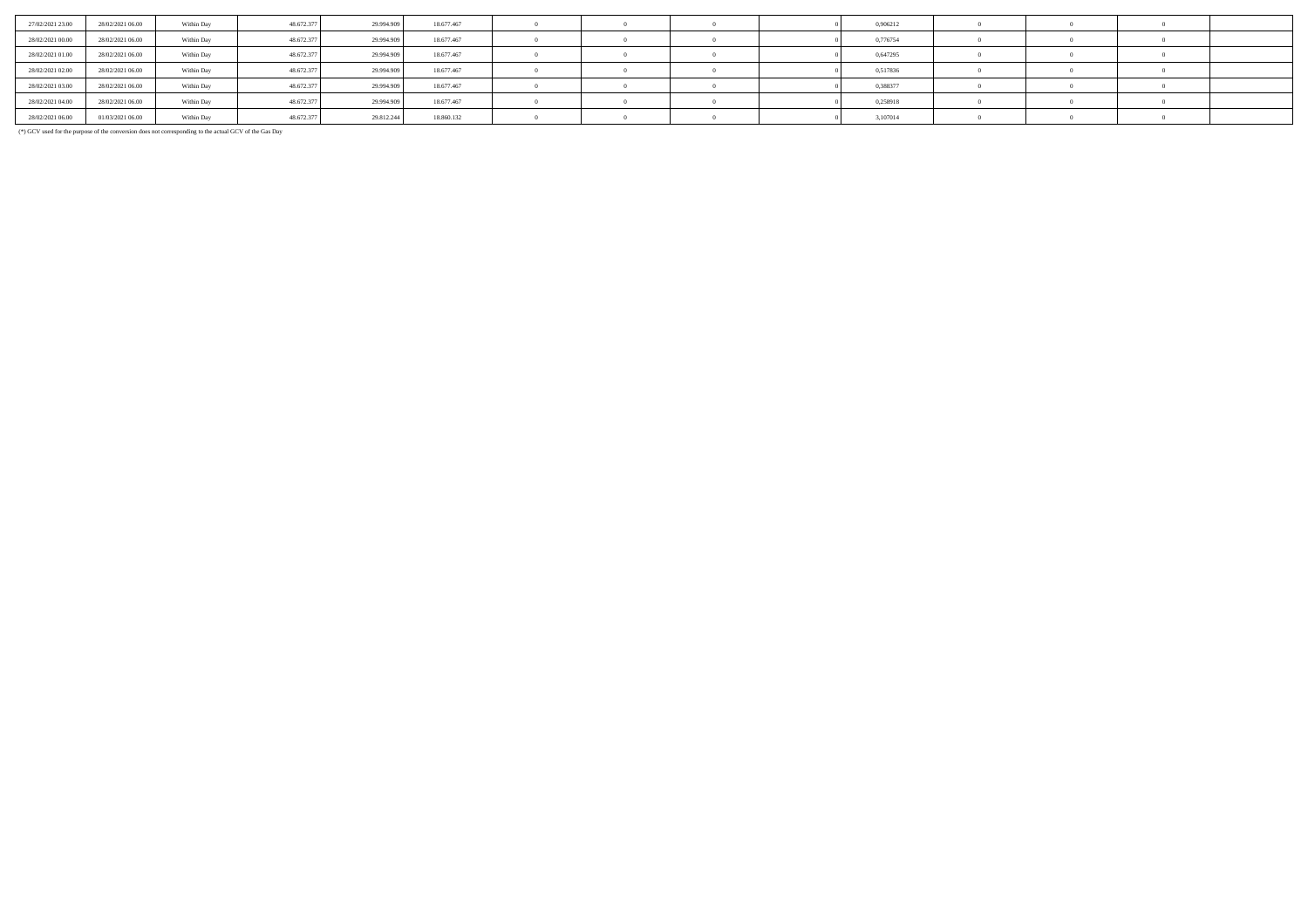| 27/02/2021 23:00 | 28/02/2021 06:00 | Within Day | 48.672.377 | 29.994.909 | 18.677.467 |  |  | 0,906212 |  |  |
|------------------|------------------|------------|------------|------------|------------|--|--|----------|--|--|
| 28/02/2021 00:00 | 28/02/2021 06:00 | Within Day | 48.672.377 | 29.994.909 | 18.677.467 |  |  | 0,776754 |  |  |
| 28/02/2021 01:00 | 28/02/2021 06:00 | Within Day | 48.672.377 | 29.994.909 | 18.677.467 |  |  | 0,647295 |  |  |
| 28/02/2021 02:00 | 28/02/2021 06:00 | Within Day | 48.672.377 | 29.994.909 | 18.677.467 |  |  | 0,517836 |  |  |
| 28/02/2021 03:00 | 28/02/2021 06:00 | Within Day | 48.672.377 | 29.994.909 | 18.677.467 |  |  | 0,388377 |  |  |
| 28/02/2021 04:00 | 28/02/2021 06:00 | Within Day | 48.672.377 | 29.994.909 | 18.677.467 |  |  | 0,258918 |  |  |
| 28/02/2021 06:00 | 01/03/2021 06:00 | Within Day | 48.672.377 | 29.812.244 | 18.860.132 |  |  | 3,107014 |  |  |

(\*) GCV used for the purpose of the conversion does not corresponding to the actual GCV of the Gas Day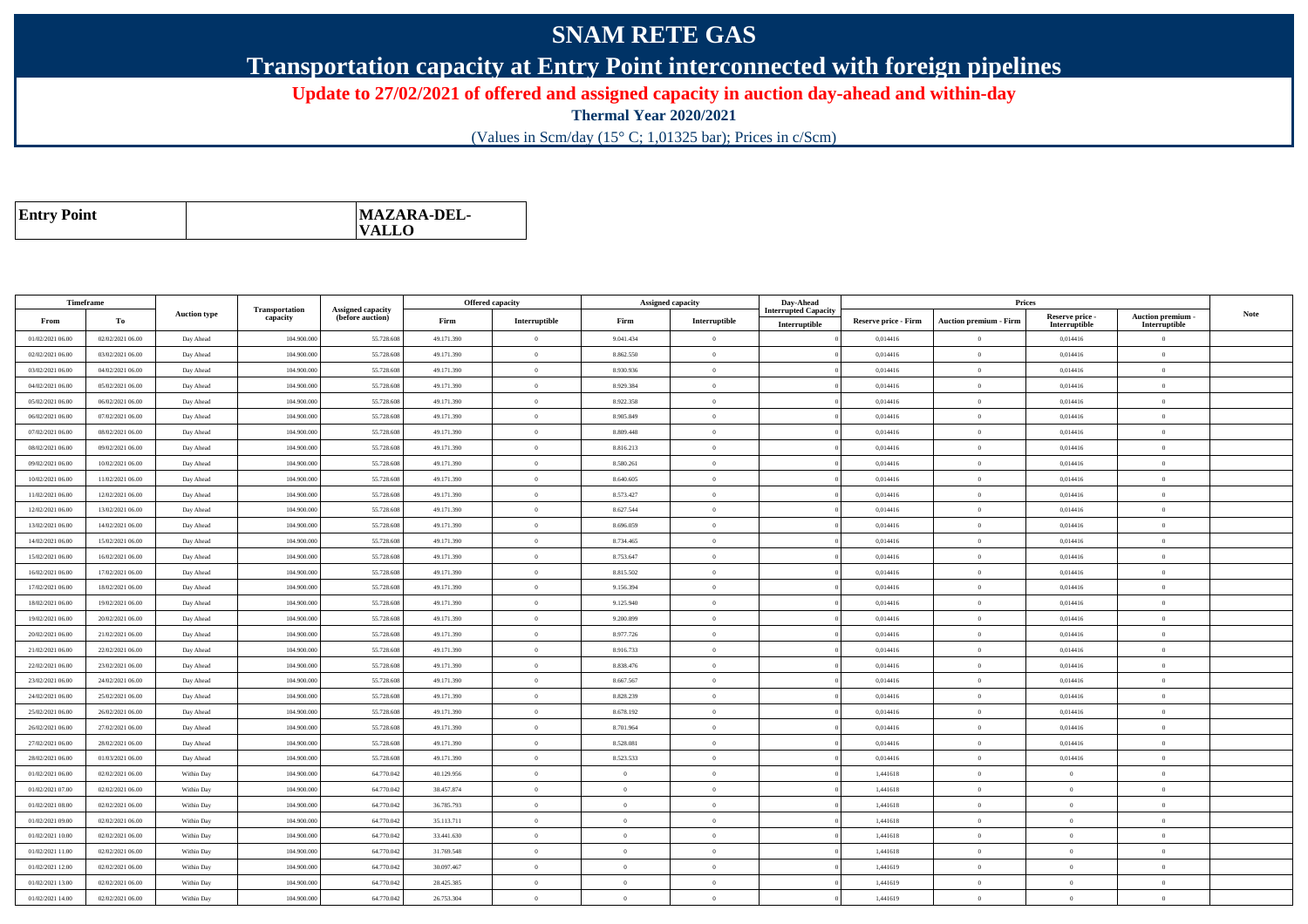## **SNAM RETE GAS**

**Transportation capacity at Entry Point interconnected with foreign pipelines**

**Update to 27/02/2021 of offered and assigned capacity in auction day-ahead and within-day**

**Thermal Year 2020/2021**

(Values in Scm/day (15° C; 1,01325 bar); Prices in c/Scm)

| <b>Entry Point</b> | MAZARA-DEL-<br>$\mathbf{VALLO}$ |
|--------------------|---------------------------------|
|--------------------|---------------------------------|

| Timeframe        |                  |                     |                            |                                              |            | <b>Offered capacity</b> |                | Assigned capacity | Day-Ahead                   |                             | Prices                          |                           |                                 |             |
|------------------|------------------|---------------------|----------------------------|----------------------------------------------|------------|-------------------------|----------------|-------------------|-----------------------------|-----------------------------|---------------------------------|---------------------------|---------------------------------|-------------|
| From             | To               | <b>Auction type</b> | Transportation<br>capacity | <b>Assigned capacity</b><br>(before auction) | Firm       | Interruptible           | Firm           | Interruptible     | <b>Interrupted Capacity</b> | <b>Reserve price - Firm</b> | <b>Auction premium - Firm</b>   | Reserve price -           | Auction premium -               | <b>Note</b> |
| 01/02/2021 06:00 | 02/02/2021 06:00 | Day Ahead           | 104.900.000                | 55.728.608                                   | 49.171.390 | $\overline{0}$          | 9.041.434      | $\overline{0}$    | Interruptible               | 0,014416                    | $\theta$                        | Interruptible<br>0,014416 | Interruptible<br>$\overline{0}$ |             |
| 02/02/2021 06:00 | 03/02/2021 06:00 | Day Ahead           | 104,900,000                | 55.728.608                                   | 49.171.390 | $\overline{0}$          | 8.862.550      | $\Omega$          |                             | 0.014416                    | $\theta$                        | 0.014416                  | $\overline{0}$                  |             |
| 03/02/2021 06:00 | 04/02/2021 06:00 | Day Ahead           | 104.900.00                 | 55.728.608                                   | 49.171.390 | $\overline{0}$          | 8.930.936      | $\overline{0}$    |                             | 0,014416                    | $\overline{0}$                  | 0,014416                  | $\overline{0}$                  |             |
| 04/02/2021 06:00 | 05/02/2021 06:00 | Day Ahead           | 104,900,000                | 55.728.608                                   | 49.171.390 | $\alpha$                | 8.929.384      | $\Omega$          |                             | 0,014416                    | $\overline{0}$                  | 0,014416                  | $\theta$                        |             |
| 05/02/2021 06:00 | 06/02/2021 06:00 | Day Ahead           | 104.900.000                | 55.728.608                                   | 49.171.390 | $\overline{0}$          | 8.922.358      | $\theta$          |                             | 0,014416                    | $\overline{0}$                  | 0,014416                  | $\overline{0}$                  |             |
| 06/02/2021 06:00 | 07/02/2021 06:00 | Day Ahead           | 104,900,000                | 55.728.608                                   | 49.171.390 | $\overline{0}$          | 8.905.849      | $\theta$          |                             | 0.014416                    | $\bf{0}$                        | 0.014416                  | $\overline{0}$                  |             |
| 07/02/2021 06:00 | 08/02/2021 06:00 | Day Ahead           | 104.900.000                | 55.728.608                                   | 49.171.390 | $\theta$                | 8.809.448      | $\overline{0}$    |                             | 0,014416                    | $\overline{0}$                  | 0,014416                  | $\overline{0}$                  |             |
| 08/02/2021 06:00 | 09/02/2021 06:00 | Day Ahead           | 104,900,000                | 55.728.608                                   | 49.171.390 | $\overline{0}$          | 8.816.213      | $\overline{0}$    |                             | 0.014416                    | $\bf{0}$                        | 0,014416                  | $\theta$                        |             |
| 09/02/2021 06:00 | 10/02/2021 06:00 | Day Ahead           | 104.900.000                | 55.728.608                                   | 49.171.390 | $\theta$                | 8.580.261      | $\theta$          |                             | 0,014416                    | $\overline{0}$                  | 0,014416                  | $\overline{0}$                  |             |
| 10/02/2021 06:00 | 11/02/2021 06:00 | Day Ahead           | 104.900.000                | 55.728.608                                   | 49.171.390 | $\overline{0}$          | 8.640.605      | $\theta$          |                             | 0,014416                    | $\overline{0}$                  | 0,014416                  | $\overline{0}$                  |             |
| 11/02/2021 06:00 | 12/02/2021 06:00 | Day Ahead           | 104,900,000                | 55.728.608                                   | 49.171.390 | $\theta$                | 8.573.427      | $\Omega$          |                             | 0.014416                    | $\theta$                        | 0,014416                  | $\overline{0}$                  |             |
| 12/02/2021 06:00 | 13/02/2021 06:00 | Day Ahead           | 104.900.000                | 55.728.608                                   | 49.171.390 | $\theta$                | 8.627.544      | $\overline{0}$    |                             | 0,014416                    | $\bf{0}$                        | 0,014416                  | $\overline{0}$                  |             |
| 13/02/2021 06:00 | 14/02/2021 06:00 | Day Ahead           | 104,900,000                | 55.728.608                                   | 49.171.390 | $\overline{0}$          | 8.696.059      | $\theta$          |                             | 0,014416                    | $\hspace{0.1mm}0\hspace{0.1mm}$ | 0,014416                  | $\overline{0}$                  |             |
| 14/02/2021 06:00 | 15/02/2021 06:00 | Day Ahead           | 104.900.000                | 55.728.608                                   | 49.171.390 | $\overline{0}$          | 8.734.465      | $\Omega$          |                             | 0,014416                    | $\overline{0}$                  | 0,014416                  | $\overline{0}$                  |             |
| 15/02/2021 06:00 | 16/02/2021 06:00 | Day Ahead           | 104,900,000                | 55.728.608                                   | 49.171.390 | $\overline{0}$          | 8.753.647      | $\Omega$          |                             | 0.014416                    | $\overline{0}$                  | 0.014416                  | $\overline{0}$                  |             |
| 16/02/2021 06:00 | 17/02/2021 06:00 | Day Ahead           | 104.900.00                 | 55.728.608                                   | 49.171.390 | $\overline{0}$          | 8.815.502      | $\overline{0}$    |                             | 0,014416                    | $\theta$                        | 0,014416                  | $\overline{0}$                  |             |
| 17/02/2021 06:00 | 18/02/2021 06:00 | Day Ahead           | 104.900.000                | 55.728.608                                   | 49.171.390 | $\overline{0}$          | 9.156.394      | $\mathbf{0}$      |                             | 0,014416                    | $\,$ 0 $\,$                     | 0,014416                  | $\overline{0}$                  |             |
| 18/02/2021 06:00 | 19/02/2021 06:00 | Day Ahead           | 104.900.000                | 55.728.608                                   | 49.171.390 | $\overline{0}$          | 9.125.940      | $\overline{0}$    |                             | 0,014416                    | $\theta$                        | 0,014416                  | $\overline{0}$                  |             |
| 19/02/2021 06:00 | 20/02/2021 06:00 | Day Ahead           | 104,900,000                | 55.728.608                                   | 49.171.390 | $\alpha$                | 9.200.899      | $\Omega$          |                             | 0.014416                    | $\theta$                        | 0.014416                  | $\overline{0}$                  |             |
| 20/02/2021 06:00 | 21/02/2021 06:00 | Day Ahead           | 104.900.000                | 55.728.608                                   | 49.171.390 | $\theta$                | 8.977.726      | $\overline{0}$    |                             | 0,014416                    | $\theta$                        | 0,014416                  | $\Omega$                        |             |
| 21/02/2021 06:00 | 22/02/2021 06:00 | Day Ahead           | 104,900,000                | 55.728.608                                   | 49.171.390 | $\alpha$                | 8.916.733      | $\Omega$          |                             | 0.014416                    | $\bf{0}$                        | 0,014416                  | $\theta$                        |             |
| 22/02/2021 06:00 | 23/02/2021 06:00 | Day Ahead           | 104.900.000                | 55.728.608                                   | 49.171.390 | $\overline{0}$          | 8.838.476      | $\theta$          |                             | 0,014416                    | $\bf{0}$                        | 0,014416                  | $\overline{0}$                  |             |
| 23/02/2021 06:00 | 24/02/2021 06:00 | Day Ahead           | 104.900.000                | 55.728.608                                   | 49.171.390 | $\overline{0}$          | 8.667.567      | $\theta$          |                             | 0,014416                    | $\bf{0}$                        | 0,014416                  | $\overline{0}$                  |             |
| 24/02/2021 06:00 | 25/02/2021 06:00 | Day Ahead           | 104.900.000                | 55.728.608                                   | 49.171.390 | $\theta$                | 8.828.239      | $\overline{0}$    |                             | 0,014416                    | $\overline{0}$                  | 0,014416                  | $\theta$                        |             |
| 25/02/2021 06:00 | 26/02/2021 06:00 | Day Ahead           | 104.900.000                | 55.728.608                                   | 49.171.390 | $\theta$                | 8.678.192      | $\overline{0}$    |                             | 0,014416                    | $\overline{0}$                  | 0,014416                  | $\overline{0}$                  |             |
| 26/02/2021 06:00 | 27/02/2021 06:00 | Day Ahead           | 104.900.000                | 55.728.608                                   | 49.171.390 | $\theta$                | 8.701.964      | $\overline{0}$    |                             | 0,014416                    | $\hspace{0.1mm}$ 0              | 0,014416                  | $\overline{0}$                  |             |
| 27/02/2021 06:00 | 28/02/2021 06:00 | Day Ahead           | 104.900.000                | 55.728.608                                   | 49.171.390 | $\overline{0}$          | 8.528.081      | $\theta$          |                             | 0,014416                    | $\overline{0}$                  | 0,014416                  | $\overline{0}$                  |             |
| 28/02/2021 06:00 | 01/03/2021 06:00 | Day Ahead           | 104,900,000                | 55.728.608                                   | 49.171.390 | $\theta$                | 8.523.533      | $\Omega$          |                             | 0.014416                    | $\theta$                        | 0.014416                  | $\overline{0}$                  |             |
| 01/02/2021 06:00 | 02/02/2021 06:00 | Within Day          | 104.900.000                | 64,770,042                                   | 40.129.956 | $\theta$                | $\Omega$       | $\Omega$          |                             | 1.441618                    | $\theta$                        | $\Omega$                  | $\Omega$                        |             |
| 01/02/2021 07:00 | 02/02/2021 06:00 | Within Day          | 104,900,000                | 64.770.042                                   | 38.457.874 | $\overline{0}$          | $\overline{0}$ | $\Omega$          |                             | 1.441618                    | $\overline{0}$                  | $\theta$                  | $\overline{0}$                  |             |
| 01/02/2021 08:00 | 02/02/2021 06:00 | Within Day          | 104,900,000                | 64.770.042                                   | 36.785.793 | $\overline{0}$          | $\overline{0}$ | $\theta$          |                             | 1.441618                    | $\overline{0}$                  | $\overline{0}$            | $\overline{0}$                  |             |
| 01/02/2021 09:00 | 02/02/2021 06:00 | Within Day          | 104,900,000                | 64.770.042                                   | 35.113.711 | $\overline{0}$          | $\Omega$       | $\theta$          |                             | 1,441618                    | $\mathbf{0}$                    | $\overline{0}$            | $\overline{0}$                  |             |
| 01/02/2021 10:00 | 02/02/2021 06:00 | Within Day          | 104.900.00                 | 64.770.042                                   | 33.441.630 | $\overline{0}$          | $\overline{0}$ | $\overline{0}$    |                             | 1,441618                    | $\bf{0}$                        | $\overline{0}$            | $\overline{0}$                  |             |
| 01/02/2021 11:00 | 02/02/2021 06:00 | Within Day          | 104,900,000                | 64.770.042                                   | 31.769.548 | $\alpha$                | $\theta$       | $\Omega$          |                             | 1,441618                    | $\overline{0}$                  | $\overline{0}$            | $\overline{0}$                  |             |
| 01/02/2021 12:00 | 02/02/2021 06:00 | Within Day          | 104.900.000                | 64.770.042                                   | 30.097.467 | $\theta$                | $\theta$       | $\theta$          |                             | 1,441619                    | $\overline{0}$                  | $\overline{0}$            | $\overline{0}$                  |             |
| 01/02/2021 13:00 | 02/02/2021 06:00 | Within Day          | 104,900,000                | 64.770.042                                   | 28.425.385 | $\overline{0}$          | $\theta$       | $\Omega$          |                             | 1.441619                    | $\theta$                        | $\theta$                  | $\overline{0}$                  |             |
| 01/02/2021 14:00 | 02/02/2021 06:00 | Within Day          | 104.900.000                | 64.770.042                                   | 26.753.304 | $\theta$                | $\Omega$       | $\overline{0}$    |                             | 1,441619                    | $\Omega$                        | $\overline{0}$            | $\Omega$                        |             |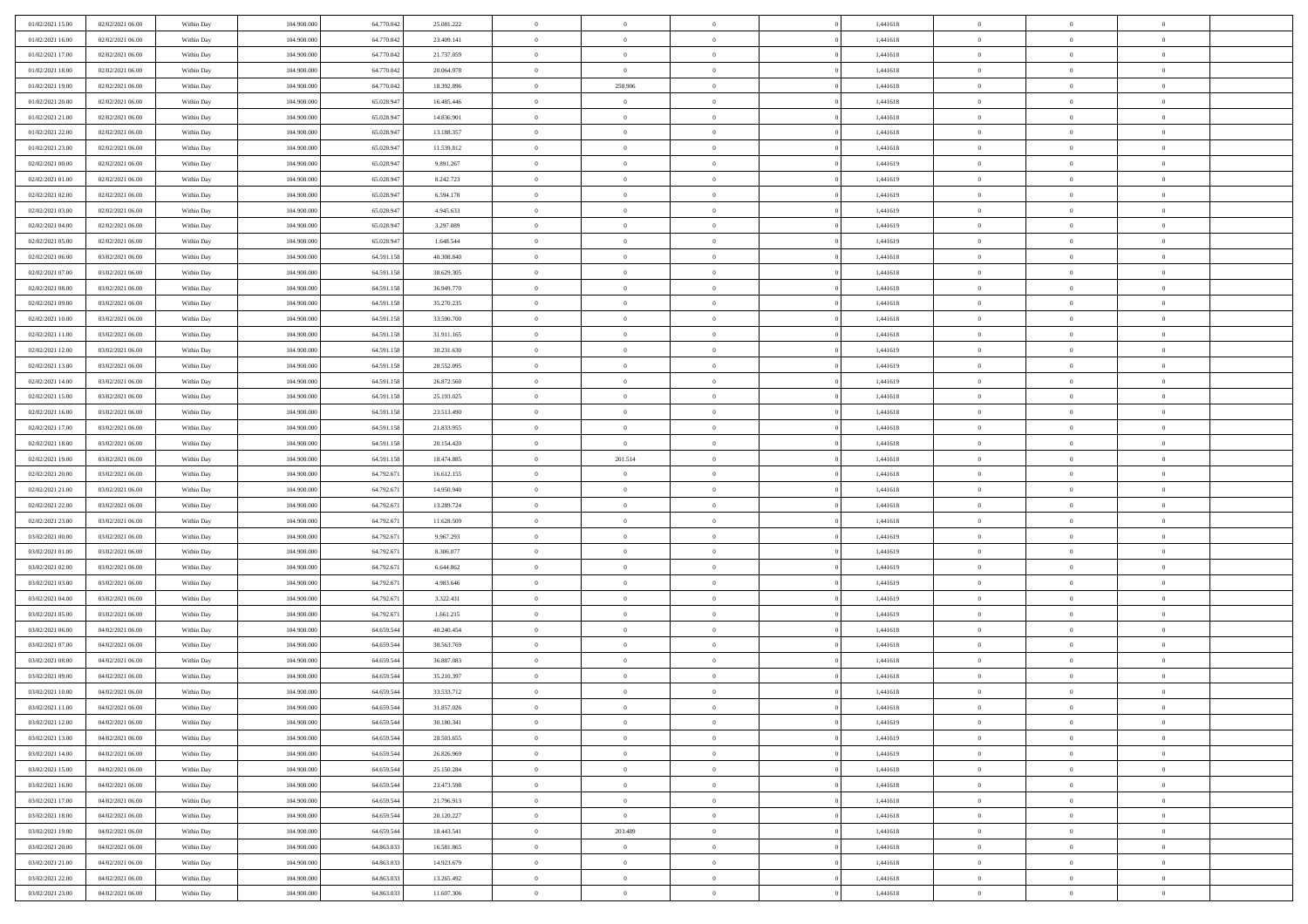| 01/02/2021 15:00                     | 02/02/2021 06:00 | Within Day | 104.900.000 | 64.770.042 | 25.081.222 | $\,$ 0         | $\overline{0}$ | $\theta$       |          | 1,441618 | $\bf{0}$                 | $\overline{0}$ | $\,0\,$        |  |
|--------------------------------------|------------------|------------|-------------|------------|------------|----------------|----------------|----------------|----------|----------|--------------------------|----------------|----------------|--|
| 01/02/2021 16:00                     | 02/02/2021 06:00 | Within Day | 104,900,000 | 64,770,043 | 23.409.141 | $\overline{0}$ | $\overline{0}$ | $\overline{0}$ |          | 1,441618 | $\overline{0}$           | $\overline{0}$ | $\theta$       |  |
| 01/02/2021 17:00                     | 02/02/2021 06:00 | Within Dav | 104.900.000 | 64.770.042 | 21.737.059 | $\mathbf{0}$   | $\overline{0}$ | $\overline{0}$ |          | 1,441618 | $\mathbf{0}$             | $\overline{0}$ | $\overline{0}$ |  |
| 01/02/2021 18:00                     | 02/02/2021 06:00 | Within Day | 104.900.000 | 64.770.042 | 20.064.978 | $\bf{0}$       | $\overline{0}$ | $\bf{0}$       |          | 1,441618 | $\bf{0}$                 | $\overline{0}$ | $\bf{0}$       |  |
| 01/02/2021 19:00                     | 02/02/2021 06:00 | Within Day | 104,900,000 | 64.770.042 | 18.392.896 | $\bf{0}$       | 258.906        | $\overline{0}$ |          | 1,441618 | $\bf{0}$                 | $\bf{0}$       | $\,0\,$        |  |
| 01/02/2021 20:00                     | 02/02/2021 06:00 | Within Dav | 104.900.000 | 65.028.947 | 16.485.446 | $\mathbf{0}$   | $\overline{0}$ | $\overline{0}$ |          | 1,441618 | $\mathbf{0}$             | $\overline{0}$ | $\overline{0}$ |  |
| 01/02/2021 21:00                     | 02/02/2021 06:00 | Within Day | 104.900.000 | 65.028.947 | 14.836.901 | $\bf{0}$       | $\overline{0}$ | $\overline{0}$ |          | 1,441618 | $\bf{0}$                 | $\overline{0}$ | $\,0\,$        |  |
| 01/02/2021 22:00                     | 02/02/2021 06:00 | Within Day | 104,900,000 | 65.028.947 | 13.188.357 | $\overline{0}$ | $\overline{0}$ | $\overline{0}$ |          | 1,441618 | $\,$ 0 $\,$              | $\overline{0}$ | $\theta$       |  |
| 01/02/2021 23:00                     | 02/02/2021 06:00 | Within Dav | 104.900.000 | 65.028.947 | 11.539.812 | $\mathbf{0}$   | $\overline{0}$ | $\overline{0}$ |          | 1,441618 | $\mathbf{0}$             | $\overline{0}$ | $\overline{0}$ |  |
| 02/02/2021 00:00                     | 02/02/2021 06:00 |            | 104.900.000 | 65.028.947 | 9.891.267  | $\bf{0}$       | $\overline{0}$ | $\overline{0}$ |          | 1,441619 | $\bf{0}$                 | $\overline{0}$ | $\,0\,$        |  |
|                                      |                  | Within Day | 104,900,000 |            |            | $\overline{0}$ | $\overline{0}$ |                |          |          |                          | $\overline{0}$ | $\theta$       |  |
| 02/02/2021 01:00<br>02/02/2021 02:00 | 02/02/2021 06:00 | Within Day |             | 65.028.947 | 8.242.723  | $\mathbf{0}$   |                | $\overline{0}$ |          | 1,441619 | $\bf{0}$<br>$\mathbf{0}$ |                | $\overline{0}$ |  |
|                                      | 02/02/2021 06:00 | Within Dav | 104.900.000 | 65.028.947 | 6.594.178  |                | $\overline{0}$ | $\overline{0}$ |          | 1,441619 |                          | $\overline{0}$ |                |  |
| 02/02/2021 03:00                     | 02/02/2021 06:00 | Within Day | 104.900.000 | 65.028.947 | 4.945.633  | $\bf{0}$       | $\overline{0}$ | $\bf{0}$       |          | 1,441619 | $\bf{0}$                 | $\overline{0}$ | $\bf{0}$       |  |
| 02/02/2021 04:00                     | 02/02/2021 06:00 | Within Day | 104.900.000 | 65.028.947 | 3.297.089  | $\bf{0}$       | $\overline{0}$ | $\overline{0}$ |          | 1,441619 | $\bf{0}$                 | $\theta$       | $\,0\,$        |  |
| 02/02/2021 05:00                     | 02/02/2021 06:00 | Within Dav | 104.900.000 | 65.028.947 | 1.648.544  | $\mathbf{0}$   | $\overline{0}$ | $\overline{0}$ |          | 1,441619 | $\mathbf{0}$             | $\overline{0}$ | $\overline{0}$ |  |
| 02/02/2021 06:00                     | 03/02/2021 06:00 | Within Day | 104.900.000 | 64.591.158 | 40.308.840 | $\bf{0}$       | $\overline{0}$ | $\overline{0}$ |          | 1,441618 | $\bf{0}$                 | $\overline{0}$ | $\,0\,$        |  |
| 02/02/2021 07:00                     | 03/02/2021 06:00 | Within Day | 104,900,000 | 64.591.158 | 38.629.305 | $\overline{0}$ | $\overline{0}$ | $\overline{0}$ |          | 1,441618 | $\,$ 0 $\,$              | $\overline{0}$ | $\theta$       |  |
| 02/02/2021 08:00                     | 03/02/2021 06:00 | Within Day | 104.900.000 | 64.591.158 | 36.949.770 | $\mathbf{0}$   | $\overline{0}$ | $\overline{0}$ |          | 1,441618 | $\mathbf{0}$             | $\overline{0}$ | $\overline{0}$ |  |
| 02/02/2021 09:00                     | 03/02/2021 06:00 | Within Day | 104.900.000 | 64.591.158 | 35.270.235 | $\bf{0}$       | $\overline{0}$ | $\overline{0}$ |          | 1,441618 | $\bf{0}$                 | $\overline{0}$ | $\,0\,$        |  |
| 02/02/2021 10:00                     | 03/02/2021 06:00 | Within Day | 104,900,000 | 64.591.158 | 33.590.700 | $\bf{0}$       | $\overline{0}$ | $\overline{0}$ |          | 1,441618 | $\bf{0}$                 | $\overline{0}$ | $\overline{0}$ |  |
| 02/02/2021 11:00                     | 03/02/2021 06:00 | Within Dav | 104.900.000 | 64.591.158 | 31.911.165 | $\mathbf{0}$   | $\overline{0}$ | $\overline{0}$ |          | 1,441618 | $\mathbf{0}$             | $\overline{0}$ | $\overline{0}$ |  |
| 02/02/2021 12:00                     | 03/02/2021 06:00 | Within Day | 104.900.000 | 64.591.158 | 30.231.630 | $\bf{0}$       | $\overline{0}$ | $\bf{0}$       |          | 1,441619 | $\bf{0}$                 | $\overline{0}$ | $\bf{0}$       |  |
| 02/02/2021 13:00                     | 03/02/2021 06:00 | Within Day | 104,900,000 | 64.591.158 | 28.552.095 | $\bf{0}$       | $\overline{0}$ | $\overline{0}$ |          | 1,441619 | $\bf{0}$                 | $\bf{0}$       | $\,0\,$        |  |
| 02/02/2021 14:00                     | 03/02/2021 06:00 | Within Dav | 104.900.000 | 64.591.158 | 26.872.560 | $\mathbf{0}$   | $\overline{0}$ | $\overline{0}$ |          | 1,441619 | $\mathbf{0}$             | $\overline{0}$ | $\theta$       |  |
| 02/02/2021 15:00                     | 03/02/2021 06:00 | Within Day | 104.900.000 | 64.591.158 | 25.193.025 | $\bf{0}$       | $\overline{0}$ | $\overline{0}$ |          | 1,441618 | $\bf{0}$                 | $\overline{0}$ | $\,0\,$        |  |
| 02/02/2021 16:00                     | 03/02/2021 06:00 | Within Day | 104,900,000 | 64.591.158 | 23.513.490 | $\overline{0}$ | $\overline{0}$ | $\overline{0}$ |          | 1,441618 | $\bf{0}$                 | $\overline{0}$ | $\overline{0}$ |  |
| 02/02/2021 17:00                     | 03/02/2021 06:00 | Within Dav | 104.900.000 | 64.591.158 | 21.833.955 | $\mathbf{0}$   | $\overline{0}$ | $\overline{0}$ |          | 1,441618 | $\mathbf{0}$             | $\overline{0}$ | $\overline{0}$ |  |
| 02/02/2021 18:00                     | 03/02/2021 06:00 | Within Day | 104.900.000 | 64.591.158 | 20.154.420 | $\bf{0}$       | $\overline{0}$ | $\overline{0}$ |          | 1,441618 | $\bf{0}$                 | $\overline{0}$ | $\,0\,$        |  |
| 02/02/2021 19:00                     | 03/02/2021 06:00 | Within Day | 104,900,000 | 64.591.158 | 18.474.885 | $\bf{0}$       | 201.514        | $\overline{0}$ |          | 1,441618 | $\bf{0}$                 | $\overline{0}$ | $\overline{0}$ |  |
| 02/02/2021 20:00                     | 03/02/2021 06:00 | Within Dav | 104.900.000 | 64.792.671 | 16.612.155 | $\mathbf{0}$   | $\overline{0}$ | $\overline{0}$ |          | 1,441618 | $\mathbf{0}$             | $\overline{0}$ | $\overline{0}$ |  |
| 02/02/2021 21:00                     | 03/02/2021 06:00 | Within Day | 104.900.000 | 64.792.671 | 14.950.940 | $\bf{0}$       | $\overline{0}$ | $\theta$       |          | 1,441618 | $\,$ 0                   | $\overline{0}$ | $\theta$       |  |
| 02/02/2021 22:00                     | 03/02/2021 06:00 | Within Day | 104.900.000 | 64.792.671 | 13.289.724 | $\bf{0}$       | $\bf{0}$       | $\overline{0}$ |          | 1,441618 | $\bf{0}$                 | $\mathbf{0}$   | $\overline{0}$ |  |
| 02/02/2021 23:00                     | 03/02/2021 06:00 | Within Dav | 104.900.000 | 64.792.671 | 11.628.509 | $\mathbf{0}$   | $\overline{0}$ | $\overline{0}$ |          | 1,441618 | $\mathbf{0}$             | $\overline{0}$ | $\overline{0}$ |  |
| 03/02/2021 00:00                     | 03/02/2021 06:00 | Within Day | 104.900.000 | 64.792.671 | 9.967.293  | $\bf{0}$       | $\overline{0}$ | $\theta$       |          | 1,441619 | $\,$ 0                   | $\overline{0}$ | $\theta$       |  |
| 03/02/2021 01:00                     | 03/02/2021 06:00 | Within Day | 104,900,000 | 64.792.671 | 8.306.077  | $\bf{0}$       | $\overline{0}$ | $\overline{0}$ |          | 1,441619 | $\bf{0}$                 | $\overline{0}$ | $\overline{0}$ |  |
| 03/02/2021 02:00                     | 03/02/2021 06:00 | Within Day | 104.900.000 | 64.792.671 | 6.644.862  | $\mathbf{0}$   | $\overline{0}$ | $\overline{0}$ |          | 1,441619 | $\mathbf{0}$             | $\overline{0}$ | $\overline{0}$ |  |
| 03/02/2021 03:00                     | 03/02/2021 06:00 | Within Day | 104.900.000 | 64.792.671 | 4.983.646  | $\bf{0}$       | $\overline{0}$ | $\theta$       |          | 1,441619 | $\,$ 0                   | $\overline{0}$ | $\theta$       |  |
| 03/02/2021 04:00                     | 03/02/2021 06:00 | Within Day | 104,900,000 | 64.792.671 | 3.322.431  | $\bf{0}$       | $\bf{0}$       | $\overline{0}$ |          | 1,441619 | $\bf{0}$                 | $\mathbf{0}$   | $\overline{0}$ |  |
| 03/02/2021 05:00                     | 03/02/2021 06:00 | Within Dav | 104.900.000 | 64.792.671 | 1.661.215  | $\mathbf{0}$   | $\overline{0}$ | $\overline{0}$ |          | 1,441619 | $\mathbf{0}$             | $\overline{0}$ | $\overline{0}$ |  |
| 03/02/2021 06:00                     | 04/02/2021 06:00 | Within Day | 104.900.000 | 64.659.544 | 40.240.454 | $\,0\,$        | $\overline{0}$ | $\theta$       |          | 1,441618 | $\,$ 0                   | $\overline{0}$ | $\theta$       |  |
| 03/02/2021 07:00                     | 04/02/2021 06:00 | Within Day | 104,900,000 | 64.659.544 | 38.563.769 | $\bf{0}$       | $\bf{0}$       | $\overline{0}$ |          | 1,441618 | $\bf{0}$                 | $\overline{0}$ | $\bf{0}$       |  |
| 03/02/2021 08:00                     | 04/02/2021 06:00 | Within Dav | 104.900.000 | 64.659.544 | 36.887.083 | $\mathbf{0}$   | $\overline{0}$ | $\overline{0}$ |          | 1,441618 | $\mathbf{0}$             | $\overline{0}$ | $\overline{0}$ |  |
| 03/02/2021 09:00                     | 04/02/2021 06:00 | Within Day | 104.900.000 | 64.659.544 | 35.210.397 | $\bf{0}$       | $\overline{0}$ | $\theta$       |          | 1,441618 | $\,$ 0                   | $\overline{0}$ | $\theta$       |  |
| 03/02/2021 10:00                     | 04/02/2021 06:00 | Within Day | 104,900,000 | 64.659.544 | 33.533.712 | $\bf{0}$       | $\overline{0}$ | $\overline{0}$ |          | 1,441618 | $\,$ 0 $\,$              | $\overline{0}$ | $\bf{0}$       |  |
| 03/02/2021 11:00                     | 04/02/2021 06:00 | Within Day | 104.900.000 | 64.659.544 | 31.857.026 | $\bf{0}$       | $\overline{0}$ |                |          | 1,441618 | $\overline{0}$           | $\theta$       | $\theta$       |  |
| 03/02/2021 12:00                     | 04/02/2021 06:00 | Within Day | 104.900.000 | 64.659.544 | 30.180.341 | $\,0\,$        | $\overline{0}$ | $\theta$       |          | 1,441619 | $\,$ 0 $\,$              | $\overline{0}$ | $\theta$       |  |
| 03/02/2021 13:00                     | 04/02/2021 06:00 | Within Day | 104.900.000 | 64.659.544 | 28.503.655 | $\overline{0}$ | $\overline{0}$ | $\overline{0}$ |          | 1,441619 | $\overline{0}$           | $\overline{0}$ | $\overline{0}$ |  |
| 03/02/2021 14:00                     | 04/02/2021 06:00 | Within Day | 104.900.000 | 64.659.544 | 26.826.969 | $\bf{0}$       | $\overline{0}$ | $\overline{0}$ |          | 1,441619 | $\overline{0}$           | $\bf{0}$       | $\mathbf{0}$   |  |
| 03/02/2021 15:00                     | 04/02/2021 06:00 | Within Day | 104.900.000 | 64.659.544 | 25.150.284 | $\bf{0}$       | $\overline{0}$ | $\overline{0}$ | $\theta$ | 1,441618 | $\,$ 0 $\,$              | $\mathbf{0}$   | $\,$ 0 $\,$    |  |
| 03/02/2021 16:00                     | 04/02/2021 06:00 | Within Day | 104.900.000 | 64.659.544 | 23.473.598 | $\bf{0}$       | $\overline{0}$ | $\overline{0}$ |          | 1,441618 | $\,$ 0 $\,$              | $\overline{0}$ | $\overline{0}$ |  |
| 03/02/2021 17:00                     | 04/02/2021 06:00 | Within Day | 104.900.000 | 64.659.544 | 21.796.913 | $\bf{0}$       | $\overline{0}$ | $\overline{0}$ |          | 1,441618 | $\mathbf{0}$             | $\overline{0}$ | $\overline{0}$ |  |
|                                      |                  |            |             |            |            |                |                |                |          |          |                          |                |                |  |
| 03/02/2021 18:00                     | 04/02/2021 06:00 | Within Day | 104.900.000 | 64.659.544 | 20.120.227 | $\,0\,$        | $\overline{0}$ | $\overline{0}$ | $\theta$ | 1,441618 | $\,$ 0 $\,$              | $\overline{0}$ | $\overline{0}$ |  |
| 03/02/2021 19:00                     | 04/02/2021 06:00 | Within Day | 104,900,000 | 64.659.544 | 18.443.541 | $\bf{0}$       | 203.489        | $\overline{0}$ |          | 1,441618 | $\overline{0}$           | $\overline{0}$ | $\overline{0}$ |  |
| 03/02/2021 20:00                     | 04/02/2021 06:00 | Within Day | 104.900.000 | 64.863.033 | 16.581.865 | $\bf{0}$       | $\overline{0}$ | $\overline{0}$ |          | 1,441618 | $\mathbf{0}$             | $\overline{0}$ | $\mathbf{0}$   |  |
| 03/02/2021 21:00                     | 04/02/2021 06:00 | Within Day | 104.900.000 | 64.863.033 | 14.923.679 | $\,0\,$        | $\overline{0}$ | $\overline{0}$ |          | 1,441618 | $\,$ 0 $\,$              | $\overline{0}$ | $\overline{0}$ |  |
| 03/02/2021 22:00                     | 04/02/2021 06:00 | Within Day | 104,900,000 | 64.863.033 | 13.265.492 | $\bf{0}$       | $\overline{0}$ | $\overline{0}$ |          | 1,441618 | $\bf{0}$                 | $\mathbf{0}$   | $\overline{0}$ |  |
| 03/02/2021 23:00                     | 04/02/2021 06:00 | Within Day | 104.900.000 | 64.863.033 | 11.607.306 | $\mathbf{0}$   | $\overline{0}$ | $\overline{0}$ |          | 1,441618 | $\mathbf{0}$             | $\overline{0}$ | $\overline{0}$ |  |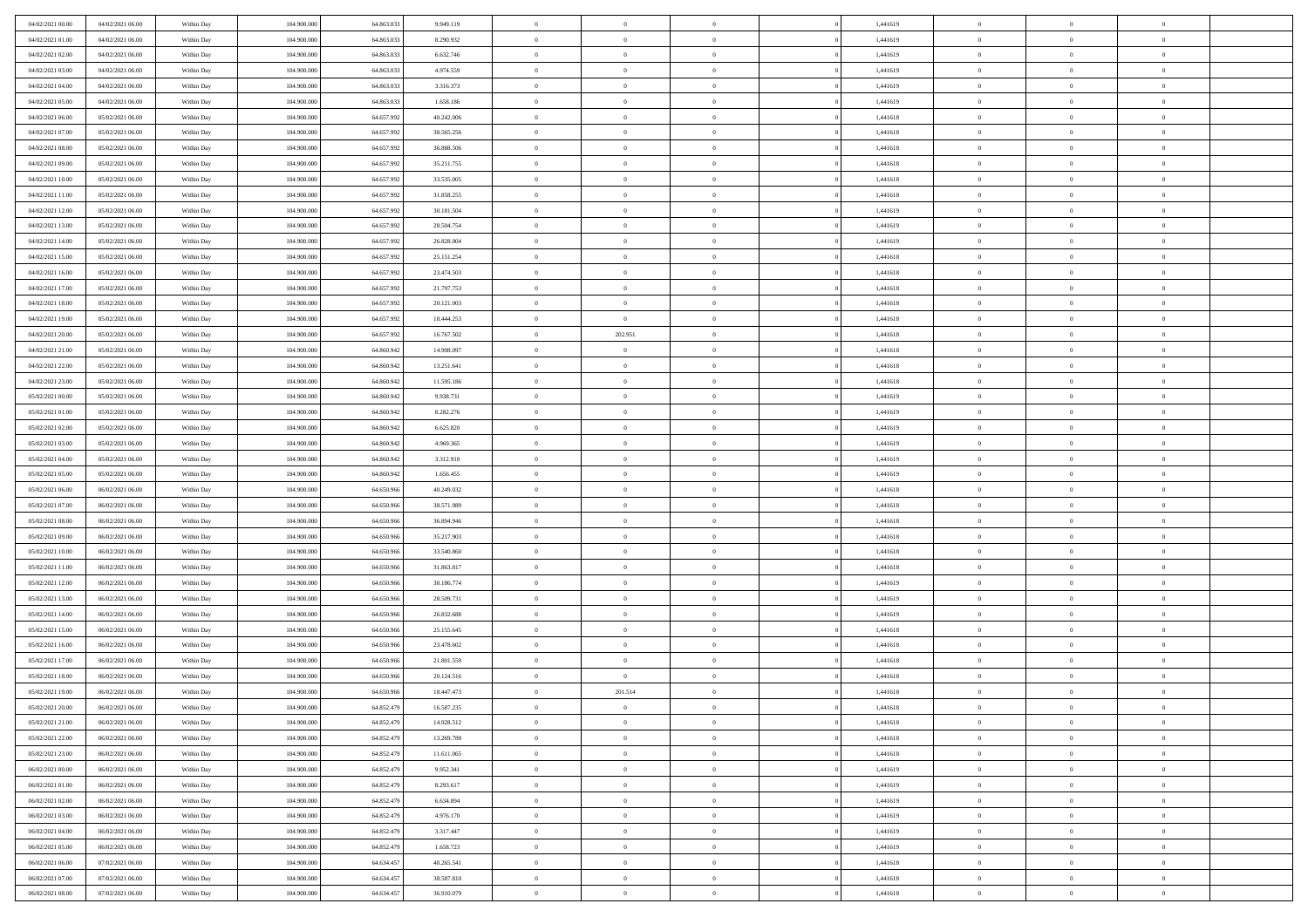| 04/02/2021 00:00 | 04/02/2021 06:00 | Within Day | 104.900.000 | 64.863.033 | 9.949.119  | $\,$ 0                   | $\overline{0}$ | $\theta$       |          | 1,441619 | $\bf{0}$                 | $\overline{0}$ | $\,0\,$                          |  |
|------------------|------------------|------------|-------------|------------|------------|--------------------------|----------------|----------------|----------|----------|--------------------------|----------------|----------------------------------|--|
| 04/02/2021 01:00 | 04/02/2021 06:00 | Within Day | 104,900,000 | 64.863.03  | 8.290.932  | $\overline{0}$           | $\overline{0}$ | $\overline{0}$ |          | 1,441619 | $\overline{0}$           | $\overline{0}$ | $\theta$                         |  |
| 04/02/2021 02:00 | 04/02/2021 06:00 | Within Dav | 104.900.000 | 64.863.033 | 6.632.746  | $\mathbf{0}$             | $\overline{0}$ | $\overline{0}$ |          | 1,441619 | $\mathbf{0}$             | $\overline{0}$ | $\overline{0}$                   |  |
| 04/02/2021 03:00 | 04/02/2021 06:00 | Within Day | 104.900.000 | 64.863.033 | 4.974.559  | $\bf{0}$                 | $\overline{0}$ | $\bf{0}$       |          | 1,441619 | $\bf{0}$                 | $\overline{0}$ | $\,0\,$                          |  |
| 04/02/2021 04:00 | 04/02/2021 06:00 | Within Day | 104,900,000 | 64.863.033 | 3.316.373  | $\bf{0}$                 | $\overline{0}$ | $\overline{0}$ |          | 1,441619 | $\bf{0}$                 | $\bf{0}$       | $\,0\,$                          |  |
| 04/02/2021 05:00 | 04/02/2021 06:00 | Within Dav | 104.900.000 | 64.863.033 | 1.658.186  | $\mathbf{0}$             | $\overline{0}$ | $\overline{0}$ |          | 1,441619 | $\mathbf{0}$             | $\overline{0}$ | $\theta$                         |  |
|                  |                  |            |             |            |            | $\bf{0}$                 |                | $\overline{0}$ |          |          | $\bf{0}$                 | $\overline{0}$ | $\,0\,$                          |  |
| 04/02/2021 06:00 | 05/02/2021 06:00 | Within Day | 104.900.000 | 64.657.992 | 40.242.006 |                          | $\overline{0}$ |                |          | 1,441618 |                          |                |                                  |  |
| 04/02/2021 07:00 | 05/02/2021 06:00 | Within Day | 104,900,000 | 64.657.992 | 38.565.256 | $\theta$                 | $\overline{0}$ | $\overline{0}$ |          | 1,441618 | $\,$ 0 $\,$              | $\overline{0}$ | $\theta$                         |  |
| 04/02/2021 08:00 | 05/02/2021 06:00 | Within Dav | 104.900.000 | 64.657.992 | 36.888.506 | $\mathbf{0}$             | $\overline{0}$ | $\overline{0}$ |          | 1,441618 | $\mathbf{0}$             | $\overline{0}$ | $\overline{0}$                   |  |
| 04/02/2021 09:00 | 05/02/2021 06:00 | Within Day | 104.900.000 | 64.657.992 | 35.211.755 | $\bf{0}$                 | $\overline{0}$ | $\theta$       |          | 1,441618 | $\bf{0}$                 | $\overline{0}$ | $\,0\,$                          |  |
| 04/02/2021 10:00 | 05/02/2021 06:00 | Within Day | 104,900,000 | 64.657.992 | 33.535.005 | $\overline{0}$           | $\overline{0}$ | $\overline{0}$ |          | 1,441618 | $\bf{0}$                 | $\mathbf{0}$   | $\theta$                         |  |
| 04/02/2021 11:00 | 05/02/2021 06:00 | Within Dav | 104.900.000 | 64.657.992 | 31.858.255 | $\mathbf{0}$             | $\overline{0}$ | $\overline{0}$ |          | 1,441618 | $\mathbf{0}$             | $\overline{0}$ | $\overline{0}$                   |  |
| 04/02/2021 12:00 | 05/02/2021 06:00 | Within Day | 104.900.000 | 64.657.992 | 30.181.504 | $\bf{0}$                 | $\overline{0}$ | $\bf{0}$       |          | 1,441619 | $\bf{0}$                 | $\overline{0}$ | $\,0\,$                          |  |
| 04/02/2021 13:00 | 05/02/2021 06:00 | Within Day | 104.900.000 | 64.657.992 | 28.504.754 | $\bf{0}$                 | $\overline{0}$ | $\overline{0}$ |          | 1,441619 | $\bf{0}$                 | $\theta$       | $\,0\,$                          |  |
| 04/02/2021 14:00 | 05/02/2021 06:00 | Within Dav | 104.900.000 | 64.657.992 | 26.828.004 | $\mathbf{0}$             | $\overline{0}$ | $\overline{0}$ |          | 1,441619 | $\mathbf{0}$             | $\overline{0}$ | $\overline{0}$                   |  |
| 04/02/2021 15:00 | 05/02/2021 06:00 | Within Day | 104.900.000 | 64.657.992 | 25.151.254 | $\bf{0}$                 | $\overline{0}$ | $\overline{0}$ |          | 1,441618 | $\bf{0}$                 | $\overline{0}$ | $\,0\,$                          |  |
| 04/02/2021 16:00 | 05/02/2021 06:00 | Within Day | 104,900,000 | 64.657.992 | 23.474.503 | $\overline{0}$           | $\overline{0}$ | $\overline{0}$ |          | 1,441618 | $\,$ 0 $\,$              | $\overline{0}$ | $\theta$                         |  |
| 04/02/2021 17:00 | 05/02/2021 06:00 | Within Day | 104.900.000 | 64.657.992 | 21.797.753 | $\mathbf{0}$             | $\overline{0}$ | $\overline{0}$ |          | 1,441618 | $\mathbf{0}$             | $\overline{0}$ | $\overline{0}$                   |  |
| 04/02/2021 18:00 | 05/02/2021 06:00 | Within Day | 104.900.000 | 64.657.992 | 20.121.003 | $\bf{0}$                 | $\bf{0}$       | $\overline{0}$ |          | 1,441618 | $\bf{0}$                 | $\overline{0}$ | $\,0\,$                          |  |
| 04/02/2021 19:00 | 05/02/2021 06:00 | Within Day | 104,900,000 | 64.657.992 | 18.444.253 | $\overline{0}$           | $\overline{0}$ | $\overline{0}$ |          | 1,441618 | $\bf{0}$                 | $\overline{0}$ | $\overline{0}$                   |  |
| 04/02/2021 20:00 | 05/02/2021 06:00 | Within Dav | 104.900.000 | 64.657.992 | 16.767.502 | $\mathbf{0}$             | 202.951        | $\overline{0}$ |          | 1,441618 | $\mathbf{0}$             | $\overline{0}$ | $\overline{0}$                   |  |
| 04/02/2021 21:00 | 05/02/2021 06:00 | Within Day | 104.900.000 | 64.860.942 | 14.908.097 | $\bf{0}$                 | $\overline{0}$ | $\bf{0}$       |          | 1,441618 | $\bf{0}$                 | $\overline{0}$ | $\bf{0}$                         |  |
| 04/02/2021 22:00 | 05/02/2021 06:00 | Within Day | 104,900,000 | 64.860.942 | 13.251.641 | $\bf{0}$                 | $\bf{0}$       | $\overline{0}$ |          | 1,441618 | $\bf{0}$                 | $\bf{0}$       | $\,0\,$                          |  |
| 04/02/2021 23:00 | 05/02/2021 06:00 | Within Dav | 104.900.000 | 64.860.942 | 11.595.186 | $\mathbf{0}$             | $\overline{0}$ | $\overline{0}$ |          | 1,441618 | $\mathbf{0}$             | $\overline{0}$ | $\theta$                         |  |
| 05/02/2021 00:00 | 05/02/2021 06:00 | Within Day | 104.900.000 | 64.860.942 | 9.938.731  | $\bf{0}$                 | $\bf{0}$       | $\overline{0}$ |          | 1,441619 | $\bf{0}$                 | $\overline{0}$ | $\,0\,$                          |  |
| 05/02/2021 01:00 | 05/02/2021 06:00 | Within Day | 104,900,000 | 64.860.942 | 8.282.276  | $\overline{0}$           | $\overline{0}$ | $\overline{0}$ |          | 1,441619 | $\bf{0}$                 | $\overline{0}$ | $\overline{0}$                   |  |
| 05/02/2021 02:00 | 05/02/2021 06:00 | Within Dav | 104.900.000 | 64.860.942 | 6.625.820  | $\mathbf{0}$             | $\overline{0}$ | $\overline{0}$ |          | 1,441619 | $\mathbf{0}$             | $\overline{0}$ | $\overline{0}$                   |  |
| 05/02/2021 03:00 | 05/02/2021 06:00 |            | 104.900.000 | 64.860.942 | 4.969.365  | $\bf{0}$                 | $\bf{0}$       | $\overline{0}$ |          | 1,441619 | $\bf{0}$                 | $\overline{0}$ | $\,0\,$                          |  |
|                  |                  | Within Day | 104,900,000 | 64.860.942 |            |                          |                |                |          |          |                          |                |                                  |  |
| 05/02/2021 04:00 | 05/02/2021 06:00 | Within Day |             |            | 3.312.910  | $\bf{0}$<br>$\mathbf{0}$ | $\bf{0}$       | $\overline{0}$ |          | 1,441619 | $\bf{0}$<br>$\mathbf{0}$ | $\overline{0}$ | $\overline{0}$<br>$\overline{0}$ |  |
| 05/02/2021 05:00 | 05/02/2021 06:00 | Within Dav | 104.900.000 | 64.860.942 | 1.656.455  |                          | $\overline{0}$ | $\overline{0}$ |          | 1,441619 |                          | $\overline{0}$ |                                  |  |
| 05/02/2021 06:00 | 06/02/2021 06:00 | Within Day | 104.900.000 | 64.650.966 | 40.249.032 | $\bf{0}$                 | $\overline{0}$ | $\theta$       |          | 1,441618 | $\,$ 0                   | $\overline{0}$ | $\theta$                         |  |
| 05/02/2021 07:00 | 06/02/2021 06:00 | Within Day | 104.900.000 | 64.650.966 | 38.571.989 | $\bf{0}$                 | $\bf{0}$       | $\overline{0}$ |          | 1,441618 | $\bf{0}$                 | $\mathbf{0}$   | $\bf{0}$                         |  |
| 05/02/2021 08:00 | 06/02/2021 06:00 | Within Dav | 104.900.000 | 64.650.966 | 36.894.946 | $\mathbf{0}$             | $\overline{0}$ | $\overline{0}$ |          | 1,441618 | $\mathbf{0}$             | $\overline{0}$ | $\overline{0}$                   |  |
| 05/02/2021 09:00 | 06/02/2021 06:00 | Within Day | 104.900.000 | 64.650.966 | 35.217.903 | $\bf{0}$                 | $\overline{0}$ | $\theta$       |          | 1,441618 | $\,$ 0                   | $\overline{0}$ | $\theta$                         |  |
| 05/02/2021 10:00 | 06/02/2021 06:00 | Within Day | 104,900,000 | 64.650.966 | 33.540.860 | $\bf{0}$                 | $\overline{0}$ | $\overline{0}$ |          | 1,441618 | $\bf{0}$                 | $\overline{0}$ | $\overline{0}$                   |  |
| 05/02/2021 11:00 | 06/02/2021 06:00 | Within Day | 104.900.000 | 64.650.966 | 31.863.817 | $\mathbf{0}$             | $\overline{0}$ | $\overline{0}$ |          | 1,441618 | $\mathbf{0}$             | $\overline{0}$ | $\overline{0}$                   |  |
| 05/02/2021 12:00 | 06/02/2021 06:00 | Within Day | 104.900.000 | 64.650.966 | 30.186.774 | $\bf{0}$                 | $\overline{0}$ | $\theta$       |          | 1,441619 | $\,$ 0                   | $\overline{0}$ | $\theta$                         |  |
| 05/02/2021 13:00 | 06/02/2021 06:00 | Within Day | 104,900,000 | 64.650.966 | 28.509.731 | $\bf{0}$                 | $\bf{0}$       | $\overline{0}$ |          | 1,441619 | $\bf{0}$                 | $\mathbf{0}$   | $\bf{0}$                         |  |
| 05/02/2021 14:00 | 06/02/2021 06:00 | Within Dav | 104.900.000 | 64.650.966 | 26.832.688 | $\mathbf{0}$             | $\overline{0}$ | $\overline{0}$ |          | 1,441619 | $\mathbf{0}$             | $\overline{0}$ | $\overline{0}$                   |  |
| 05/02/2021 15:00 | 06/02/2021 06:00 | Within Day | 104.900.000 | 64.650.966 | 25.155.645 | $\bf{0}$                 | $\overline{0}$ | $\theta$       |          | 1,441618 | $\,$ 0                   | $\overline{0}$ | $\theta$                         |  |
| 05/02/2021 16:00 | 06/02/2021 06:00 | Within Day | 104,900,000 | 64.650.966 | 23.478.602 | $\bf{0}$                 | $\overline{0}$ | $\overline{0}$ |          | 1,441618 | $\bf{0}$                 | $\overline{0}$ | $\bf{0}$                         |  |
| 05/02/2021 17:00 | 06/02/2021 06:00 | Within Dav | 104.900.000 | 64.650.966 | 21.801.559 | $\mathbf{0}$             | $\overline{0}$ | $\overline{0}$ |          | 1,441618 | $\mathbf{0}$             | $\overline{0}$ | $\overline{0}$                   |  |
| 05/02/2021 18:00 | 06/02/2021 06:00 | Within Day | 104.900.000 | 64.650.966 | 20.124.516 | $\bf{0}$                 | $\overline{0}$ | $\theta$       |          | 1,441618 | $\,$ 0                   | $\overline{0}$ | $\theta$                         |  |
| 05/02/2021 19:00 | 06/02/2021 06:00 | Within Day | 104,900,000 | 64.650.966 | 18.447.473 | $\bf{0}$                 | 201.514        | $\overline{0}$ |          | 1,441618 | $\,$ 0 $\,$              | $\overline{0}$ | $\bf{0}$                         |  |
| 05/02/2021 20:00 | 06/02/2021 06:00 | Within Day | 104.900.000 | 64.852.479 | 16.587.235 | $\bf{0}$                 | $\overline{0}$ | $\Omega$       |          | 1,441618 | $\overline{0}$           | $\theta$       | $\theta$                         |  |
| 05/02/2021 21:00 | 06/02/2021 06:00 | Within Day | 104.900.000 | 64.852.479 | 14.928.512 | $\,0\,$                  | $\overline{0}$ | $\theta$       |          | 1,441618 | $\,$ 0 $\,$              | $\overline{0}$ | $\theta$                         |  |
| 05/02/2021 22:00 | 06/02/2021 06:00 | Within Day | 104.900.000 | 64.852.479 | 13.269.788 | $\overline{0}$           | $\overline{0}$ | $\overline{0}$ |          | 1,441618 | $\overline{0}$           | $\overline{0}$ | $\overline{0}$                   |  |
| 05/02/2021 23:00 | 06/02/2021 06:00 | Within Day | 104.900.000 | 64.852.479 | 11.611.065 | $\bf{0}$                 | $\overline{0}$ | $\overline{0}$ |          | 1,441618 | $\overline{0}$           | $\bf{0}$       | $\mathbf{0}$                     |  |
| 06/02/2021 00:00 | 06/02/2021 06:00 | Within Day | 104.900.000 | 64.852.479 | 9.952.341  | $\bf{0}$                 | $\overline{0}$ | $\overline{0}$ | $\theta$ | 1,441619 | $\,$ 0 $\,$              | $\bf{0}$       | $\,$ 0 $\,$                      |  |
| 06/02/2021 01:00 | 06/02/2021 06:00 | Within Day | 104,900,000 | 64.852.479 | 8.293.617  | $\bf{0}$                 | $\overline{0}$ | $\overline{0}$ |          | 1,441619 | $\,$ 0 $\,$              | $\overline{0}$ | $\overline{0}$                   |  |
| 06/02/2021 02:00 | 06/02/2021 06:00 | Within Day | 104.900.000 | 64.852.479 | 6.634.894  | $\bf{0}$                 | $\overline{0}$ | $\overline{0}$ |          | 1,441619 | $\mathbf{0}$             | $\overline{0}$ | $\overline{0}$                   |  |
| 06/02/2021 03:00 | 06/02/2021 06:00 | Within Day | 104.900.000 | 64.852.479 | 4.976.170  | $\,0\,$                  | $\overline{0}$ | $\overline{0}$ | $\theta$ | 1,441619 | $\,$ 0 $\,$              | $\overline{0}$ | $\overline{0}$                   |  |
| 06/02/2021 04:00 | 06/02/2021 06:00 | Within Day | 104,900,000 | 64.852.479 | 3.317.447  | $\bf{0}$                 | $\overline{0}$ | $\overline{0}$ |          | 1,441619 | $\overline{0}$           | $\overline{0}$ | $\overline{0}$                   |  |
| 06/02/2021 05:00 | 06/02/2021 06:00 | Within Day | 104.900.000 | 64.852.479 | 1.658.723  | $\bf{0}$                 | $\overline{0}$ | $\overline{0}$ |          | 1,441619 | $\mathbf{0}$             | $\overline{0}$ | $\mathbf{0}$                     |  |
| 06/02/2021 06:00 | 07/02/2021 06:00 | Within Day | 104.900.000 | 64.634.457 | 40.265.541 | $\,0\,$                  | $\overline{0}$ | $\overline{0}$ |          | 1,441618 | $\,$ 0 $\,$              | $\overline{0}$ | $\theta$                         |  |
| 06/02/2021 07:00 | 07/02/2021 06:00 | Within Day | 104,900,000 | 64.634.457 | 38.587.810 | $\bf{0}$                 | $\overline{0}$ | $\overline{0}$ |          | 1,441618 | $\mathbf 0$              | $\mathbf{0}$   | $\overline{0}$                   |  |
| 06/02/2021 08:00 | 07/02/2021 06:00 | Within Day | 104.900.000 | 64.634.457 | 36.910.079 | $\mathbf{0}$             | $\overline{0}$ | $\overline{0}$ |          | 1,441618 | $\mathbf{0}$             | $\overline{0}$ | $\overline{0}$                   |  |
|                  |                  |            |             |            |            |                          |                |                |          |          |                          |                |                                  |  |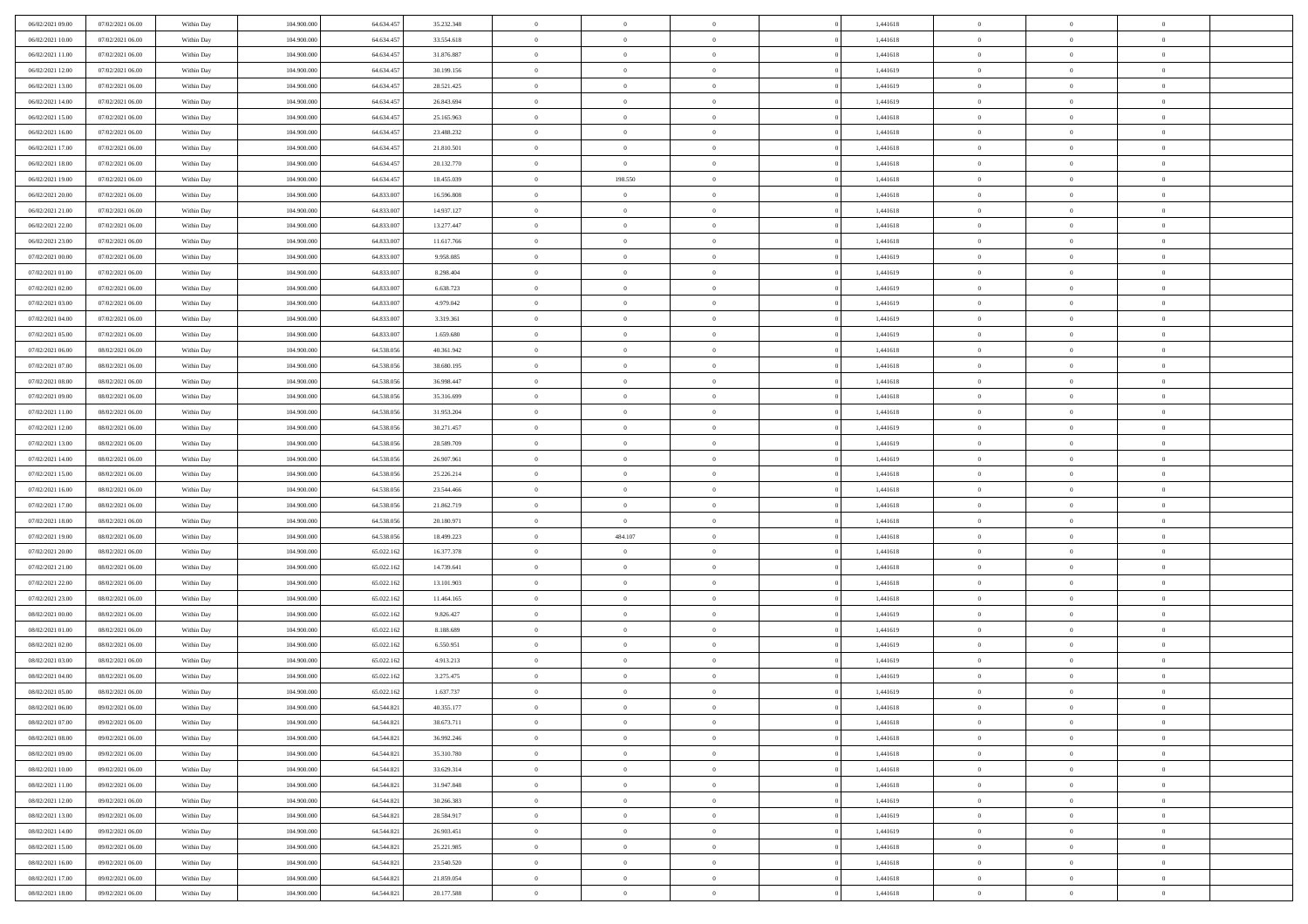| 06/02/2021 09:00                     | 07/02/2021 06:00 | Within Day               | 104.900.000 | 64.634.457 | 35.232.348 | $\,$ 0         | $\overline{0}$ | $\theta$                         |          | 1,441618             | $\bf{0}$       | $\overline{0}$ | $\,0\,$        |  |
|--------------------------------------|------------------|--------------------------|-------------|------------|------------|----------------|----------------|----------------------------------|----------|----------------------|----------------|----------------|----------------|--|
| 06/02/2021 10:00                     | 07/02/2021 06:00 | Within Day               | 104,900,000 | 64.634.45  | 33.554.618 | $\overline{0}$ | $\overline{0}$ | $\overline{0}$                   |          | 1,441618             | $\overline{0}$ | $\overline{0}$ | $\theta$       |  |
| 06/02/2021 11:00                     | 07/02/2021 06:00 | Within Dav               | 104.900.000 | 64.634.457 | 31.876.887 | $\mathbf{0}$   | $\overline{0}$ | $\overline{0}$                   |          | 1,441618             | $\mathbf{0}$   | $\overline{0}$ | $\overline{0}$ |  |
| 06/02/2021 12:00                     | 07/02/2021 06:00 | Within Day               | 104.900.000 | 64.634.457 | 30.199.156 | $\bf{0}$       | $\overline{0}$ | $\bf{0}$                         |          | 1,441619             | $\bf{0}$       | $\overline{0}$ | $\bf{0}$       |  |
| 06/02/2021 13:00                     | 07/02/2021 06:00 | Within Day               | 104,900,000 | 64.634.457 | 28.521.425 | $\bf{0}$       | $\overline{0}$ | $\overline{0}$                   |          | 1,441619             | $\bf{0}$       | $\bf{0}$       | $\,0\,$        |  |
| 06/02/2021 14:00                     | 07/02/2021 06:00 | Within Dav               | 104.900.000 | 64.634.457 | 26.843.694 | $\mathbf{0}$   | $\overline{0}$ | $\overline{0}$                   |          | 1,441619             | $\mathbf{0}$   | $\overline{0}$ | $\theta$       |  |
| 06/02/2021 15:00                     | 07/02/2021 06:00 | Within Day               | 104.900.000 | 64.634.457 | 25.165.963 | $\bf{0}$       | $\overline{0}$ | $\overline{0}$                   |          | 1,441618             | $\bf{0}$       | $\overline{0}$ | $\,0\,$        |  |
| 06/02/2021 16:00                     | 07/02/2021 06:00 | Within Day               | 104,900,000 | 64.634.457 | 23.488.232 | $\overline{0}$ | $\overline{0}$ | $\overline{0}$                   |          | 1,441618             | $\,$ 0 $\,$    | $\overline{0}$ | $\theta$       |  |
| 06/02/2021 17:00                     | 07/02/2021 06:00 | Within Dav               | 104.900.000 | 64.634.457 | 21.810.501 | $\mathbf{0}$   | $\overline{0}$ | $\overline{0}$                   |          | 1,441618             | $\mathbf{0}$   | $\overline{0}$ | $\overline{0}$ |  |
| 06/02/2021 18:00                     | 07/02/2021 06:00 | Within Day               | 104.900.000 | 64.634.457 | 20.132.770 | $\bf{0}$       | $\bf{0}$       | $\theta$                         |          | 1,441618             | $\bf{0}$       | $\overline{0}$ | $\,0\,$        |  |
| 06/02/2021 19:00                     | 07/02/2021 06:00 |                          | 104,900,000 | 64.634.457 | 18.455.039 | $\overline{0}$ | 198.550        | $\overline{0}$                   |          | 1,441618             | $\bf{0}$       | $\mathbf{0}$   | $\theta$       |  |
| 06/02/2021 20:00                     | 07/02/2021 06:00 | Within Day<br>Within Dav | 104.900.000 | 64.833.007 | 16.596.808 | $\mathbf{0}$   | $\overline{0}$ | $\overline{0}$                   |          | 1,441618             | $\mathbf{0}$   | $\overline{0}$ | $\overline{0}$ |  |
| 06/02/2021 21:00                     | 07/02/2021 06:00 | Within Day               | 104.900.000 | 64.833.007 | 14.937.127 | $\bf{0}$       | $\overline{0}$ | $\bf{0}$                         |          | 1,441618             | $\bf{0}$       | $\overline{0}$ | $\overline{0}$ |  |
|                                      | 07/02/2021 06:00 |                          | 104.900.000 | 64.833.007 | 13.277.447 | $\bf{0}$       | $\overline{0}$ | $\overline{0}$                   |          |                      | $\bf{0}$       | $\theta$       | $\,0\,$        |  |
| 06/02/2021 22:00<br>06/02/2021 23:00 | 07/02/2021 06:00 | Within Day<br>Within Dav | 104.900.000 | 64.833.007 | 11.617.766 | $\overline{0}$ | $\overline{0}$ |                                  |          | 1,441618<br>1,441618 | $\mathbf{0}$   | $\overline{0}$ | $\overline{0}$ |  |
|                                      |                  |                          |             |            |            |                |                | $\overline{0}$<br>$\overline{0}$ |          |                      |                | $\overline{0}$ |                |  |
| 07/02/2021 00:00                     | 07/02/2021 06:00 | Within Day               | 104.900.000 | 64.833.007 | 9.958.085  | $\bf{0}$       | $\bf{0}$       |                                  |          | 1,441619             | $\bf{0}$       | $\overline{0}$ | $\,0\,$        |  |
| 07/02/2021 01:00                     | 07/02/2021 06:00 | Within Day               | 104,900,000 | 64.833.007 | 8.298.404  | $\overline{0}$ | $\overline{0}$ | $\overline{0}$                   |          | 1,441619             | $\bf{0}$       |                | $\theta$       |  |
| 07/02/2021 02:00                     | 07/02/2021 06:00 | Within Day               | 104.900.000 | 64.833.007 | 6.638.723  | $\mathbf{0}$   | $\overline{0}$ | $\overline{0}$                   |          | 1,441619             | $\mathbf{0}$   | $\overline{0}$ | $\overline{0}$ |  |
| 07/02/2021 03:00                     | 07/02/2021 06:00 | Within Day               | 104.900.000 | 64.833.007 | 4.979.042  | $\bf{0}$       | $\bf{0}$       | $\overline{0}$                   |          | 1,441619             | $\bf{0}$       | $\overline{0}$ | $\,0\,$        |  |
| 07/02/2021 04:00                     | 07/02/2021 06:00 | Within Day               | 104,900,000 | 64.833.007 | 3.319.361  | $\overline{0}$ | $\overline{0}$ | $\overline{0}$                   |          | 1,441619             | $\bf{0}$       | $\overline{0}$ | $\overline{0}$ |  |
| 07/02/2021 05:00                     | 07/02/2021 06:00 | Within Dav               | 104.900.000 | 64.833.007 | 1.659.680  | $\mathbf{0}$   | $\overline{0}$ | $\overline{0}$                   |          | 1,441619             | $\mathbf{0}$   | $\overline{0}$ | $\overline{0}$ |  |
| 07/02/2021 06:00                     | 08/02/2021 06:00 | Within Day               | 104.900.000 | 64.538.056 | 40.361.942 | $\bf{0}$       | $\overline{0}$ | $\bf{0}$                         |          | 1,441618             | $\bf{0}$       | $\overline{0}$ | $\bf{0}$       |  |
| 07/02/2021 07:00                     | 08/02/2021 06:00 | Within Day               | 104,900,000 | 64.538.056 | 38.680.195 | $\bf{0}$       | $\bf{0}$       | $\overline{0}$                   |          | 1,441618             | $\bf{0}$       | $\bf{0}$       | $\,0\,$        |  |
| 07/02/2021 08:00                     | 08/02/2021 06:00 | Within Dav               | 104.900.000 | 64.538.056 | 36.998.447 | $\mathbf{0}$   | $\overline{0}$ | $\overline{0}$                   |          | 1,441618             | $\mathbf{0}$   | $\overline{0}$ | $\theta$       |  |
| 07/02/2021 09:00                     | 08/02/2021 06:00 | Within Day               | 104.900.000 | 64.538.056 | 35.316.699 | $\bf{0}$       | $\bf{0}$       | $\overline{0}$                   |          | 1,441618             | $\bf{0}$       | $\overline{0}$ | $\,0\,$        |  |
| 07/02/2021 11:00                     | 08/02/2021 06:00 | Within Day               | 104,900,000 | 64.538.056 | 31.953.204 | $\overline{0}$ | $\overline{0}$ | $\overline{0}$                   |          | 1,441618             | $\bf{0}$       | $\overline{0}$ | $\overline{0}$ |  |
| 07/02/2021 12:00                     | 08/02/2021 06:00 | Within Dav               | 104.900.000 | 64.538.056 | 30.271.457 | $\mathbf{0}$   | $\overline{0}$ | $\overline{0}$                   |          | 1,441619             | $\mathbf{0}$   | $\overline{0}$ | $\overline{0}$ |  |
| 07/02/2021 13:00                     | 08/02/2021 06:00 | Within Day               | 104.900.000 | 64.538.056 | 28.589.709 | $\bf{0}$       | $\bf{0}$       | $\overline{0}$                   |          | 1,441619             | $\bf{0}$       | $\overline{0}$ | $\,0\,$        |  |
| 07/02/2021 14:00                     | 08/02/2021 06:00 | Within Day               | 104,900,000 | 64.538.056 | 26.907.961 | $\bf{0}$       | $\bf{0}$       | $\overline{0}$                   |          | 1,441619             | $\bf{0}$       | $\bf{0}$       | $\bf{0}$       |  |
| 07/02/2021 15:00                     | 08/02/2021 06:00 | Within Dav               | 104.900.000 | 64.538.056 | 25.226.214 | $\mathbf{0}$   | $\overline{0}$ | $\overline{0}$                   |          | 1,441618             | $\mathbf{0}$   | $\overline{0}$ | $\overline{0}$ |  |
| 07/02/2021 16:00                     | 08/02/2021 06:00 | Within Day               | 104.900.000 | 64.538.056 | 23.544.466 | $\bf{0}$       | $\overline{0}$ | $\overline{0}$                   |          | 1,441618             | $\,$ 0         | $\overline{0}$ | $\theta$       |  |
| 07/02/2021 17:00                     | 08/02/2021 06:00 | Within Day               | 104,900,000 | 64.538.056 | 21.862.719 | $\bf{0}$       | $\bf{0}$       | $\overline{0}$                   |          | 1,441618             | $\bf{0}$       | $\mathbf{0}$   | $\bf{0}$       |  |
| 07/02/2021 18:00                     | 08/02/2021 06:00 | Within Dav               | 104.900.000 | 64.538.056 | 20.180.971 | $\mathbf{0}$   | $\overline{0}$ | $\overline{0}$                   |          | 1,441618             | $\mathbf{0}$   | $\overline{0}$ | $\overline{0}$ |  |
| 07/02/2021 19:00                     | 08/02/2021 06:00 | Within Day               | 104.900.000 | 64.538.056 | 18.499.223 | $\bf{0}$       | 484.107        | $\overline{0}$                   |          | 1,441618             | $\,$ 0         | $\overline{0}$ | $\theta$       |  |
| 07/02/2021 20:00                     | 08/02/2021 06:00 | Within Day               | 104,900,000 | 65.022.162 | 16.377.378 | $\bf{0}$       | $\overline{0}$ | $\overline{0}$                   |          | 1,441618             | $\bf{0}$       | $\overline{0}$ | $\overline{0}$ |  |
| 07/02/2021 21:00                     | 08/02/2021 06:00 | Within Day               | 104.900.000 | 65.022.162 | 14.739.641 | $\mathbf{0}$   | $\overline{0}$ | $\overline{0}$                   |          | 1,441618             | $\mathbf{0}$   | $\overline{0}$ | $\overline{0}$ |  |
| 07/02/2021 22:00                     | 08/02/2021 06:00 | Within Day               | 104.900.000 | 65.022.162 | 13.101.903 | $\bf{0}$       | $\overline{0}$ | $\overline{0}$                   |          | 1,441618             | $\,$ 0         | $\overline{0}$ | $\theta$       |  |
| 07/02/2021 23.00                     | 08/02/2021 06:00 | Within Day               | 104,900,000 | 65.022.162 | 11.464.165 | $\bf{0}$       | $\bf{0}$       | $\overline{0}$                   |          | 1,441618             | $\bf{0}$       | $\mathbf{0}$   | $\bf{0}$       |  |
| 08/02/2021 00:00                     | 08/02/2021 06:00 | Within Dav               | 104.900.000 | 65.022.162 | 9.826.427  | $\mathbf{0}$   | $\overline{0}$ | $\overline{0}$                   |          | 1,441619             | $\mathbf{0}$   | $\overline{0}$ | $\overline{0}$ |  |
| 08/02/2021 01:00                     | 08/02/2021 06:00 | Within Day               | 104.900.000 | 65.022.162 | 8.188.689  | $\,0\,$        | $\overline{0}$ | $\overline{0}$                   |          | 1,441619             | $\,$ 0         | $\overline{0}$ | $\theta$       |  |
| 08/02/2021 02:00                     | 08/02/2021 06:00 | Within Day               | 104,900,000 | 65.022.162 | 6.550.951  | $\bf{0}$       | $\overline{0}$ | $\overline{0}$                   |          | 1,441619             | $\bf{0}$       | $\overline{0}$ | $\overline{0}$ |  |
| 08/02/2021 03:00                     | 08/02/2021 06:00 | Within Dav               | 104.900.000 | 65.022.162 | 4.913.213  | $\mathbf{0}$   | $\overline{0}$ | $\overline{0}$                   |          | 1,441619             | $\mathbf{0}$   | $\overline{0}$ | $\overline{0}$ |  |
| 08/02/2021 04:00                     | 08/02/2021 06:00 | Within Day               | 104.900.000 | 65.022.162 | 3.275.475  | $\bf{0}$       | $\overline{0}$ | $\overline{0}$                   |          | 1,441619             | $\,$ 0         | $\overline{0}$ | $\theta$       |  |
| 08/02/2021 05:00                     | 08/02/2021 06:00 | Within Day               | 104,900,000 | 65.022.162 | 1.637.737  | $\bf{0}$       | $\overline{0}$ | $\overline{0}$                   |          | 1,441619             | $\,$ 0 $\,$    | $\overline{0}$ | $\overline{0}$ |  |
| 08/02/2021 06:00                     | 09/02/2021 06:00 | Within Day               | 104.900.000 | 64.544.821 | 40.355.177 | $\bf{0}$       | $\overline{0}$ |                                  |          | 1,441618             | $\overline{0}$ | $\theta$       | $\theta$       |  |
| 08/02/2021 07:00                     | 09/02/2021 06:00 | Within Day               | 104.900.000 | 64.544.821 | 38.673.711 | $\,0\,$        | $\overline{0}$ | $\overline{0}$                   |          | 1,441618             | $\,$ 0 $\,$    | $\overline{0}$ | $\theta$       |  |
| 08/02/2021 08:00                     | 09/02/2021 06:00 | Within Day               | 104.900.000 | 64.544.821 | 36.992.246 | $\overline{0}$ | $\overline{0}$ | $\overline{0}$                   |          | 1,441618             | $\overline{0}$ | $\overline{0}$ | $\overline{0}$ |  |
| 08/02/2021 09:00                     | 09/02/2021 06:00 | Within Day               | 104.900.000 | 64.544.821 | 35.310.780 | $\bf{0}$       | $\overline{0}$ | $\overline{0}$                   |          | 1,441618             | $\overline{0}$ | $\bf{0}$       | $\mathbf{0}$   |  |
| 08/02/2021 10:00                     | 09/02/2021 06:00 | Within Day               | 104.900.000 | 64.544.821 | 33.629.314 | $\bf{0}$       | $\overline{0}$ | $\overline{0}$                   | $\theta$ | 1,441618             | $\,$ 0 $\,$    | $\bf{0}$       | $\,$ 0 $\,$    |  |
| 08/02/2021 11:00                     | 09/02/2021 06:00 | Within Day               | 104,900,000 | 64.544.821 | 31.947.848 | $\bf{0}$       | $\overline{0}$ | $\overline{0}$                   |          | 1,441618             | $\,$ 0 $\,$    | $\overline{0}$ | $\overline{0}$ |  |
| 08/02/2021 12:00                     | 09/02/2021 06:00 | Within Day               | 104.900.000 | 64.544.821 | 30.266.383 | $\bf{0}$       | $\overline{0}$ | $\overline{0}$                   |          | 1,441619             | $\mathbf{0}$   | $\overline{0}$ | $\overline{0}$ |  |
| 08/02/2021 13:00                     | 09/02/2021 06:00 | Within Day               | 104.900.000 | 64.544.821 | 28.584.917 | $\,0\,$        | $\overline{0}$ | $\overline{0}$                   | $\theta$ | 1,441619             | $\,$ 0 $\,$    | $\overline{0}$ | $\overline{0}$ |  |
| 08/02/2021 14:00                     | 09/02/2021 06:00 | Within Day               | 104,900,000 | 64.544.821 | 26.903.451 | $\bf{0}$       | $\overline{0}$ | $\overline{0}$                   |          | 1,441619             | $\overline{0}$ | $\overline{0}$ | $\overline{0}$ |  |
| 08/02/2021 15:00                     | 09/02/2021 06:00 | Within Day               | 104.900.000 | 64.544.821 | 25.221.985 | $\bf{0}$       | $\overline{0}$ | $\overline{0}$                   |          | 1,441618             | $\mathbf{0}$   | $\overline{0}$ | $\mathbf{0}$   |  |
| 08/02/2021 16:00                     | 09/02/2021 06:00 | Within Day               | 104.900.000 | 64.544.821 | 23.540.520 | $\,0\,$        | $\overline{0}$ | $\overline{0}$                   |          | 1,441618             | $\,$ 0 $\,$    | $\overline{0}$ | $\theta$       |  |
| 08/02/2021 17:00                     | 09/02/2021 06:00 | Within Day               | 104,900,000 | 64.544.821 | 21.859.054 | $\bf{0}$       | $\bf{0}$       | $\overline{0}$                   |          | 1,441618             | $\bf{0}$       | $\mathbf{0}$   | $\overline{0}$ |  |
| 08/02/2021 18:00                     | 09/02/2021 06:00 | Within Day               | 104.900.000 | 64.544.821 | 20.177.588 | $\mathbf{0}$   | $\overline{0}$ | $\overline{0}$                   |          | 1,441618             | $\mathbf{0}$   | $\overline{0}$ | $\overline{0}$ |  |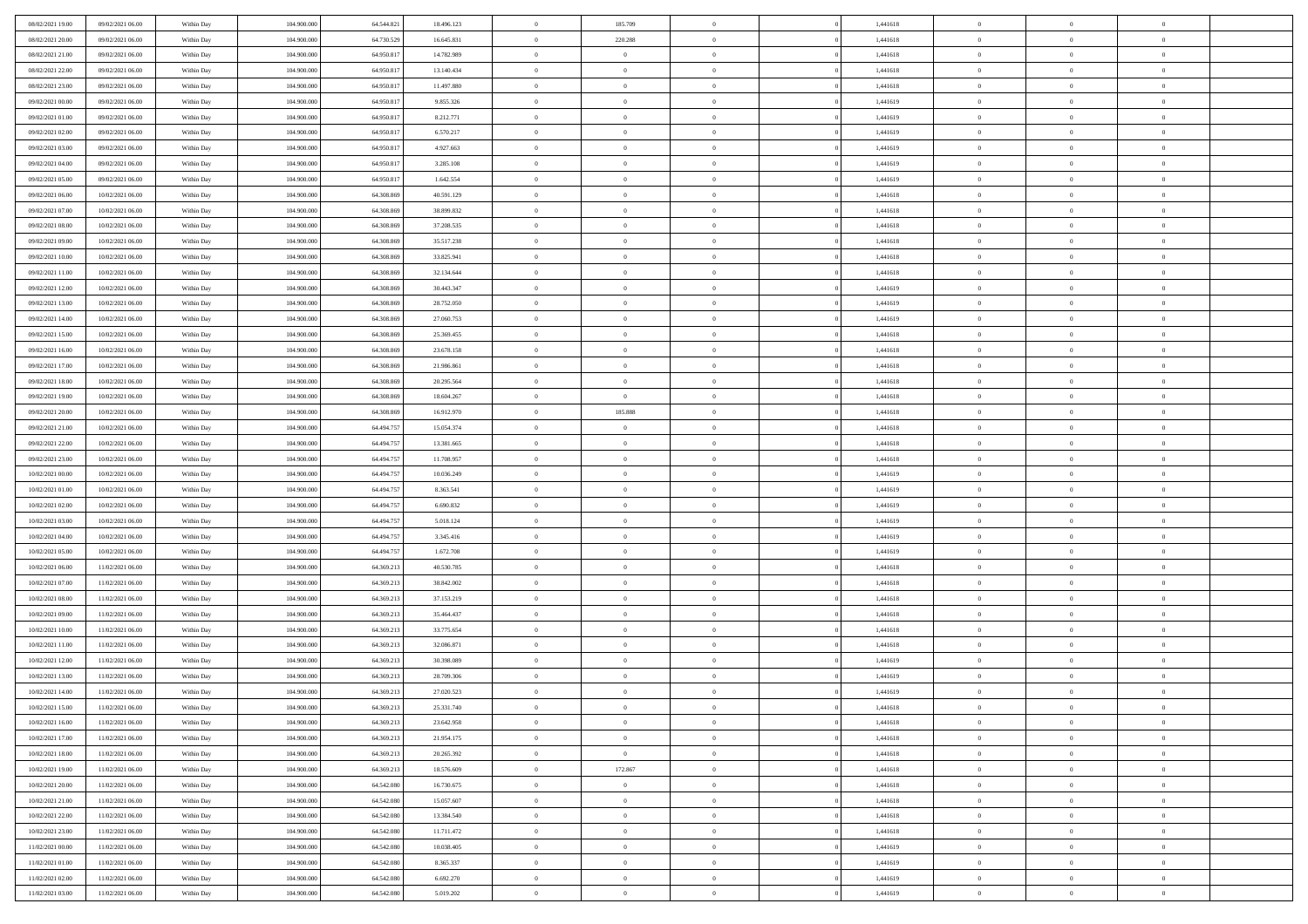| 08/02/2021 19:00 | 09/02/2021 06:00 | Within Day | 104,900,000 | 64.544.821 | 18.496.123 | $\overline{0}$ | 185.709        | $\Omega$       | 1,441618 | $\bf{0}$       | $\mathbf{0}$   | $\bf{0}$       |  |
|------------------|------------------|------------|-------------|------------|------------|----------------|----------------|----------------|----------|----------------|----------------|----------------|--|
| 08/02/2021 20:00 | 09/02/2021 06:00 | Within Day | 104.900.000 | 64.730.529 | 16.645.831 | $\mathbf{0}$   | 220.288        | $\overline{0}$ | 1,441618 | $\overline{0}$ | $\overline{0}$ | $\theta$       |  |
| 08/02/2021 21:00 | 09/02/2021 06:00 | Within Day | 104.900.000 | 64.950.817 | 14.782.989 | $\,$ 0         | $\overline{0}$ | $\bf{0}$       | 1,441618 | $\,$ 0         | $\overline{0}$ | $\,$ 0 $\,$    |  |
| 08/02/2021 22.00 | 09/02/2021 06:00 | Within Day | 104,900,000 | 64.950.817 | 13.140.434 | $\bf{0}$       | $\overline{0}$ | $\Omega$       | 1,441618 | $\bf{0}$       | $\theta$       | $\theta$       |  |
| 08/02/2021 23:00 | 09/02/2021 06:00 | Within Dav | 104.900.000 | 64.950.817 | 11.497.880 | $\bf{0}$       | $\overline{0}$ | $\overline{0}$ | 1,441618 | $\mathbf{0}$   | $\overline{0}$ | $\overline{0}$ |  |
| 09/02/2021 00:00 | 09/02/2021 06:00 | Within Day | 104.900.000 | 64.950.817 | 9.855.326  | $\bf{0}$       | $\overline{0}$ | $\bf{0}$       | 1,441619 | $\,$ 0         | $\overline{0}$ | $\,$ 0 $\,$    |  |
| 09/02/2021 01:00 | 09/02/2021 06:00 | Within Day | 104,900,000 | 64.950.817 | 8.212.771  | $\bf{0}$       | $\overline{0}$ | $\overline{0}$ | 1,441619 | $\overline{0}$ | $\mathbf{0}$   | $\theta$       |  |
| 09/02/2021 02:00 | 09/02/2021 06:00 | Within Dav | 104.900.000 | 64.950.817 | 6.570.217  | $\overline{0}$ | $\overline{0}$ | $\overline{0}$ | 1,441619 | $\mathbf{0}$   | $\overline{0}$ | $\overline{0}$ |  |
| 09/02/2021 03:00 | 09/02/2021 06:00 | Within Day | 104.900.000 | 64.950.817 | 4.927.663  | $\bf{0}$       | $\overline{0}$ | $\bf{0}$       | 1,441619 | $\,$ 0         | $\overline{0}$ | $\,$ 0 $\,$    |  |
| 09/02/2021 04:00 | 09/02/2021 06:00 | Within Day | 104,900,000 | 64.950.817 | 3.285.108  | $\bf{0}$       | $\overline{0}$ | $\Omega$       | 1,441619 | $\bf{0}$       | $\mathbf{0}$   | $\theta$       |  |
| 09/02/2021 05:00 | 09/02/2021 06:00 | Within Day | 104.900.000 | 64.950.817 | 1.642.554  | $\overline{0}$ | $\overline{0}$ | $\overline{0}$ | 1,441619 | $\overline{0}$ | $\overline{0}$ | $\overline{0}$ |  |
| 09/02/2021 06:00 | 10/02/2021 06:00 | Within Day | 104.900.000 | 64.308.869 | 40.591.129 | $\bf{0}$       | $\overline{0}$ | $\bf{0}$       | 1,441618 | $\,$ 0         | $\overline{0}$ | $\,$ 0 $\,$    |  |
| 09/02/2021 07:00 | 10/02/2021 06:00 | Within Day | 104,900,000 | 64.308.869 | 38,899,832 | $\bf{0}$       | $\overline{0}$ | $\Omega$       | 1,441618 | $\overline{0}$ | $\theta$       | $\theta$       |  |
| 09/02/2021 08:00 | 10/02/2021 06:00 | Within Dav | 104.900.000 | 64.308.869 | 37.208.535 | $\overline{0}$ | $\overline{0}$ | $\overline{0}$ | 1,441618 | $\mathbf{0}$   | $\overline{0}$ | $\overline{0}$ |  |
| 09/02/2021 09:00 | 10/02/2021 06:00 | Within Day | 104.900.000 | 64.308.869 | 35.517.238 | $\bf{0}$       | $\overline{0}$ | $\bf{0}$       | 1,441618 | $\,$ 0         | $\overline{0}$ | $\,$ 0 $\,$    |  |
| 09/02/2021 10:00 | 10/02/2021 06:00 | Within Day | 104,900,000 | 64.308.869 | 33.825.941 | $\bf{0}$       | $\overline{0}$ | $\overline{0}$ | 1,441618 | $\bf{0}$       | $\mathbf{0}$   | $\bf{0}$       |  |
| 09/02/2021 11:00 | 10/02/2021 06:00 | Within Day | 104.900.000 | 64.308.869 | 32.134.644 | $\overline{0}$ | $\overline{0}$ | $\overline{0}$ | 1,441618 | $\mathbf{0}$   | $\overline{0}$ | $\overline{0}$ |  |
| 09/02/2021 12:00 | 10/02/2021 06:00 | Within Day | 104.900.000 | 64.308.869 | 30.443.347 | $\bf{0}$       | $\overline{0}$ | $\bf{0}$       | 1,441619 | $\,$ 0         | $\overline{0}$ | $\,0\,$        |  |
| 09/02/2021 13:00 | 10/02/2021 06:00 | Within Day | 104,900,000 | 64.308.869 | 28.752.050 | $\bf{0}$       | $\overline{0}$ | $\Omega$       | 1,441619 | $\overline{0}$ | $\mathbf{0}$   | $\theta$       |  |
| 09/02/2021 14:00 | 10/02/2021 06:00 | Within Day | 104.900.000 | 64.308.869 | 27.060.753 | $\overline{0}$ | $\overline{0}$ | $\overline{0}$ | 1,441619 | $\overline{0}$ | $\overline{0}$ | $\overline{0}$ |  |
| 09/02/2021 15:00 | 10/02/2021 06:00 | Within Day | 104.900.000 | 64.308.869 | 25.369.455 | $\bf{0}$       | $\overline{0}$ | $\bf{0}$       | 1,441618 | $\,$ 0         | $\overline{0}$ | $\,$ 0 $\,$    |  |
| 09/02/2021 16:00 | 10/02/2021 06:00 | Within Day | 104,900,000 | 64.308.869 | 23.678.158 | $\bf{0}$       | $\overline{0}$ | $\Omega$       | 1,441618 | $\overline{0}$ | $\theta$       | $\theta$       |  |
| 09/02/2021 17:00 | 10/02/2021 06:00 | Within Dav | 104.900.000 | 64.308.869 | 21.986.861 | $\overline{0}$ | $\overline{0}$ | $\overline{0}$ | 1,441618 | $\mathbf{0}$   | $\overline{0}$ | $\overline{0}$ |  |
| 09/02/2021 18:00 | 10/02/2021 06:00 | Within Day | 104.900.000 | 64.308.869 | 20.295.564 | $\bf{0}$       | $\overline{0}$ | $\bf{0}$       | 1,441618 | $\,$ 0         | $\overline{0}$ | $\,$ 0 $\,$    |  |
| 09/02/2021 19:00 | 10/02/2021 06:00 | Within Day | 104,900,000 | 64.308.869 | 18.604.267 | $\bf{0}$       | $\overline{0}$ | $\overline{0}$ | 1,441618 | $\bf{0}$       | $\overline{0}$ | $\bf{0}$       |  |
| 09/02/2021 20:00 | 10/02/2021 06:00 | Within Day | 104.900.000 | 64.308.869 | 16.912.970 | $\overline{0}$ | 185.888        | $\overline{0}$ | 1,441618 | $\overline{0}$ | $\overline{0}$ | $\overline{0}$ |  |
| 09/02/2021 21:00 | 10/02/2021 06:00 | Within Day | 104.900.000 | 64.494.757 | 15.054.374 | $\bf{0}$       | $\overline{0}$ | $\bf{0}$       | 1,441618 | $\,$ 0         | $\overline{0}$ | $\,$ 0 $\,$    |  |
| 09/02/2021 22:00 | 10/02/2021 06:00 | Within Day | 104,900,000 | 64.494.757 | 13.381.665 | $\bf{0}$       | $\overline{0}$ | $\Omega$       | 1,441618 | $\theta$       | $\mathbf{0}$   | $\theta$       |  |
| 09/02/2021 23:00 | 10/02/2021 06:00 | Within Day | 104.900.000 | 64.494.757 | 11.708.957 | $\overline{0}$ | $\overline{0}$ | $\overline{0}$ | 1,441618 | $\mathbf{0}$   | $\overline{0}$ | $\overline{0}$ |  |
| 10/02/2021 00:00 | 10/02/2021 06:00 | Within Day | 104.900.000 | 64.494.757 | 10.036.249 | $\bf{0}$       | $\overline{0}$ | $\bf{0}$       | 1,441619 | $\,$ 0         | $\overline{0}$ | $\,$ 0 $\,$    |  |
| 10/02/2021 01:00 | 10/02/2021 06:00 | Within Day | 104.900.000 | 64.494.757 | 8.363.541  | $\,$ 0         | $\bf{0}$       | $\overline{0}$ | 1,441619 | $\bf{0}$       | $\overline{0}$ | $\,0\,$        |  |
| 10/02/2021 02:00 | 10/02/2021 06:00 | Within Dav | 104.900.000 | 64.494.757 | 6.690.832  | $\overline{0}$ | $\overline{0}$ | $\overline{0}$ | 1,441619 | $\mathbf{0}$   | $\overline{0}$ | $\overline{0}$ |  |
| 10/02/2021 03:00 | 10/02/2021 06:00 | Within Day | 104.900.000 | 64.494.757 | 5.018.124  | $\bf{0}$       | $\overline{0}$ | $\bf{0}$       | 1,441619 | $\,$ 0         | $\overline{0}$ | $\,$ 0 $\,$    |  |
| 10/02/2021 04:00 | 10/02/2021 06:00 | Within Day | 104.900.000 | 64.494.757 | 3.345.416  | $\bf{0}$       | $\bf{0}$       | $\bf{0}$       | 1,441619 | $\bf{0}$       | $\overline{0}$ | $\,0\,$        |  |
| 10/02/2021 05:00 | 10/02/2021 06:00 | Within Day | 104.900.000 | 64.494.757 | 1.672.708  | $\overline{0}$ | $\overline{0}$ | $\overline{0}$ | 1,441619 | $\overline{0}$ | $\overline{0}$ | $\overline{0}$ |  |
| 10/02/2021 06:00 | 11/02/2021 06:00 | Within Day | 104.900.000 | 64.369.213 | 40.530.785 | $\bf{0}$       | $\overline{0}$ | $\bf{0}$       | 1,441618 | $\,$ 0         | $\overline{0}$ | $\,$ 0 $\,$    |  |
| 10/02/2021 07:00 | 11/02/2021 06:00 | Within Day | 104.900.000 | 64.369.213 | 38.842.002 | $\,$ 0         | $\bf{0}$       | $\overline{0}$ | 1,441618 | $\bf{0}$       | $\overline{0}$ | $\,0\,$        |  |
| 10/02/2021 08:00 | 11/02/2021 06:00 | Within Day | 104.900.000 | 64.369.213 | 37.153.219 | $\overline{0}$ | $\overline{0}$ | $\overline{0}$ | 1,441618 | $\mathbf{0}$   | $\overline{0}$ | $\overline{0}$ |  |
| 10/02/2021 09:00 | 11/02/2021 06:00 | Within Day | 104.900.000 | 64.369.213 | 35.464.437 | $\bf{0}$       | $\overline{0}$ | $\bf{0}$       | 1,441618 | $\,$ 0         | $\overline{0}$ | $\,$ 0 $\,$    |  |
| 10/02/2021 10:00 | 11/02/2021 06:00 | Within Day | 104.900.000 | 64.369.213 | 33.775.654 | $\bf{0}$       | $\bf{0}$       | $\overline{0}$ | 1,441618 | $\bf{0}$       | $\overline{0}$ | $\,0\,$        |  |
| 10/02/2021 11:00 | 11/02/2021 06:00 | Within Dav | 104.900.000 | 64.369.213 | 32.086.871 | $\overline{0}$ | $\overline{0}$ | $\overline{0}$ | 1,441618 | $\overline{0}$ | $\overline{0}$ | $\overline{0}$ |  |
| 10/02/2021 12:00 | 11/02/2021 06:00 | Within Day | 104.900.000 | 64.369.213 | 30.398.089 | $\bf{0}$       | $\overline{0}$ | $\bf{0}$       | 1,441619 | $\,$ 0         | $\overline{0}$ | $\,$ 0 $\,$    |  |
| 10/02/2021 13:00 | 11/02/2021 06:00 | Within Day | 104.900.000 | 64.369.213 | 28.709.306 | $\bf{0}$       | $\bf{0}$       | $\bf{0}$       | 1,441619 | $\bf{0}$       | $\overline{0}$ | $\,0\,$        |  |
| 10/02/2021 14:00 | 11/02/2021 06:00 | Within Dav | 104.900.000 | 64.369.213 | 27.020.523 | $\mathbf{0}$   | $\overline{0}$ | $\overline{0}$ | 1,441619 | $\overline{0}$ | $\overline{0}$ | $\overline{0}$ |  |
| 10/02/2021 15:00 | 11/02/2021 06:00 | Within Day | 104.900.000 | 64.369.213 | 25.331.740 | $\bf{0}$       | $\overline{0}$ | $\overline{0}$ | 1,441618 | $\overline{0}$ | $\theta$       | $\theta$       |  |
| 10/02/2021 16:00 | 11/02/2021 06:00 | Within Day | 104.900.000 | 64.369.213 | 23.642.958 | $\bf{0}$       | $\bf{0}$       | $\bf{0}$       | 1,441618 | $\bf{0}$       | $\overline{0}$ | $\,0\,$        |  |
| 10/02/2021 17:00 | 11/02/2021 06:00 | Within Day | 104.900.000 | 64.369.213 | 21.954.175 | $\overline{0}$ | $\overline{0}$ | $\overline{0}$ | 1,441618 | $\overline{0}$ | $\bf{0}$       | $\overline{0}$ |  |
| 10/02/2021 18:00 | 11/02/2021 06:00 | Within Day | 104.900.000 | 64.369.213 | 20.265.392 | $\,$ 0 $\,$    | $\overline{0}$ | $\overline{0}$ | 1,441618 | $\mathbf{0}$   | $\,$ 0 $\,$    | $\,$ 0 $\,$    |  |
| 10/02/2021 19:00 | 11/02/2021 06:00 | Within Day | 104.900.000 | 64.369.213 | 18.576.609 | $\bf{0}$       | 172.867        | $\overline{0}$ | 1,441618 | $\bf{0}$       | $\overline{0}$ | $\bf{0}$       |  |
| 10/02/2021 20:00 | 11/02/2021 06:00 | Within Day | 104.900.000 | 64.542.080 | 16.730.675 | $\bf{0}$       | $\overline{0}$ | $\overline{0}$ | 1,441618 | $\overline{0}$ | $\overline{0}$ | $\overline{0}$ |  |
| 10/02/2021 21:00 | 11/02/2021 06:00 | Within Day | 104.900.000 | 64.542.080 | 15.057.607 | $\,$ 0 $\,$    | $\overline{0}$ | $\overline{0}$ | 1,441618 | $\,$ 0 $\,$    | $\overline{0}$ | $\,$ 0 $\,$    |  |
| 10/02/2021 22:00 | 11/02/2021 06:00 | Within Day | 104.900.000 | 64.542.080 | 13.384.540 | $\overline{0}$ | $\overline{0}$ | $\overline{0}$ | 1,441618 | $\bf{0}$       | $\overline{0}$ | $\overline{0}$ |  |
| 10/02/2021 23:00 | 11/02/2021 06:00 | Within Day | 104.900.000 | 64.542.080 | 11.711.472 | $\overline{0}$ | $\overline{0}$ | $\overline{0}$ | 1,441618 | $\overline{0}$ | $\bf{0}$       | $\overline{0}$ |  |
| 11/02/2021 00:00 | 11/02/2021 06:00 | Within Day | 104.900.000 | 64.542.080 | 10.038.405 | $\,$ 0 $\,$    | $\overline{0}$ | $\overline{0}$ | 1,441619 | $\,$ 0 $\,$    | $\,$ 0 $\,$    | $\,$ 0 $\,$    |  |
| 11/02/2021 01:00 | 11/02/2021 06:00 | Within Day | 104.900.000 | 64.542.080 | 8.365.337  | $\bf{0}$       | $\bf{0}$       | $\overline{0}$ | 1,441619 | $\mathbf{0}$   | $\overline{0}$ | $\bf{0}$       |  |
| 11/02/2021 02:00 | 11/02/2021 06:00 | Within Day | 104.900.000 | 64.542.080 | 6.692.270  | $\overline{0}$ | $\overline{0}$ | $\overline{0}$ | 1,441619 | $\mathbf{0}$   | $\bf{0}$       | $\overline{0}$ |  |
| 11/02/2021 03:00 | 11/02/2021 06:00 | Within Day | 104.900.000 | 64.542.080 | 5.019.202  | $\,0\,$        | $\overline{0}$ | $\overline{0}$ | 1,441619 | $\,$ 0         | $\overline{0}$ | $\,$ 0 $\,$    |  |
|                  |                  |            |             |            |            |                |                |                |          |                |                |                |  |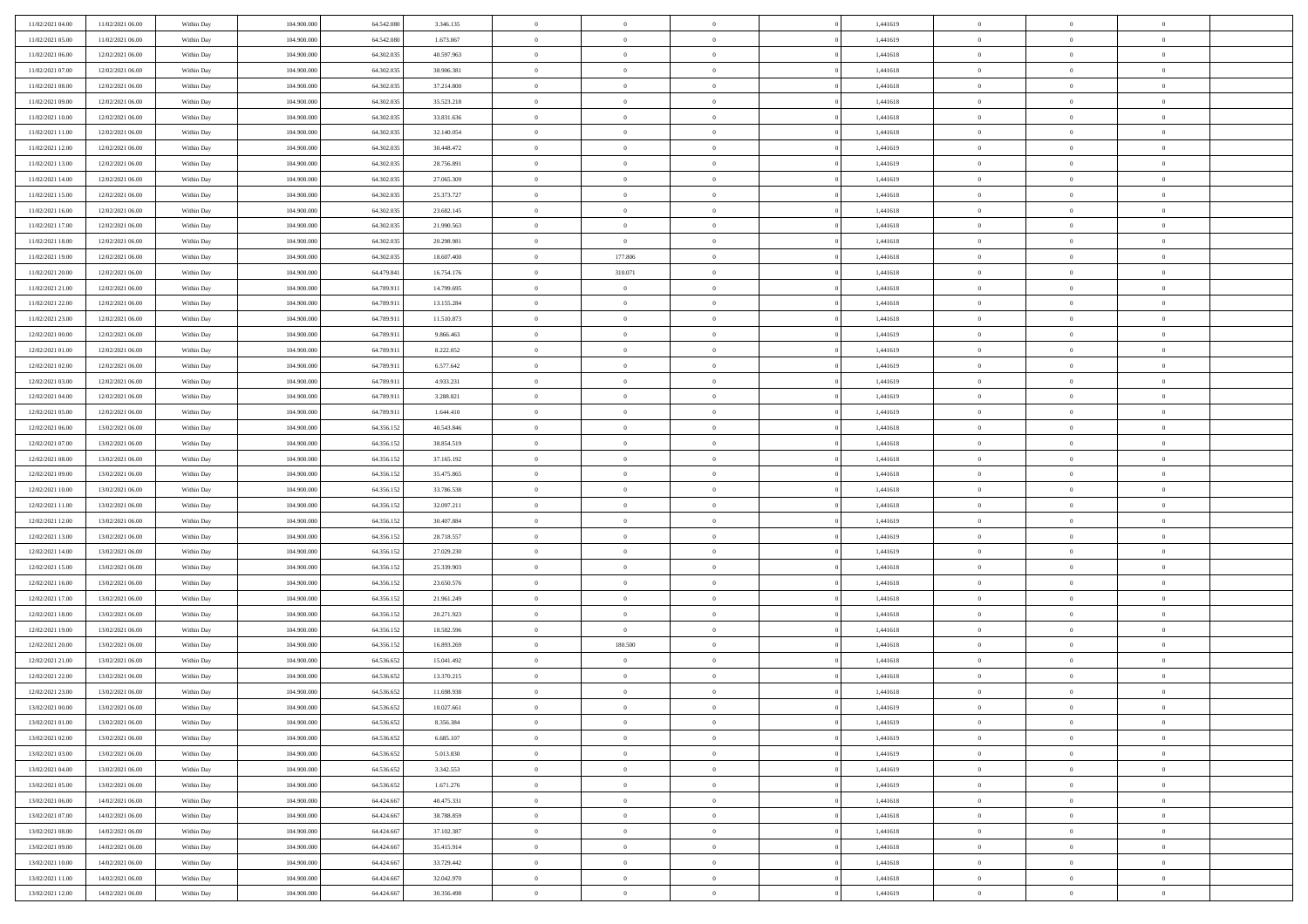| 11/02/2021 04:00 | 11/02/2021 06:00 | Within Day | 104,900,000 | 64.542.080 | 3.346.135  | $\bf{0}$       | $\overline{0}$ | $\Omega$       | 1,441619 | $\bf{0}$       | $\overline{0}$ | $\bf{0}$       |  |
|------------------|------------------|------------|-------------|------------|------------|----------------|----------------|----------------|----------|----------------|----------------|----------------|--|
| 11/02/2021 05:00 | 11/02/2021 06:00 | Within Day | 104.900.000 | 64.542.080 | 1.673.067  | $\theta$       | $\overline{0}$ | $\overline{0}$ | 1,441619 | $\mathbf{0}$   | $\bf{0}$       | $\overline{0}$ |  |
| 11/02/2021 06:00 | 12/02/2021 06:00 | Within Day | 104.900.000 | 64.302.035 | 40.597.963 | $\theta$       | $\overline{0}$ | $\bf{0}$       | 1,441618 | $\,$ 0         | $\overline{0}$ | $\,$ 0 $\,$    |  |
| 11/02/2021 07:00 | 12/02/2021 06:00 | Within Day | 104,900,000 | 64.302.035 | 38,906,381 | $\mathbf{0}$   | $\overline{0}$ | $\mathbf{0}$   | 1.441618 | $\bf{0}$       | $\mathbf{0}$   | $\theta$       |  |
| 11/02/2021 08:00 | 12/02/2021 06:00 | Within Dav | 104.900.000 | 64.302.035 | 37.214.800 | $\mathbf{0}$   | $\overline{0}$ | $\overline{0}$ | 1,441618 | $\mathbf{0}$   | $\bf{0}$       | $\overline{0}$ |  |
| 11/02/2021 09:00 | 12/02/2021 06:00 | Within Day | 104.900.000 | 64.302.035 | 35.523.218 | $\theta$       | $\overline{0}$ | $\bf{0}$       | 1,441618 | $\,$ 0         | $\overline{0}$ | $\,$ 0 $\,$    |  |
| 11/02/2021 10:00 | 12/02/2021 06:00 | Within Day | 104,900,000 | 64.302.035 | 33.831.636 | $\,$ 0 $\,$    | $\overline{0}$ | $\mathbf{0}$   | 1,441618 | $\bf{0}$       | $\overline{0}$ | $\theta$       |  |
| 11/02/2021 11:00 | 12/02/2021 06:00 | Within Dav | 104.900.000 | 64.302.035 | 32.140.054 | $\overline{0}$ | $\overline{0}$ | $\overline{0}$ | 1,441618 | $\mathbf{0}$   | $\bf{0}$       | $\overline{0}$ |  |
| 11/02/2021 12:00 | 12/02/2021 06:00 | Within Day | 104.900.000 | 64.302.035 | 30.448.472 | $\theta$       | $\overline{0}$ | $\bf{0}$       | 1,441619 | $\,$ 0         | $\overline{0}$ | $\,$ 0 $\,$    |  |
| 11/02/2021 13:00 | 12/02/2021 06:00 | Within Day | 104,900,000 | 64.302.035 | 28.756.891 | $\mathbf{0}$   | $\overline{0}$ | $\mathbf{0}$   | 1.441619 | $\bf{0}$       | $\mathbf{0}$   | $\theta$       |  |
| 11/02/2021 14:00 | 12/02/2021 06:00 | Within Dav | 104.900.000 | 64.302.035 | 27.065.309 | $\mathbf{0}$   | $\overline{0}$ | $\overline{0}$ | 1,441619 | $\mathbf{0}$   | $\bf{0}$       | $\overline{0}$ |  |
| 11/02/2021 15:00 | 12/02/2021 06:00 | Within Day | 104.900.000 | 64.302.035 | 25.373.727 | $\theta$       | $\overline{0}$ | $\bf{0}$       | 1,441618 | $\,$ 0         | $\overline{0}$ | $\,$ 0 $\,$    |  |
| 11/02/2021 16:00 | 12/02/2021 06:00 | Within Day | 104,900,000 | 64.302.035 | 23.682.145 | $\theta$       | $\overline{0}$ | $\mathbf{0}$   | 1.441618 | $\bf{0}$       | $\mathbf{0}$   | $\theta$       |  |
| 11/02/2021 17:00 | 12/02/2021 06:00 | Within Dav | 104.900.000 | 64.302.035 | 21.990.563 | $\mathbf{0}$   | $\overline{0}$ | $\overline{0}$ | 1,441618 | $\mathbf{0}$   | $\bf{0}$       | $\overline{0}$ |  |
| 11/02/2021 18:00 | 12/02/2021 06:00 | Within Day | 104.900.000 | 64.302.035 | 20.298.981 | $\theta$       | $\overline{0}$ | $\overline{0}$ | 1,441618 | $\,$ 0         | $\overline{0}$ | $\,$ 0 $\,$    |  |
| 11/02/2021 19:00 | 12/02/2021 06:00 | Within Day | 104,900,000 | 64.302.035 | 18,607,400 | $\bf{0}$       | 177.806        | $\mathbf{0}$   | 1,441618 | $\bf{0}$       | $\overline{0}$ | $\bf{0}$       |  |
| 11/02/2021 20:00 | 12/02/2021 06:00 | Within Dav | 104.900.000 | 64.479.841 | 16.754.176 | $\overline{0}$ | 310.071        | $\overline{0}$ | 1,441618 | $\mathbf{0}$   | $\bf{0}$       | $\overline{0}$ |  |
| 11/02/2021 21:00 | 12/02/2021 06:00 | Within Day | 104.900.000 | 64.789.911 | 14.799.695 | $\theta$       | $\overline{0}$ | $\bf{0}$       | 1,441618 | $\,$ 0         | $\overline{0}$ | $\,$ 0 $\,$    |  |
| 11/02/2021 22:00 | 12/02/2021 06:00 | Within Day | 104,900,000 | 64.789.911 | 13.155.284 | $\bf{0}$       | $\overline{0}$ | $\mathbf{0}$   | 1,441618 | $\theta$       | $\mathbf{0}$   | $\theta$       |  |
| 11/02/2021 23:00 | 12/02/2021 06:00 | Within Dav | 104.900.000 | 64.789.911 | 11.510.873 | $\overline{0}$ | $\overline{0}$ | $\overline{0}$ | 1,441618 | $\mathbf{0}$   | $\bf{0}$       | $\overline{0}$ |  |
| 12/02/2021 00:00 | 12/02/2021 06:00 | Within Day | 104.900.000 | 64.789.911 | 9.866.463  | $\theta$       | $\overline{0}$ | $\bf{0}$       | 1,441619 | $\,$ 0         | $\overline{0}$ | $\,$ 0 $\,$    |  |
| 12/02/2021 01:00 | 12/02/2021 06:00 | Within Day | 104,900,000 | 64,789.911 | 8.222.052  | $\theta$       | $\overline{0}$ | $\mathbf{0}$   | 1.441619 | $\bf{0}$       | $\theta$       | $\theta$       |  |
| 12/02/2021 02:00 | 12/02/2021 06:00 | Within Dav | 104.900.000 | 64.789.911 | 6.577.642  | $\mathbf{0}$   | $\overline{0}$ | $\overline{0}$ | 1,441619 | $\mathbf{0}$   | $\bf{0}$       | $\overline{0}$ |  |
| 12/02/2021 03:00 | 12/02/2021 06:00 | Within Day | 104.900.000 | 64.789.911 | 4.933.231  | $\theta$       | $\overline{0}$ | $\bf{0}$       | 1,441619 | $\,$ 0         | $\overline{0}$ | $\,$ 0 $\,$    |  |
| 12/02/2021 04:00 | 12/02/2021 06:00 | Within Day | 104,900,000 | 64.789.911 | 3.288.821  | $\bf{0}$       | $\overline{0}$ | $\mathbf{0}$   | 1,441619 | $\bf{0}$       | $\overline{0}$ | $\bf{0}$       |  |
| 12/02/2021 05:00 | 12/02/2021 06:00 | Within Dav | 104.900.000 | 64.789.911 | 1.644.410  | $\overline{0}$ | $\overline{0}$ | $\overline{0}$ | 1,441619 | $\mathbf{0}$   | $\bf{0}$       | $\overline{0}$ |  |
| 12/02/2021 06:00 | 13/02/2021 06:00 | Within Day | 104.900.000 | 64.356.152 | 40.543.846 | $\theta$       | $\overline{0}$ | $\overline{0}$ | 1,441618 | $\,$ 0         | $\overline{0}$ | $\,$ 0 $\,$    |  |
| 12/02/2021 07:00 | 13/02/2021 06:00 | Within Day | 104,900,000 | 64.356.152 | 38.854.519 | $\mathbf{0}$   | $\overline{0}$ | $\mathbf{0}$   | 1.441618 | $\bf{0}$       | $\mathbf{0}$   | $\theta$       |  |
| 12/02/2021 08:00 | 13/02/2021 06:00 | Within Dav | 104.900.000 | 64.356.152 | 37.165.192 | $\mathbf{0}$   | $\overline{0}$ | $\overline{0}$ | 1,441618 | $\mathbf{0}$   | $\bf{0}$       | $\overline{0}$ |  |
| 12/02/2021 09:00 | 13/02/2021 06:00 | Within Day | 104.900.000 | 64.356.152 | 35.475.865 | $\theta$       | $\overline{0}$ | $\bf{0}$       | 1,441618 | $\,$ 0         | $\overline{0}$ | $\,$ 0 $\,$    |  |
| 12/02/2021 10:00 | 13/02/2021 06:00 | Within Day | 104.900.000 | 64.356.152 | 33.786.538 | $\,$ 0 $\,$    | $\overline{0}$ | $\overline{0}$ | 1,441618 | $\bf{0}$       | $\overline{0}$ | $\,0\,$        |  |
| 12/02/2021 11:00 | 13/02/2021 06:00 | Within Dav | 104.900.000 | 64.356.152 | 32.097.211 | $\overline{0}$ | $\overline{0}$ | $\overline{0}$ | 1,441618 | $\mathbf{0}$   | $\bf{0}$       | $\overline{0}$ |  |
| 12/02/2021 12:00 | 13/02/2021 06:00 | Within Day | 104.900.000 | 64.356.152 | 30.407.884 | $\theta$       | $\overline{0}$ | $\overline{0}$ | 1,441619 | $\,$ 0         | $\overline{0}$ | $\,$ 0 $\,$    |  |
| 12/02/2021 13:00 | 13/02/2021 06:00 | Within Day | 104.900.000 | 64.356.152 | 28.718.557 | $\,$ 0 $\,$    | $\overline{0}$ | $\overline{0}$ | 1,441619 | $\bf{0}$       | $\overline{0}$ | $\,0\,$        |  |
| 12/02/2021 14:00 | 13/02/2021 06:00 | Within Dav | 104.900.000 | 64.356.152 | 27.029.230 | $\overline{0}$ | $\overline{0}$ | $\overline{0}$ | 1,441619 | $\mathbf{0}$   | $\bf{0}$       | $\overline{0}$ |  |
| 12/02/2021 15:00 | 13/02/2021 06:00 | Within Day | 104.900.000 | 64.356.152 | 25.339.903 | $\theta$       | $\overline{0}$ | $\bf{0}$       | 1,441618 | $\,$ 0         | $\overline{0}$ | $\,$ 0 $\,$    |  |
| 12/02/2021 16:00 | 13/02/2021 06:00 | Within Day | 104.900.000 | 64.356.152 | 23.650.576 | $\,$ 0 $\,$    | $\overline{0}$ | $\overline{0}$ | 1,441618 | $\bf{0}$       | $\overline{0}$ | $\,0\,$        |  |
| 12/02/2021 17:00 | 13/02/2021 06:00 | Within Dav | 104.900.000 | 64.356.152 | 21.961.249 | $\mathbf{0}$   | $\overline{0}$ | $\overline{0}$ | 1,441618 | $\mathbf{0}$   | $\bf{0}$       | $\overline{0}$ |  |
| 12/02/2021 18:00 | 13/02/2021 06:00 | Within Day | 104.900.000 | 64.356.152 | 20.271.923 | $\theta$       | $\overline{0}$ | $\bf{0}$       | 1,441618 | $\,$ 0         | $\overline{0}$ | $\,$ 0 $\,$    |  |
| 12/02/2021 19:00 | 13/02/2021 06:00 | Within Day | 104.900.000 | 64.356.152 | 18.582.596 | $\,$ 0 $\,$    | $\overline{0}$ | $\overline{0}$ | 1,441618 | $\bf{0}$       | $\overline{0}$ | $\,0\,$        |  |
| 12/02/2021 20:00 | 13/02/2021 06:00 | Within Dav | 104.900.000 | 64.356.152 | 16.893.269 | $\overline{0}$ | 180.500        | $\overline{0}$ | 1,441618 | $\mathbf{0}$   | $\bf{0}$       | $\overline{0}$ |  |
| 12/02/2021 21:00 | 13/02/2021 06:00 | Within Day | 104.900.000 | 64.536.652 | 15.041.492 | $\theta$       | $\overline{0}$ | $\overline{0}$ | 1,441618 | $\,$ 0         | $\overline{0}$ | $\,$ 0 $\,$    |  |
| 12/02/2021 22:00 | 13/02/2021 06:00 | Within Day | 104.900.000 | 64.536.652 | 13.370.215 | $\,$ 0 $\,$    | $\overline{0}$ | $\overline{0}$ | 1,441618 | $\bf{0}$       | $\overline{0}$ | $\,0\,$        |  |
| 12/02/2021 23:00 | 13/02/2021 06:00 | Within Dav | 104.900.000 | 64.536.652 | 11.698.938 | $\theta$       | $\overline{0}$ | $\overline{0}$ | 1,441618 | $\mathbf{0}$   | $\bf{0}$       | $\overline{0}$ |  |
| 13/02/2021 00:00 | 13/02/2021 06:00 | Within Day | 104.900.000 | 64.536.652 | 10.027.661 | $\overline{0}$ | $\overline{0}$ | $\overline{0}$ | 1,441619 | $\overline{0}$ | $\overline{0}$ | $\theta$       |  |
| 13/02/2021 01:00 | 13/02/2021 06:00 | Within Day | 104.900.000 | 64.536.652 | 8.356.384  | $\bf{0}$       | $\overline{0}$ | $\overline{0}$ | 1,441619 | $\bf{0}$       | $\overline{0}$ | $\bf{0}$       |  |
| 13/02/2021 02:00 | 13/02/2021 06:00 | Within Day | 104.900.000 | 64.536.652 | 6.685.107  | $\overline{0}$ | $\overline{0}$ | $\overline{0}$ | 1,441619 | $\overline{0}$ | $\bf{0}$       | $\overline{0}$ |  |
| 13/02/2021 03:00 | 13/02/2021 06:00 | Within Day | 104.900.000 | 64.536.652 | 5.013.830  | $\,$ 0 $\,$    | $\overline{0}$ | $\overline{0}$ | 1,441619 | $\,$ 0 $\,$    | $\,$ 0 $\,$    | $\,$ 0 $\,$    |  |
| 13/02/2021 04:00 | 13/02/2021 06:00 | Within Day | 104.900.000 | 64.536.652 | 3.342.553  | $\bf{0}$       | $\overline{0}$ | $\overline{0}$ | 1,441619 | $\mathbf{0}$   | $\overline{0}$ | $\bf{0}$       |  |
| 13/02/2021 05:00 | 13/02/2021 06:00 | Within Day | 104.900.000 | 64.536.652 | 1.671.276  | $\,$ 0 $\,$    | $\overline{0}$ | $\overline{0}$ | 1,441619 | $\,$ 0 $\,$    | $\bf{0}$       | $\overline{0}$ |  |
| 13/02/2021 06:00 | 14/02/2021 06:00 | Within Day | 104.900.000 | 64.424.667 | 40.475.331 | $\,$ 0         | $\overline{0}$ | $\overline{0}$ | 1,441618 | $\,$ 0 $\,$    | $\overline{0}$ | $\,$ 0 $\,$    |  |
| 13/02/2021 07:00 | 14/02/2021 06:00 | Within Day | 104.900.000 | 64.424.667 | 38.788.859 | $\bf{0}$       | $\overline{0}$ | $\overline{0}$ | 1,441618 | $\overline{0}$ | $\overline{0}$ | $\overline{0}$ |  |
| 13/02/2021 08:00 | 14/02/2021 06:00 | Within Day | 104.900.000 | 64.424.667 | 37.102.387 | $\,$ 0 $\,$    | $\overline{0}$ | $\overline{0}$ | 1,441618 | $\,$ 0 $\,$    | $\bf{0}$       | $\mathbf{0}$   |  |
| 13/02/2021 09:00 | 14/02/2021 06:00 | Within Day | 104.900.000 | 64.424.667 | 35.415.914 | $\,$ 0         | $\overline{0}$ | $\overline{0}$ | 1,441618 | $\,$ 0 $\,$    | $\,$ 0 $\,$    | $\,$ 0 $\,$    |  |
| 13/02/2021 10:00 | 14/02/2021 06:00 | Within Day | 104.900.000 | 64.424.667 | 33.729.442 | $\bf{0}$       | $\overline{0}$ | $\overline{0}$ | 1,441618 | $\mathbf{0}$   | $\overline{0}$ | $\bf{0}$       |  |
| 13/02/2021 11:00 | 14/02/2021 06:00 | Within Day | 104.900.000 | 64.424.667 | 32.042.970 | $\mathbf{0}$   | $\overline{0}$ | $\overline{0}$ | 1,441618 | $\mathbf{0}$   | $\bf{0}$       | $\overline{0}$ |  |
| 13/02/2021 12:00 | 14/02/2021 06:00 | Within Day | 104.900.000 | 64.424.667 | 30.356.498 | $\,$ 0 $\,$    | $\overline{0}$ | $\overline{0}$ | 1,441619 | $\,$ 0 $\,$    | $\overline{0}$ | $\,$ 0 $\,$    |  |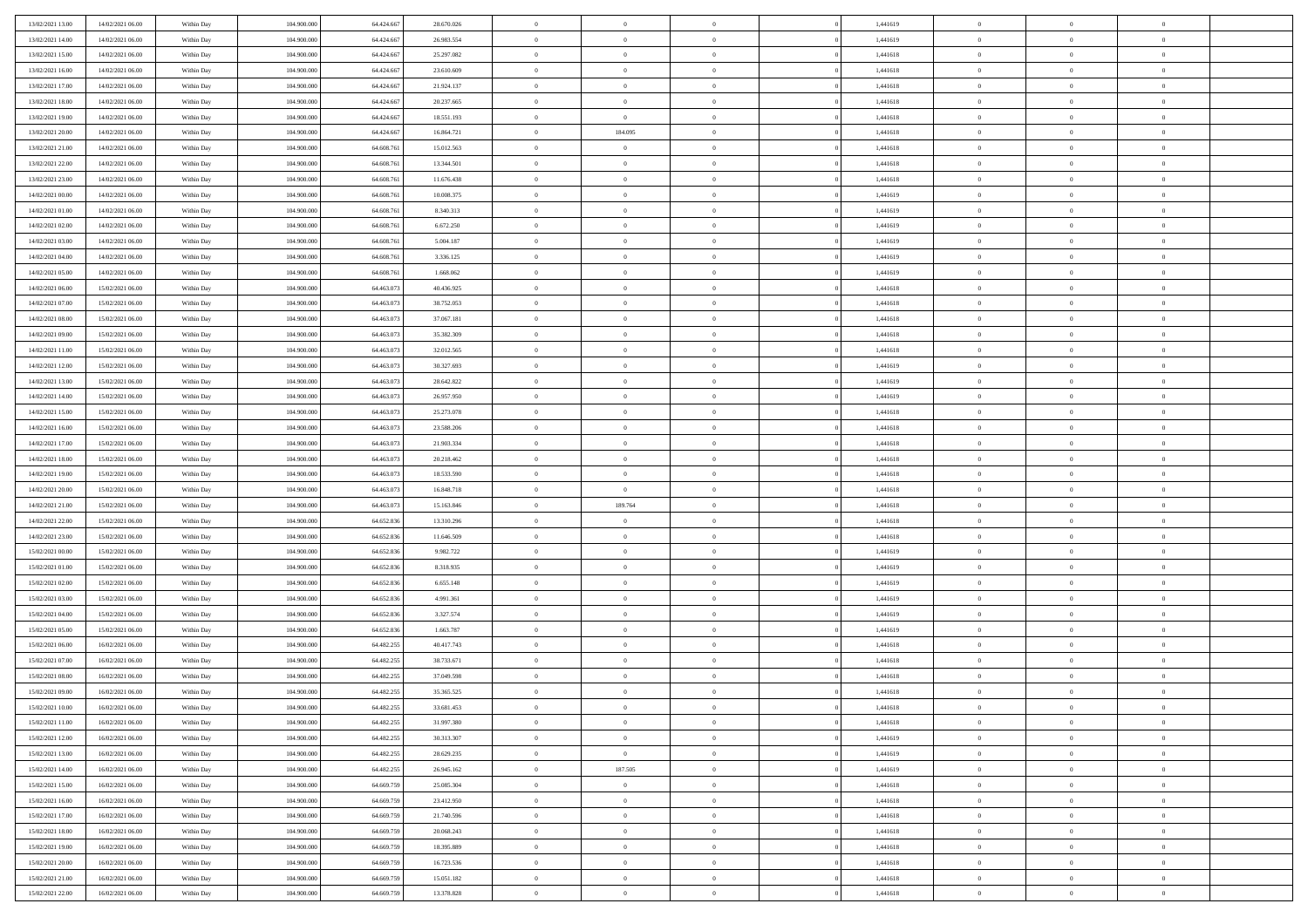| 13/02/2021 13:00                     | 14/02/2021 06:00                     | Within Day               | 104.900.000                | 64.424.667               | 28.670.026               | $\,$ 0                   | $\bf{0}$                   | $\theta$                         |          | 1,441619             | $\bf{0}$                     | $\overline{0}$                 | $\,0\,$                          |  |
|--------------------------------------|--------------------------------------|--------------------------|----------------------------|--------------------------|--------------------------|--------------------------|----------------------------|----------------------------------|----------|----------------------|------------------------------|--------------------------------|----------------------------------|--|
| 13/02/2021 14:00                     | 14/02/2021 06:00                     | Within Day               | 104,900,000                | 64.424.667               | 26.983.554               | $\overline{0}$           | $\overline{0}$             | $\overline{0}$                   |          | 1,441619             | $\overline{0}$               | $\overline{0}$                 | $\theta$                         |  |
| 13/02/2021 15:00                     | 14/02/2021 06:00                     | Within Dav               | 104.900.000                | 64.424.667               | 25.297.082               | $\mathbf{0}$             | $\overline{0}$             | $\overline{0}$                   |          | 1,441618             | $\mathbf{0}$                 | $\overline{0}$                 | $\overline{0}$                   |  |
| 13/02/2021 16:00                     | 14/02/2021 06:00                     | Within Day               | 104.900.000                | 64.424.667               | 23.610.609               | $\bf{0}$                 | $\overline{0}$             | $\bf{0}$                         |          | 1,441618             | $\bf{0}$                     | $\overline{0}$                 | $\bf{0}$                         |  |
| 13/02/2021 17:00                     | 14/02/2021 06:00                     | Within Day               | 104,900,000                | 64.424.667               | 21.924.137               | $\bf{0}$                 | $\bf{0}$                   | $\overline{0}$                   |          | 1,441618             | $\bf{0}$                     | $\bf{0}$                       | $\,0\,$                          |  |
| 13/02/2021 18:00                     | 14/02/2021 06:00                     | Within Dav               | 104.900.000                | 64.424.667               | 20.237.665               | $\overline{0}$           | $\overline{0}$             | $\overline{0}$                   |          | 1,441618             | $\mathbf{0}$                 | $\overline{0}$                 | $\overline{0}$                   |  |
| 13/02/2021 19:00                     | 14/02/2021 06:00                     | Within Day               | 104.900.000                | 64.424.667               | 18.551.193               | $\bf{0}$                 | $\overline{0}$             | $\overline{0}$                   |          | 1,441618             | $\bf{0}$                     | $\overline{0}$                 | $\,0\,$                          |  |
| 13/02/2021 20:00                     | 14/02/2021 06:00                     | Within Day               | 104,900,000                | 64.424.667               | 16.864.721               | $\overline{0}$           | 184.095                    | $\overline{0}$                   |          | 1,441618             | $\,$ 0 $\,$                  | $\overline{0}$                 | $\overline{0}$                   |  |
| 13/02/2021 21:00                     | 14/02/2021 06:00                     | Within Dav               | 104.900.000                | 64.608.761               | 15.012.563               | $\mathbf{0}$             | $\overline{0}$             | $\overline{0}$                   |          | 1,441618             | $\mathbf{0}$                 | $\overline{0}$                 | $\overline{0}$                   |  |
| 13/02/2021 22.00                     | 14/02/2021 06:00                     |                          | 104.900.000                | 64.608.761               | 13.344.501               | $\bf{0}$                 | $\bf{0}$                   | $\overline{0}$                   |          | 1,441618             | $\bf{0}$                     | $\overline{0}$                 | $\,0\,$                          |  |
|                                      |                                      | Within Day               | 104,900,000                | 64,608,76                |                          |                          | $\overline{0}$             |                                  |          |                      |                              | $\overline{0}$                 | $\theta$                         |  |
| 13/02/2021 23:00<br>14/02/2021 00:00 | 14/02/2021 06:00                     | Within Day               |                            |                          | 11.676.438               | $\bf{0}$<br>$\mathbf{0}$ |                            | $\overline{0}$                   |          | 1,441618             | $\bf{0}$<br>$\mathbf{0}$     |                                | $\overline{0}$                   |  |
|                                      | 14/02/2021 06:00                     | Within Dav               | 104.900.000                | 64.608.761               | 10.008.375               |                          | $\overline{0}$             | $\overline{0}$                   |          | 1,441619             |                              | $\overline{0}$                 |                                  |  |
| 14/02/2021 01:00                     | 14/02/2021 06:00                     | Within Day               | 104.900.000                | 64.608.761               | 8.340.313                | $\bf{0}$                 | $\overline{0}$             | $\bf{0}$                         |          | 1,441619             | $\bf{0}$                     | $\overline{0}$                 | $\bf{0}$                         |  |
| 14/02/2021 02:00                     | 14/02/2021 06:00                     | Within Day               | 104.900.000                | 64.608.761               | 6.672.250                | $\bf{0}$                 | $\overline{0}$             | $\overline{0}$                   |          | 1,441619             | $\bf{0}$                     | $\theta$                       | $\,0\,$                          |  |
| 14/02/2021 03:00                     | 14/02/2021 06:00                     | Within Dav               | 104.900.000                | 64.608.761               | 5.004.187                | $\overline{0}$           | $\overline{0}$             | $\overline{0}$                   |          | 1,441619             | $\mathbf{0}$                 | $\overline{0}$                 | $\overline{0}$                   |  |
| 14/02/2021 04:00                     | 14/02/2021 06:00                     | Within Day               | 104.900.000                | 64.608.761               | 3.336.125                | $\bf{0}$                 | $\bf{0}$                   | $\overline{0}$                   |          | 1,441619             | $\bf{0}$                     | $\overline{0}$                 | $\bf{0}$                         |  |
| 14/02/2021 05:00                     | 14/02/2021 06:00                     | Within Day               | 104,900,000                | 64,608,76                | 1.668.062                | $\bf{0}$                 | $\overline{0}$             | $\overline{0}$                   |          | 1,441619             | $\,$ 0 $\,$                  | $\overline{0}$                 | $\theta$                         |  |
| 14/02/2021 06:00                     | 15/02/2021 06:00                     | Within Day               | 104.900.000                | 64.463.073               | 40.436.925               | $\mathbf{0}$             | $\overline{0}$             | $\overline{0}$                   |          | 1,441618             | $\mathbf{0}$                 | $\overline{0}$                 | $\overline{0}$                   |  |
| 14/02/2021 07:00                     | 15/02/2021 06:00                     | Within Day               | 104.900.000                | 64.463.073               | 38.752.053               | $\bf{0}$                 | $\bf{0}$                   | $\overline{0}$                   |          | 1,441618             | $\bf{0}$                     | $\overline{0}$                 | $\,0\,$                          |  |
| 14/02/2021 08:00                     | 15/02/2021 06:00                     | Within Day               | 104,900,000                | 64.463.073               | 37.067.181               | $\bf{0}$                 | $\overline{0}$             | $\overline{0}$                   |          | 1,441618             | $\bf{0}$                     | $\overline{0}$                 | $\overline{0}$                   |  |
| 14/02/2021 09:00                     | 15/02/2021 06:00                     | Within Dav               | 104.900.000                | 64.463.073               | 35.382.309               | $\mathbf{0}$             | $\overline{0}$             | $\overline{0}$                   |          | 1,441618             | $\mathbf{0}$                 | $\overline{0}$                 | $\overline{0}$                   |  |
| 14/02/2021 11:00                     | 15/02/2021 06:00                     | Within Day               | 104.900.000                | 64.463.073               | 32.012.565               | $\bf{0}$                 | $\overline{0}$             | $\overline{0}$                   |          | 1,441618             | $\bf{0}$                     | $\overline{0}$                 | $\bf{0}$                         |  |
| 14/02/2021 12:00                     | 15/02/2021 06:00                     | Within Day               | 104,900,000                | 64.463.073               | 30.327.693               | $\bf{0}$                 | $\bf{0}$                   | $\overline{0}$                   |          | 1,441619             | $\bf{0}$                     | $\bf{0}$                       | $\,0\,$                          |  |
| 14/02/2021 13:00                     | 15/02/2021 06:00                     | Within Dav               | 104.900.000                | 64.463.073               | 28.642.822               | $\mathbf{0}$             | $\overline{0}$             | $\overline{0}$                   |          | 1,441619             | $\mathbf{0}$                 | $\overline{0}$                 | $\overline{0}$                   |  |
| 14/02/2021 14:00                     | 15/02/2021 06:00                     | Within Day               | 104.900.000                | 64.463.073               | 26.957.950               | $\bf{0}$                 | $\bf{0}$                   | $\overline{0}$                   |          | 1,441619             | $\bf{0}$                     | $\overline{0}$                 | $\,0\,$                          |  |
| 14/02/2021 15:00                     | 15/02/2021 06:00                     | Within Day               | 104,900,000                | 64.463.07                | 25.273.078               | $\overline{0}$           | $\overline{0}$             | $\overline{0}$                   |          | 1,441618             | $\bf{0}$                     | $\overline{0}$                 | $\overline{0}$                   |  |
| 14/02/2021 16:00                     | 15/02/2021 06:00                     | Within Dav               | 104.900.000                | 64.463.073               | 23.588.206               | $\mathbf{0}$             | $\overline{0}$             | $\overline{0}$                   |          | 1,441618             | $\mathbf{0}$                 | $\overline{0}$                 | $\overline{0}$                   |  |
| 14/02/2021 17.00                     | 15/02/2021 06:00                     | Within Day               | 104.900.000                | 64.463.073               | 21.903.334               | $\bf{0}$                 | $\bf{0}$                   | $\overline{0}$                   |          | 1,441618             | $\bf{0}$                     | $\overline{0}$                 | $\,0\,$                          |  |
| 14/02/2021 18:00                     | 15/02/2021 06:00                     | Within Day               | 104,900,000                | 64.463.073               | 20.218.462               | $\bf{0}$                 | $\overline{0}$             | $\overline{0}$                   |          | 1,441618             | $\bf{0}$                     | $\bf{0}$                       | $\bf{0}$                         |  |
| 14/02/2021 19:00                     | 15/02/2021 06:00                     | Within Dav               | 104.900.000                | 64.463.073               | 18.533.590               | $\mathbf{0}$             | $\overline{0}$             | $\overline{0}$                   |          | 1,441618             | $\mathbf{0}$                 | $\overline{0}$                 | $\overline{0}$                   |  |
| 14/02/2021 20:00                     | 15/02/2021 06:00                     | Within Day               | 104.900.000                | 64.463.073               | 16.848.718               | $\bf{0}$                 | $\overline{0}$             | $\theta$                         |          | 1,441618             | $\,$ 0                       | $\overline{0}$                 | $\theta$                         |  |
| 14/02/2021 21:00                     | 15/02/2021 06:00                     | Within Day               | 104,900,000                | 64.463.073               | 15.163.846               | $\bf{0}$                 | 189.764                    | $\overline{0}$                   |          | 1,441618             | $\bf{0}$                     | $\bf{0}$                       | $\bf{0}$                         |  |
| 14/02/2021 22:00                     | 15/02/2021 06:00                     | Within Dav               | 104.900.000                | 64.652.836               | 13.310.296               | $\overline{0}$           | $\overline{0}$             | $\overline{0}$                   |          | 1,441618             | $\mathbf{0}$                 | $\overline{0}$                 | $\overline{0}$                   |  |
| 14/02/2021 23:00                     | 15/02/2021 06:00                     | Within Day               | 104.900.000                | 64.652.836               | 11.646.509               | $\bf{0}$                 | $\overline{0}$             | $\theta$                         |          | 1,441618             | $\,$ 0                       | $\overline{0}$                 | $\theta$                         |  |
| 15/02/2021 00:00                     | 15/02/2021 06:00                     | Within Day               | 104,900,000                | 64.652.836               | 9.982.722                | $\bf{0}$                 | $\overline{0}$             | $\overline{0}$                   |          | 1,441619             | $\bf{0}$                     | $\overline{0}$                 | $\overline{0}$                   |  |
| 15/02/2021 01:00                     | 15/02/2021 06:00                     | Within Day               | 104.900.000                | 64.652.836               | 8.318.935                | $\mathbf{0}$             | $\overline{0}$             | $\overline{0}$                   |          | 1,441619             | $\mathbf{0}$                 | $\overline{0}$                 | $\overline{0}$                   |  |
| 15/02/2021 02:00                     | 15/02/2021 06:00                     | Within Day               | 104.900.000                | 64.652.836               | 6.655.148                | $\bf{0}$                 | $\overline{0}$             | $\theta$                         |          | 1,441619             | $\,$ 0                       | $\overline{0}$                 | $\theta$                         |  |
| 15/02/2021 03:00                     | 15/02/2021 06:00                     | Within Day               | 104,900,000                | 64.652.836               | 4.991.361                | $\bf{0}$                 | $\overline{0}$             | $\overline{0}$                   |          | 1,441619             | $\bf{0}$                     | $\bf{0}$                       | $\overline{0}$                   |  |
| 15/02/2021 04:00                     | 15/02/2021 06:00                     | Within Dav               | 104.900.000                | 64.652.836               | 3.327.574                | $\mathbf{0}$             | $\overline{0}$             | $\overline{0}$                   |          | 1,441619             | $\mathbf{0}$                 | $\overline{0}$                 | $\overline{0}$                   |  |
| 15/02/2021 05:00                     | 15/02/2021 06:00                     | Within Day               | 104.900.000                | 64.652.836               | 1.663.787                | $\,0\,$                  | $\overline{0}$             | $\theta$                         |          | 1,441619             | $\,$ 0                       | $\overline{0}$                 | $\theta$                         |  |
| 15/02/2021 06:00                     | 16/02/2021 06:00                     | Within Day               | 104,900,000                | 64.482.255               | 40.417.743               | $\bf{0}$                 | $\overline{0}$             | $\overline{0}$                   |          | 1,441618             | $\bf{0}$                     | $\overline{0}$                 | $\overline{0}$                   |  |
| 15/02/2021 07:00                     | 16/02/2021 06:00                     | Within Dav               | 104.900.000                | 64.482.255               | 38,733,671               | $\mathbf{0}$             | $\overline{0}$             | $\overline{0}$                   |          | 1,441618             | $\mathbf{0}$                 | $\overline{0}$                 | $\overline{0}$                   |  |
| 15/02/2021 08:00                     | 16/02/2021 06:00                     | Within Day               | 104.900.000                | 64.482.255               | 37.049.598               | $\bf{0}$                 | $\overline{0}$             | $\theta$                         |          | 1,441618             | $\,$ 0                       | $\overline{0}$                 | $\theta$                         |  |
| 15/02/2021 09:00                     | 16/02/2021 06:00                     | Within Day               | 104,900,000                | 64.482.255               | 35.365.525               | $\bf{0}$                 | $\overline{0}$             | $\overline{0}$                   |          | 1,441618             | $\,$ 0 $\,$                  | $\overline{0}$                 | $\overline{0}$                   |  |
| 15/02/2021 10:00                     | 16/02/2021 06:00                     | Within Day               | 104.900.000                | 64.482.255               | 33.681.453               | $\bf{0}$                 | $\overline{0}$             |                                  |          | 1,441618             | $\overline{0}$               | $\theta$                       | $\theta$                         |  |
| 15/02/2021 11:00                     | 16/02/2021 06:00                     | Within Day               | 104.900.000                | 64.482.255               | 31.997.380               | $\,0\,$                  | $\overline{0}$             | $\theta$                         |          | 1,441618             | $\,$ 0 $\,$                  | $\overline{0}$                 | $\theta$                         |  |
| 15/02/2021 12:00                     | 16/02/2021 06:00                     | Within Day               | 104.900.000                | 64.482.255               | 30.313.307               | $\overline{0}$           | $\overline{0}$             | $\overline{0}$                   |          | 1,441619             | $\overline{0}$               | $\overline{0}$                 | $\overline{0}$                   |  |
| 15/02/2021 13:00                     |                                      |                          |                            |                          |                          |                          |                            |                                  |          |                      |                              |                                |                                  |  |
|                                      |                                      |                          |                            |                          |                          |                          |                            |                                  |          |                      |                              |                                |                                  |  |
|                                      | 16/02/2021 06:00                     | Within Day               | 104.900.000                | 64.482.255               | 28.629.235               | $\bf{0}$                 | $\overline{0}$             | $\overline{0}$                   |          | 1,441619             | $\overline{0}$               | $\bf{0}$                       | $\mathbf{0}$                     |  |
| 15/02/2021 14:00                     | 16/02/2021 06:00                     | Within Day               | 104.900.000                | 64.482.255               | 26.945.162               | $\bf{0}$                 | 187.505                    | $\overline{0}$                   | $\theta$ | 1,441619             | $\mathbf{0}$                 | $\bf{0}$                       | $\,$ 0 $\,$                      |  |
| 15/02/2021 15:00                     | 16/02/2021 06:00                     | Within Day               | 104.900.000                | 64.669.759               | 25.085.304               | $\bf{0}$                 | $\overline{0}$             | $\overline{0}$                   |          | 1,441618             | $\,$ 0 $\,$                  | $\overline{0}$                 | $\overline{0}$                   |  |
| 15/02/2021 16:00                     | 16/02/2021 06:00                     | Within Day               | 104.900.000                | 64.669.759               | 23.412.950               | $\bf{0}$                 | $\overline{0}$             | $\overline{0}$                   |          | 1,441618             | $\mathbf{0}$                 | $\overline{0}$                 | $\overline{0}$                   |  |
| 15/02/2021 17:00                     | 16/02/2021 06:00                     | Within Day               | 104.900.000                | 64.669.759               | 21.740.596               | $\,0\,$                  | $\overline{0}$             | $\overline{0}$                   | $\theta$ | 1,441618             | $\,$ 0 $\,$                  | $\overline{0}$                 | $\overline{0}$                   |  |
| 15/02/2021 18:00                     | 16/02/2021 06:00                     | Within Day               | 104.900.000                | 64.669.759               | 20.068.243               | $\bf{0}$                 | $\overline{0}$             | $\overline{0}$                   |          | 1,441618             | $\overline{0}$               | $\overline{0}$                 | $\overline{0}$                   |  |
| 15/02/2021 19:00                     | 16/02/2021 06:00                     | Within Day               | 104.900.000                | 64.669.759               | 18.395.889               | $\bf{0}$                 | $\overline{0}$             | $\overline{0}$                   |          | 1,441618             | $\mathbf{0}$                 | $\overline{0}$                 | $\overline{0}$                   |  |
| 15/02/2021 20:00                     | 16/02/2021 06:00                     | Within Day               | 104.900.000                | 64.669.759               | 16.723.536               | $\,0\,$                  | $\overline{0}$             | $\overline{0}$                   |          | 1,441618             | $\,$ 0 $\,$                  | $\mathbf{0}$                   | $\overline{0}$                   |  |
| 15/02/2021 21:00<br>15/02/2021 22:00 | 16/02/2021 06:00<br>16/02/2021 06:00 | Within Day<br>Within Day | 104,900,000<br>104.900.000 | 64.669.759<br>64.669.759 | 15.051.182<br>13.378.828 | $\bf{0}$<br>$\mathbf{0}$ | $\bf{0}$<br>$\overline{0}$ | $\overline{0}$<br>$\overline{0}$ |          | 1,441618<br>1,441618 | $\mathbf{0}$<br>$\mathbf{0}$ | $\mathbf{0}$<br>$\overline{0}$ | $\overline{0}$<br>$\overline{0}$ |  |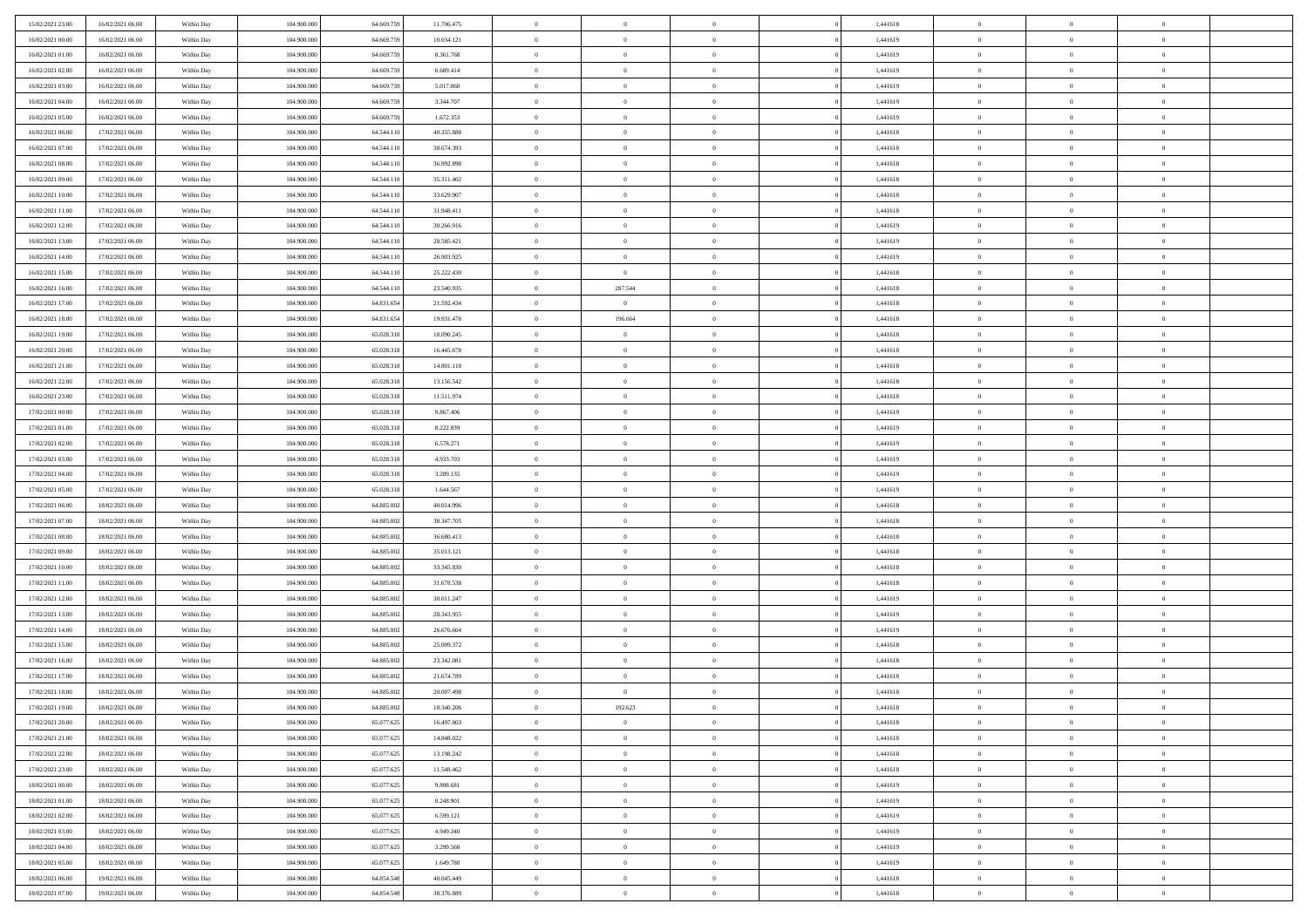| 15/02/2021 23.00 | 16/02/2021 06:00 | Within Day | 104,900,000 | 64.669.759 | 11.706.475 | $\overline{0}$ | $\overline{0}$ | $\Omega$       | 1,441618 | $\bf{0}$       | $\mathbf{0}$   | $\bf{0}$       |  |
|------------------|------------------|------------|-------------|------------|------------|----------------|----------------|----------------|----------|----------------|----------------|----------------|--|
| 16/02/2021 00:00 | 16/02/2021 06:00 | Within Day | 104.900.000 | 64.669.759 | 10.034.121 | $\mathbf{0}$   | $\overline{0}$ | $\overline{0}$ | 1,441619 | $\overline{0}$ | $\overline{0}$ | $\overline{0}$ |  |
| 16/02/2021 01:00 | 16/02/2021 06:00 | Within Day | 104.900.000 | 64.669.759 | 8.361.768  | $\,$ 0         | $\overline{0}$ | $\bf{0}$       | 1,441619 | $\,$ 0         | $\overline{0}$ | $\,$ 0 $\,$    |  |
| 16/02/2021 02:00 | 16/02/2021 06:00 | Within Day | 104,900,000 | 64,669,759 | 6.689.414  | $\bf{0}$       | $\overline{0}$ | $\Omega$       | 1,441619 | $\bf{0}$       | $\mathbf{0}$   | $\theta$       |  |
| 16/02/2021 03:00 | 16/02/2021 06:00 | Within Dav | 104.900.000 | 64.669.759 | 5.017.060  | $\bf{0}$       | $\overline{0}$ | $\overline{0}$ | 1,441619 | $\overline{0}$ | $\overline{0}$ | $\overline{0}$ |  |
| 16/02/2021 04:00 | 16/02/2021 06:00 | Within Day | 104.900.000 | 64.669.759 | 3.344.707  | $\bf{0}$       | $\overline{0}$ | $\bf{0}$       | 1,441619 | $\,$ 0         | $\overline{0}$ | $\,$ 0 $\,$    |  |
| 16/02/2021 05:00 | 16/02/2021 06:00 | Within Day | 104,900,000 | 64.669.759 | 1.672.353  | $\bf{0}$       | $\overline{0}$ | $\overline{0}$ | 1,441619 | $\bf{0}$       | $\bf{0}$       | $\theta$       |  |
| 16/02/2021 06:00 | 17/02/2021 06:00 | Within Day | 104.900.000 | 64.544.110 | 40.355.888 | $\overline{0}$ | $\overline{0}$ | $\overline{0}$ | 1,441618 | $\mathbf{0}$   | $\overline{0}$ | $\overline{0}$ |  |
| 16/02/2021 07:00 | 17/02/2021 06:00 | Within Day | 104.900.000 | 64.544.110 | 38.674.393 | $\bf{0}$       | $\overline{0}$ | $\bf{0}$       | 1,441618 | $\,$ 0         | $\overline{0}$ | $\,$ 0 $\,$    |  |
| 16/02/2021 08:00 | 17/02/2021 06:00 | Within Day | 104,900,000 | 64.544.110 | 36.992.898 | $\bf{0}$       | $\overline{0}$ | $\Omega$       | 1,441618 | $\theta$       | $\mathbf{0}$   | $\theta$       |  |
| 16/02/2021 09:00 | 17/02/2021 06:00 | Within Day | 104.900.000 | 64.544.110 | 35.311.402 | $\overline{0}$ | $\overline{0}$ | $\overline{0}$ | 1,441618 | $\mathbf{0}$   | $\overline{0}$ | $\overline{0}$ |  |
| 16/02/2021 10:00 | 17/02/2021 06:00 | Within Day | 104.900.000 | 64.544.110 | 33.629.907 | $\bf{0}$       | $\overline{0}$ | $\bf{0}$       | 1,441618 | $\,$ 0         | $\overline{0}$ | $\,$ 0 $\,$    |  |
| 16/02/2021 11:00 | 17/02/2021 06:00 | Within Day | 104,900,000 | 64.544.110 | 31.948.411 | $\bf{0}$       | $\overline{0}$ | $\Omega$       | 1,441618 | $\overline{0}$ | $\mathbf{0}$   | $\theta$       |  |
| 16/02/2021 12:00 | 17/02/2021 06:00 | Within Day | 104.900.000 | 64.544.110 | 30.266.916 | $\overline{0}$ | $\overline{0}$ | $\overline{0}$ | 1,441619 | $\mathbf{0}$   | $\overline{0}$ | $\overline{0}$ |  |
| 16/02/2021 13:00 | 17/02/2021 06:00 | Within Day | 104.900.000 | 64.544.110 | 28.585.421 | $\bf{0}$       | $\overline{0}$ | $\bf{0}$       | 1,441619 | $\,$ 0         | $\overline{0}$ | $\,$ 0 $\,$    |  |
| 16/02/2021 14:00 | 17/02/2021 06:00 | Within Day | 104,900,000 | 64.544.110 | 26.903.925 | $\bf{0}$       | $\overline{0}$ | $\overline{0}$ | 1,441619 | $\bf{0}$       | $\mathbf{0}$   | $\bf{0}$       |  |
| 16/02/2021 15:00 | 17/02/2021 06:00 | Within Day | 104.900.000 | 64.544.110 | 25.222.430 | $\overline{0}$ | $\overline{0}$ | $\overline{0}$ | 1,441618 | $\mathbf{0}$   | $\overline{0}$ | $\overline{0}$ |  |
| 16/02/2021 16:00 | 17/02/2021 06:00 | Within Day | 104.900.000 | 64.544.110 | 23.540.935 | $\bf{0}$       | 287.544        | $\bf{0}$       | 1,441618 | $\,$ 0         | $\overline{0}$ | $\,0\,$        |  |
| 16/02/2021 17:00 | 17/02/2021 06:00 | Within Day | 104,900,000 | 64.831.654 | 21.592.434 | $\bf{0}$       | $\overline{0}$ | $\Omega$       | 1,441618 | $\theta$       | $\mathbf{0}$   | $\theta$       |  |
| 16/02/2021 18:00 | 17/02/2021 06:00 | Within Day | 104.900.000 | 64.831.654 | 19.931.478 | $\overline{0}$ | 196.664        | $\overline{0}$ | 1,441618 | $\mathbf{0}$   | $\overline{0}$ | $\overline{0}$ |  |
| 16/02/2021 19:00 | 17/02/2021 06:00 | Within Day | 104.900.000 | 65.028.318 | 18.090.245 | $\bf{0}$       | $\overline{0}$ | $\bf{0}$       | 1,441618 | $\,$ 0         | $\overline{0}$ | $\,$ 0 $\,$    |  |
| 16/02/2021 20:00 | 17/02/2021 06:00 | Within Day | 104,900,000 | 65.028.318 | 16.445.678 | $\bf{0}$       | $\overline{0}$ | $\Omega$       | 1,441618 | $\bf{0}$       | $\mathbf{0}$   | $\theta$       |  |
| 16/02/2021 21:00 | 17/02/2021 06:00 | Within Day | 104.900.000 | 65.028.318 | 14.801.110 | $\overline{0}$ | $\overline{0}$ | $\overline{0}$ | 1,441618 | $\mathbf{0}$   | $\overline{0}$ | $\overline{0}$ |  |
| 16/02/2021 22:00 | 17/02/2021 06:00 | Within Day | 104.900.000 | 65.028.318 | 13.156.542 | $\bf{0}$       | $\overline{0}$ | $\bf{0}$       | 1,441618 | $\,$ 0         | $\overline{0}$ | $\,$ 0 $\,$    |  |
| 16/02/2021 23:00 | 17/02/2021 06:00 | Within Day | 104,900,000 | 65.028.318 | 11.511.974 | $\bf{0}$       | $\overline{0}$ | $\overline{0}$ | 1,441618 | $\bf{0}$       | $\overline{0}$ | $\bf{0}$       |  |
| 17/02/2021 00:00 | 17/02/2021 06:00 | Within Day | 104.900.000 | 65.028.318 | 9.867.406  | $\overline{0}$ | $\overline{0}$ | $\overline{0}$ | 1,441619 | $\mathbf{0}$   | $\overline{0}$ | $\overline{0}$ |  |
| 17/02/2021 01:00 | 17/02/2021 06:00 | Within Day | 104.900.000 | 65.028.318 | 8.222.839  | $\bf{0}$       | $\overline{0}$ | $\bf{0}$       | 1,441619 | $\,$ 0         | $\overline{0}$ | $\,$ 0 $\,$    |  |
| 17/02/2021 02:00 | 17/02/2021 06:00 | Within Day | 104,900,000 | 65.028.318 | 6.578.271  | $\bf{0}$       | $\overline{0}$ | $\Omega$       | 1,441619 | $\theta$       | $\mathbf{0}$   | $\theta$       |  |
| 17/02/2021 03:00 | 17/02/2021 06:00 | Within Day | 104.900.000 | 65.028.318 | 4.933.703  | $\overline{0}$ | $\overline{0}$ | $\overline{0}$ | 1,441619 | $\mathbf{0}$   | $\overline{0}$ | $\overline{0}$ |  |
| 17/02/2021 04:00 | 17/02/2021 06:00 | Within Day | 104.900.000 | 65.028.318 | 3.289.135  | $\bf{0}$       | $\overline{0}$ | $\bf{0}$       | 1,441619 | $\,$ 0         | $\overline{0}$ | $\,$ 0 $\,$    |  |
| 17/02/2021 05:00 | 17/02/2021 06:00 | Within Day | 104.900.000 | 65.028.318 | 1.644.567  | $\,$ 0         | $\overline{0}$ | $\overline{0}$ | 1,441619 | $\bf{0}$       | $\overline{0}$ | $\,0\,$        |  |
| 17/02/2021 06:00 | 18/02/2021 06:00 | Within Dav | 104.900.000 | 64.885.002 | 40.014.996 | $\overline{0}$ | $\overline{0}$ | $\overline{0}$ | 1,441618 | $\mathbf{0}$   | $\overline{0}$ | $\overline{0}$ |  |
| 17/02/2021 07:00 | 18/02/2021 06:00 | Within Day | 104.900.000 | 64.885.002 | 38.347.705 | $\bf{0}$       | $\overline{0}$ | $\bf{0}$       | 1,441618 | $\,$ 0         | $\overline{0}$ | $\,$ 0 $\,$    |  |
| 17/02/2021 08:00 | 18/02/2021 06:00 | Within Day | 104.900.000 | 64.885.002 | 36.680.413 | $\bf{0}$       | $\bf{0}$       | $\bf{0}$       | 1,441618 | $\bf{0}$       | $\overline{0}$ | $\,0\,$        |  |
| 17/02/2021 09:00 | 18/02/2021 06:00 | Within Day | 104.900.000 | 64.885.002 | 35.013.121 | $\overline{0}$ | $\overline{0}$ | $\overline{0}$ | 1,441618 | $\overline{0}$ | $\overline{0}$ | $\overline{0}$ |  |
| 17/02/2021 10:00 | 18/02/2021 06:00 | Within Day | 104.900.000 | 64.885.002 | 33.345.830 | $\bf{0}$       | $\overline{0}$ | $\bf{0}$       | 1,441618 | $\,$ 0         | $\overline{0}$ | $\,$ 0 $\,$    |  |
| 17/02/2021 11:00 | 18/02/2021 06:00 | Within Day | 104.900.000 | 64.885.002 | 31.678.538 | $\bf{0}$       | $\bf{0}$       | $\overline{0}$ | 1,441618 | $\bf{0}$       | $\overline{0}$ | $\,0\,$        |  |
| 17/02/2021 12:00 | 18/02/2021 06:00 | Within Day | 104.900.000 | 64.885.002 | 30.011.247 | $\overline{0}$ | $\overline{0}$ | $\overline{0}$ | 1,441619 | $\mathbf{0}$   | $\overline{0}$ | $\overline{0}$ |  |
| 17/02/2021 13:00 | 18/02/2021 06:00 | Within Day | 104.900.000 | 64.885.002 | 28.343.955 | $\bf{0}$       | $\overline{0}$ | $\bf{0}$       | 1,441619 | $\,$ 0         | $\overline{0}$ | $\,$ 0 $\,$    |  |
| 17/02/2021 14:00 | 18/02/2021 06:00 | Within Day | 104.900.000 | 64.885.002 | 26.676.664 | $\bf{0}$       | $\bf{0}$       | $\overline{0}$ | 1,441619 | $\bf{0}$       | $\overline{0}$ | $\,0\,$        |  |
| 17/02/2021 15:00 | 18/02/2021 06:00 | Within Day | 104.900.000 | 64.885.002 | 25.009.372 | $\overline{0}$ | $\overline{0}$ | $\overline{0}$ | 1,441618 | $\overline{0}$ | $\overline{0}$ | $\overline{0}$ |  |
| 17/02/2021 16:00 | 18/02/2021 06:00 | Within Day | 104.900.000 | 64.885.002 | 23.342.081 | $\bf{0}$       | $\overline{0}$ | $\bf{0}$       | 1,441618 | $\,$ 0         | $\overline{0}$ | $\,$ 0 $\,$    |  |
| 17/02/2021 17:00 | 18/02/2021 06:00 | Within Day | 104.900.000 | 64.885.002 | 21.674.789 | $\bf{0}$       | $\bf{0}$       | $\bf{0}$       | 1,441618 | $\bf{0}$       | $\overline{0}$ | $\,0\,$        |  |
| 17/02/2021 18:00 | 18/02/2021 06:00 | Within Day | 104.900.000 | 64.885.002 | 20.007.498 | $\mathbf{0}$   | $\overline{0}$ | $\overline{0}$ | 1,441618 | $\mathbf{0}$   | $\overline{0}$ | $\overline{0}$ |  |
| 17/02/2021 19:00 | 18/02/2021 06:00 | Within Day | 104.900.000 | 64.885.002 | 18.340.206 | $\bf{0}$       | 192.623        | $\theta$       | 1,441618 | $\overline{0}$ | $\overline{0}$ | $\theta$       |  |
| 17/02/2021 20:00 | 18/02/2021 06:00 | Within Day | 104.900.000 | 65.077.625 | 16.497.803 | $\bf{0}$       | $\bf{0}$       | $\bf{0}$       | 1,441618 | $\bf{0}$       | $\overline{0}$ | $\,0\,$        |  |
| 17/02/2021 21:00 | 18/02/2021 06:00 | Within Day | 104.900.000 | 65.077.625 | 14.848.022 | $\overline{0}$ | $\overline{0}$ | $\overline{0}$ | 1,441618 | $\overline{0}$ | $\bf{0}$       | $\overline{0}$ |  |
| 17/02/2021 22.00 | 18/02/2021 06:00 | Within Day | 104.900.000 | 65.077.625 | 13.198.242 | $\,$ 0 $\,$    | $\overline{0}$ | $\overline{0}$ | 1,441618 | $\mathbf{0}$   | $\,$ 0 $\,$    | $\,$ 0 $\,$    |  |
| 17/02/2021 23.00 | 18/02/2021 06:00 | Within Day | 104.900.000 | 65.077.625 | 11.548.462 | $\bf{0}$       | $\bf{0}$       | $\overline{0}$ | 1,441618 | $\bf{0}$       | $\overline{0}$ | $\bf{0}$       |  |
| 18/02/2021 00:00 | 18/02/2021 06:00 | Within Day | 104.900.000 | 65.077.625 | 9.898.681  | $\bf{0}$       | $\overline{0}$ | $\overline{0}$ | 1,441619 | $\mathbf{0}$   | $\overline{0}$ | $\overline{0}$ |  |
| 18/02/2021 01:00 | 18/02/2021 06:00 | Within Day | 104.900.000 | 65.077.625 | 8.248.901  | $\,$ 0 $\,$    | $\overline{0}$ | $\overline{0}$ | 1,441619 | $\,$ 0 $\,$    | $\overline{0}$ | $\,$ 0 $\,$    |  |
| 18/02/2021 02:00 | 18/02/2021 06:00 | Within Day | 104.900.000 | 65.077.625 | 6.599.121  | $\bf{0}$       | $\overline{0}$ | $\overline{0}$ | 1,441619 | $\bf{0}$       | $\overline{0}$ | $\overline{0}$ |  |
| 18/02/2021 03:00 | 18/02/2021 06:00 | Within Day | 104.900.000 | 65.077.625 | 4.949.340  | $\overline{0}$ | $\overline{0}$ | $\overline{0}$ | 1,441619 | $\overline{0}$ | $\bf{0}$       | $\overline{0}$ |  |
| 18/02/2021 04:00 | 18/02/2021 06:00 | Within Day | 104.900.000 | 65.077.625 | 3.299.560  | $\,$ 0 $\,$    | $\overline{0}$ | $\overline{0}$ | 1,441619 | $\,$ 0 $\,$    | $\,$ 0 $\,$    | $\,$ 0 $\,$    |  |
| 18/02/2021 05:00 | 18/02/2021 06:00 | Within Day | 104.900.000 | 65.077.625 | 1.649.780  | $\bf{0}$       | $\bf{0}$       | $\overline{0}$ | 1,441619 | $\mathbf{0}$   | $\overline{0}$ | $\bf{0}$       |  |
| 18/02/2021 06:00 | 19/02/2021 06:00 | Within Day | 104.900.000 | 64.854.548 | 40.045.449 | $\bf{0}$       | $\overline{0}$ | $\overline{0}$ | 1,441618 | $\mathbf{0}$   | $\bf{0}$       | $\overline{0}$ |  |
| 18/02/2021 07:00 | 19/02/2021 06:00 | Within Day | 104.900.000 | 64.854.548 | 38.376.889 | $\,0\,$        | $\overline{0}$ | $\overline{0}$ | 1,441618 | $\,$ 0         | $\overline{0}$ | $\,$ 0 $\,$    |  |
|                  |                  |            |             |            |            |                |                |                |          |                |                |                |  |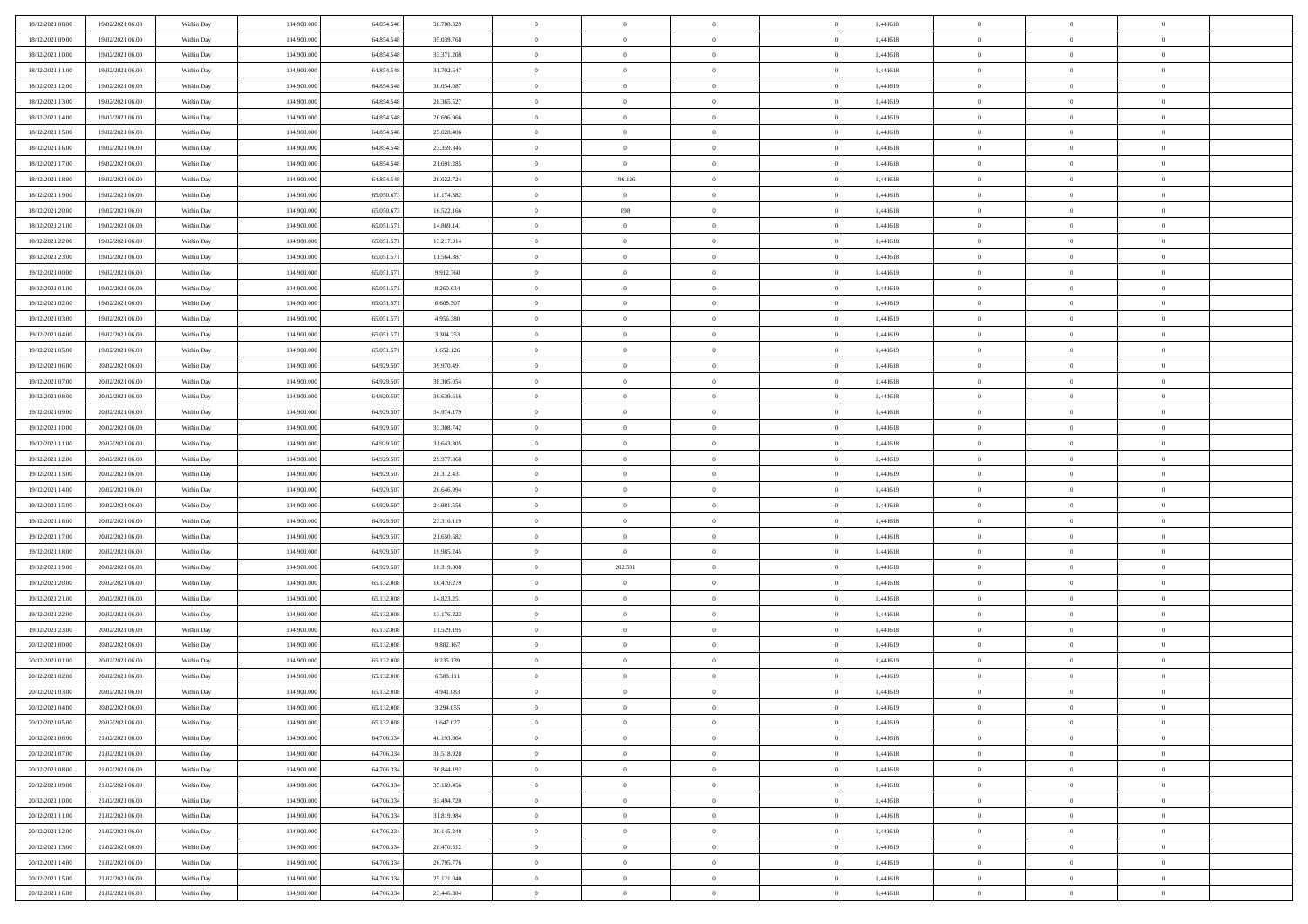| 18/02/2021 08:00 | 19/02/2021 06:00 | Within Day | 104.900.000 | 64.854.548 | 36.708.329 | $\bf{0}$       | $\bf{0}$       | $\theta$       |          | 1,441618 | $\bf{0}$       | $\overline{0}$ | $\,0\,$        |  |
|------------------|------------------|------------|-------------|------------|------------|----------------|----------------|----------------|----------|----------|----------------|----------------|----------------|--|
| 18/02/2021 09:00 | 19/02/2021 06:00 | Within Day | 104,900,000 | 64.854.548 | 35.039.768 | $\overline{0}$ | $\overline{0}$ | $\overline{0}$ |          | 1,441618 | $\overline{0}$ | $\overline{0}$ | $\theta$       |  |
| 18/02/2021 10:00 | 19/02/2021 06:00 | Within Dav | 104.900.000 | 64.854.548 | 33.371.208 | $\mathbf{0}$   | $\overline{0}$ | $\overline{0}$ |          | 1,441618 | $\mathbf{0}$   | $\overline{0}$ | $\overline{0}$ |  |
| 18/02/2021 11:00 | 19/02/2021 06:00 | Within Day | 104.900.000 | 64.854.548 | 31.702.647 | $\bf{0}$       | $\overline{0}$ | $\bf{0}$       |          | 1,441618 | $\bf{0}$       | $\overline{0}$ | $\bf{0}$       |  |
| 18/02/2021 12:00 | 19/02/2021 06:00 | Within Day | 104,900,000 | 64.854.548 | 30.034.087 | $\bf{0}$       | $\bf{0}$       | $\overline{0}$ |          | 1,441619 | $\bf{0}$       | $\bf{0}$       | $\,0\,$        |  |
| 18/02/2021 13:00 | 19/02/2021 06:00 | Within Dav | 104.900.000 | 64.854.548 | 28.365.527 | $\mathbf{0}$   | $\overline{0}$ | $\overline{0}$ |          | 1,441619 | $\mathbf{0}$   | $\overline{0}$ | $\theta$       |  |
|                  |                  |            |             |            |            | $\bf{0}$       |                | $\overline{0}$ |          |          | $\bf{0}$       | $\overline{0}$ | $\,0\,$        |  |
| 18/02/2021 14:00 | 19/02/2021 06:00 | Within Day | 104.900.000 | 64.854.548 | 26.696.966 |                | $\overline{0}$ |                |          | 1,441619 |                |                |                |  |
| 18/02/2021 15:00 | 19/02/2021 06:00 | Within Day | 104,900,000 | 64.854.548 | 25.028.406 | $\overline{0}$ | $\overline{0}$ | $\overline{0}$ |          | 1,441618 | $\,$ 0 $\,$    | $\overline{0}$ | $\theta$       |  |
| 18/02/2021 16:00 | 19/02/2021 06:00 | Within Dav | 104.900.000 | 64.854.548 | 23.359.845 | $\mathbf{0}$   | $\overline{0}$ | $\overline{0}$ |          | 1,441618 | $\mathbf{0}$   | $\overline{0}$ | $\overline{0}$ |  |
| 18/02/2021 17:00 | 19/02/2021 06:00 | Within Day | 104.900.000 | 64.854.548 | 21.691.285 | $\bf{0}$       | $\overline{0}$ | $\theta$       |          | 1,441618 | $\bf{0}$       | $\overline{0}$ | $\,0\,$        |  |
| 18/02/2021 18:00 | 19/02/2021 06:00 | Within Day | 104,900,000 | 64.854.548 | 20.022.724 | $\overline{0}$ | 196.126        | $\overline{0}$ |          | 1,441618 | $\bf{0}$       | $\overline{0}$ | $\theta$       |  |
| 18/02/2021 19:00 | 19/02/2021 06:00 | Within Dav | 104.900.000 | 65.050.673 | 18.174.382 | $\mathbf{0}$   | $\overline{0}$ | $\overline{0}$ |          | 1,441618 | $\mathbf{0}$   | $\overline{0}$ | $\overline{0}$ |  |
| 18/02/2021 20:00 | 19/02/2021 06:00 | Within Day | 104.900.000 | 65.050.673 | 16.522.166 | $\bf{0}$       | 898            | $\bf{0}$       |          | 1,441618 | $\bf{0}$       | $\overline{0}$ | $\overline{0}$ |  |
| 18/02/2021 21:00 | 19/02/2021 06:00 | Within Day | 104.900.000 | 65.051.571 | 14.869.141 | $\bf{0}$       | $\overline{0}$ | $\overline{0}$ |          | 1,441618 | $\bf{0}$       | $\theta$       | $\,0\,$        |  |
| 18/02/2021 22:00 | 19/02/2021 06:00 | Within Dav | 104.900.000 | 65.051.571 | 13.217.014 | $\overline{0}$ | $\overline{0}$ | $\overline{0}$ |          | 1,441618 | $\mathbf{0}$   | $\overline{0}$ | $\overline{0}$ |  |
| 18/02/2021 23:00 | 19/02/2021 06:00 | Within Day | 104.900.000 | 65.051.571 | 11.564.887 | $\bf{0}$       | $\overline{0}$ | $\overline{0}$ |          | 1,441618 | $\bf{0}$       | $\overline{0}$ | $\bf{0}$       |  |
| 19/02/2021 00:00 | 19/02/2021 06:00 | Within Day | 104,900,000 | 65.051.571 | 9.912.760  | $\overline{0}$ | $\overline{0}$ | $\overline{0}$ |          | 1,441619 | $\bf{0}$       | $\overline{0}$ | $\theta$       |  |
| 19/02/2021 01:00 | 19/02/2021 06:00 | Within Day | 104.900.000 | 65.051.571 | 8.260.634  | $\mathbf{0}$   | $\overline{0}$ | $\overline{0}$ |          | 1,441619 | $\mathbf{0}$   | $\overline{0}$ | $\overline{0}$ |  |
| 19/02/2021 02:00 | 19/02/2021 06:00 | Within Day | 104.900.000 | 65.051.571 | 6.608.507  | $\bf{0}$       | $\overline{0}$ | $\overline{0}$ |          | 1,441619 | $\bf{0}$       | $\overline{0}$ | $\,0\,$        |  |
| 19/02/2021 03:00 | 19/02/2021 06:00 | Within Day | 104,900,000 | 65.051.571 | 4.956.380  | $\overline{0}$ | $\overline{0}$ | $\overline{0}$ |          | 1,441619 | $\bf{0}$       | $\overline{0}$ | $\overline{0}$ |  |
| 19/02/2021 04:00 | 19/02/2021 06:00 | Within Dav | 104.900.000 | 65.051.571 | 3.304.253  | $\mathbf{0}$   | $\overline{0}$ | $\overline{0}$ |          | 1,441619 | $\mathbf{0}$   | $\overline{0}$ | $\overline{0}$ |  |
| 19/02/2021 05:00 | 19/02/2021 06:00 | Within Day | 104.900.000 | 65.051.571 | 1.652.126  | $\bf{0}$       | $\overline{0}$ | $\overline{0}$ |          | 1,441619 | $\bf{0}$       | $\overline{0}$ | $\bf{0}$       |  |
| 19/02/2021 06:00 | 20/02/2021 06:00 | Within Day | 104,900,000 | 64.929.507 | 39.970.491 | $\bf{0}$       | $\overline{0}$ | $\overline{0}$ |          | 1,441618 | $\bf{0}$       | $\overline{0}$ | $\,0\,$        |  |
| 19/02/2021 07:00 | 20/02/2021 06:00 | Within Dav | 104.900.000 | 64.929.507 | 38.305.054 | $\mathbf{0}$   | $\overline{0}$ | $\overline{0}$ |          | 1,441618 | $\mathbf{0}$   | $\overline{0}$ | $\theta$       |  |
| 19/02/2021 08:00 | 20/02/2021 06:00 | Within Day | 104.900.000 | 64.929.507 | 36.639.616 | $\bf{0}$       | $\overline{0}$ | $\overline{0}$ |          | 1,441618 | $\bf{0}$       | $\overline{0}$ | $\,0\,$        |  |
| 19/02/2021 09:00 | 20/02/2021 06:00 | Within Day | 104,900,000 | 64.929.507 | 34.974.179 | $\overline{0}$ | $\overline{0}$ | $\overline{0}$ |          | 1,441618 | $\bf{0}$       | $\overline{0}$ | $\overline{0}$ |  |
| 19/02/2021 10:00 | 20/02/2021 06:00 | Within Dav | 104.900.000 | 64.929.507 | 33.308.742 | $\mathbf{0}$   | $\overline{0}$ | $\overline{0}$ |          | 1,441618 | $\mathbf{0}$   | $\overline{0}$ | $\overline{0}$ |  |
|                  | 20/02/2021 06:00 |            |             |            |            | $\bf{0}$       |                | $\overline{0}$ |          |          | $\bf{0}$       | $\overline{0}$ | $\,0\,$        |  |
| 19/02/2021 11:00 |                  | Within Day | 104.900.000 | 64.929.507 | 31.643.305 |                | $\overline{0}$ |                |          | 1,441618 |                |                |                |  |
| 19/02/2021 12:00 | 20/02/2021 06:00 | Within Day | 104,900,000 | 64.929.507 | 29.977.868 | $\bf{0}$       | $\overline{0}$ | $\overline{0}$ |          | 1,441619 | $\bf{0}$       | $\overline{0}$ | $\overline{0}$ |  |
| 19/02/2021 13:00 | 20/02/2021 06:00 | Within Dav | 104.900.000 | 64.929.507 | 28.312.431 | $\mathbf{0}$   | $\overline{0}$ | $\overline{0}$ |          | 1,441619 | $\mathbf{0}$   | $\overline{0}$ | $\overline{0}$ |  |
| 19/02/2021 14:00 | 20/02/2021 06:00 | Within Day | 104.900.000 | 64.929.507 | 26.646.994 | $\bf{0}$       | $\overline{0}$ | $\theta$       |          | 1,441619 | $\,$ 0         | $\overline{0}$ | $\theta$       |  |
| 19/02/2021 15:00 | 20/02/2021 06:00 | Within Day | 104,900,000 | 64.929.507 | 24.981.556 | $\bf{0}$       | $\overline{0}$ | $\overline{0}$ |          | 1,441618 | $\bf{0}$       | $\overline{0}$ | $\overline{0}$ |  |
| 19/02/2021 16:00 | 20/02/2021 06:00 | Within Dav | 104.900.000 | 64.929.507 | 23.316.119 | $\overline{0}$ | $\overline{0}$ | $\overline{0}$ |          | 1,441618 | $\mathbf{0}$   | $\overline{0}$ | $\overline{0}$ |  |
| 19/02/2021 17:00 | 20/02/2021 06:00 | Within Day | 104.900.000 | 64.929.507 | 21.650.682 | $\bf{0}$       | $\overline{0}$ | $\theta$       |          | 1,441618 | $\,$ 0         | $\overline{0}$ | $\theta$       |  |
| 19/02/2021 18:00 | 20/02/2021 06:00 | Within Day | 104,900,000 | 64.929.507 | 19.985.245 | $\bf{0}$       | $\overline{0}$ | $\overline{0}$ |          | 1,441618 | $\bf{0}$       | $\overline{0}$ | $\overline{0}$ |  |
| 19/02/2021 19:00 | 20/02/2021 06:00 | Within Day | 104.900.000 | 64.929.507 | 18.319.808 | $\mathbf{0}$   | 202.501        | $\overline{0}$ |          | 1,441618 | $\mathbf{0}$   | $\overline{0}$ | $\overline{0}$ |  |
| 19/02/2021 20:00 | 20/02/2021 06:00 | Within Day | 104.900.000 | 65.132.008 | 16.470.279 | $\bf{0}$       | $\overline{0}$ | $\theta$       |          | 1,441618 | $\,$ 0         | $\overline{0}$ | $\theta$       |  |
| 19/02/2021 21:00 | 20/02/2021 06:00 | Within Day | 104,900,000 | 65.132.008 | 14.823.251 | $\bf{0}$       | $\overline{0}$ | $\overline{0}$ |          | 1,441618 | $\bf{0}$       | $\mathbf{0}$   | $\overline{0}$ |  |
| 19/02/2021 22:00 | 20/02/2021 06:00 | Within Dav | 104.900.000 | 65.132.008 | 13.176.223 | $\mathbf{0}$   | $\overline{0}$ | $\overline{0}$ |          | 1,441618 | $\mathbf{0}$   | $\overline{0}$ | $\overline{0}$ |  |
| 19/02/2021 23:00 | 20/02/2021 06:00 | Within Day | 104.900.000 | 65.132.008 | 11.529.195 | $\,0\,$        | $\overline{0}$ | $\theta$       |          | 1,441618 | $\,$ 0         | $\overline{0}$ | $\theta$       |  |
| 20/02/2021 00:00 | 20/02/2021 06:00 | Within Day | 104,900,000 | 65.132.008 | 9.882.167  | $\bf{0}$       | $\overline{0}$ | $\overline{0}$ |          | 1,441619 | $\bf{0}$       | $\overline{0}$ | $\overline{0}$ |  |
| 20/02/2021 01:00 | 20/02/2021 06:00 | Within Dav | 104.900.000 | 65.132.008 | 8.235.139  | $\mathbf{0}$   | $\overline{0}$ | $\overline{0}$ |          | 1,441619 | $\mathbf{0}$   | $\overline{0}$ | $\overline{0}$ |  |
| 20/02/2021 02:00 | 20/02/2021 06:00 | Within Day | 104.900.000 | 65.132.008 | 6.588.111  | $\bf{0}$       | $\overline{0}$ | $\theta$       |          | 1,441619 | $\,$ 0         | $\overline{0}$ | $\theta$       |  |
| 20/02/2021 03:00 | 20/02/2021 06:00 | Within Day | 104,900,000 | 65.132.008 | 4.941.083  | $\bf{0}$       | $\overline{0}$ | $\overline{0}$ |          | 1,441619 | $\bf{0}$       | $\overline{0}$ | $\overline{0}$ |  |
| 20/02/2021 04:00 | 20/02/2021 06:00 | Within Day | 104.900.000 | 65.132.008 | 3.294.055  | $\bf{0}$       | $\overline{0}$ |                |          | 1,441619 | $\overline{0}$ | $\theta$       | $\theta$       |  |
| 20/02/2021 05:00 | 20/02/2021 06:00 | Within Day | 104.900.000 | 65.132.008 | 1.647.027  | $\,0\,$        | $\overline{0}$ | $\theta$       |          | 1,441619 | $\,$ 0 $\,$    | $\bf{0}$       | $\theta$       |  |
| 20/02/2021 06:00 | 21/02/2021 06:00 | Within Day | 104.900.000 | 64.706.334 | 40.193.664 | $\overline{0}$ | $\overline{0}$ | $\overline{0}$ |          | 1,441618 | $\overline{0}$ | $\overline{0}$ | $\overline{0}$ |  |
| 20/02/2021 07:00 | 21/02/2021 06:00 | Within Day | 104.900.000 | 64.706.334 | 38.518.928 | $\bf{0}$       | $\overline{0}$ | $\overline{0}$ |          | 1,441618 | $\overline{0}$ | $\bf{0}$       | $\mathbf{0}$   |  |
| 20/02/2021 08:00 | 21/02/2021 06:00 | Within Day | 104.900.000 | 64.706.334 | 36.844.192 | $\bf{0}$       | $\overline{0}$ | $\overline{0}$ | $\theta$ | 1,441618 | $\mathbf{0}$   | $\bf{0}$       | $\,$ 0 $\,$    |  |
| 20/02/2021 09:00 | 21/02/2021 06:00 | Within Day | 104.900.000 | 64.706.334 | 35.169.456 | $\bf{0}$       | $\overline{0}$ | $\overline{0}$ |          | 1,441618 | $\,$ 0 $\,$    | $\overline{0}$ | $\overline{0}$ |  |
| 20/02/2021 10:00 | 21/02/2021 06:00 | Within Day | 104.900.000 | 64.706.334 | 33.494.720 | $\bf{0}$       | $\overline{0}$ | $\overline{0}$ |          | 1,441618 | $\mathbf{0}$   | $\overline{0}$ | $\overline{0}$ |  |
| 20/02/2021 11:00 | 21/02/2021 06:00 | Within Day | 104.900.000 | 64.706.334 | 31.819.984 | $\,0\,$        | $\overline{0}$ | $\overline{0}$ | $\theta$ | 1,441618 | $\,$ 0 $\,$    | $\overline{0}$ | $\overline{0}$ |  |
| 20/02/2021 12:00 | 21/02/2021 06:00 | Within Day | 104,900,000 | 64.706.334 | 30.145.248 | $\bf{0}$       | $\overline{0}$ | $\overline{0}$ |          | 1,441619 | $\overline{0}$ | $\overline{0}$ | $\overline{0}$ |  |
| 20/02/2021 13:00 | 21/02/2021 06:00 | Within Day | 104.900.000 | 64.706.334 | 28.470.512 | $\bf{0}$       | $\overline{0}$ | $\overline{0}$ |          | 1,441619 | $\mathbf{0}$   | $\overline{0}$ | $\overline{0}$ |  |
| 20/02/2021 14:00 | 21/02/2021 06:00 | Within Day | 104.900.000 | 64.706.334 | 26.795.776 | $\,0\,$        | $\overline{0}$ | $\overline{0}$ |          | 1,441619 | $\,$ 0 $\,$    | $\mathbf{0}$   | $\overline{0}$ |  |
| 20/02/2021 15:00 | 21/02/2021 06:00 | Within Day | 104,900,000 | 64.706.334 | 25.121.040 | $\bf{0}$       | $\bf{0}$       | $\overline{0}$ |          | 1,441618 | $\mathbf{0}$   | $\mathbf{0}$   | $\overline{0}$ |  |
|                  |                  |            |             |            |            | $\overline{0}$ |                |                |          |          | $\mathbf{0}$   | $\overline{0}$ |                |  |
| 20/02/2021 16:00 | 21/02/2021 06:00 | Within Day | 104.900.000 | 64.706.334 | 23.446.304 |                | $\overline{0}$ | $\overline{0}$ |          | 1,441618 |                |                | $\overline{0}$ |  |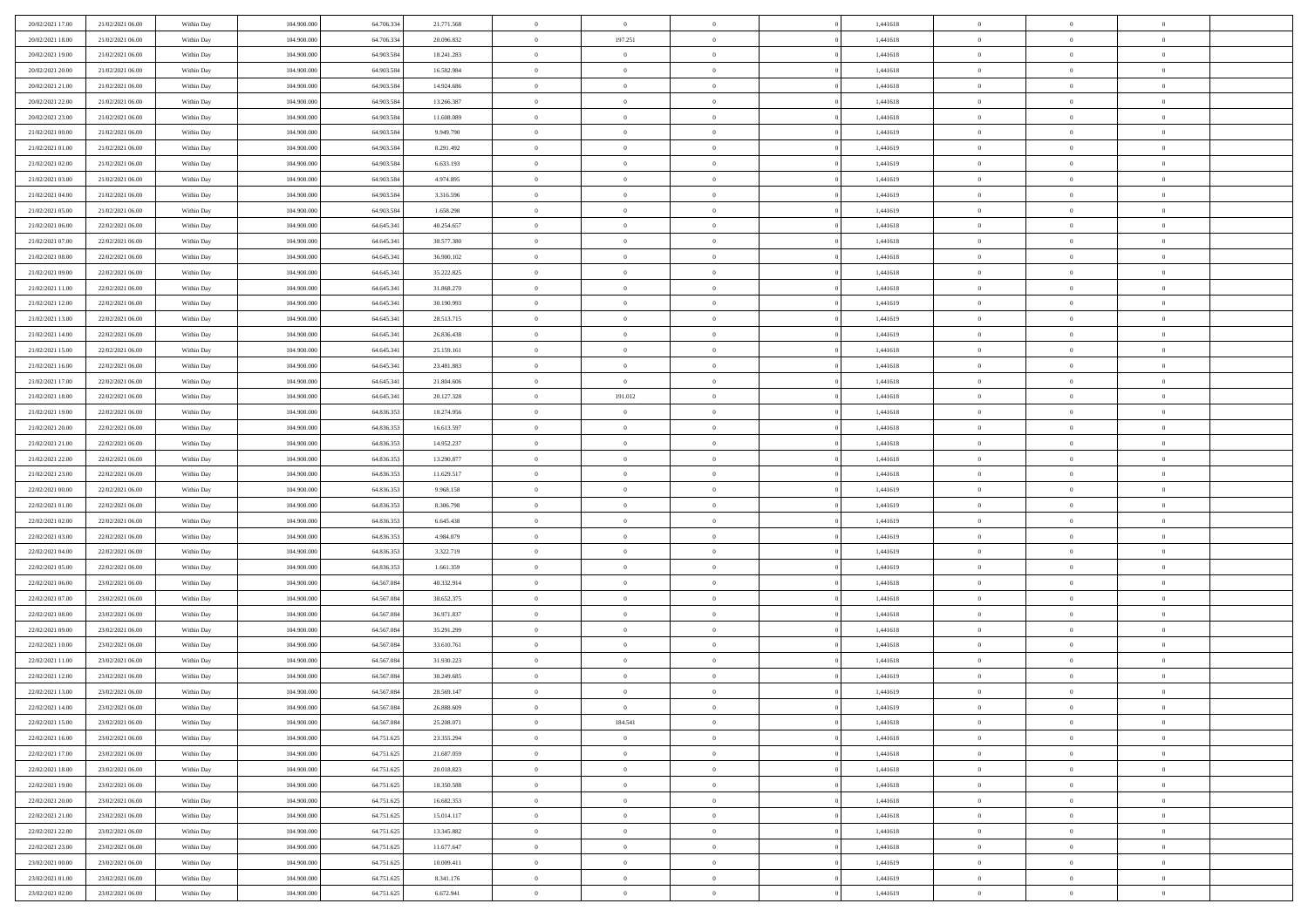| 20/02/2021 17:00                     | 21/02/2021 06:00                     | Within Day               | 104.900.000                | 64.706.33               | 21.771.568               | $\,0\,$                  | $\bf{0}$                         | $\bf{0}$                         |                | 1,441618             | $\,$ 0 $\,$          | $\overline{0}$                   | $\bf{0}$                   |  |
|--------------------------------------|--------------------------------------|--------------------------|----------------------------|-------------------------|--------------------------|--------------------------|----------------------------------|----------------------------------|----------------|----------------------|----------------------|----------------------------------|----------------------------|--|
| 20/02/2021 18:00                     | 21/02/2021 06:00                     | Within Day               | 104,900,000                | 64.706.33               | 20.096.832               | $\overline{0}$           | 197.251                          | $\overline{0}$                   |                | 1,441618             | $\bf{0}$             | $\overline{0}$                   | $\theta$                   |  |
| 20/02/2021 19:00                     | 21/02/2021 06:00                     | Within Day               | 104.900.000                | 64.903.584              | 18.241.283               | $\mathbf{0}$             | $\overline{0}$                   | $\overline{0}$                   |                | 1,441618             | $\theta$             | $\overline{0}$                   | $\overline{0}$             |  |
| 20/02/2021 20:00                     | 21/02/2021 06:00                     | Within Day               | 104.900.000                | 64.903.584              | 16.582.984               | $\bf{0}$                 | $\overline{0}$                   | $\bf{0}$                         |                | 1,441618             | $\bf{0}$             | $\overline{0}$                   | $\bf{0}$                   |  |
| 20/02/2021 21:00                     | 21/02/2021 06:00                     | Within Day               | 104.900.000                | 64.903.584              | 14.924.686               | $\bf{0}$                 | $\overline{0}$                   | $\overline{0}$                   |                | 1,441618             | $\bf{0}$             | $\bf{0}$                         | $\bf{0}$                   |  |
| 20/02/2021 22:00                     | 21/02/2021 06:00                     | Within Day               | 104.900.000                | 64.903.584              | 13.266.387               | $\mathbf{0}$             | $\overline{0}$                   | $\overline{0}$                   |                | 1,441618             | $\theta$             | $\overline{0}$                   | $\theta$                   |  |
| 20/02/2021 23:00                     | 21/02/2021 06:00                     | Within Day               | 104.900.000                | 64.903.584              | 11.608.089               | $\mathbf{0}$             | $\overline{0}$                   | $\overline{0}$                   |                | 1,441618             | $\bf{0}$             | $\overline{0}$                   | $\theta$                   |  |
| 21/02/2021 00:00                     | 21/02/2021 06:00                     | Within Day               | 104.900.000                | 64.903.58               | 9.949.790                | $\overline{0}$           | $\overline{0}$                   | $\overline{0}$                   |                | 1,441619             | $\,$ 0 $\,$          | $\overline{0}$                   | $\theta$                   |  |
| 21/02/2021 01:00                     | 21/02/2021 06:00                     | Within Day               | 104.900.000                | 64.903.584              | 8.291.492                | $\mathbf{0}$             | $\overline{0}$                   | $\overline{0}$                   |                | 1,441619             | $\theta$             | $\overline{0}$                   | $\overline{0}$             |  |
| 21/02/2021 02:00                     | 21/02/2021 06:00                     | Within Day               | 104.900.000                | 64.903.584              | 6.633.193                | $\bf{0}$                 | $\overline{0}$                   | $\overline{0}$                   |                | 1,441619             | $\bf{0}$             | $\overline{0}$                   | $\bf{0}$                   |  |
| 21/02/2021 03:00                     | 21/02/2021 06:00                     | Within Day               | 104.900.000                | 64.903.584              | 4.974.895                | $\bf{0}$                 | $\overline{0}$                   | $\overline{0}$                   |                | 1,441619             | $\bf{0}$             | $\bf{0}$                         | $\bf{0}$                   |  |
| 21/02/2021 04:00                     | 21/02/2021 06:00                     | Within Day               | 104.900.000                | 64.903.584              | 3.316.596                | $\mathbf{0}$             | $\overline{0}$                   | $\overline{0}$                   |                | 1,441619             | $\theta$             | $\overline{0}$                   | $\overline{0}$             |  |
| 21/02/2021 05:00                     | 21/02/2021 06:00                     | Within Day               | 104.900.000                | 64.903.584              | 1.658.298                | $\,0\,$                  | $\overline{0}$                   | $\overline{0}$                   |                | 1,441619             | $\bf{0}$             | $\overline{0}$                   | $\bf{0}$                   |  |
| 21/02/2021 06:00                     | 22/02/2021 06:00                     | Within Day               | 104.900.000                | 64.645.341              | 40.254.657               | $\bf{0}$                 | $\overline{0}$                   | $\overline{0}$                   |                | 1,441618             | $\,$ 0 $\,$          | $\overline{0}$                   | $\theta$                   |  |
| 21/02/2021 07:00                     | 22/02/2021 06:00                     | Within Day               | 104.900.000                | 64.645.341              | 38.577.380               | $\mathbf{0}$             | $\overline{0}$                   | $\overline{0}$                   |                | 1,441618             | $\theta$             | $\bf{0}$                         | $\overline{0}$             |  |
| 21/02/2021 08:00                     | 22/02/2021 06:00                     | Within Day               | 104.900.000                | 64.645.341              | 36.900.102               | $\,0\,$                  | $\overline{0}$                   | $\bf{0}$                         |                | 1,441618             | $\bf{0}$             | $\overline{0}$                   | $\bf{0}$                   |  |
| 21/02/2021 09:00                     | 22/02/2021 06:00                     | Within Day               | 104.900.000                | 64.645.341              | 35.222.825               | $\bf{0}$                 | $\overline{0}$                   | $\overline{0}$                   |                | 1,441618             | $\bf{0}$             | $\bf{0}$                         | $\overline{0}$             |  |
| 21/02/2021 11:00                     | 22/02/2021 06:00                     | Within Day               | 104.900.000                | 64.645.341              | 31.868.270               | $\mathbf{0}$             | $\overline{0}$                   | $\overline{0}$                   |                | 1,441618             | $\theta$             | $\overline{0}$                   | $\overline{0}$             |  |
| 21/02/2021 12:00                     | 22/02/2021 06:00                     | Within Day               | 104.900.000                | 64.645.341              | 30.190.993               | $\bf{0}$                 | $\overline{0}$                   | $\bf{0}$                         |                | 1,441619             | $\bf{0}$             | $\overline{0}$                   | $\bf{0}$                   |  |
| 21/02/2021 13:00                     | 22/02/2021 06:00                     | Within Day               | 104.900.000                | 64.645.341              | 28.513.715               | $\bf{0}$                 | $\overline{0}$                   | $\overline{0}$                   |                | 1,441619             | $\,$ 0 $\,$          | $\bf{0}$                         | $\bf{0}$                   |  |
| 21/02/2021 14:00                     | 22/02/2021 06:00                     | Within Day               | 104.900.000                | 64.645.341              | 26.836.438               | $\overline{0}$           | $\overline{0}$                   | $\overline{0}$                   |                | 1,441619             | $\theta$             | $\bf{0}$                         | $\overline{0}$             |  |
| 21/02/2021 15:00                     | 22/02/2021 06:00                     | Within Day               | 104.900.000                | 64.645.341              | 25.159.161               | $\,0\,$                  | $\overline{0}$                   | $\overline{0}$                   |                | 1,441618             | $\bf{0}$             | $\overline{0}$                   | $\theta$                   |  |
| 21/02/2021 16:00                     | 22/02/2021 06:00                     | Within Day               | 104.900.000                | 64.645.341              | 23.481.883               | $\bf{0}$                 | $\overline{0}$                   | $\overline{0}$                   |                | 1,441618             | $\bf{0}$             | $\overline{0}$                   | $\overline{0}$             |  |
| 21/02/2021 17:00                     | 22/02/2021 06:00                     | Within Day               | 104.900.000                | 64.645.341              | 21.804.606               | $\mathbf{0}$             | $\overline{0}$                   | $\overline{0}$                   |                | 1,441618             | $\theta$             | $\overline{0}$                   | $\overline{0}$             |  |
| 21/02/2021 18:00                     | 22/02/2021 06:00                     | Within Day               | 104.900.000                | 64.645.341              | 20.127.328               | $\bf{0}$                 | 191.012                          | $\overline{0}$                   |                | 1,441618             | $\bf{0}$             | $\overline{0}$                   | $\bf{0}$                   |  |
| 21/02/2021 19:00                     | 22/02/2021 06:00                     | Within Day               | 104.900.000                | 64.836.353              | 18.274.956               | $\bf{0}$                 | $\overline{0}$                   | $\overline{0}$                   |                | 1,441618             | $\,$ 0 $\,$          | $\bf{0}$                         | $\bf{0}$                   |  |
| 21/02/2021 20:00                     | 22/02/2021 06:00                     | Within Day               | 104.900.000                | 64.836.353              | 16.613.597               | $\mathbf{0}$             | $\overline{0}$                   | $\overline{0}$                   |                | 1,441618             | $\theta$             | $\overline{0}$                   | $\overline{0}$             |  |
| 21/02/2021 21:00                     | 22/02/2021 06:00                     | Within Day               | 104.900.000                | 64.836.353              | 14.952.237               | $\,0\,$                  | $\overline{0}$                   | $\bf{0}$                         |                | 1,441618             | $\bf{0}$             | $\overline{0}$                   | $\bf{0}$                   |  |
| 21/02/2021 22:00                     | 22/02/2021 06:00                     | Within Day               | 104.900.000                | 64.836.353              | 13.290.877               | $\overline{0}$           | $\overline{0}$                   | $\overline{0}$                   |                | 1,441618             | $\,$ 0 $\,$          | $\overline{0}$                   | $\overline{0}$             |  |
| 21/02/2021 23:00                     | 22/02/2021 06:00                     | Within Day               | 104.900.000                | 64.836.353              | 11.629.517               | $\mathbf{0}$             | $\overline{0}$                   | $\overline{0}$                   |                | 1,441618             | $\theta$             | $\overline{0}$                   | $\overline{0}$             |  |
| 22/02/2021 00:00                     | 22/02/2021 06:00                     | Within Day               | 104.900.000                | 64.836.353              | 9.968.158                | $\mathbf{0}$             | $\overline{0}$                   | $\overline{0}$                   |                | 1,441619             | $\,$ 0 $\,$          | $\overline{0}$                   | $\theta$                   |  |
| 22/02/2021 01:00                     | 22/02/2021 06:00                     | Within Day               | 104.900.000                | 64.836.353              | 8.306.798                | $\bf{0}$                 | $\overline{0}$                   | $\overline{0}$                   |                | 1,441619             | $\bf{0}$             | $\bf{0}$                         | $\overline{0}$             |  |
| 22/02/2021 02:00                     | 22/02/2021 06:00                     | Within Day               | 104.900.000                | 64.836.353              | 6.645.438                | $\mathbf{0}$             | $\overline{0}$                   | $\overline{0}$                   |                | 1,441619             | $\theta$             | $\overline{0}$                   | $\overline{0}$             |  |
| 22/02/2021 03:00                     | 22/02/2021 06:00                     | Within Day               | 104.900.000                | 64.836.353              | 4.984.079                | $\mathbf{0}$             | $\overline{0}$                   | $\overline{0}$                   |                | 1,441619             | $\,$ 0 $\,$          | $\overline{0}$                   | $\theta$                   |  |
| 22/02/2021 04:00                     | 22/02/2021 06:00                     | Within Day               | 104.900.000                | 64.836.353              | 3.322.719                | $\bf{0}$                 | $\overline{0}$                   | $\overline{0}$                   |                | 1,441619             | $\bf{0}$             | $\overline{0}$                   | $\overline{0}$             |  |
| 22/02/2021 05:00                     | 22/02/2021 06:00                     | Within Day               | 104.900.000                | 64.836.353              | 1.661.359                | $\mathbf{0}$             | $\overline{0}$                   | $\overline{0}$                   |                | 1,441619             | $\theta$             | $\overline{0}$                   | $\overline{0}$             |  |
| 22/02/2021 06:00                     | 23/02/2021 06:00                     | Within Day               | 104.900.000                | 64.567.084<br>64.567.08 | 40.332.914               | $\mathbf{0}$<br>$\bf{0}$ | $\overline{0}$<br>$\overline{0}$ | $\theta$                         |                | 1,441618             | $\,$ 0 $\,$          | $\overline{0}$<br>$\overline{0}$ | $\theta$<br>$\overline{0}$ |  |
| 22/02/2021 07:00<br>22/02/2021 08:00 | 23/02/2021 06:00<br>23/02/2021 06:00 | Within Day<br>Within Day | 104.900.000<br>104.900.000 | 64.567.084              | 38.652.375<br>36.971.837 | $\mathbf{0}$             | $\overline{0}$                   | $\overline{0}$<br>$\overline{0}$ |                | 1,441618<br>1,441618 | $\bf{0}$<br>$\theta$ | $\overline{0}$                   | $\overline{0}$             |  |
| 22/02/2021 09:00                     | 23/02/2021 06:00                     |                          |                            | 64.567.084              | 35.291.299               | $\,$ 0 $\,$              | $\overline{0}$                   | $\bf{0}$                         |                | 1,441618             | $\,0\,$              | $\overline{0}$                   | $\theta$                   |  |
| 22/02/2021 10:00                     | 23/02/2021 06:00                     | Within Day               | 104.900.000<br>104.900.000 | 64.567.084              | 33.610.761               | $\bf{0}$                 | $\overline{0}$                   | $\overline{0}$                   |                | 1,441618             | $\bf{0}$             | $\overline{0}$                   | $\overline{0}$             |  |
| 22/02/2021 11:00                     | 23/02/2021 06:00                     | Within Day<br>Within Day | 104.900.000                | 64.567.084              | 31.930.223               | $\mathbf{0}$             | $\overline{0}$                   | $\overline{0}$                   |                | 1,441618             | $\theta$             | $\overline{0}$                   | $\overline{0}$             |  |
| 22/02/2021 12:00                     | 23/02/2021 06:00                     | Within Day               | 104.900.000                | 64.567.084              | 30.249.685               | $\mathbf{0}$             | $\overline{0}$                   | $\overline{0}$                   |                | 1,441619             | $\,$ 0 $\,$          | $\overline{0}$                   | $\theta$                   |  |
| 22/02/2021 13:00                     | 23/02/2021 06:00                     | Within Day               | 104,900,000                | 64.567.08               | 28.569.147               | $\bf{0}$                 | $\overline{0}$                   | $\overline{0}$                   |                | 1,441619             | $\,$ 0 $\,$          | $\overline{0}$                   | $\overline{0}$             |  |
| 22/02/2021 14:00                     | 23/02/2021 06:00                     | Within Day               | 104.900.000                | 64.567.084              | 26.888.609               | $\bf{0}$                 | $\overline{0}$                   | $\Omega$                         |                | 1,441619             | $\overline{0}$       | $^{\circ}$                       | $\theta$                   |  |
| 22/02/2021 15:00                     | 23/02/2021 06:00                     | Within Day               | 104.900.000                | 64.567.084              | 25.208.071               | $\,$ 0 $\,$              | 184.541                          | $\overline{0}$                   |                | 1,441618             | $\,$ 0 $\,$          | $\overline{0}$                   | $\theta$                   |  |
| 22/02/2021 16:00                     | 23/02/2021 06:00                     | Within Day               | 104.900.000                | 64.751.625              | 23.355.294               | $\mathbf{0}$             | $\overline{0}$                   | $\overline{0}$                   |                | 1,441618             | $\,$ 0 $\,$          | $\overline{0}$                   | $\overline{0}$             |  |
| 22/02/2021 17:00                     | 23/02/2021 06:00                     | Within Day               | 104.900.000                | 64.751.625              | 21.687.059               | $\mathbf{0}$             | $\overline{0}$                   | $\overline{0}$                   |                | 1,441618             | $\mathbf{0}$         | $\overline{0}$                   | $\mathbf{0}$               |  |
| 22/02/2021 18:00                     | 23/02/2021 06:00                     | Within Day               | 104.900.000                | 64.751.625              | 20.018.823               | $\,$ 0                   | $\overline{0}$                   | $\bf{0}$                         | $\overline{0}$ | 1,441618             | $\,$ 0 $\,$          | $\bf{0}$                         | $\theta$                   |  |
| 22/02/2021 19:00                     | 23/02/2021 06:00                     | Within Day               | 104.900.000                | 64.751.625              | 18.350.588               | $\hspace{0.1mm}\bm{0}$   | $\overline{0}$                   | $\overline{0}$                   |                | 1,441618             | $\,$ 0 $\,$          | $\overline{0}$                   | $\bf{0}$                   |  |
| 22/02/2021 20:00                     | 23/02/2021 06:00                     | Within Day               | 104.900.000                | 64.751.625              | 16.682.353               | $\mathbf{0}$             | $\overline{0}$                   | $\overline{0}$                   |                | 1,441618             | $\overline{0}$       | $\overline{0}$                   | $\overline{0}$             |  |
| 22/02/2021 21:00                     | 23/02/2021 06:00                     | Within Day               | 104.900.000                | 64.751.625              | 15.014.117               | $\,$ 0 $\,$              | $\overline{0}$                   | $\bf{0}$                         |                | 1,441618             | $\,$ 0 $\,$          | $\overline{0}$                   | $\theta$                   |  |
| 22/02/2021 22:00                     | 23/02/2021 06:00                     | Within Day               | 104,900,000                | 64.751.625              | 13.345.882               | $\overline{0}$           | $\overline{0}$                   | $\overline{0}$                   |                | 1,441618             | $\overline{0}$       | $\overline{0}$                   | $\overline{0}$             |  |
| 22/02/2021 23:00                     | 23/02/2021 06:00                     | Within Day               | 104.900.000                | 64.751.625              | 11.677.647               | $\mathbf{0}$             | $\overline{0}$                   | $\overline{0}$                   |                | 1,441618             | $\mathbf{0}$         | $\overline{0}$                   | $\mathbf{0}$               |  |
| 23/02/2021 00:00                     | 23/02/2021 06:00                     | Within Day               | 104.900.000                | 64.751.625              | 10.009.411               | $\,$ 0 $\,$              | $\overline{0}$                   | $\bf{0}$                         |                | 1,441619             | $\,$ 0 $\,$          | $\bf{0}$                         | $\,$ 0 $\,$                |  |
| 23/02/2021 01:00                     | 23/02/2021 06:00                     | Within Day               | 104.900.000                | 64.751.625              | 8.341.176                | $\bf{0}$                 | $\overline{0}$                   | $\overline{0}$                   |                | 1,441619             | $\,$ 0 $\,$          | $\mathbf{0}$                     | $\overline{0}$             |  |
| 23/02/2021 02:00                     | 23/02/2021 06:00                     | Within Day               | 104.900.000                | 64.751.625              | 6.672.941                | $\mathbf{0}$             | $\overline{0}$                   | $\overline{0}$                   |                | 1,441619             | $\mathbf{0}$         | $\overline{0}$                   | $\overline{0}$             |  |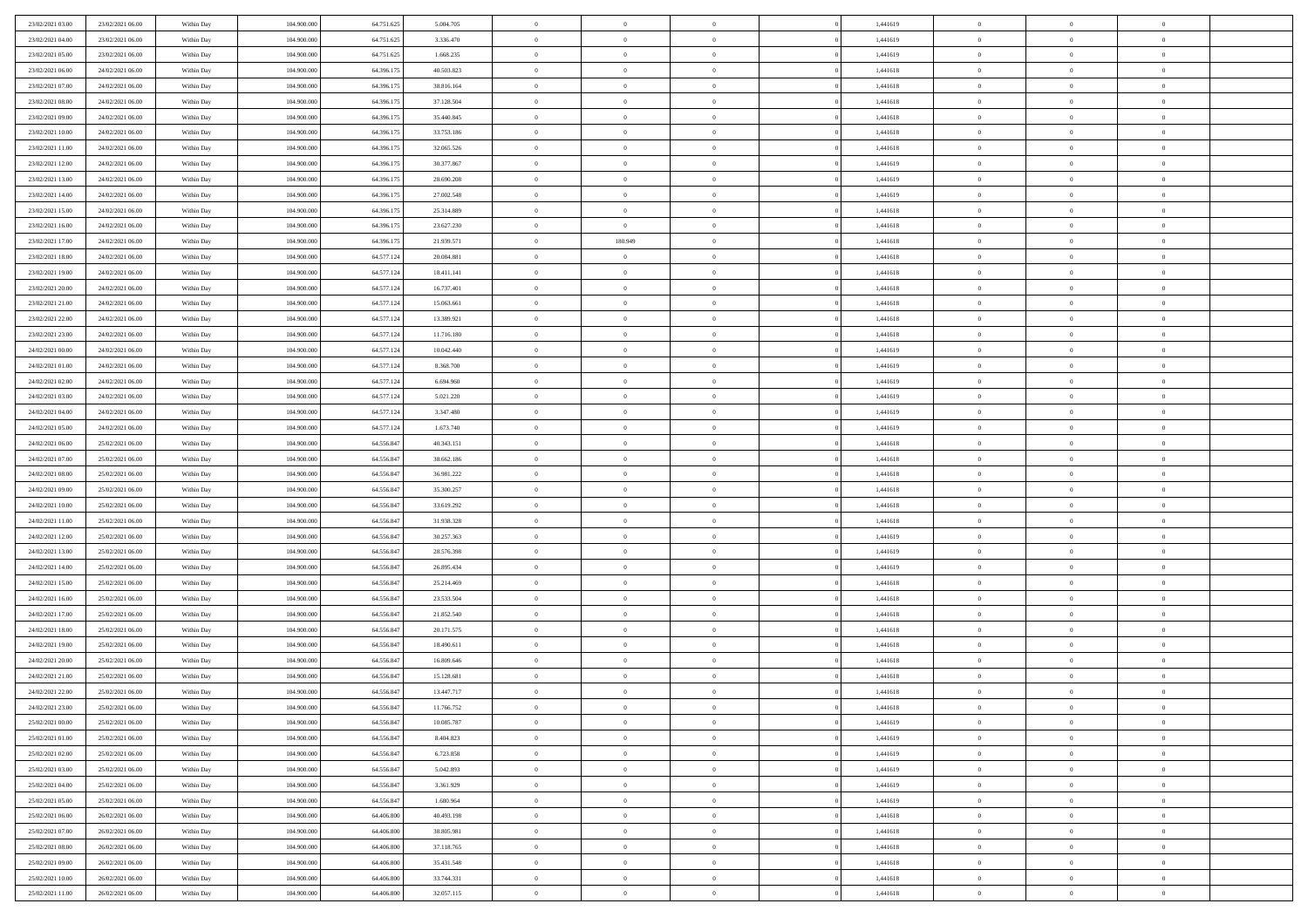| 23/02/2021 03:00 | 23/02/2021 06:00 | Within Day | 104,900,000 | 64.751.625 | 5.004.705  | $\overline{0}$ | $\overline{0}$ | $\Omega$       | 1,441619 | $\bf{0}$       | $\mathbf{0}$   | $\bf{0}$       |  |
|------------------|------------------|------------|-------------|------------|------------|----------------|----------------|----------------|----------|----------------|----------------|----------------|--|
| 23/02/2021 04:00 | 23/02/2021 06:00 | Within Day | 104.900.000 | 64.751.625 | 3.336.470  | $\mathbf{0}$   | $\overline{0}$ | $\overline{0}$ | 1,441619 | $\overline{0}$ | $\overline{0}$ | $\overline{0}$ |  |
| 23/02/2021 05:00 | 23/02/2021 06:00 | Within Day | 104.900.000 | 64.751.625 | 1.668.235  | $\,$ 0         | $\overline{0}$ | $\bf{0}$       | 1,441619 | $\,$ 0         | $\overline{0}$ | $\,$ 0 $\,$    |  |
| 23/02/2021 06:00 | 24/02/2021 06:00 | Within Day | 104,900,000 | 64.396.175 | 40.503.823 | $\bf{0}$       | $\overline{0}$ | $\Omega$       | 1,441618 | $\bf{0}$       | $\mathbf{0}$   | $\theta$       |  |
| 23/02/2021 07:00 | 24/02/2021 06:00 | Within Day | 104.900.000 | 64.396.175 | 38.816.164 | $\bf{0}$       | $\overline{0}$ | $\overline{0}$ | 1,441618 | $\mathbf{0}$   | $\overline{0}$ | $\overline{0}$ |  |
| 23/02/2021 08:00 | 24/02/2021 06:00 | Within Day | 104.900.000 | 64.396.175 | 37.128.504 | $\bf{0}$       | $\overline{0}$ | $\bf{0}$       | 1,441618 | $\,$ 0         | $\overline{0}$ | $\,$ 0 $\,$    |  |
| 23/02/2021 09:00 | 24/02/2021 06:00 | Within Day | 104,900,000 | 64.396.175 | 35.440.845 | $\bf{0}$       | $\overline{0}$ | $\overline{0}$ | 1,441618 | $\bf{0}$       | $\overline{0}$ | $\theta$       |  |
| 23/02/2021 10:00 | 24/02/2021 06:00 | Within Day | 104.900.000 | 64.396.175 | 33.753.186 | $\overline{0}$ | $\overline{0}$ | $\overline{0}$ | 1,441618 | $\mathbf{0}$   | $\overline{0}$ | $\overline{0}$ |  |
| 23/02/2021 11:00 | 24/02/2021 06:00 | Within Day | 104.900.000 | 64.396.175 | 32.065.526 | $\bf{0}$       | $\overline{0}$ | $\bf{0}$       | 1,441618 | $\,$ 0         | $\overline{0}$ | $\,$ 0 $\,$    |  |
| 23/02/2021 12:00 | 24/02/2021 06:00 | Within Day | 104,900,000 | 64.396.175 | 30,377,867 | $\bf{0}$       | $\overline{0}$ | $\Omega$       | 1,441619 | $\theta$       | $\mathbf{0}$   | $\theta$       |  |
| 23/02/2021 13:00 | 24/02/2021 06:00 | Within Day | 104.900.000 | 64.396.175 | 28.690.208 | $\overline{0}$ | $\overline{0}$ | $\overline{0}$ | 1,441619 | $\mathbf{0}$   | $\overline{0}$ | $\overline{0}$ |  |
| 23/02/2021 14:00 | 24/02/2021 06:00 | Within Day | 104.900.000 | 64.396.175 | 27.002.548 | $\bf{0}$       | $\overline{0}$ | $\bf{0}$       | 1,441619 | $\,$ 0         | $\overline{0}$ | $\,$ 0 $\,$    |  |
| 23/02/2021 15:00 | 24/02/2021 06:00 | Within Day | 104,900,000 | 64.396.175 | 25.314.889 | $\bf{0}$       | $\overline{0}$ | $\Omega$       | 1,441618 | $\overline{0}$ | $\mathbf{0}$   | $\theta$       |  |
| 23/02/2021 16:00 | 24/02/2021 06:00 | Within Day | 104.900.000 | 64.396.175 | 23.627.230 | $\overline{0}$ | $\overline{0}$ | $\overline{0}$ | 1,441618 | $\mathbf{0}$   | $\overline{0}$ | $\overline{0}$ |  |
| 23/02/2021 17:00 | 24/02/2021 06:00 | Within Day | 104.900.000 | 64.396.175 | 21.939.571 | $\bf{0}$       | 180.949        | $\bf{0}$       | 1,441618 | $\,$ 0         | $\overline{0}$ | $\,$ 0 $\,$    |  |
| 23/02/2021 18:00 | 24/02/2021 06:00 | Within Day | 104,900,000 | 64.577.124 | 20.084.881 | $\bf{0}$       | $\overline{0}$ | $\overline{0}$ | 1,441618 | $\bf{0}$       | $\mathbf{0}$   | $\bf{0}$       |  |
| 23/02/2021 19:00 | 24/02/2021 06:00 | Within Day | 104.900.000 | 64.577.124 | 18.411.141 | $\overline{0}$ | $\overline{0}$ | $\overline{0}$ | 1,441618 | $\mathbf{0}$   | $\overline{0}$ | $\overline{0}$ |  |
| 23/02/2021 20:00 | 24/02/2021 06:00 | Within Day | 104.900.000 | 64.577.124 | 16.737.401 | $\bf{0}$       | $\overline{0}$ | $\bf{0}$       | 1,441618 | $\,$ 0         | $\overline{0}$ | $\,$ 0 $\,$    |  |
| 23/02/2021 21:00 | 24/02/2021 06:00 | Within Day | 104,900,000 | 64.577.124 | 15.063.661 | $\bf{0}$       | $\overline{0}$ | $\overline{0}$ | 1,441618 | $\theta$       | $\mathbf{0}$   | $\theta$       |  |
| 23/02/2021 22:00 | 24/02/2021 06:00 | Within Day | 104.900.000 | 64.577.124 | 13.389.921 | $\overline{0}$ | $\overline{0}$ | $\overline{0}$ | 1,441618 | $\mathbf{0}$   | $\overline{0}$ | $\overline{0}$ |  |
| 23/02/2021 23:00 | 24/02/2021 06:00 | Within Day | 104.900.000 | 64.577.124 | 11.716.180 | $\bf{0}$       | $\overline{0}$ | $\bf{0}$       | 1,441618 | $\,$ 0         | $\overline{0}$ | $\,$ 0 $\,$    |  |
| 24/02/2021 00:00 | 24/02/2021 06:00 | Within Day | 104,900,000 | 64.577.124 | 10.042.440 | $\bf{0}$       | $\overline{0}$ | $\Omega$       | 1,441619 | $\bf{0}$       | $\mathbf{0}$   | $\theta$       |  |
| 24/02/2021 01:00 | 24/02/2021 06:00 | Within Day | 104.900.000 | 64.577.124 | 8.368.700  | $\overline{0}$ | $\overline{0}$ | $\overline{0}$ | 1,441619 | $\mathbf{0}$   | $\overline{0}$ | $\overline{0}$ |  |
| 24/02/2021 02:00 | 24/02/2021 06:00 | Within Day | 104.900.000 | 64.577.124 | 6.694.960  | $\bf{0}$       | $\overline{0}$ | $\bf{0}$       | 1,441619 | $\,$ 0         | $\overline{0}$ | $\,$ 0 $\,$    |  |
| 24/02/2021 03:00 | 24/02/2021 06:00 | Within Day | 104,900,000 | 64.577.124 | 5.021.220  | $\bf{0}$       | $\overline{0}$ | $\overline{0}$ | 1,441619 | $\bf{0}$       | $\overline{0}$ | $\bf{0}$       |  |
| 24/02/2021 04:00 | 24/02/2021 06:00 | Within Day | 104.900.000 | 64.577.124 | 3.347.480  | $\overline{0}$ | $\overline{0}$ | $\overline{0}$ | 1,441619 | $\mathbf{0}$   | $\overline{0}$ | $\overline{0}$ |  |
| 24/02/2021 05:00 | 24/02/2021 06:00 | Within Day | 104.900.000 | 64.577.124 | 1.673.740  | $\bf{0}$       | $\overline{0}$ | $\bf{0}$       | 1,441619 | $\,$ 0         | $\overline{0}$ | $\,$ 0 $\,$    |  |
| 24/02/2021 06:00 | 25/02/2021 06:00 | Within Day | 104,900,000 | 64.556.847 | 40.343.151 | $\bf{0}$       | $\overline{0}$ | $\Omega$       | 1,441618 | $\theta$       | $\mathbf{0}$   | $\theta$       |  |
| 24/02/2021 07:00 | 25/02/2021 06:00 | Within Day | 104.900.000 | 64.556.847 | 38.662.186 | $\overline{0}$ | $\overline{0}$ | $\overline{0}$ | 1,441618 | $\mathbf{0}$   | $\overline{0}$ | $\overline{0}$ |  |
| 24/02/2021 08:00 | 25/02/2021 06:00 | Within Day | 104.900.000 | 64.556.847 | 36.981.222 | $\bf{0}$       | $\overline{0}$ | $\bf{0}$       | 1,441618 | $\,$ 0         | $\overline{0}$ | $\,$ 0 $\,$    |  |
| 24/02/2021 09:00 | 25/02/2021 06:00 | Within Day | 104.900.000 | 64.556.847 | 35.300.257 | $\bf{0}$       | $\overline{0}$ | $\overline{0}$ | 1,441618 | $\bf{0}$       | $\overline{0}$ | $\,0\,$        |  |
| 24/02/2021 10:00 | 25/02/2021 06:00 | Within Day | 104.900.000 | 64.556.847 | 33.619.292 | $\overline{0}$ | $\overline{0}$ | $\overline{0}$ | 1,441618 | $\mathbf{0}$   | $\overline{0}$ | $\overline{0}$ |  |
| 24/02/2021 11:00 | 25/02/2021 06:00 | Within Day | 104.900.000 | 64.556.847 | 31.938.328 | $\bf{0}$       | $\overline{0}$ | $\bf{0}$       | 1,441618 | $\,$ 0         | $\overline{0}$ | $\,$ 0 $\,$    |  |
| 24/02/2021 12:00 | 25/02/2021 06:00 | Within Day | 104.900.000 | 64.556.847 | 30.257.363 | $\bf{0}$       | $\overline{0}$ | $\bf{0}$       | 1,441619 | $\bf{0}$       | $\overline{0}$ | $\,0\,$        |  |
| 24/02/2021 13:00 | 25/02/2021 06:00 | Within Day | 104.900.000 | 64.556.847 | 28.576.398 | $\overline{0}$ | $\overline{0}$ | $\overline{0}$ | 1,441619 | $\overline{0}$ | $\overline{0}$ | $\overline{0}$ |  |
| 24/02/2021 14:00 | 25/02/2021 06:00 | Within Day | 104.900.000 | 64.556.847 | 26.895.434 | $\bf{0}$       | $\overline{0}$ | $\bf{0}$       | 1,441619 | $\,$ 0         | $\overline{0}$ | $\,$ 0 $\,$    |  |
| 24/02/2021 15:00 | 25/02/2021 06:00 | Within Day | 104.900.000 | 64.556.847 | 25.214.469 | $\bf{0}$       | $\bf{0}$       | $\overline{0}$ | 1,441618 | $\bf{0}$       | $\overline{0}$ | $\,0\,$        |  |
| 24/02/2021 16:00 | 25/02/2021 06:00 | Within Day | 104.900.000 | 64.556.847 | 23.533.504 | $\overline{0}$ | $\overline{0}$ | $\overline{0}$ | 1,441618 | $\mathbf{0}$   | $\overline{0}$ | $\overline{0}$ |  |
| 24/02/2021 17:00 | 25/02/2021 06:00 | Within Day | 104.900.000 | 64.556.847 | 21.852.540 | $\bf{0}$       | $\overline{0}$ | $\bf{0}$       | 1,441618 | $\,$ 0         | $\overline{0}$ | $\,$ 0 $\,$    |  |
| 24/02/2021 18:00 | 25/02/2021 06:00 | Within Day | 104.900.000 | 64.556.847 | 20.171.575 | $\bf{0}$       | $\bf{0}$       | $\overline{0}$ | 1,441618 | $\bf{0}$       | $\overline{0}$ | $\,0\,$        |  |
| 24/02/2021 19:00 | 25/02/2021 06:00 | Within Day | 104.900.000 | 64.556.847 | 18.490.611 | $\overline{0}$ | $\overline{0}$ | $\overline{0}$ | 1,441618 | $\overline{0}$ | $\overline{0}$ | $\overline{0}$ |  |
| 24/02/2021 20:00 | 25/02/2021 06:00 | Within Day | 104.900.000 | 64.556.847 | 16.809.646 | $\bf{0}$       | $\overline{0}$ | $\bf{0}$       | 1,441618 | $\,$ 0         | $\overline{0}$ | $\,$ 0 $\,$    |  |
| 24/02/2021 21:00 | 25/02/2021 06:00 | Within Day | 104.900.000 | 64.556.847 | 15.128.681 | $\bf{0}$       | $\bf{0}$       | $\bf{0}$       | 1,441618 | $\bf{0}$       | $\overline{0}$ | $\,0\,$        |  |
| 24/02/2021 22:00 | 25/02/2021 06:00 | Within Day | 104.900.000 | 64.556.847 | 13.447.717 | $\mathbf{0}$   | $\overline{0}$ | $\overline{0}$ | 1,441618 | $\mathbf{0}$   | $\overline{0}$ | $\overline{0}$ |  |
| 24/02/2021 23:00 | 25/02/2021 06:00 | Within Day | 104.900.000 | 64.556.847 | 11.766.752 | $\bf{0}$       | $\overline{0}$ | $\theta$       | 1,441618 | $\overline{0}$ | $\overline{0}$ | $\theta$       |  |
| 25/02/2021 00:00 | 25/02/2021 06:00 | Within Day | 104.900.000 | 64.556.847 | 10.085.787 | $\bf{0}$       | $\bf{0}$       | $\bf{0}$       | 1,441619 | $\bf{0}$       | $\overline{0}$ | $\,0\,$        |  |
| 25/02/2021 01:00 | 25/02/2021 06:00 | Within Day | 104.900.000 | 64.556.847 | 8.404.823  | $\overline{0}$ | $\overline{0}$ | $\overline{0}$ | 1,441619 | $\overline{0}$ | $\bf{0}$       | $\overline{0}$ |  |
| 25/02/2021 02:00 | 25/02/2021 06:00 | Within Day | 104.900.000 | 64.556.847 | 6.723.858  | $\,$ 0 $\,$    | $\overline{0}$ | $\overline{0}$ | 1,441619 | $\mathbf{0}$   | $\,$ 0 $\,$    | $\,$ 0 $\,$    |  |
| 25/02/2021 03:00 | 25/02/2021 06:00 | Within Day | 104.900.000 | 64.556.847 | 5.042.893  | $\bf{0}$       | $\bf{0}$       | $\overline{0}$ | 1,441619 | $\bf{0}$       | $\overline{0}$ | $\bf{0}$       |  |
| 25/02/2021 04:00 | 25/02/2021 06:00 | Within Day | 104.900.000 | 64.556.847 | 3.361.929  | $\bf{0}$       | $\overline{0}$ | $\overline{0}$ | 1,441619 | $\overline{0}$ | $\overline{0}$ | $\overline{0}$ |  |
| 25/02/2021 05:00 | 25/02/2021 06:00 | Within Day | 104.900.000 | 64.556.847 | 1.680.964  | $\,$ 0 $\,$    | $\overline{0}$ | $\overline{0}$ | 1,441619 | $\,$ 0 $\,$    | $\overline{0}$ | $\,$ 0 $\,$    |  |
| 25/02/2021 06:00 | 26/02/2021 06:00 | Within Day | 104.900.000 | 64.406.800 | 40.493.198 | $\bf{0}$       | $\overline{0}$ | $\overline{0}$ | 1,441618 | $\bf{0}$       | $\overline{0}$ | $\overline{0}$ |  |
| 25/02/2021 07:00 | 26/02/2021 06:00 | Within Day | 104.900.000 | 64.406.800 | 38.805.981 | $\overline{0}$ | $\overline{0}$ | $\overline{0}$ | 1,441618 | $\overline{0}$ | $\bf{0}$       | $\overline{0}$ |  |
| 25/02/2021 08:00 | 26/02/2021 06:00 | Within Day | 104.900.000 | 64.406.800 | 37.118.765 | $\,$ 0 $\,$    | $\overline{0}$ | $\overline{0}$ | 1,441618 | $\,$ 0 $\,$    | $\,$ 0 $\,$    | $\,$ 0 $\,$    |  |
| 25/02/2021 09:00 | 26/02/2021 06:00 | Within Day | 104.900.000 | 64.406.800 | 35.431.548 | $\bf{0}$       | $\bf{0}$       | $\overline{0}$ | 1,441618 | $\mathbf{0}$   | $\overline{0}$ | $\bf{0}$       |  |
| 25/02/2021 10:00 | 26/02/2021 06:00 | Within Day | 104.900.000 | 64.406.800 | 33.744.331 | $\bf{0}$       | $\overline{0}$ | $\overline{0}$ | 1,441618 | $\mathbf{0}$   | $\bf{0}$       | $\overline{0}$ |  |
| 25/02/2021 11:00 | 26/02/2021 06:00 | Within Day | 104.900.000 | 64.406.800 | 32.057.115 | $\,0\,$        | $\overline{0}$ | $\overline{0}$ | 1,441618 | $\,$ 0         | $\overline{0}$ | $\,$ 0 $\,$    |  |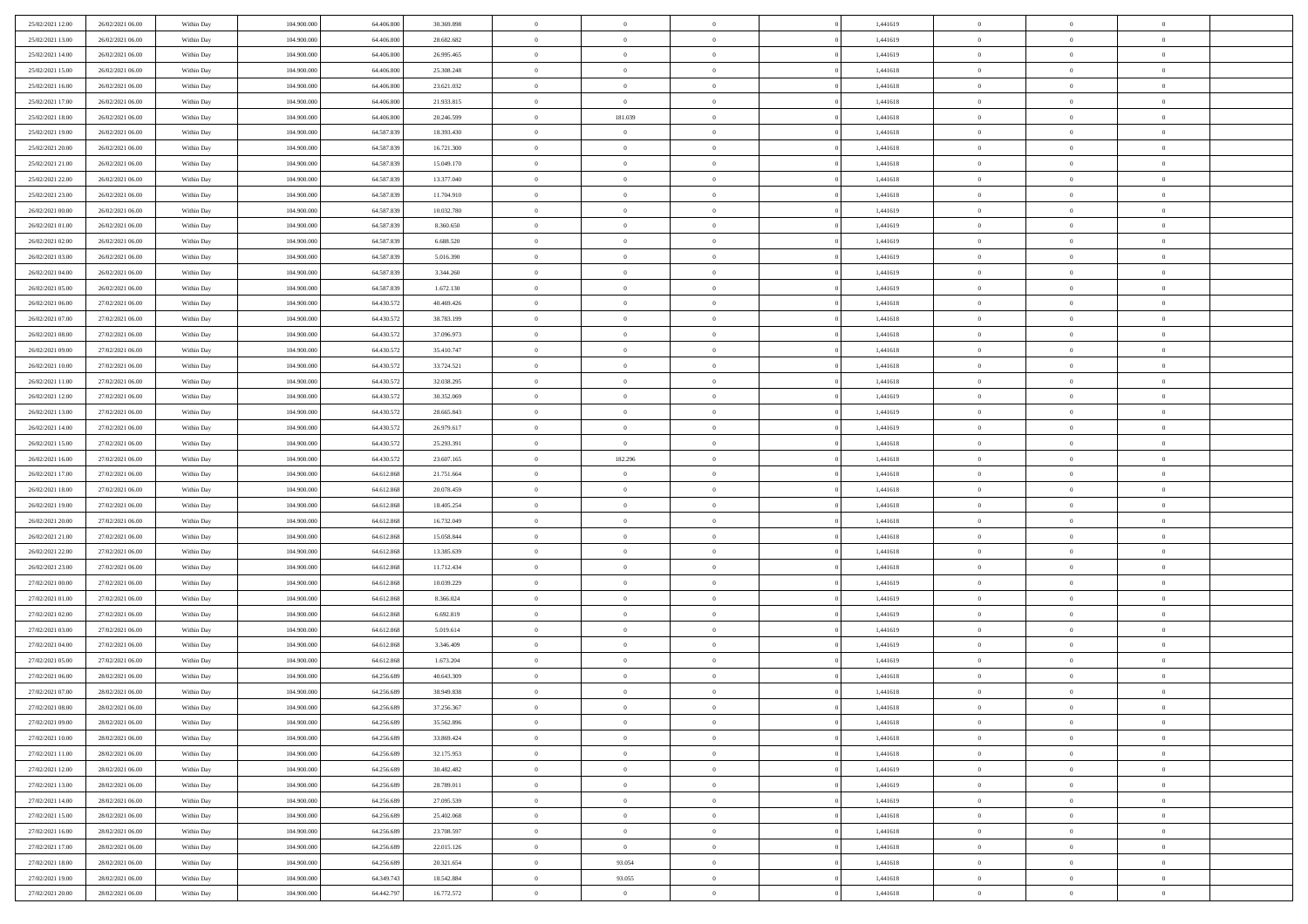| 25/02/2021 12:00                     | 26/02/2021 06:00 | Within Day               | 104.900.000 | 64.406.800 | 30.369.898 | $\,$ 0         | $\bf{0}$       | $\overline{0}$ |          | 1,441619 | $\bf{0}$          | $\overline{0}$ | $\,0\,$        |  |
|--------------------------------------|------------------|--------------------------|-------------|------------|------------|----------------|----------------|----------------|----------|----------|-------------------|----------------|----------------|--|
| 25/02/2021 13:00                     | 26/02/2021 06:00 | Within Day               | 104,900,000 | 64,406,800 | 28.682.682 | $\overline{0}$ | $\overline{0}$ | $\overline{0}$ |          | 1,441619 | $\theta$          | $\overline{0}$ | $\theta$       |  |
| 25/02/2021 14:00                     | 26/02/2021 06:00 | Within Dav               | 104.900.000 | 64.406.800 | 26.995.465 | $\mathbf{0}$   | $\overline{0}$ | $\overline{0}$ |          | 1,441619 | $\mathbf{0}$      | $\overline{0}$ | $\overline{0}$ |  |
| 25/02/2021 15:00                     | 26/02/2021 06:00 | Within Day               | 104.900.000 | 64.406.800 | 25.308.248 | $\bf{0}$       | $\overline{0}$ | $\bf{0}$       |          | 1,441618 | $\bf{0}$          | $\overline{0}$ | $\bf{0}$       |  |
| 25/02/2021 16:00                     | 26/02/2021 06:00 | Within Day               | 104,900,000 | 64,406,800 | 23.621.032 | $\bf{0}$       | $\bf{0}$       | $\overline{0}$ |          | 1,441618 | $\bf{0}$          | $\bf{0}$       | $\,0\,$        |  |
| 25/02/2021 17:00                     | 26/02/2021 06:00 | Within Dav               | 104.900.000 | 64.406.800 | 21.933.815 | $\overline{0}$ | $\overline{0}$ | $\overline{0}$ |          | 1,441618 | $\mathbf{0}$      | $\overline{0}$ | $\overline{0}$ |  |
| 25/02/2021 18:00                     | 26/02/2021 06:00 | Within Day               | 104.900.000 | 64.406.800 | 20.246.599 | $\bf{0}$       | 181.039        | $\overline{0}$ |          | 1,441618 | $\bf{0}$          | $\overline{0}$ | $\,0\,$        |  |
| 25/02/2021 19:00                     | 26/02/2021 06:00 | Within Day               | 104,900,000 | 64.587.839 | 18.393.430 | $\overline{0}$ | $\overline{0}$ | $\overline{0}$ |          | 1,441618 | $\,$ 0 $\,$       | $\overline{0}$ | $\theta$       |  |
| 25/02/2021 20:00                     | 26/02/2021 06:00 | Within Dav               | 104.900.000 | 64.587.839 | 16.721.300 | $\overline{0}$ | $\overline{0}$ | $\overline{0}$ |          | 1,441618 | $\mathbf{0}$      | $\overline{0}$ | $\overline{0}$ |  |
| 25/02/2021 21:00                     | 26/02/2021 06:00 | Within Day               | 104.900.000 | 64.587.839 | 15.049.170 | $\bf{0}$       | $\overline{0}$ | $\overline{0}$ |          | 1,441618 | $\bf{0}$          | $\overline{0}$ | $\,0\,$        |  |
|                                      |                  |                          | 104,900,000 | 64.587.839 |            | $\bf{0}$       | $\overline{0}$ | $\overline{0}$ |          |          | $\bf{0}$          | $\overline{0}$ | $\theta$       |  |
| 25/02/2021 22.00                     | 26/02/2021 06:00 | Within Day               |             |            | 13.377.040 | $\mathbf{0}$   |                |                |          | 1,441618 | $\mathbf{0}$      |                | $\overline{0}$ |  |
| 25/02/2021 23:00                     | 26/02/2021 06:00 | Within Dav               | 104.900.000 | 64.587.839 | 11.704.910 |                | $\overline{0}$ | $\overline{0}$ |          | 1,441618 |                   | $\overline{0}$ |                |  |
| 26/02/2021 00:00                     | 26/02/2021 06:00 | Within Day               | 104.900.000 | 64.587.839 | 10.032.780 | $\bf{0}$       | $\overline{0}$ | $\bf{0}$       |          | 1,441619 | $\bf{0}$          | $\overline{0}$ | $\bf{0}$       |  |
| 26/02/2021 01:00                     | 26/02/2021 06:00 | Within Day               | 104.900.000 | 64.587.839 | 8.360.650  | $\bf{0}$       | $\overline{0}$ | $\overline{0}$ |          | 1,441619 | $\bf{0}$          | $\overline{0}$ | $\,0\,$        |  |
| 26/02/2021 02:00                     | 26/02/2021 06:00 | Within Dav               | 104.900.000 | 64.587.839 | 6.688.520  | $\overline{0}$ | $\overline{0}$ | $\overline{0}$ |          | 1,441619 | $\mathbf{0}$      | $\overline{0}$ | $\overline{0}$ |  |
| 26/02/2021 03:00                     | 26/02/2021 06:00 | Within Day               | 104.900.000 | 64.587.839 | 5.016.390  | $\bf{0}$       | $\overline{0}$ | $\overline{0}$ |          | 1,441619 | $\bf{0}$          | $\overline{0}$ | $\bf{0}$       |  |
| 26/02/2021 04:00                     | 26/02/2021 06:00 | Within Day               | 104,900,000 | 64.587.839 | 3.344.260  | $\bf{0}$       | $\overline{0}$ | $\overline{0}$ |          | 1,441619 | $\hspace{0.1cm}0$ | $\overline{0}$ | $\theta$       |  |
| 26/02/2021 05:00                     | 26/02/2021 06:00 | Within Day               | 104.900.000 | 64.587.839 | 1.672.130  | $\mathbf{0}$   | $\overline{0}$ | $\overline{0}$ |          | 1,441619 | $\mathbf{0}$      | $\overline{0}$ | $\overline{0}$ |  |
| 26/02/2021 06:00                     | 27/02/2021 06:00 | Within Day               | 104.900.000 | 64.430.572 | 40.469.426 | $\bf{0}$       | $\overline{0}$ | $\overline{0}$ |          | 1,441618 | $\bf{0}$          | $\overline{0}$ | $\,0\,$        |  |
| 26/02/2021 07:00                     | 27/02/2021 06:00 | Within Day               | 104,900,000 | 64.430.572 | 38.783.199 | $\bf{0}$       | $\overline{0}$ | $\overline{0}$ |          | 1,441618 | $\bf{0}$          | $\overline{0}$ | $\overline{0}$ |  |
| 26/02/2021 08:00                     | 27/02/2021 06:00 | Within Dav               | 104.900.000 | 64.430.572 | 37.096.973 | $\overline{0}$ | $\overline{0}$ | $\overline{0}$ |          | 1,441618 | $\mathbf{0}$      | $\overline{0}$ | $\overline{0}$ |  |
| 26/02/2021 09:00                     | 27/02/2021 06:00 | Within Day               | 104.900.000 | 64.430.572 | 35.410.747 | $\bf{0}$       | $\overline{0}$ | $\overline{0}$ |          | 1,441618 | $\bf{0}$          | $\overline{0}$ | $\bf{0}$       |  |
| 26/02/2021 10:00                     | 27/02/2021 06:00 | Within Day               | 104,900,000 | 64.430.572 | 33.724.521 | $\bf{0}$       | $\overline{0}$ | $\overline{0}$ |          | 1,441618 | $\bf{0}$          | $\overline{0}$ | $\,0\,$        |  |
| 26/02/2021 11:00                     | 27/02/2021 06:00 | Within Dav               | 104.900.000 | 64.430.572 | 32.038.295 | $\mathbf{0}$   | $\overline{0}$ | $\overline{0}$ |          | 1,441618 | $\mathbf{0}$      | $\overline{0}$ | $\theta$       |  |
| 26/02/2021 12:00                     | 27/02/2021 06:00 | Within Day               | 104.900.000 | 64.430.572 | 30.352.069 | $\bf{0}$       | $\overline{0}$ | $\overline{0}$ |          | 1,441619 | $\bf{0}$          | $\overline{0}$ | $\,0\,$        |  |
| 26/02/2021 13:00                     | 27/02/2021 06:00 | Within Day               | 104,900,000 | 64.430.572 | 28.665.843 | $\bf{0}$       | $\overline{0}$ | $\overline{0}$ |          | 1,441619 | $\bf{0}$          | $\mathbf{0}$   | $\overline{0}$ |  |
| 26/02/2021 14:00                     | 27/02/2021 06:00 | Within Dav               | 104.900.000 | 64.430.572 | 26.979.617 | $\overline{0}$ | $\overline{0}$ | $\overline{0}$ |          | 1,441619 | $\mathbf{0}$      | $\overline{0}$ | $\overline{0}$ |  |
| 26/02/2021 15:00                     | 27/02/2021 06:00 | Within Day               | 104.900.000 | 64.430.572 | 25.293.391 | $\bf{0}$       | $\overline{0}$ | $\overline{0}$ |          | 1,441618 | $\bf{0}$          | $\overline{0}$ | $\,0\,$        |  |
| 26/02/2021 16:00                     | 27/02/2021 06:00 | Within Day               | 104,900,000 | 64.430.572 | 23.607.165 | $\bf{0}$       | 182.296        | $\overline{0}$ |          | 1,441618 | $\bf{0}$          | $\overline{0}$ | $\overline{0}$ |  |
| 26/02/2021 17:00                     | 27/02/2021 06:00 | Within Dav               | 104.900.000 | 64.612.868 | 21.751.664 | $\mathbf{0}$   | $\overline{0}$ | $\overline{0}$ |          | 1,441618 | $\mathbf{0}$      | $\overline{0}$ | $\overline{0}$ |  |
| 26/02/2021 18:00                     | 27/02/2021 06:00 | Within Day               | 104.900.000 | 64.612.868 | 20.078.459 | $\bf{0}$       | $\overline{0}$ | $\overline{0}$ |          | 1,441618 | $\,$ 0            | $\overline{0}$ | $\theta$       |  |
| 26/02/2021 19:00                     | 27/02/2021 06:00 | Within Day               | 104.900.000 | 64.612.868 | 18.405.254 | $\bf{0}$       | $\overline{0}$ | $\overline{0}$ |          | 1,441618 | $\bf{0}$          | $\overline{0}$ | $\overline{0}$ |  |
| 26/02/2021 20:00                     | 27/02/2021 06:00 | Within Dav               | 104.900.000 | 64.612.868 | 16.732.049 | $\overline{0}$ | $\overline{0}$ | $\overline{0}$ |          | 1,441618 | $\mathbf{0}$      | $\overline{0}$ | $\overline{0}$ |  |
| 26/02/2021 21:00                     | 27/02/2021 06:00 | Within Day               | 104.900.000 | 64.612.868 | 15.058.844 | $\bf{0}$       | $\overline{0}$ | $\overline{0}$ |          | 1,441618 | $\,$ 0            | $\overline{0}$ | $\theta$       |  |
| 26/02/2021 22:00                     | 27/02/2021 06:00 | Within Day               | 104,900,000 | 64.612.868 | 13.385.639 | $\bf{0}$       | $\overline{0}$ | $\overline{0}$ |          | 1,441618 | $\bf{0}$          | $\overline{0}$ | $\overline{0}$ |  |
| 26/02/2021 23:00                     | 27/02/2021 06:00 | Within Day               | 104.900.000 | 64.612.868 | 11.712.434 | $\mathbf{0}$   | $\overline{0}$ | $\overline{0}$ |          | 1,441618 | $\mathbf{0}$      | $\overline{0}$ | $\overline{0}$ |  |
| 27/02/2021 00:00                     | 27/02/2021 06:00 | Within Day               | 104.900.000 | 64.612.868 | 10.039.229 | $\bf{0}$       | $\overline{0}$ | $\overline{0}$ |          | 1,441619 | $\,$ 0            | $\overline{0}$ | $\theta$       |  |
| 27/02/2021 01:00                     | 27/02/2021 06:00 | Within Day               | 104,900,000 | 64.612.868 | 8.366.024  | $\bf{0}$       | $\overline{0}$ | $\overline{0}$ |          | 1,441619 | $\bf{0}$          | $\bf{0}$       | $\overline{0}$ |  |
| 27/02/2021 02:00                     | 27/02/2021 06:00 | Within Dav               | 104.900.000 | 64.612.868 | 6.692.819  | $\mathbf{0}$   | $\overline{0}$ | $\overline{0}$ |          | 1,441619 | $\mathbf{0}$      | $\overline{0}$ | $\overline{0}$ |  |
| 27/02/2021 03:00                     | 27/02/2021 06:00 | Within Day               | 104.900.000 | 64.612.868 | 5.019.614  | $\,0\,$        | $\overline{0}$ | $\overline{0}$ |          | 1,441619 | $\,$ 0            | $\overline{0}$ | $\theta$       |  |
| 27/02/2021 04:00                     | 27/02/2021 06:00 | Within Day               | 104,900,000 | 64.612.868 | 3.346.409  | $\bf{0}$       | $\overline{0}$ | $\overline{0}$ |          | 1,441619 | $\bf{0}$          | $\overline{0}$ | $\bf{0}$       |  |
| 27/02/2021 05:00                     | 27/02/2021 06:00 | Within Dav               | 104.900.000 | 64.612.868 | 1.673.204  | $\mathbf{0}$   | $\overline{0}$ | $\overline{0}$ |          | 1,441619 | $\mathbf{0}$      | $\overline{0}$ | $\overline{0}$ |  |
| 27/02/2021 06:00                     | 28/02/2021 06:00 | Within Day               | 104.900.000 | 64.256.689 | 40.643.309 | $\bf{0}$       | $\overline{0}$ | $\theta$       |          | 1,441618 | $\,$ 0            | $\overline{0}$ | $\theta$       |  |
| 27/02/2021 07:00                     | 28/02/2021 06:00 | Within Day               | 104,900,000 | 64.256.689 | 38.949.838 | $\bf{0}$       | $\overline{0}$ | $\overline{0}$ |          | 1,441618 | $\,$ 0 $\,$       | $\overline{0}$ | $\bf{0}$       |  |
| 27/02/2021 08:00                     | 28/02/2021 06:00 | Within Day               | 104.900.000 | 64.256.689 | 37.256.367 | $\bf{0}$       | $\overline{0}$ |                |          | 1,441618 | $\overline{0}$    | $\theta$       | $\theta$       |  |
| 27/02/2021 09:00                     | 28/02/2021 06:00 | Within Day               | 104.900.000 | 64.256.689 | 35.562.896 | $\,0\,$        | $\overline{0}$ | $\theta$       |          | 1,441618 | $\,$ 0 $\,$       | $\bf{0}$       | $\theta$       |  |
| 27/02/2021 10:00                     | 28/02/2021 06:00 | Within Day               | 104.900.000 | 64.256.689 | 33.869.424 | $\overline{0}$ | $\overline{0}$ | $\overline{0}$ |          | 1,441618 | $\overline{0}$    | $\overline{0}$ | $\overline{0}$ |  |
| 27/02/2021 11:00                     | 28/02/2021 06:00 | Within Day               | 104.900.000 | 64.256.689 | 32.175.953 | $\bf{0}$       | $\overline{0}$ | $\overline{0}$ |          | 1,441618 | $\overline{0}$    | $\bf{0}$       | $\mathbf{0}$   |  |
| 27/02/2021 12:00                     | 28/02/2021 06:00 | Within Day               | 104.900.000 | 64.256.689 | 30.482.482 | $\bf{0}$       | $\overline{0}$ | $\overline{0}$ | $\theta$ | 1,441619 | $\mathbf{0}$      | $\bf{0}$       | $\,$ 0 $\,$    |  |
|                                      | 28/02/2021 06:00 |                          | 104,900,000 | 64.256.689 | 28.789.011 | $\bf{0}$       | $\overline{0}$ | $\overline{0}$ |          | 1,441619 | $\,$ 0 $\,$       | $\overline{0}$ | $\overline{0}$ |  |
| 27/02/2021 13:00<br>27/02/2021 14:00 | 28/02/2021 06:00 | Within Day<br>Within Day | 104.900.000 | 64.256.689 | 27.095.539 | $\bf{0}$       | $\overline{0}$ | $\overline{0}$ |          | 1,441619 | $\mathbf{0}$      | $\overline{0}$ | $\overline{0}$ |  |
|                                      |                  |                          |             |            |            |                |                |                |          |          |                   |                |                |  |
| 27/02/2021 15:00                     | 28/02/2021 06:00 | Within Day               | 104.900.000 | 64.256.689 | 25.402.068 | $\,0\,$        | $\overline{0}$ | $\mathbf{0}$   | $\theta$ | 1,441618 | $\,$ 0 $\,$       | $\overline{0}$ | $\overline{0}$ |  |
| 27/02/2021 16:00                     | 28/02/2021 06:00 | Within Day               | 104,900,000 | 64.256.689 | 23.708.597 | $\bf{0}$       | $\overline{0}$ | $\overline{0}$ |          | 1,441618 | $\overline{0}$    | $\overline{0}$ | $\overline{0}$ |  |
| 27/02/2021 17:00                     | 28/02/2021 06:00 | Within Day               | 104.900.000 | 64.256.689 | 22.015.126 | $\bf{0}$       | $\overline{0}$ | $\overline{0}$ |          | 1,441618 | $\mathbf{0}$      | $\overline{0}$ | $\overline{0}$ |  |
| 27/02/2021 18:00                     | 28/02/2021 06:00 | Within Day               | 104.900.000 | 64.256.689 | 20.321.654 | $\,0\,$        | 93.054         | $\overline{0}$ |          | 1,441618 | $\,$ 0 $\,$       | $\overline{0}$ | $\overline{0}$ |  |
| 27/02/2021 19:00                     | 28/02/2021 06:00 | Within Day               | 104,900,000 | 64.349.743 | 18.542.884 | $\bf{0}$       | 93.055         | $\overline{0}$ |          | 1,441618 | $\mathbf{0}$      | $\mathbf{0}$   | $\overline{0}$ |  |
| 27/02/2021 20:00                     | 28/02/2021 06:00 | Within Day               | 104.900.000 | 64.442.797 | 16.772.572 | $\overline{0}$ | $\overline{0}$ | $\overline{0}$ |          | 1,441618 | $\mathbf{0}$      | $\overline{0}$ | $\overline{0}$ |  |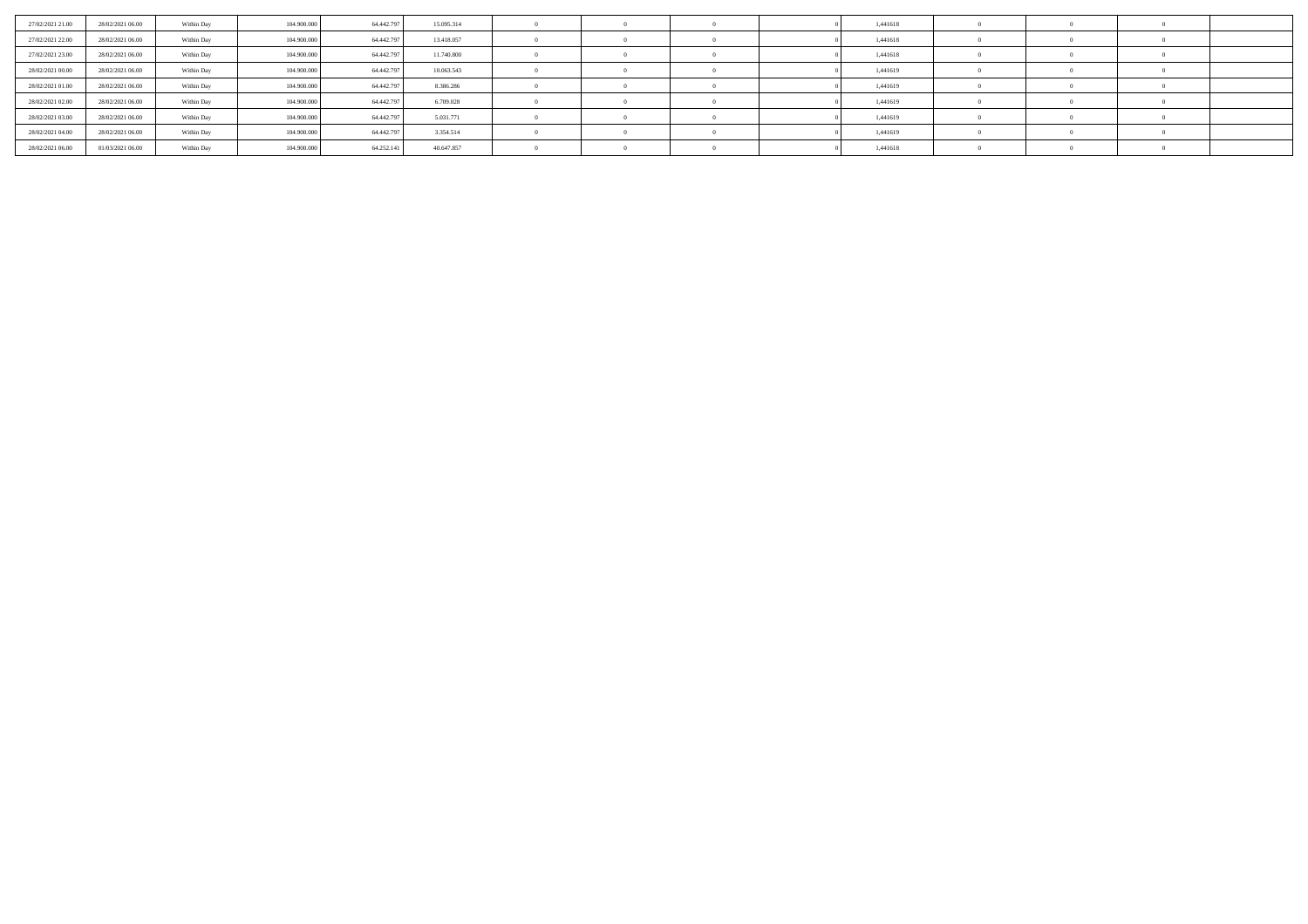| 27/02/2021 21:00 | 28/02/2021 06:00 | Within Day | 104,900,000 | 64.442.797 | 15.095.314 |  |  | 1,441618 |  |  |
|------------------|------------------|------------|-------------|------------|------------|--|--|----------|--|--|
| 27/02/2021 22.00 | 28/02/2021 06:00 | Within Day | 104.900.000 | 64.442.797 | 13.418.057 |  |  | 1,441618 |  |  |
| 27/02/2021 23:00 | 28/02/2021 06:00 | Within Day | 104.900.000 | 64.442.797 | 11.740.800 |  |  | 1,441618 |  |  |
| 28/02/2021 00:00 | 28/02/2021 06:00 | Within Day | 104.900.000 | 64.442.797 | 10.063.543 |  |  | 1,441619 |  |  |
| 28/02/2021 01:00 | 28/02/2021 06:00 | Within Day | 104.900.000 | 64.442.797 | 8.386.286  |  |  | 1,441619 |  |  |
| 28/02/2021 02:00 | 28/02/2021 06:00 | Within Day | 104.900.000 | 64.442.797 | 6.709.028  |  |  | 1,441619 |  |  |
| 28/02/2021 03:00 | 28/02/2021 06:00 | Within Day | 104.900.000 | 64.442.797 | 5.031.771  |  |  | 1,441619 |  |  |
| 28/02/2021 04:00 | 28/02/2021 06:00 | Within Day | 104.900.000 | 64.442.797 | 3.354.514  |  |  | 1,441619 |  |  |
| 28/02/2021 06:00 | 01/03/2021 06:00 | Within Day | 104.900.000 | 64.252.141 | 40.647.857 |  |  | 1,441618 |  |  |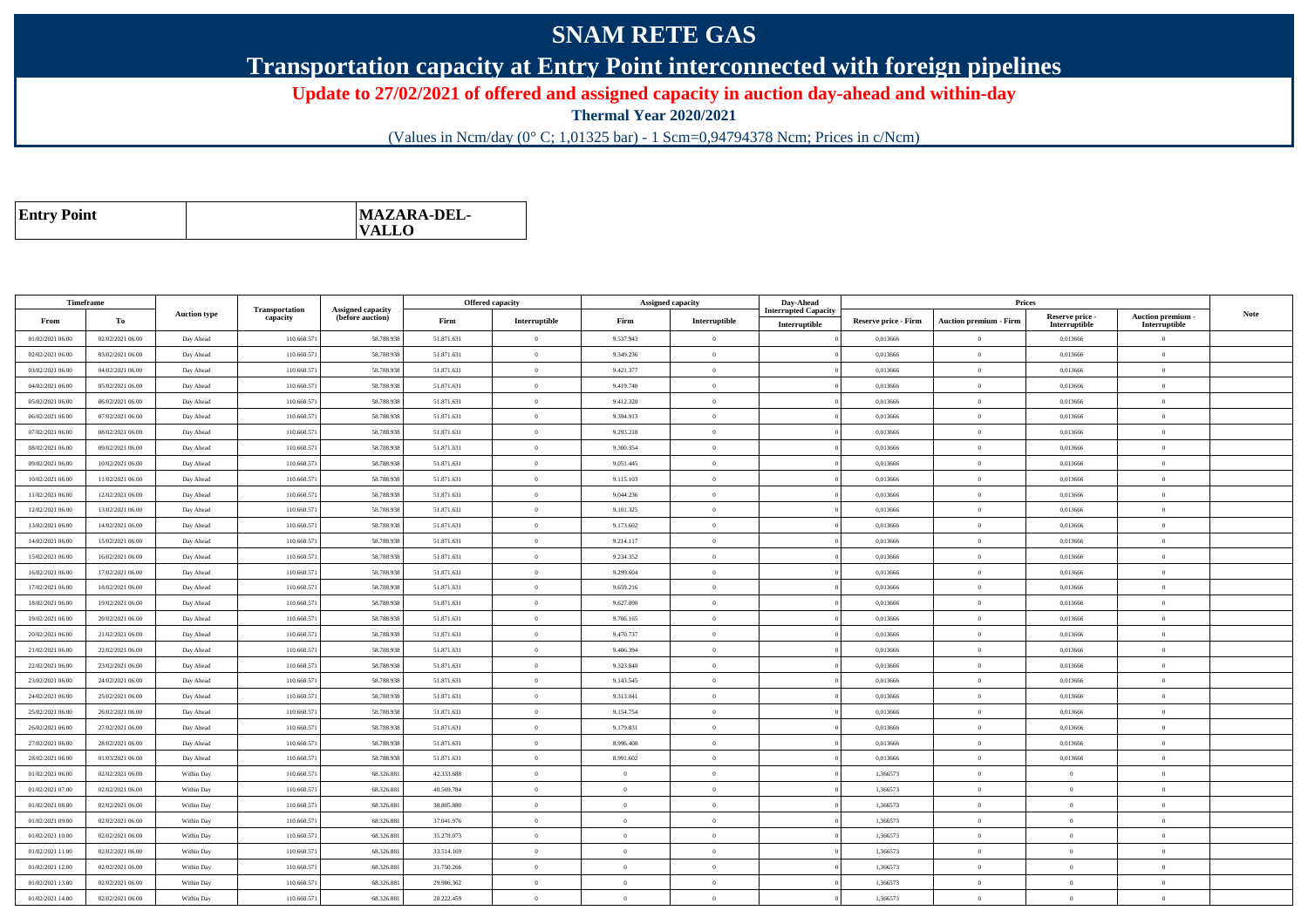## **SNAM RETE GAS**

**Transportation capacity at Entry Point interconnected with foreign pipelines**

**Update to 27/02/2021 of offered and assigned capacity in auction day-ahead and within-day**

**Thermal Year 2020/2021**

(Values in Ncm/day (0° C; 1,01325 bar) - 1 Scm=0,94794378 Ncm; Prices in c/Ncm)

| <b>Entry Point</b> | <b>MAZARA-DEL-</b><br><b>VALLO</b> |
|--------------------|------------------------------------|
|--------------------|------------------------------------|

| Timeframe                            |                  |                        |                            |                                              |                          | <b>Offered capacity</b> |                      | <b>Assigned capacity</b>   | Day-Ahead                   |                      | Prices                        |                            |                                  |             |
|--------------------------------------|------------------|------------------------|----------------------------|----------------------------------------------|--------------------------|-------------------------|----------------------|----------------------------|-----------------------------|----------------------|-------------------------------|----------------------------|----------------------------------|-------------|
| From                                 | To               | <b>Auction type</b>    | Transportation<br>capacity | <b>Assigned capacity</b><br>(before auction) | Firm                     | Interruptible           | Firm                 | Interruptible              | <b>Interrupted Capacity</b> | Reserve price - Firm | <b>Auction premium - Firm</b> | Reserve price -            | Auction premium -                | <b>Note</b> |
| 01/02/2021 06:00                     | 02/02/2021 06:00 | Day Ahead              | 110.660.571                | 58.788.938                                   | 51.871.631               | $\theta$                | 9.537.943            | $\theta$                   | Interruptible               | 0,013666             | $\Omega$                      | Interruptible<br>0,013666  | Interruptible<br>$\overline{0}$  |             |
| 02/02/2021 06:00                     | 03/02/2021 06:00 | Day Ahead              | 110.660.57                 | 58.788.93                                    | 51.871.631               | $\theta$                | 9.349.236            | $\Omega$                   |                             | 0,013666             | $\theta$                      | 0,013666                   | $\theta$                         |             |
| 03/02/2021 06:00                     | 04/02/2021 06:00 | Day Ahead              | 110.660.57                 | 58.788.938                                   | 51.871.631               | $\overline{0}$          | 9.421.377            | $\mathbf{0}$               |                             | 0,013666             | $\bf{0}$                      | 0,013666                   | $\overline{0}$                   |             |
| 04/02/2021 06:00                     | 05/02/2021 06:00 | Day Ahead              | 110.660.57                 | 58,788,938                                   | 51.871.631               | $\overline{0}$          | 9.419.740            | $\Omega$                   |                             | 0.013666             | $\bf{0}$                      | 0.013666                   | $\overline{0}$                   |             |
| 05/02/2021 06:00                     | 06/02/2021 06:00 | Day Ahead              | 110.660.571                | 58.788.938                                   | 51.871.631               | $\overline{0}$          | 9.412.328            | $\theta$                   |                             | 0,013666             | $\hspace{0.1mm}$ 0            | 0,013666                   | $\overline{0}$                   |             |
| 06/02/2021 06:00                     | 07/02/2021 06:00 | Day Ahead              | 110,660.57                 | 58,788,938                                   | 51.871.631               | $\theta$                | 9.394.913            | $\Omega$                   |                             | 0.013666             | $\theta$                      | 0.013666                   | $\overline{0}$                   |             |
| 07/02/2021 06:00                     | 08/02/2021 06:00 | Day Ahead              | 110.660.57                 | 58.788.938                                   | 51.871.631               | $\theta$                | 9.293.218            | $\overline{0}$             |                             | 0,013666             | $\overline{0}$                | 0,013666                   | $\overline{0}$                   |             |
| 08/02/2021 06:00                     | 09/02/2021 06:00 | Day Ahead              | 110,660.57                 | 58,788,938                                   | 51.871.631               | $\overline{0}$          | 9.300.354            | $\mathbf{0}$               |                             | 0.013666             | $\overline{0}$                | 0.013666                   | $\overline{0}$                   |             |
| 09/02/2021 06:00                     | 10/02/2021 06:00 | Day Ahead              | 110.660.571                | 58.788.938                                   | 51.871.631               | $\overline{0}$          | 9.051.445            | $\overline{0}$             |                             | 0,013666             | $\overline{0}$                | 0,013666                   | $\overline{0}$                   |             |
| 10/02/2021 06:00                     | 11/02/2021 06:00 | Day Ahead              | 110,660.57                 | 58,788,938                                   | 51.871.631               | $\overline{0}$          | 9.115.103            | $\Omega$                   |                             | 0.013666             | $\theta$                      | 0.013666                   | $\overline{0}$                   |             |
| 11/02/2021 06:00                     | 12/02/2021 06:00 | Day Ahead              | 110.660.57                 | 58.788.93                                    | 51.871.631               | $\theta$                | 9.044.236            | $\Omega$                   |                             | 0,013666             | $\theta$                      | 0,013666                   | $\theta$                         |             |
| 12/02/2021 06:00                     | 13/02/2021 06:00 | Day Ahead              | 110,660.57                 | 58,788,938                                   | 51.871.631               | $\overline{0}$          | 9.101.325            | $\mathbf{0}$               |                             | 0.013666             | $\overline{0}$                | 0.013666                   | $\overline{0}$                   |             |
| 13/02/2021 06:00                     | 14/02/2021 06:00 | Day Ahead              | 110.660.571                | 58.788.938                                   | 51.871.631               | $\theta$                | 9.173.602            | $\theta$                   |                             | 0,013666             | $\overline{0}$                | 0,013666                   | $\theta$                         |             |
| 14/02/2021 06:00                     | 15/02/2021 06:00 | Day Ahead              | 110.660.57                 | 58.788.938                                   | 51.871.631               | $\overline{0}$          | 9.214.117            | $\theta$                   |                             | 0.013666             | $\bf{0}$                      | 0,013666                   | $\overline{0}$                   |             |
| 15/02/2021 06:00                     | 16/02/2021 06:00 | Day Ahead              | 110.660.57                 | 58.788.93                                    | 51.871.631               | $\theta$                | 9.234.352            | $\mathbf{0}$               |                             | 0,013666             | $\overline{0}$                | 0,013666                   | $\theta$                         |             |
| 16/02/2021 06:00                     | 17/02/2021 06:00 | Day Ahead              | 110.660.57                 | 58.788.938                                   | 51.871.631               | $\overline{0}$          | 9.299.604            | $\theta$                   |                             | 0,013666             | $\,$ 0 $\,$                   | 0,013666                   | $\overline{0}$                   |             |
| 17/02/2021 06:00                     | 18/02/2021 06:00 | Day Ahead              | 110,660.57                 | 58,788,938                                   | 51.871.631               | $\overline{0}$          | 9.659.216            | $\Omega$                   |                             | 0.013666             | $\theta$                      | 0.013666                   | $\overline{0}$                   |             |
| 18/02/2021 06:00                     | 19/02/2021 06:00 | Day Ahead              | 110.660.571                | 58.788.938                                   | 51.871.631               | $\overline{0}$          | 9.627.090            | $\theta$                   |                             | 0,013666             | $\overline{0}$                | 0,013666                   | $\overline{0}$                   |             |
| 19/02/2021 06:00                     | 20/02/2021 06:00 | Day Ahead              | 110,660.57                 | 58,788,938                                   | 51.871.631               | $\theta$                | 9.706.165            | $\theta$                   |                             | 0.013666             | $\theta$                      | 0.013666                   | $\overline{0}$                   |             |
| 20/02/2021 06:00                     | 21/02/2021 06:00 | Day Ahead              | 110.660.57                 | 58.788.93                                    | 51.871.631               | $\overline{0}$          | 9.470.737            | $\overline{0}$             |                             | 0,013666             | $\theta$                      | 0,013666                   | $\overline{0}$                   |             |
| 21/02/2021 06:00                     | 22/02/2021 06:00 | Day Ahead              | 110.660.57                 | 58,788,938                                   | 51.871.631               | $\overline{0}$          | 9.406.394            | $\Omega$                   |                             | 0.013666             | $\bf{0}$                      | 0.013666                   | $\overline{0}$                   |             |
| 22/02/2021 06:00                     | 23/02/2021 06:00 | Day Ahead              | 110.660.57                 | 58.788.938                                   | 51.871.631               | $\overline{0}$          | 9.323.840            | $\theta$                   |                             | 0,013666             | $\overline{0}$                | 0,013666                   | $\overline{0}$                   |             |
| 23/02/2021 06:00                     | 24/02/2021 06:00 | Day Ahead              | 110,660.57                 | 58,788,938                                   | 51.871.631               | $\overline{0}$          | 9.143.545            | $\Omega$                   |                             | 0.013666             | $\bf{0}$                      | 0.013666                   | $\overline{0}$                   |             |
| 24/02/2021 06:00                     | 25/02/2021 06:00 | Day Ahead              | 110.660.57                 | 58.788.938                                   | 51.871.631               | $\theta$                | 9.313.041            | $\overline{0}$             |                             | 0,013666             | $\overline{0}$                | 0,013666                   | $\overline{0}$                   |             |
| 25/02/2021 06:00                     | 26/02/2021 06:00 |                        | 110,660.57                 | 58.788.938                                   | 51.871.631               | $\overline{0}$          | 9.154.754            | $\mathbf{0}$               |                             | 0.013666             | $\overline{0}$                | 0,013666                   | $\overline{0}$                   |             |
| 26/02/2021 06:00                     | 27/02/2021 06:00 | Day Ahead<br>Day Ahead | 110.660.571                | 58.788.938                                   | 51.871.631               | $\overline{0}$          | 9.179.831            | $\theta$                   |                             | 0,013666             | $\overline{0}$                | 0,013666                   | $\overline{0}$                   |             |
| 27/02/2021 06:00                     | 28/02/2021 06:00 | Day Ahead              | 110,660.57                 | 58,788,938                                   | 51.871.631               | $\overline{0}$          | 8.996.400            | $\Omega$                   |                             | 0.013666             | $\theta$                      | 0.013666                   | $\overline{0}$                   |             |
| 28/02/2021 06:00                     | 01/03/2021 06:00 | Day Ahead              | 110.660.57                 | 58.788.93                                    | 51.871.631               | $\Omega$                | 8.991.602            | $\theta$                   |                             | 0,013666             | $\theta$                      | 0,013666                   | $\theta$                         |             |
| 01/02/2021 06:00                     | 02/02/2021 06:00 | Within Day             | 110.660.57                 | 68.326.881                                   | 42.333.688               | $\overline{0}$          | $\overline{0}$       | $\mathbf{0}$               |                             | 1,366573             | $\overline{0}$                | $\overline{0}$             | $\overline{0}$                   |             |
| 01/02/2021 07:00                     | 02/02/2021 06:00 | Within Day             | 110.660.57                 | 68.326.881                                   | 40.569.784               | $\overline{0}$          | $\overline{0}$       | $\theta$                   |                             | 1,366573             | $\bf{0}$                      | $\overline{0}$             | $\overline{0}$                   |             |
| 01/02/2021 08:00                     | 02/02/2021 06:00 | Within Day             | 110.660.57                 | 68.326.881                                   | 38.805.880               | $\overline{0}$          | $\overline{0}$       | $\theta$                   |                             | 1,366573             | $\,$ 0 $\,$                   | $\overline{0}$             | $\overline{0}$                   |             |
| 01/02/2021 09:00                     | 02/02/2021 06:00 | Within Day             | 110,660.57                 | 68.326.881                                   | 37.041.976               | $\overline{0}$          | $\theta$             | $\Omega$                   |                             | 1,366573             | $\overline{0}$                | $\theta$                   | $\overline{0}$                   |             |
| 01/02/2021 10:00                     | 02/02/2021 06:00 | Within Day             | 110.660.57                 | 68.326.881                                   | 35.278.073               | $\overline{0}$          | $\overline{0}$       | $\mathbf{0}$               |                             | 1,366573             | $\overline{0}$                | $\overline{0}$             | $\overline{0}$                   |             |
| 01/02/2021 11:00                     | 02/02/2021 06:00 | Within Day             | 110,660.57                 | 68.326.881                                   | 33.514.169               | $\overline{0}$          | $\overline{0}$       | $\Omega$                   |                             | 1.366573             | $\overline{0}$                | $\theta$                   | $\overline{0}$                   |             |
|                                      |                  |                        |                            |                                              |                          | $\overline{0}$          |                      |                            |                             |                      |                               |                            |                                  |             |
| 01/02/2021 12:00<br>01/02/2021 13:00 | 02/02/2021 06:00 | Within Day             | 110.660.57<br>110,660.57   | 68.326.881<br>68.326.881                     | 31.750.266<br>29.986.362 | $\theta$                | $\Omega$<br>$\Omega$ | $\overline{0}$<br>$\Omega$ |                             | 1,366573<br>1.366573 | $\theta$<br>$\theta$          | $\overline{0}$<br>$\Omega$ | $\overline{0}$<br>$\overline{0}$ |             |
|                                      | 02/02/2021 06:00 | Within Day             |                            |                                              |                          |                         |                      |                            |                             |                      |                               |                            |                                  |             |
| 01/02/2021 14:00                     | 02/02/2021 06:00 | Within Day             | 110.660.57                 | 68.326.88                                    | 28.222.459               | $\overline{0}$          | $\theta$             | $\overline{0}$             |                             | 1,366573             | $\theta$                      | $\overline{0}$             | $\overline{0}$                   |             |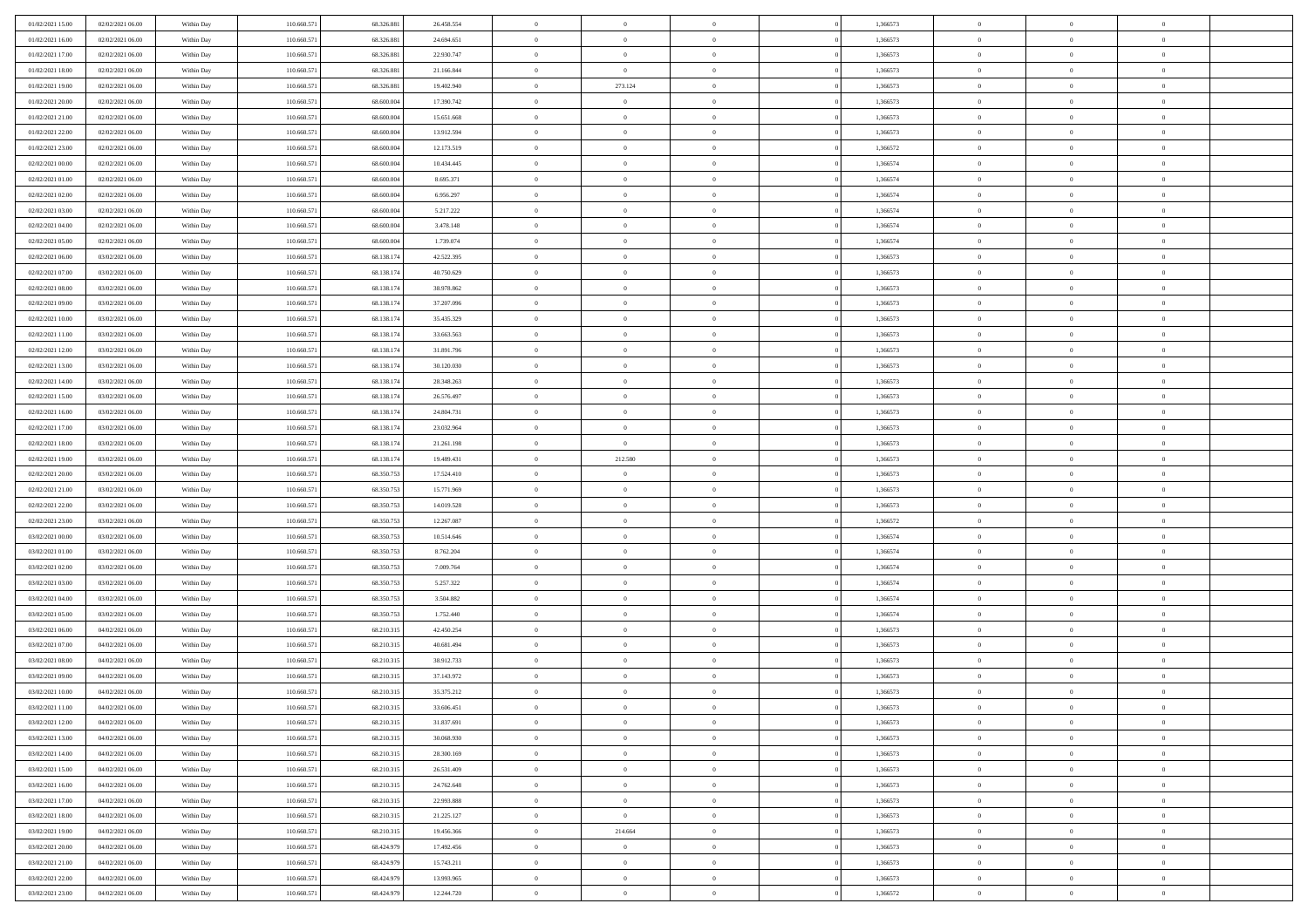| 01/02/2021 15:00 | 02/02/2021 06:00 | Within Day | 110.660.571 | 68.326.881 | 26.458.554 | $\overline{0}$ | $\overline{0}$ | $\Omega$       | 1,366573 | $\bf{0}$       | $\mathbf{0}$   | $\bf{0}$       |  |
|------------------|------------------|------------|-------------|------------|------------|----------------|----------------|----------------|----------|----------------|----------------|----------------|--|
| 01/02/2021 16:00 | 02/02/2021 06:00 | Within Day | 110.660.571 | 68.326.881 | 24.694.651 | $\mathbf{0}$   | $\overline{0}$ | $\overline{0}$ | 1,366573 | $\overline{0}$ | $\overline{0}$ | $\overline{0}$ |  |
| 01/02/2021 17:00 | 02/02/2021 06:00 | Within Day | 110.660.571 | 68.326.881 | 22.930.747 | $\,$ 0         | $\overline{0}$ | $\bf{0}$       | 1,366573 | $\,$ 0         | $\overline{0}$ | $\,$ 0 $\,$    |  |
| 01/02/2021 18:00 | 02/02/2021 06:00 | Within Day | 110,660.57  | 68.326.881 | 21.166.844 | $\bf{0}$       | $\overline{0}$ | $\Omega$       | 1,366573 | $\bf{0}$       | $\theta$       | $\theta$       |  |
| 01/02/2021 19:00 | 02/02/2021 06:00 | Within Dav | 110.660.571 | 68.326.881 | 19.402.940 | $\bf{0}$       | 273.124        | $\overline{0}$ | 1,366573 | $\overline{0}$ | $\overline{0}$ | $\overline{0}$ |  |
| 01/02/2021 20:00 | 02/02/2021 06:00 | Within Day | 110.660.571 | 68.600.004 | 17.390.742 | $\bf{0}$       | $\overline{0}$ | $\bf{0}$       | 1,366573 | $\,$ 0         | $\overline{0}$ | $\,$ 0 $\,$    |  |
| 01/02/2021 21:00 | 02/02/2021 06:00 | Within Day | 110.660.571 | 68,600,004 | 15.651.668 | $\bf{0}$       | $\overline{0}$ | $\Omega$       | 1,366573 | $\bf{0}$       | $\mathbf{0}$   | $\theta$       |  |
| 01/02/2021 22:00 | 02/02/2021 06:00 | Within Dav | 110.660.571 | 68.600.004 | 13.912.594 | $\overline{0}$ | $\overline{0}$ | $\overline{0}$ | 1,366573 | $\mathbf{0}$   | $\overline{0}$ | $\overline{0}$ |  |
| 01/02/2021 23:00 | 02/02/2021 06:00 | Within Day | 110.660.571 | 68.600.004 | 12.173.519 | $\bf{0}$       | $\overline{0}$ | $\bf{0}$       | 1,366572 | $\,$ 0         | $\overline{0}$ | $\,$ 0 $\,$    |  |
| 02/02/2021 00:00 | 02/02/2021 06:00 | Within Day | 110,660,571 | 68,600,004 | 10.434.445 | $\bf{0}$       | $\overline{0}$ | $\Omega$       | 1,366574 | $\theta$       | $\mathbf{0}$   | $\theta$       |  |
| 02/02/2021 01:00 | 02/02/2021 06:00 | Within Day | 110.660.571 | 68.600.004 | 8.695.371  | $\overline{0}$ | $\overline{0}$ | $\overline{0}$ | 1,366574 | $\mathbf{0}$   | $\overline{0}$ | $\overline{0}$ |  |
| 02/02/2021 02:00 | 02/02/2021 06:00 | Within Day | 110.660.571 | 68.600.004 | 6.956.297  | $\bf{0}$       | $\overline{0}$ | $\bf{0}$       | 1,366574 | $\,$ 0         | $\overline{0}$ | $\,$ 0 $\,$    |  |
| 02/02/2021 03:00 | 02/02/2021 06:00 | Within Day | 110,660,571 | 68,600,004 | 5.217.222  | $\bf{0}$       | $\overline{0}$ | $\Omega$       | 1.366574 | $\overline{0}$ | $\theta$       | $\theta$       |  |
| 02/02/2021 04:00 | 02/02/2021 06:00 | Within Dav | 110.660.571 | 68.600.004 | 3.478.148  | $\overline{0}$ | $\overline{0}$ | $\overline{0}$ | 1,366574 | $\mathbf{0}$   | $\overline{0}$ | $\overline{0}$ |  |
| 02/02/2021 05:00 | 02/02/2021 06:00 | Within Day | 110.660.571 | 68.600.004 | 1.739.074  | $\bf{0}$       | $\overline{0}$ | $\bf{0}$       | 1,366574 | $\,$ 0         | $\overline{0}$ | $\,$ 0 $\,$    |  |
| 02/02/2021 06:00 | 03/02/2021 06:00 | Within Day | 110.660.571 | 68.138.174 | 42.522.395 | $\bf{0}$       | $\overline{0}$ | $\overline{0}$ | 1,366573 | $\bf{0}$       | $\mathbf{0}$   | $\bf{0}$       |  |
| 02/02/2021 07:00 | 03/02/2021 06:00 | Within Day | 110.660.571 | 68.138.174 | 40.750.629 | $\overline{0}$ | $\overline{0}$ | $\overline{0}$ | 1,366573 | $\mathbf{0}$   | $\overline{0}$ | $\overline{0}$ |  |
| 02/02/2021 08:00 | 03/02/2021 06:00 | Within Day | 110.660.571 | 68.138.174 | 38.978.862 | $\bf{0}$       | $\overline{0}$ | $\bf{0}$       | 1,366573 | $\,$ 0         | $\overline{0}$ | $\,$ 0 $\,$    |  |
| 02/02/2021 09:00 | 03/02/2021 06:00 | Within Day | 110,660,571 | 68.138.174 | 37.207.096 | $\bf{0}$       | $\overline{0}$ | $\Omega$       | 1,366573 | $\theta$       | $\mathbf{0}$   | $\theta$       |  |
| 02/02/2021 10:00 | 03/02/2021 06:00 | Within Day | 110.660.571 | 68.138.174 | 35.435.329 | $\overline{0}$ | $\overline{0}$ | $\overline{0}$ | 1,366573 | $\mathbf{0}$   | $\overline{0}$ | $\overline{0}$ |  |
| 02/02/2021 11:00 | 03/02/2021 06:00 | Within Day | 110.660.571 | 68.138.174 | 33.663.563 | $\bf{0}$       | $\overline{0}$ | $\bf{0}$       | 1,366573 | $\,$ 0         | $\overline{0}$ | $\,$ 0 $\,$    |  |
| 02/02/2021 12:00 | 03/02/2021 06:00 | Within Day | 110,660.57  | 68.138.174 | 31.891.796 | $\bf{0}$       | $\overline{0}$ | $\Omega$       | 1,366573 | $\theta$       | $\theta$       | $\theta$       |  |
| 02/02/2021 13:00 | 03/02/2021 06:00 | Within Dav | 110.660.571 | 68.138.174 | 30.120.030 | $\overline{0}$ | $\overline{0}$ | $\overline{0}$ | 1,366573 | $\mathbf{0}$   | $\overline{0}$ | $\overline{0}$ |  |
| 02/02/2021 14:00 | 03/02/2021 06:00 | Within Day | 110.660.571 | 68.138.174 | 28.348.263 | $\bf{0}$       | $\overline{0}$ | $\bf{0}$       | 1,366573 | $\,$ 0         | $\overline{0}$ | $\,$ 0 $\,$    |  |
| 02/02/2021 15:00 | 03/02/2021 06:00 | Within Day | 110.660.571 | 68.138.174 | 26.576.497 | $\bf{0}$       | $\overline{0}$ | $\overline{0}$ | 1,366573 | $\bf{0}$       | $\bf{0}$       | $\bf{0}$       |  |
| 02/02/2021 16:00 | 03/02/2021 06:00 | Within Day | 110.660.571 | 68.138.174 | 24.804.731 | $\overline{0}$ | $\overline{0}$ | $\overline{0}$ | 1,366573 | $\mathbf{0}$   | $\overline{0}$ | $\overline{0}$ |  |
| 02/02/2021 17:00 | 03/02/2021 06:00 | Within Day | 110.660.571 | 68.138.174 | 23.032.964 | $\bf{0}$       | $\overline{0}$ | $\bf{0}$       | 1,366573 | $\,$ 0         | $\overline{0}$ | $\,$ 0 $\,$    |  |
| 02/02/2021 18:00 | 03/02/2021 06:00 | Within Day | 110,660,571 | 68.138.174 | 21.261.198 | $\bf{0}$       | $\overline{0}$ | $\Omega$       | 1,366573 | $\theta$       | $\mathbf{0}$   | $\theta$       |  |
| 02/02/2021 19:00 | 03/02/2021 06:00 | Within Day | 110.660.571 | 68.138.174 | 19.489.431 | $\overline{0}$ | 212.580        | $\overline{0}$ | 1,366573 | $\mathbf{0}$   | $\overline{0}$ | $\overline{0}$ |  |
| 02/02/2021 20:00 | 03/02/2021 06:00 | Within Day | 110.660.571 | 68.350.753 | 17.524.410 | $\bf{0}$       | $\overline{0}$ | $\bf{0}$       | 1,366573 | $\,$ 0         | $\overline{0}$ | $\,$ 0 $\,$    |  |
| 02/02/2021 21:00 | 03/02/2021 06:00 | Within Day | 110.660.571 | 68.350.753 | 15.771.969 | $\,$ 0         | $\bf{0}$       | $\overline{0}$ | 1,366573 | $\bf{0}$       | $\overline{0}$ | $\,0\,$        |  |
| 02/02/2021 22:00 | 03/02/2021 06:00 | Within Dav | 110.660.571 | 68.350.753 | 14.019.528 | $\overline{0}$ | $\overline{0}$ | $\overline{0}$ | 1,366573 | $\mathbf{0}$   | $\overline{0}$ | $\overline{0}$ |  |
| 02/02/2021 23:00 | 03/02/2021 06:00 | Within Day | 110.660.571 | 68.350.753 | 12.267.087 | $\bf{0}$       | $\overline{0}$ | $\bf{0}$       | 1,366572 | $\,$ 0         | $\overline{0}$ | $\,$ 0 $\,$    |  |
| 03/02/2021 00:00 | 03/02/2021 06:00 | Within Day | 110.660.571 | 68.350.753 | 10.514.646 | $\bf{0}$       | $\overline{0}$ | $\bf{0}$       | 1,366574 | $\bf{0}$       | $\overline{0}$ | $\,0\,$        |  |
| 03/02/2021 01:00 | 03/02/2021 06:00 | Within Day | 110.660.571 | 68.350.753 | 8.762.204  | $\overline{0}$ | $\overline{0}$ | $\overline{0}$ | 1,366574 | $\overline{0}$ | $\overline{0}$ | $\overline{0}$ |  |
| 03/02/2021 02:00 | 03/02/2021 06:00 | Within Day | 110.660.571 | 68.350.753 | 7.009.764  | $\bf{0}$       | $\overline{0}$ | $\bf{0}$       | 1,366574 | $\,$ 0         | $\overline{0}$ | $\,$ 0 $\,$    |  |
| 03/02/2021 03:00 | 03/02/2021 06:00 | Within Day | 110.660.571 | 68.350.753 | 5.257.322  | $\bf{0}$       | $\overline{0}$ | $\theta$       | 1,366574 | $\bf{0}$       | $\overline{0}$ | $\,0\,$        |  |
| 03/02/2021 04:00 | 03/02/2021 06:00 | Within Day | 110.660.571 | 68.350.753 | 3.504.882  | $\overline{0}$ | $\overline{0}$ | $\overline{0}$ | 1,366574 | $\mathbf{0}$   | $\overline{0}$ | $\overline{0}$ |  |
| 03/02/2021 05:00 | 03/02/2021 06:00 | Within Day | 110.660.571 | 68.350.753 | 1.752.440  | $\bf{0}$       | $\overline{0}$ | $\bf{0}$       | 1,366574 | $\,$ 0         | $\overline{0}$ | $\,$ 0 $\,$    |  |
| 03/02/2021 06:00 | 04/02/2021 06:00 | Within Day | 110.660.571 | 68.210.315 | 42.450.254 | $\bf{0}$       | $\overline{0}$ | $\overline{0}$ | 1,366573 | $\bf{0}$       | $\overline{0}$ | $\,0\,$        |  |
| 03/02/2021 07:00 | 04/02/2021 06:00 | Within Day | 110.660.571 | 68.210.315 | 40.681.494 | $\overline{0}$ | $\overline{0}$ | $\overline{0}$ | 1,366573 | $\overline{0}$ | $\overline{0}$ | $\overline{0}$ |  |
| 03/02/2021 08:00 | 04/02/2021 06:00 | Within Day | 110.660.571 | 68.210.315 | 38.912.733 | $\bf{0}$       | $\overline{0}$ | $\bf{0}$       | 1,366573 | $\,$ 0         | $\overline{0}$ | $\,$ 0 $\,$    |  |
| 03/02/2021 09:00 | 04/02/2021 06:00 | Within Day | 110.660.571 | 68.210.315 | 37.143.972 | $\bf{0}$       | $\overline{0}$ | $\bf{0}$       | 1,366573 | $\bf{0}$       | $\overline{0}$ | $\,0\,$        |  |
| 03/02/2021 10:00 | 04/02/2021 06:00 | Within Day | 110.660.571 | 68.210.315 | 35.375.212 | $\mathbf{0}$   | $\overline{0}$ | $\overline{0}$ | 1,366573 | $\mathbf{0}$   | $\overline{0}$ | $\overline{0}$ |  |
| 03/02/2021 11:00 | 04/02/2021 06:00 | Within Day | 110.660.571 | 68.210.315 | 33.606.451 | $\bf{0}$       | $\overline{0}$ | $\overline{0}$ | 1,366573 | $\overline{0}$ | $\theta$       | $\theta$       |  |
| 03/02/2021 12:00 | 04/02/2021 06:00 | Within Day | 110.660.571 | 68.210.315 | 31.837.691 | $\bf{0}$       | $\overline{0}$ | $\bf{0}$       | 1,366573 | $\bf{0}$       | $\overline{0}$ | $\,0\,$        |  |
| 03/02/2021 13:00 | 04/02/2021 06:00 | Within Day | 110.660.571 | 68.210.315 | 30.068.930 | $\overline{0}$ | $\overline{0}$ | $\overline{0}$ | 1,366573 | $\overline{0}$ | $\bf{0}$       | $\overline{0}$ |  |
| 03/02/2021 14:00 | 04/02/2021 06:00 | Within Day | 110.660.571 | 68.210.315 | 28.300.169 | $\,$ 0 $\,$    | $\overline{0}$ | $\overline{0}$ | 1,366573 | $\mathbf{0}$   | $\,$ 0 $\,$    | $\,$ 0 $\,$    |  |
| 03/02/2021 15:00 | 04/02/2021 06:00 | Within Day | 110.660.571 | 68.210.315 | 26.531.409 | $\bf{0}$       | $\overline{0}$ | $\overline{0}$ | 1,366573 | $\bf{0}$       | $\overline{0}$ | $\bf{0}$       |  |
| 03/02/2021 16:00 | 04/02/2021 06:00 | Within Day | 110.660.571 | 68.210.315 | 24.762.648 | $\overline{0}$ | $\overline{0}$ | $\overline{0}$ | 1,366573 | $\overline{0}$ | $\overline{0}$ | $\overline{0}$ |  |
| 03/02/2021 17:00 | 04/02/2021 06:00 | Within Day | 110.660.571 | 68.210.315 | 22.993.888 | $\,$ 0 $\,$    | $\overline{0}$ | $\overline{0}$ | 1,366573 | $\,$ 0 $\,$    | $\overline{0}$ | $\,$ 0 $\,$    |  |
| 03/02/2021 18:00 | 04/02/2021 06:00 | Within Day | 110.660.571 | 68.210.315 | 21.225.127 | $\overline{0}$ | $\overline{0}$ | $\overline{0}$ | 1,366573 | $\bf{0}$       | $\overline{0}$ | $\overline{0}$ |  |
| 03/02/2021 19:00 | 04/02/2021 06:00 | Within Day | 110.660.571 | 68.210.315 | 19.456.366 | $\overline{0}$ | 214.664        | $\overline{0}$ | 1,366573 | $\overline{0}$ | $\bf{0}$       | $\mathbf{0}$   |  |
| 03/02/2021 20:00 | 04/02/2021 06:00 | Within Day | 110.660.571 | 68.424.979 | 17.492.456 | $\,$ 0 $\,$    | $\overline{0}$ | $\overline{0}$ | 1,366573 | $\,$ 0 $\,$    | $\,$ 0 $\,$    | $\,$ 0 $\,$    |  |
| 03/02/2021 21:00 | 04/02/2021 06:00 | Within Day | 110.660.571 | 68.424.979 | 15.743.211 | $\bf{0}$       | $\overline{0}$ | $\overline{0}$ | 1,366573 | $\mathbf{0}$   | $\overline{0}$ | $\bf{0}$       |  |
| 03/02/2021 22:00 | 04/02/2021 06:00 | Within Day | 110.660.571 | 68.424.979 | 13.993.965 | $\overline{0}$ | $\overline{0}$ | $\overline{0}$ | 1,366573 | $\mathbf{0}$   | $\bf{0}$       | $\overline{0}$ |  |
| 03/02/2021 23:00 | 04/02/2021 06:00 | Within Day | 110.660.571 | 68.424.979 | 12.244.720 | $\,0\,$        | $\overline{0}$ | $\overline{0}$ | 1,366572 | $\,$ 0         | $\overline{0}$ | $\,$ 0 $\,$    |  |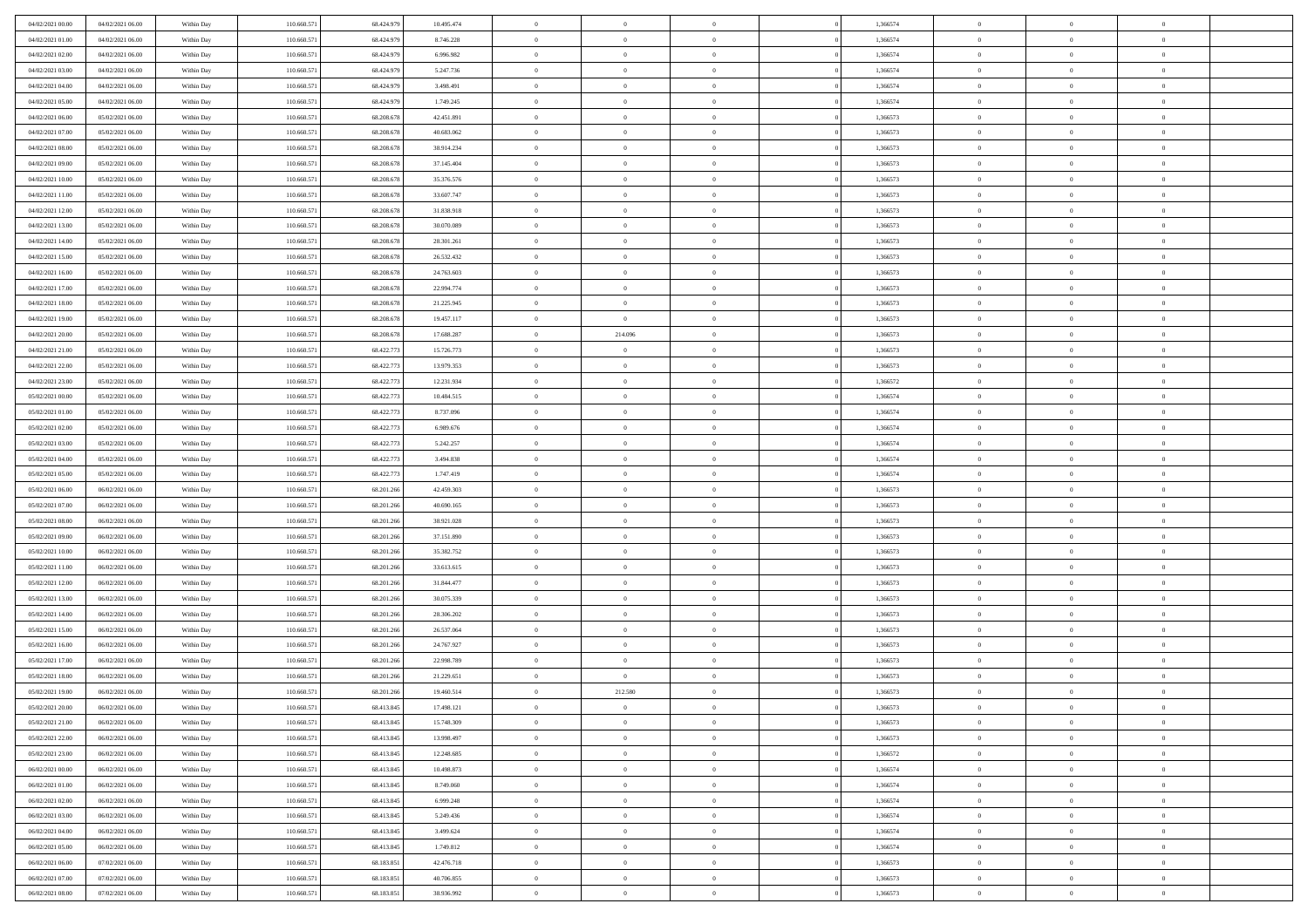| 04/02/2021 00:00 | 04/02/2021 06:00 | Within Day | 110.660.571 | 68.424.979 | 10.495.474 | $\overline{0}$ | $\overline{0}$ | $\Omega$       | 1,366574 | $\bf{0}$       | $\mathbf{0}$   | $\bf{0}$       |  |
|------------------|------------------|------------|-------------|------------|------------|----------------|----------------|----------------|----------|----------------|----------------|----------------|--|
| 04/02/2021 01:00 | 04/02/2021 06:00 | Within Day | 110.660.571 | 68.424.979 | 8.746.228  | $\mathbf{0}$   | $\overline{0}$ | $\overline{0}$ | 1,366574 | $\overline{0}$ | $\overline{0}$ | $\theta$       |  |
| 04/02/2021 02:00 | 04/02/2021 06:00 | Within Day | 110.660.571 | 68.424.979 | 6.996.982  | $\,$ 0         | $\overline{0}$ | $\bf{0}$       | 1,366574 | $\,$ 0         | $\overline{0}$ | $\,$ 0 $\,$    |  |
| 04/02/2021 03:00 | 04/02/2021 06:00 | Within Day | 110,660.57  | 68.424.979 | 5.247.736  | $\bf{0}$       | $\overline{0}$ | $\Omega$       | 1,366574 | $\bf{0}$       | $\theta$       | $\theta$       |  |
| 04/02/2021 04:00 | 04/02/2021 06:00 | Within Dav | 110.660.571 | 68.424.979 | 3.498.491  | $\bf{0}$       | $\overline{0}$ | $\overline{0}$ | 1,366574 | $\mathbf{0}$   | $\overline{0}$ | $\overline{0}$ |  |
| 04/02/2021 05:00 | 04/02/2021 06:00 | Within Day | 110.660.571 | 68.424.979 | 1.749.245  | $\bf{0}$       | $\overline{0}$ | $\bf{0}$       | 1,366574 | $\,$ 0         | $\overline{0}$ | $\,$ 0 $\,$    |  |
| 04/02/2021 06:00 | 05/02/2021 06:00 | Within Day | 110.660.571 | 68.208.678 | 42.451.891 | $\bf{0}$       | $\overline{0}$ | $\Omega$       | 1,366573 | $\bf{0}$       | $\mathbf{0}$   | $\theta$       |  |
| 04/02/2021 07:00 | 05/02/2021 06:00 | Within Dav | 110.660.571 | 68.208.678 | 40.683.062 | $\overline{0}$ | $\overline{0}$ | $\overline{0}$ | 1,366573 | $\mathbf{0}$   | $\overline{0}$ | $\overline{0}$ |  |
| 04/02/2021 08:00 | 05/02/2021 06:00 | Within Day | 110.660.571 | 68.208.678 | 38.914.234 | $\bf{0}$       | $\overline{0}$ | $\bf{0}$       | 1,366573 | $\,$ 0         | $\overline{0}$ | $\,$ 0 $\,$    |  |
| 04/02/2021 09:00 | 05/02/2021 06:00 | Within Day | 110,660,571 | 68.208.678 | 37.145.404 | $\bf{0}$       | $\overline{0}$ | $\Omega$       | 1,366573 | $\theta$       | $\mathbf{0}$   | $\theta$       |  |
| 04/02/2021 10:00 | 05/02/2021 06:00 | Within Day | 110.660.571 | 68.208.678 | 35.376.576 | $\overline{0}$ | $\overline{0}$ | $\overline{0}$ | 1,366573 | $\mathbf{0}$   | $\overline{0}$ | $\overline{0}$ |  |
| 04/02/2021 11:00 | 05/02/2021 06:00 | Within Day | 110.660.571 | 68.208.678 | 33.607.747 | $\,$ 0         | $\overline{0}$ | $\bf{0}$       | 1,366573 | $\,$ 0         | $\overline{0}$ | $\,$ 0 $\,$    |  |
| 04/02/2021 12:00 | 05/02/2021 06:00 | Within Day | 110,660.57  | 68.208.678 | 31.838.918 | $\bf{0}$       | $\overline{0}$ | $\Omega$       | 1,366573 | $\overline{0}$ | $\theta$       | $\theta$       |  |
| 04/02/2021 13:00 | 05/02/2021 06:00 | Within Dav | 110.660.571 | 68.208.678 | 30.070.089 | $\overline{0}$ | $\overline{0}$ | $\overline{0}$ | 1,366573 | $\mathbf{0}$   | $\overline{0}$ | $\overline{0}$ |  |
| 04/02/2021 14:00 | 05/02/2021 06:00 | Within Day | 110.660.57  | 68.208.678 | 28.301.261 | $\bf{0}$       | $\overline{0}$ | $\bf{0}$       | 1,366573 | $\,$ 0         | $\overline{0}$ | $\,$ 0 $\,$    |  |
| 04/02/2021 15:00 | 05/02/2021 06:00 | Within Day | 110.660.571 | 68.208.678 | 26.532.432 | $\bf{0}$       | $\overline{0}$ | $\overline{0}$ | 1,366573 | $\bf{0}$       | $\mathbf{0}$   | $\bf{0}$       |  |
| 04/02/2021 16:00 | 05/02/2021 06:00 | Within Day | 110.660.571 | 68.208.678 | 24.763.603 | $\overline{0}$ | $\overline{0}$ | $\overline{0}$ | 1,366573 | $\mathbf{0}$   | $\overline{0}$ | $\overline{0}$ |  |
| 04/02/2021 17:00 | 05/02/2021 06:00 | Within Day | 110.660.571 | 68.208.678 | 22.994.774 | $\bf{0}$       | $\overline{0}$ | $\bf{0}$       | 1,366573 | $\,$ 0         | $\overline{0}$ | $\,0\,$        |  |
| 04/02/2021 18:00 | 05/02/2021 06:00 | Within Day | 110,660,571 | 68.208.678 | 21.225.945 | $\bf{0}$       | $\overline{0}$ | $\overline{0}$ | 1,366573 | $\theta$       | $\mathbf{0}$   | $\theta$       |  |
| 04/02/2021 19:00 | 05/02/2021 06:00 | Within Day | 110.660.571 | 68.208.678 | 19.457.117 | $\overline{0}$ | $\overline{0}$ | $\overline{0}$ | 1,366573 | $\mathbf{0}$   | $\overline{0}$ | $\overline{0}$ |  |
| 04/02/2021 20:00 | 05/02/2021 06:00 | Within Day | 110.660.571 | 68.208.678 | 17.688.287 | $\bf{0}$       | 214.096        | $\bf{0}$       | 1,366573 | $\,$ 0         | $\overline{0}$ | $\,$ 0 $\,$    |  |
| 04/02/2021 21:00 | 05/02/2021 06:00 | Within Day | 110,660.57  | 68.422.773 | 15.726.773 | $\bf{0}$       | $\overline{0}$ | $\Omega$       | 1,366573 | $\overline{0}$ | $\theta$       | $\theta$       |  |
| 04/02/2021 22:00 | 05/02/2021 06:00 | Within Dav | 110.660.571 | 68.422.773 | 13.979.353 | $\overline{0}$ | $\overline{0}$ | $\overline{0}$ | 1,366573 | $\mathbf{0}$   | $\overline{0}$ | $\overline{0}$ |  |
| 04/02/2021 23:00 | 05/02/2021 06:00 | Within Day | 110.660.571 | 68.422.773 | 12.231.934 | $\bf{0}$       | $\overline{0}$ | $\bf{0}$       | 1,366572 | $\,$ 0         | $\overline{0}$ | $\,$ 0 $\,$    |  |
| 05/02/2021 00:00 | 05/02/2021 06:00 | Within Day | 110.660.571 | 68.422.773 | 10.484.515 | $\bf{0}$       | $\overline{0}$ | $\overline{0}$ | 1,366574 | $\bf{0}$       | $\bf{0}$       | $\bf{0}$       |  |
| 05/02/2021 01:00 | 05/02/2021 06:00 | Within Day | 110.660.571 | 68.422.773 | 8.737.096  | $\overline{0}$ | $\overline{0}$ | $\overline{0}$ | 1,366574 | $\overline{0}$ | $\overline{0}$ | $\overline{0}$ |  |
| 05/02/2021 02:00 | 05/02/2021 06:00 | Within Day | 110.660.571 | 68.422.773 | 6.989.676  | $\bf{0}$       | $\overline{0}$ | $\bf{0}$       | 1,366574 | $\,$ 0         | $\overline{0}$ | $\,$ 0 $\,$    |  |
| 05/02/2021 03:00 | 05/02/2021 06:00 | Within Day | 110,660,571 | 68.422.773 | 5.242.257  | $\bf{0}$       | $\overline{0}$ | $\Omega$       | 1,366574 | $\bf{0}$       | $\mathbf{0}$   | $\theta$       |  |
| 05/02/2021 04:00 | 05/02/2021 06:00 | Within Day | 110.660.571 | 68.422.773 | 3.494.838  | $\overline{0}$ | $\overline{0}$ | $\overline{0}$ | 1,366574 | $\mathbf{0}$   | $\overline{0}$ | $\overline{0}$ |  |
| 05/02/2021 05:00 | 05/02/2021 06:00 | Within Day | 110.660.571 | 68.422.773 | 1.747.419  | $\bf{0}$       | $\overline{0}$ | $\bf{0}$       | 1,366574 | $\,$ 0         | $\overline{0}$ | $\,$ 0 $\,$    |  |
| 05/02/2021 06:00 | 06/02/2021 06:00 | Within Day | 110.660.571 | 68.201.266 | 42.459.303 | $\,$ 0         | $\bf{0}$       | $\overline{0}$ | 1,366573 | $\bf{0}$       | $\overline{0}$ | $\,0\,$        |  |
| 05/02/2021 07:00 | 06/02/2021 06:00 | Within Dav | 110.660.571 | 68.201.266 | 40.690.165 | $\overline{0}$ | $\overline{0}$ | $\overline{0}$ | 1,366573 | $\mathbf{0}$   | $\overline{0}$ | $\overline{0}$ |  |
| 05/02/2021 08:00 | 06/02/2021 06:00 | Within Day | 110.660.571 | 68.201.266 | 38.921.028 | $\bf{0}$       | $\overline{0}$ | $\bf{0}$       | 1,366573 | $\,$ 0         | $\overline{0}$ | $\,$ 0 $\,$    |  |
| 05/02/2021 09:00 | 06/02/2021 06:00 | Within Day | 110.660.571 | 68.201.266 | 37.151.890 | $\bf{0}$       | $\bf{0}$       | $\bf{0}$       | 1,366573 | $\bf{0}$       | $\overline{0}$ | $\,0\,$        |  |
| 05/02/2021 10:00 | 06/02/2021 06:00 | Within Day | 110.660.571 | 68.201.266 | 35.382.752 | $\overline{0}$ | $\overline{0}$ | $\overline{0}$ | 1,366573 | $\overline{0}$ | $\overline{0}$ | $\overline{0}$ |  |
| 05/02/2021 11:00 | 06/02/2021 06:00 | Within Day | 110.660.571 | 68.201.266 | 33.613.615 | $\bf{0}$       | $\overline{0}$ | $\bf{0}$       | 1,366573 | $\,$ 0         | $\overline{0}$ | $\,$ 0 $\,$    |  |
| 05/02/2021 12:00 | 06/02/2021 06:00 | Within Day | 110.660.571 | 68.201.266 | 31.844.477 | $\,$ 0         | $\bf{0}$       | $\theta$       | 1,366573 | $\bf{0}$       | $\overline{0}$ | $\,0\,$        |  |
| 05/02/2021 13:00 | 06/02/2021 06:00 | Within Day | 110.660.571 | 68.201.266 | 30.075.339 | $\overline{0}$ | $\overline{0}$ | $\overline{0}$ | 1,366573 | $\mathbf{0}$   | $\overline{0}$ | $\overline{0}$ |  |
| 05/02/2021 14:00 | 06/02/2021 06:00 | Within Day | 110.660.571 | 68.201.266 | 28.306.202 | $\bf{0}$       | $\overline{0}$ | $\bf{0}$       | 1,366573 | $\,$ 0         | $\overline{0}$ | $\,$ 0 $\,$    |  |
| 05/02/2021 15:00 | 06/02/2021 06:00 | Within Day | 110.660.571 | 68.201.266 | 26.537.064 | $\bf{0}$       | $\bf{0}$       | $\overline{0}$ | 1,366573 | $\bf{0}$       | $\overline{0}$ | $\,0\,$        |  |
| 05/02/2021 16:00 | 06/02/2021 06:00 | Within Dav | 110.660.571 | 68.201.266 | 24.767.927 | $\overline{0}$ | $\overline{0}$ | $\overline{0}$ | 1,366573 | $\overline{0}$ | $\overline{0}$ | $\overline{0}$ |  |
| 05/02/2021 17:00 | 06/02/2021 06:00 | Within Day | 110.660.571 | 68.201.266 | 22.998.789 | $\bf{0}$       | $\overline{0}$ | $\bf{0}$       | 1,366573 | $\,$ 0         | $\overline{0}$ | $\,$ 0 $\,$    |  |
| 05/02/2021 18:00 | 06/02/2021 06:00 | Within Day | 110.660.571 | 68.201.266 | 21.229.651 | $\bf{0}$       | $\overline{0}$ | $\bf{0}$       | 1,366573 | $\bf{0}$       | $\overline{0}$ | $\,0\,$        |  |
| 05/02/2021 19:00 | 06/02/2021 06:00 | Within Day | 110.660.571 | 68.201.266 | 19.460.514 | $\mathbf{0}$   | 212.580        | $\overline{0}$ | 1,366573 | $\overline{0}$ | $\overline{0}$ | $\overline{0}$ |  |
| 05/02/2021 20:00 | 06/02/2021 06:00 | Within Day | 110.660.571 | 68.413.845 | 17.498.121 | $\bf{0}$       | $\overline{0}$ | $\theta$       | 1,366573 | $\overline{0}$ | $\theta$       | $\theta$       |  |
| 05/02/2021 21:00 | 06/02/2021 06:00 | Within Day | 110.660.571 | 68.413.845 | 15.748.309 | $\bf{0}$       | $\bf{0}$       | $\bf{0}$       | 1,366573 | $\bf{0}$       | $\overline{0}$ | $\,0\,$        |  |
| 05/02/2021 22:00 | 06/02/2021 06:00 | Within Day | 110.660.571 | 68.413.845 | 13.998.497 | $\overline{0}$ | $\overline{0}$ | $\overline{0}$ | 1,366573 | $\overline{0}$ | $\bf{0}$       | $\overline{0}$ |  |
| 05/02/2021 23:00 | 06/02/2021 06:00 | Within Day | 110.660.571 | 68.413.845 | 12.248.685 | $\,$ 0 $\,$    | $\overline{0}$ | $\overline{0}$ | 1,366572 | $\,$ 0 $\,$    | $\,$ 0 $\,$    | $\,$ 0 $\,$    |  |
| 06/02/2021 00:00 | 06/02/2021 06:00 | Within Day | 110.660.571 | 68.413.845 | 10.498.873 | $\bf{0}$       | $\bf{0}$       | $\overline{0}$ | 1,366574 | $\bf{0}$       | $\overline{0}$ | $\bf{0}$       |  |
| 06/02/2021 01:00 | 06/02/2021 06:00 | Within Day | 110.660.571 | 68.413.845 | 8.749.060  | $\bf{0}$       | $\overline{0}$ | $\overline{0}$ | 1,366574 | $\overline{0}$ | $\overline{0}$ | $\overline{0}$ |  |
| 06/02/2021 02:00 | 06/02/2021 06:00 | Within Day | 110.660.571 | 68.413.845 | 6.999.248  | $\,$ 0 $\,$    | $\overline{0}$ | $\overline{0}$ | 1,366574 | $\,$ 0 $\,$    | $\overline{0}$ | $\,$ 0 $\,$    |  |
| 06/02/2021 03:00 | 06/02/2021 06:00 | Within Day | 110.660.571 | 68.413.845 | 5.249.436  | $\bf{0}$       | $\overline{0}$ | $\overline{0}$ | 1,366574 | $\bf{0}$       | $\overline{0}$ | $\overline{0}$ |  |
| 06/02/2021 04:00 | 06/02/2021 06:00 | Within Day | 110.660.571 | 68.413.845 | 3.499.624  | $\overline{0}$ | $\overline{0}$ | $\overline{0}$ | 1,366574 | $\overline{0}$ | $\bf{0}$       | $\mathbf{0}$   |  |
| 06/02/2021 05:00 | 06/02/2021 06:00 | Within Day | 110.660.571 | 68.413.845 | 1.749.812  | $\,$ 0 $\,$    | $\overline{0}$ | $\overline{0}$ | 1,366574 | $\,$ 0 $\,$    | $\,$ 0 $\,$    | $\,$ 0 $\,$    |  |
| 06/02/2021 06:00 | 07/02/2021 06:00 | Within Day | 110.660.571 | 68.183.851 | 42.476.718 | $\bf{0}$       | $\bf{0}$       | $\overline{0}$ | 1,366573 | $\mathbf{0}$   | $\overline{0}$ | $\bf{0}$       |  |
| 06/02/2021 07:00 | 07/02/2021 06:00 | Within Day | 110.660.571 | 68.183.851 | 40.706.855 | $\bf{0}$       | $\overline{0}$ | $\overline{0}$ | 1,366573 | $\mathbf{0}$   | $\bf{0}$       | $\overline{0}$ |  |
| 06/02/2021 08:00 | 07/02/2021 06:00 | Within Day | 110.660.571 | 68.183.851 | 38.936.992 | $\,0\,$        | $\overline{0}$ | $\overline{0}$ | 1,366573 | $\,$ 0         | $\overline{0}$ | $\,$ 0 $\,$    |  |
|                  |                  |            |             |            |            |                |                |                |          |                |                |                |  |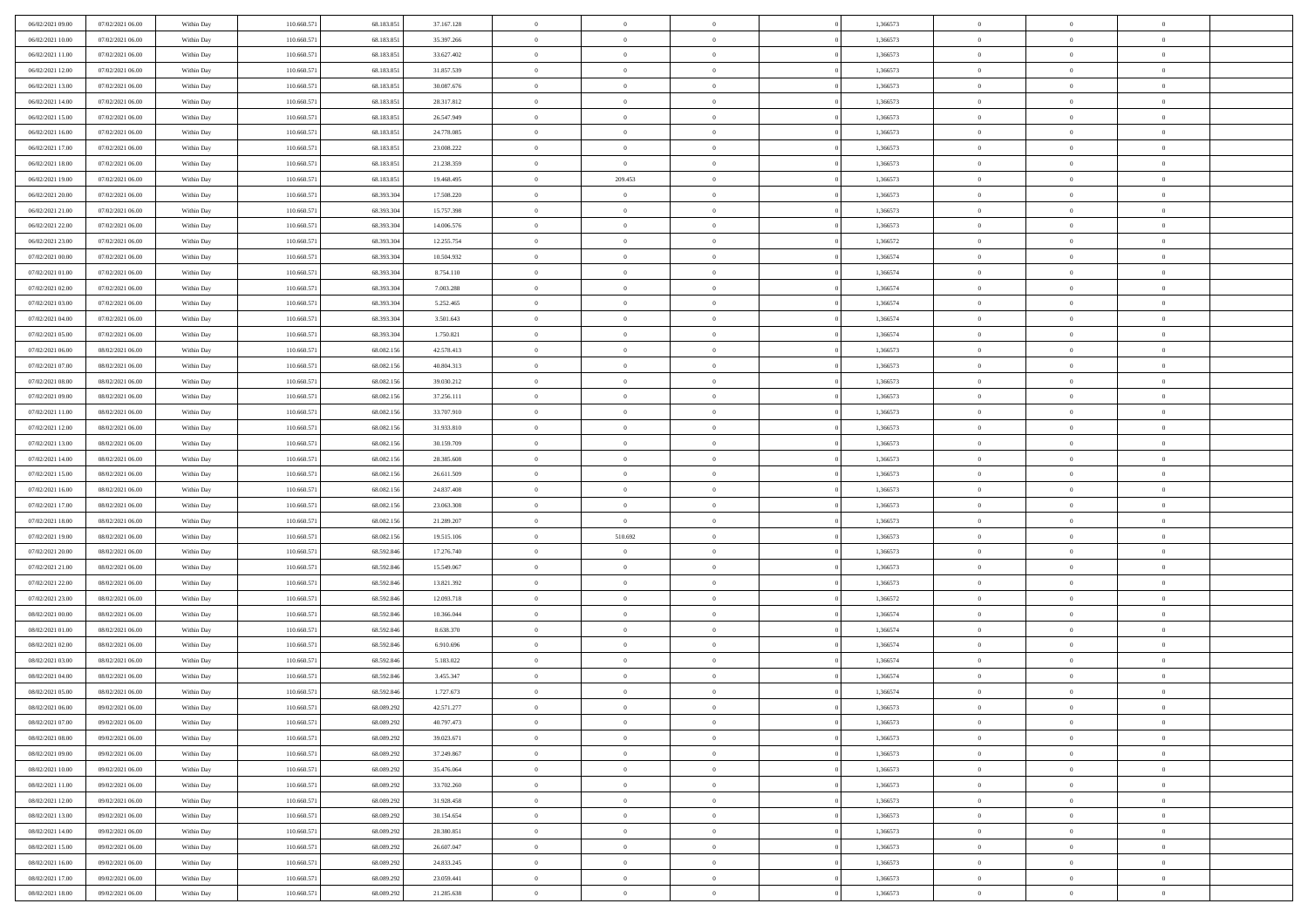| 06/02/2021 09:00                     | 07/02/2021 06:00                     | Within Day               | 110.660.571                | 68.183.851               | 37.167.128               | $\,$ 0                   | $\bf{0}$                         | $\theta$                         |          | 1,366573             | $\bf{0}$                 | $\overline{0}$                   | $\,0\,$                          |  |
|--------------------------------------|--------------------------------------|--------------------------|----------------------------|--------------------------|--------------------------|--------------------------|----------------------------------|----------------------------------|----------|----------------------|--------------------------|----------------------------------|----------------------------------|--|
| 06/02/2021 10:00                     | 07/02/2021 06:00                     | Within Day               | 110.660.571                | 68.183.851               | 35.397.266               | $\overline{0}$           | $\overline{0}$                   | $\overline{0}$                   |          | 1,366573             | $\overline{0}$           | $\overline{0}$                   | $\theta$                         |  |
| 06/02/2021 11:00                     | 07/02/2021 06:00                     | Within Dav               | 110.660.571                | 68.183.851               | 33.627.402               | $\mathbf{0}$             | $\overline{0}$                   | $\overline{0}$                   |          | 1,366573             | $\mathbf{0}$             | $\overline{0}$                   | $\overline{0}$                   |  |
| 06/02/2021 12:00                     | 07/02/2021 06:00                     | Within Day               | 110.660.571                | 68.183.851               | 31.857.539               | $\bf{0}$                 | $\overline{0}$                   | $\bf{0}$                         |          | 1,366573             | $\bf{0}$                 | $\overline{0}$                   | $\,0\,$                          |  |
| 06/02/2021 13:00                     | 07/02/2021 06:00                     | Within Day               | 110.660.571                | 68.183.851               | 30.087.676               | $\bf{0}$                 | $\bf{0}$                         | $\overline{0}$                   |          | 1,366573             | $\bf{0}$                 | $\theta$                         | $\,0\,$                          |  |
| 06/02/2021 14:00                     | 07/02/2021 06:00                     | Within Dav               | 110.660.571                | 68.183.851               | 28.317.812               | $\mathbf{0}$             | $\overline{0}$                   | $\overline{0}$                   |          | 1,366573             | $\mathbf{0}$             | $\overline{0}$                   | $\overline{0}$                   |  |
| 06/02/2021 15:00                     | 07/02/2021 06:00                     | Within Day               | 110.660.571                | 68.183.851               | 26.547.949               | $\bf{0}$                 | $\bf{0}$                         | $\overline{0}$                   |          | 1,366573             | $\bf{0}$                 | $\overline{0}$                   | $\,0\,$                          |  |
| 06/02/2021 16:00                     | 07/02/2021 06:00                     | Within Day               | 110.660.571                | 68.183.851               | 24.778.085               | $\overline{0}$           | $\overline{0}$                   | $\overline{0}$                   |          | 1,366573             | $\,$ 0 $\,$              | $\overline{0}$                   | $\theta$                         |  |
| 06/02/2021 17:00                     | 07/02/2021 06:00                     | Within Day               | 110.660.571                | 68.183.851               | 23.008.222               | $\mathbf{0}$             | $\overline{0}$                   | $\overline{0}$                   |          | 1,366573             | $\mathbf{0}$             | $\overline{0}$                   | $\overline{0}$                   |  |
| 06/02/2021 18:00                     | 07/02/2021 06:00                     | Within Day               | 110.660.571                | 68.183.851               | 21.238.359               | $\bf{0}$                 | $\bf{0}$                         | $\theta$                         |          | 1,366573             | $\bf{0}$                 | $\overline{0}$                   | $\,0\,$                          |  |
| 06/02/2021 19:00                     | 07/02/2021 06:00                     | Within Day               | 110.660.571                | 68.183.851               | 19.468.495               | $\overline{0}$           | 209.453                          | $\overline{0}$                   |          | 1,366573             | $\bf{0}$                 | $\overline{0}$                   | $\theta$                         |  |
| 06/02/2021 20:00                     | 07/02/2021 06:00                     | Within Dav               | 110.660.571                | 68.393.304               | 17.508.220               | $\mathbf{0}$             | $\overline{0}$                   | $\overline{0}$                   |          | 1,366573             | $\mathbf{0}$             | $\overline{0}$                   | $\overline{0}$                   |  |
| 06/02/2021 21:00                     | 07/02/2021 06:00                     | Within Day               | 110.660.571                | 68.393.304               | 15.757.398               | $\bf{0}$                 | $\overline{0}$                   | $\bf{0}$                         |          | 1,366573             | $\bf{0}$                 | $\overline{0}$                   | $\bf{0}$                         |  |
| 06/02/2021 22:00                     | 07/02/2021 06:00                     | Within Day               | 110.660.571                | 68.393.304               | 14.006.576               | $\bf{0}$                 | $\overline{0}$                   | $\overline{0}$                   |          | 1,366573             | $\bf{0}$                 | $\theta$                         | $\,0\,$                          |  |
| 06/02/2021 23:00                     | 07/02/2021 06:00                     | Within Dav               | 110.660.571                | 68.393.304               | 12.255.754               | $\overline{0}$           | $\overline{0}$                   | $\overline{0}$                   |          | 1,366572             | $\mathbf{0}$             | $\overline{0}$                   | $\overline{0}$                   |  |
| 07/02/2021 00:00                     | 07/02/2021 06:00                     | Within Day               | 110.660.571                | 68.393.304               | 10.504.932               | $\bf{0}$                 | $\bf{0}$                         | $\overline{0}$                   |          | 1,366574             | $\bf{0}$                 | $\overline{0}$                   | $\,0\,$                          |  |
| 07/02/2021 01:00                     | 07/02/2021 06:00                     | Within Day               | 110.660.571                | 68.393.304               | 8.754.110                | $\overline{0}$           | $\overline{0}$                   | $\overline{0}$                   |          | 1,366574             | $\,$ 0 $\,$              | $\overline{0}$                   | $\theta$                         |  |
| 07/02/2021 02:00                     | 07/02/2021 06:00                     | Within Day               | 110.660.571                | 68.393.304               | 7.003.288                | $\mathbf{0}$             | $\overline{0}$                   | $\overline{0}$                   |          | 1,366574             | $\mathbf{0}$             | $\overline{0}$                   | $\overline{0}$                   |  |
| 07/02/2021 03:00                     | 07/02/2021 06:00                     | Within Day               | 110.660.571                | 68.393.304               | 5.252.465                | $\bf{0}$                 | $\bf{0}$                         | $\overline{0}$                   |          | 1,366574             | $\bf{0}$                 | $\overline{0}$                   | $\,0\,$                          |  |
| 07/02/2021 04:00                     | 07/02/2021 06:00                     | Within Day               | 110.660.571                | 68.393.304               | 3.501.643                | $\bf{0}$                 | $\overline{0}$                   | $\overline{0}$                   |          | 1,366574             | $\bf{0}$                 | $\overline{0}$                   | $\overline{0}$                   |  |
| 07/02/2021 05:00                     | 07/02/2021 06:00                     | Within Dav               | 110.660.571                | 68.393.304               | 1.750.821                | $\mathbf{0}$             | $\overline{0}$                   | $\overline{0}$                   |          | 1,366574             | $\mathbf{0}$             | $\overline{0}$                   | $\overline{0}$                   |  |
| 07/02/2021 06:00                     | 08/02/2021 06:00                     | Within Day               | 110.660.571                | 68.082.156               | 42.578.413               | $\bf{0}$                 | $\overline{0}$                   | $\bf{0}$                         |          | 1,366573             | $\bf{0}$                 | $\overline{0}$                   | $\bf{0}$                         |  |
|                                      | 08/02/2021 06:00                     |                          | 110.660.571                | 68.082.156               | 40.804.313               | $\bf{0}$                 | $\bf{0}$                         | $\overline{0}$                   |          | 1,366573             | $\bf{0}$                 | $\bf{0}$                         | $\,0\,$                          |  |
| 07/02/2021 07:00<br>07/02/2021 08:00 | 08/02/2021 06:00                     | Within Day<br>Within Dav | 110.660.571                | 68.082.156               | 39.030.212               | $\mathbf{0}$             | $\overline{0}$                   | $\overline{0}$                   |          | 1,366573             | $\mathbf{0}$             | $\overline{0}$                   | $\overline{0}$                   |  |
| 07/02/2021 09:00                     | 08/02/2021 06:00                     | Within Day               | 110.660.571                | 68.082.156               | 37.256.111               | $\bf{0}$                 | $\bf{0}$                         | $\overline{0}$                   |          | 1,366573             | $\bf{0}$                 | $\overline{0}$                   | $\,0\,$                          |  |
|                                      |                                      |                          |                            |                          |                          | $\overline{0}$           | $\overline{0}$                   | $\overline{0}$                   |          |                      | $\,$ 0 $\,$              | $\overline{0}$                   | $\overline{0}$                   |  |
| 07/02/2021 11:00<br>07/02/2021 12:00 | 08/02/2021 06:00                     | Within Day               | 110.660.571                | 68.082.156               | 33.707.910               | $\mathbf{0}$             |                                  |                                  |          | 1,366573             | $\mathbf{0}$             |                                  | $\overline{0}$                   |  |
| 07/02/2021 13:00                     | 08/02/2021 06:00                     | Within Day               | 110.660.571                | 68.082.156               | 31.933.810               |                          | $\overline{0}$                   | $\overline{0}$<br>$\overline{0}$ |          | 1,366573             |                          | $\bf{0}$<br>$\overline{0}$       |                                  |  |
|                                      | 08/02/2021 06:00                     | Within Day               | 110.660.571<br>110.660.571 | 68.082.156               | 30.159.709               | $\bf{0}$                 | $\bf{0}$<br>$\overline{0}$       |                                  |          | 1,366573             | $\bf{0}$                 | $\mathbf{0}$                     | $\,0\,$                          |  |
| 07/02/2021 14:00<br>07/02/2021 15:00 | 08/02/2021 06:00<br>08/02/2021 06:00 | Within Day<br>Within Dav | 110.660.571                | 68.082.156<br>68.082.156 | 28.385.608<br>26.611.509 | $\bf{0}$<br>$\mathbf{0}$ | $\overline{0}$                   | $\overline{0}$<br>$\overline{0}$ |          | 1,366573<br>1,366573 | $\bf{0}$<br>$\mathbf{0}$ | $\overline{0}$                   | $\bf{0}$<br>$\overline{0}$       |  |
|                                      |                                      |                          |                            |                          |                          |                          |                                  |                                  |          |                      |                          |                                  | $\theta$                         |  |
| 07/02/2021 16:00                     | 08/02/2021 06:00                     | Within Day               | 110.660.571                | 68.082.156               | 24.837.408               | $\bf{0}$                 | $\overline{0}$                   | $\theta$                         |          | 1,366573             | $\,$ 0                   | $\overline{0}$<br>$\mathbf{0}$   |                                  |  |
| 07/02/2021 17:00                     | 08/02/2021 06:00                     | Within Day               | 110.660.571                | 68.082.156               | 23.063.308               | $\bf{0}$<br>$\mathbf{0}$ | $\bf{0}$                         | $\overline{0}$                   |          | 1,366573             | $\bf{0}$<br>$\mathbf{0}$ |                                  | $\bf{0}$<br>$\overline{0}$       |  |
| 07/02/2021 18:00                     | 08/02/2021 06:00                     | Within Dav               | 110.660.571                | 68.082.156               | 21.289.207               | $\bf{0}$                 | $\overline{0}$                   | $\overline{0}$                   |          | 1,366573             |                          | $\overline{0}$                   | $\theta$                         |  |
| 07/02/2021 19:00                     | 08/02/2021 06:00                     | Within Day               | 110.660.571                | 68.082.156               | 19.515.106               |                          | 510.692<br>$\overline{0}$        | $\theta$<br>$\overline{0}$       |          | 1,366573             | $\,$ 0                   | $\overline{0}$<br>$\overline{0}$ | $\overline{0}$                   |  |
| 07/02/2021 20:00<br>07/02/2021 21:00 | 08/02/2021 06:00<br>08/02/2021 06:00 | Within Day<br>Within Day | 110.660.571<br>110.660.571 | 68.592.846<br>68.592.846 | 17.276.740<br>15.549.067 | $\bf{0}$<br>$\mathbf{0}$ | $\overline{0}$                   |                                  |          | 1,366573<br>1,366573 | $\bf{0}$<br>$\mathbf{0}$ | $\overline{0}$                   | $\overline{0}$                   |  |
|                                      |                                      |                          |                            |                          |                          | $\bf{0}$                 |                                  | $\overline{0}$                   |          |                      |                          |                                  | $\theta$                         |  |
| 07/02/2021 22:00                     | 08/02/2021 06:00                     | Within Day               | 110.660.571                | 68.592.846               | 13.821.392               |                          | $\overline{0}$                   | $\theta$                         |          | 1,366573             | $\,$ 0                   | $\overline{0}$<br>$\mathbf{0}$   |                                  |  |
| 07/02/2021 23.00<br>08/02/2021 00:00 | 08/02/2021 06:00                     | Within Day               | 110.660.571                | 68.592.846               | 12.093.718               | $\bf{0}$<br>$\mathbf{0}$ | $\overline{0}$                   | $\overline{0}$                   |          | 1,366572             | $\bf{0}$<br>$\mathbf{0}$ |                                  | $\overline{0}$<br>$\overline{0}$ |  |
|                                      | 08/02/2021 06:00                     | Within Dav               | 110.660.571                | 68.592.846               | 10.366.044               |                          | $\overline{0}$                   | $\overline{0}$                   |          | 1,366574             |                          | $\overline{0}$                   | $\theta$                         |  |
| 08/02/2021 01:00                     | 08/02/2021 06:00                     | Within Day               | 110.660.571                | 68.592.846               | 8.638.370                | $\,0\,$                  | $\overline{0}$                   | $\theta$                         |          | 1,366574             | $\,$ 0                   | $\overline{0}$                   |                                  |  |
| 08/02/2021 02:00<br>08/02/2021 03:00 | 08/02/2021 06:00<br>08/02/2021 06:00 | Within Day<br>Within Dav | 110.660.571<br>110.660.571 | 68.592.846<br>68.592.846 | 6.910.696<br>5.183.022   | $\bf{0}$<br>$\mathbf{0}$ | $\overline{0}$<br>$\overline{0}$ | $\overline{0}$                   |          | 1,366574<br>1,366574 | $\bf{0}$<br>$\mathbf{0}$ | $\overline{0}$<br>$\overline{0}$ | $\overline{0}$<br>$\overline{0}$ |  |
| 08/02/2021 04:00                     | 08/02/2021 06:00                     | Within Day               | 110.660.571                | 68.592.846               | 3.455.347                | $\bf{0}$                 | $\overline{0}$                   | $\overline{0}$<br>$\theta$       |          | 1,366574             | $\,$ 0                   | $\overline{0}$                   | $\theta$                         |  |
|                                      | 08/02/2021 06:00                     |                          |                            |                          |                          |                          |                                  | $\overline{0}$                   |          |                      | $\,$ 0 $\,$              | $\overline{0}$                   |                                  |  |
| 08/02/2021 05:00<br>08/02/2021 06:00 | 09/02/2021 06:00                     | Within Day<br>Within Day | 110.660.57<br>110.660.571  | 68.592.846<br>68.089.292 | 1.727.673<br>42.571.277  | $\bf{0}$<br>$\bf{0}$     | $\overline{0}$<br>$\overline{0}$ |                                  |          | 1,366574<br>1,366573 | $\overline{0}$           | $\theta$                         | $\overline{0}$<br>$\theta$       |  |
|                                      |                                      |                          |                            |                          |                          |                          |                                  |                                  |          |                      |                          |                                  | $\theta$                         |  |
| 08/02/2021 07:00                     | 09/02/2021 06:00<br>09/02/2021 06:00 | Within Day               | 110.660.571                | 68.089.292<br>68.089.29  | 40.797.473               | $\,0\,$                  | $\overline{0}$                   | $\theta$<br>$\overline{0}$       |          | 1,366573             | $\,$ 0 $\,$              | $\overline{0}$<br>$\overline{0}$ |                                  |  |
| 08/02/2021 08:00                     |                                      | Within Day               | 110.660.571                |                          | 39.023.671               | $\overline{0}$           | $\overline{0}$                   |                                  |          | 1,366573             | $\overline{0}$           |                                  | $\overline{0}$                   |  |
| 08/02/2021 09:00                     | 09/02/2021 06:00                     | Within Day               | 110.660.571                | 68.089.292               | 37.249.867               | $\bf{0}$                 | $\overline{0}$                   | $\overline{0}$                   |          | 1,366573             | $\overline{0}$           | $\bf{0}$                         | $\mathbf{0}$                     |  |
| 08/02/2021 10:00                     | 09/02/2021 06:00                     | Within Day               | 110.660.571                | 68.089.292               | 35.476.064               | $\bf{0}$                 | $\overline{0}$                   | $\overline{0}$                   | $\theta$ | 1,366573             | $\,$ 0 $\,$              | $\overline{0}$                   | $\,$ 0 $\,$                      |  |
| 08/02/2021 11:00                     | 09/02/2021 06:00                     | Within Day               | 110.660.571                | 68.089.292               | 33.702.260               | $\bf{0}$                 | $\overline{0}$                   | $\overline{0}$                   |          | 1,366573             | $\,$ 0 $\,$              | $\overline{0}$                   | $\overline{0}$                   |  |
| 08/02/2021 12:00                     | 09/02/2021 06:00                     | Within Day               | 110.660.571                | 68.089.292               | 31.928.458               | $\bf{0}$                 | $\overline{0}$                   | $\overline{0}$                   |          | 1,366573             | $\mathbf{0}$             | $\overline{0}$                   | $\overline{0}$                   |  |
| 08/02/2021 13:00                     | 09/02/2021 06:00                     | Within Day               | 110.660.571                | 68.089.292               | 30.154.654               | $\,0\,$                  | $\overline{0}$                   | $\mathbf{0}$                     | $\theta$ | 1,366573             | $\,$ 0 $\,$              | $\overline{0}$                   | $\overline{0}$                   |  |
| 08/02/2021 14:00                     | 09/02/2021 06:00                     | Within Day               | 110.660.571                | 68.089.292               | 28.380.851               | $\bf{0}$                 | $\overline{0}$                   | $\overline{0}$                   |          | 1,366573             | $\overline{0}$           | $\overline{0}$                   | $\overline{0}$                   |  |
| 08/02/2021 15:00                     | 09/02/2021 06:00                     | Within Day               | 110.660.571                | 68.089.292               | 26.607.047               | $\bf{0}$                 | $\overline{0}$                   | $\overline{0}$                   |          | 1,366573             | $\mathbf{0}$             | $\overline{0}$                   | $\mathbf{0}$                     |  |
| 08/02/2021 16:00                     | 09/02/2021 06:00                     | Within Day               | 110.660.571                | 68.089.292               | 24.833.245               | $\,0\,$                  | $\overline{0}$                   | $\overline{0}$                   |          | 1,366573             | $\,$ 0 $\,$              | $\overline{0}$                   | $\theta$                         |  |
| 08/02/2021 17:00                     | 09/02/2021 06:00                     | Within Day               | 110.660.571                | 68.089.292               | 23.059.441               | $\bf{0}$                 | $\bf{0}$                         | $\overline{0}$                   |          | 1,366573             | $\mathbf 0$              | $\mathbf{0}$                     | $\overline{0}$                   |  |
| 08/02/2021 18:00                     | 09/02/2021 06:00                     | Within Day               | 110.660.571                | 68.089.292               | 21.285.638               | $\mathbf{0}$             | $\overline{0}$                   | $\overline{0}$                   |          | 1,366573             | $\mathbf{0}$             | $\overline{0}$                   | $\overline{0}$                   |  |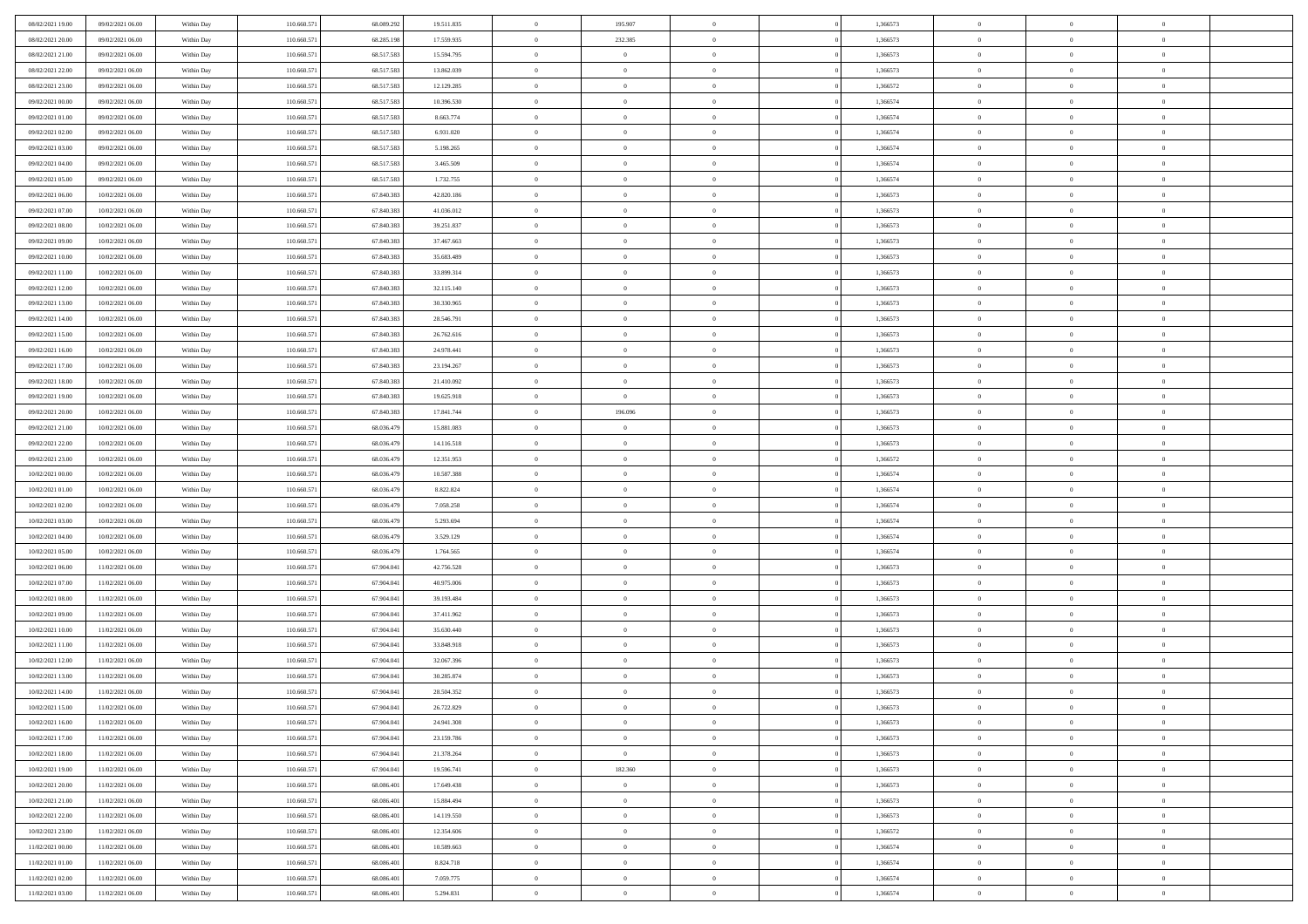| 08/02/2021 19:00 | 09/02/2021 06:00 | Within Day | 110.660.571 | 68.089.29  | 19.511.835 | $\theta$       | 195.907        | $\overline{0}$ | 1,366573 | $\bf{0}$       | $\overline{0}$ | $\bf{0}$       |  |
|------------------|------------------|------------|-------------|------------|------------|----------------|----------------|----------------|----------|----------------|----------------|----------------|--|
| 08/02/2021 20:00 | 09/02/2021 06:00 | Within Day | 110.660.571 | 68.285.198 | 17.559.935 | $\overline{0}$ | 232.385        | $\overline{0}$ | 1,366573 | $\theta$       | $\overline{0}$ | $\theta$       |  |
| 08/02/2021 21:00 | 09/02/2021 06:00 | Within Day | 110.660.571 | 68.517.583 | 15.594.795 | $\,$ 0 $\,$    | $\overline{0}$ | $\bf{0}$       | 1,366573 | $\,$ 0 $\,$    | $\overline{0}$ | $\,$ 0 $\,$    |  |
| 08/02/2021 22:00 | 09/02/2021 06:00 | Within Day | 110,660.57  | 68.517.58  | 13.862.039 | $\mathbf{0}$   | $\Omega$       | $\overline{0}$ | 1,366573 | $\theta$       | $\theta$       | $\theta$       |  |
| 08/02/2021 23:00 | 09/02/2021 06:00 | Within Day | 110.660.571 | 68.517.583 | 12.129.285 | $\overline{0}$ | $\overline{0}$ | $\overline{0}$ | 1,366572 | $\mathbf{0}$   | $\overline{0}$ | $\overline{0}$ |  |
| 09/02/2021 00:00 | 09/02/2021 06:00 | Within Day | 110.660.571 | 68.517.583 | 10.396.530 | $\,$ 0 $\,$    | $\overline{0}$ | $\bf{0}$       | 1,366574 | $\,$ 0 $\,$    | $\overline{0}$ | $\,$ 0 $\,$    |  |
| 09/02/2021 01:00 | 09/02/2021 06:00 | Within Day | 110.660.571 | 68.517.58  | 8.663.774  | $\bf{0}$       | $\overline{0}$ | $\overline{0}$ | 1,366574 | $\bf{0}$       | $\overline{0}$ | $\theta$       |  |
| 09/02/2021 02:00 | 09/02/2021 06:00 | Within Day | 110.660.571 | 68.517.583 | 6.931.020  | $\overline{0}$ | $\overline{0}$ | $\overline{0}$ | 1,366574 | $\mathbf{0}$   | $\overline{0}$ | $\overline{0}$ |  |
| 09/02/2021 03:00 | 09/02/2021 06:00 | Within Day | 110.660.571 | 68.517.583 | 5.198.265  | $\,$ 0 $\,$    | $\overline{0}$ | $\bf{0}$       | 1,366574 | $\,$ 0 $\,$    | $\overline{0}$ | $\bf{0}$       |  |
| 09/02/2021 04:00 | 09/02/2021 06:00 | Within Day | 110,660.57  | 68.517.58  | 3.465.509  | $\overline{0}$ | $\Omega$       | $\overline{0}$ | 1,366574 | $\theta$       | $\mathbf{0}$   | $\theta$       |  |
| 09/02/2021 05:00 | 09/02/2021 06:00 | Within Day | 110.660.571 | 68.517.583 | 1.732.755  | $\overline{0}$ | $\overline{0}$ | $\overline{0}$ | 1,366574 | $\mathbf{0}$   | $\overline{0}$ | $\overline{0}$ |  |
| 09/02/2021 06:00 | 10/02/2021 06:00 | Within Day | 110.660.571 | 67.840.383 | 42.820.186 | $\,$ 0 $\,$    | $\overline{0}$ | $\bf{0}$       | 1,366573 | $\,$ 0 $\,$    | $\overline{0}$ | $\,$ 0 $\,$    |  |
| 09/02/2021 07:00 | 10/02/2021 06:00 | Within Day | 110.660.571 | 67.840.383 | 41.036.012 | $\bf{0}$       | $\overline{0}$ | $\overline{0}$ | 1,366573 | $\bf{0}$       | $\overline{0}$ | $\theta$       |  |
| 09/02/2021 08:00 | 10/02/2021 06:00 | Within Day | 110.660.571 | 67.840.383 | 39.251.837 | $\overline{0}$ | $\overline{0}$ | $\overline{0}$ | 1,366573 | $\mathbf{0}$   | $\overline{0}$ | $\overline{0}$ |  |
| 09/02/2021 09:00 | 10/02/2021 06:00 | Within Day | 110.660.571 | 67.840.383 | 37.467.663 | $\,$ 0 $\,$    | $\overline{0}$ | $\bf{0}$       | 1,366573 | $\,$ 0 $\,$    | $\overline{0}$ | $\,$ 0 $\,$    |  |
| 09/02/2021 10:00 | 10/02/2021 06:00 | Within Day | 110,660.57  | 67.840.38  | 35.683.489 | $\mathbf{0}$   | $\mathbf{0}$   | $\overline{0}$ | 1,366573 | $\theta$       | $\mathbf{0}$   | $\theta$       |  |
| 09/02/2021 11:00 | 10/02/2021 06:00 | Within Day | 110.660.571 | 67.840.383 | 33.899.314 | $\overline{0}$ | $\overline{0}$ | $\overline{0}$ | 1,366573 | $\mathbf{0}$   | $\overline{0}$ | $\overline{0}$ |  |
| 09/02/2021 12:00 | 10/02/2021 06:00 | Within Day | 110.660.571 | 67.840.383 | 32.115.140 | $\,$ 0 $\,$    | $\overline{0}$ | $\bf{0}$       | 1,366573 | $\,$ 0 $\,$    | $\overline{0}$ | $\,$ 0 $\,$    |  |
| 09/02/2021 13:00 | 10/02/2021 06:00 | Within Day | 110.660.571 | 67.840.38  | 30.330.965 | $\mathbf{0}$   | $\Omega$       | $\overline{0}$ | 1,366573 | $\theta$       | $\theta$       | $\theta$       |  |
| 09/02/2021 14:00 | 10/02/2021 06:00 | Within Day | 110.660.571 | 67.840.383 | 28.546.791 | $\overline{0}$ | $\overline{0}$ | $\overline{0}$ | 1,366573 | $\mathbf{0}$   | $\overline{0}$ | $\overline{0}$ |  |
| 09/02/2021 15:00 | 10/02/2021 06:00 | Within Day | 110.660.571 | 67.840.383 | 26.762.616 | $\,$ 0 $\,$    | $\overline{0}$ | $\bf{0}$       | 1,366573 | $\,$ 0 $\,$    | $\overline{0}$ | $\,$ 0 $\,$    |  |
| 09/02/2021 16:00 | 10/02/2021 06:00 | Within Day | 110.660.57  | 67.840.38  | 24.978.441 | $\overline{0}$ | $\overline{0}$ | $\overline{0}$ | 1,366573 | $\bf{0}$       | $\mathbf{0}$   | $\theta$       |  |
| 09/02/2021 17:00 | 10/02/2021 06:00 | Within Day | 110.660.571 | 67.840.383 | 23.194.267 | $\overline{0}$ | $\overline{0}$ | $\overline{0}$ | 1,366573 | $\mathbf{0}$   | $\overline{0}$ | $\overline{0}$ |  |
| 09/02/2021 18:00 | 10/02/2021 06:00 | Within Day | 110.660.571 | 67.840.383 | 21.410.092 | $\,$ 0 $\,$    | $\overline{0}$ | $\bf{0}$       | 1,366573 | $\,$ 0 $\,$    | $\overline{0}$ | $\bf{0}$       |  |
| 09/02/2021 19:00 | 10/02/2021 06:00 | Within Day | 110,660,571 | 67.840.38  | 19.625.918 | $\overline{0}$ | $\mathbf{0}$   | $\overline{0}$ | 1,366573 | $\theta$       | $\mathbf{0}$   | $\theta$       |  |
| 09/02/2021 20:00 | 10/02/2021 06:00 | Within Day | 110.660.571 | 67.840.383 | 17.841.744 | $\overline{0}$ | 196.096        | $\overline{0}$ | 1,366573 | $\mathbf{0}$   | $\overline{0}$ | $\overline{0}$ |  |
| 09/02/2021 21:00 | 10/02/2021 06:00 | Within Day | 110.660.571 | 68.036.479 | 15.881.083 | $\,$ 0 $\,$    | $\overline{0}$ | $\bf{0}$       | 1,366573 | $\,$ 0 $\,$    | $\overline{0}$ | $\,$ 0 $\,$    |  |
| 09/02/2021 22.00 | 10/02/2021 06:00 | Within Day | 110.660.571 | 68.036.47  | 14.116.518 | $\bf{0}$       | $\overline{0}$ | $\overline{0}$ | 1,366573 | $\bf{0}$       | $\mathbf{0}$   | $\bf{0}$       |  |
| 09/02/2021 23:00 | 10/02/2021 06:00 | Within Day | 110.660.571 | 68.036.479 | 12.351.953 | $\overline{0}$ | $\overline{0}$ | $\overline{0}$ | 1,366572 | $\mathbf{0}$   | $\overline{0}$ | $\theta$       |  |
| 10/02/2021 00:00 | 10/02/2021 06:00 | Within Day | 110.660.571 | 68.036.479 | 10.587.388 | $\,$ 0 $\,$    | $\overline{0}$ | $\bf{0}$       | 1,366574 | $\,$ 0 $\,$    | $\overline{0}$ | $\,$ 0 $\,$    |  |
| 10/02/2021 01:00 | 10/02/2021 06:00 | Within Day | 110.660.571 | 68.036.479 | 8.822.824  | $\,0\,$        | $\overline{0}$ | $\bf{0}$       | 1,366574 | $\,$ 0 $\,$    | $\overline{0}$ | $\bf{0}$       |  |
| 10/02/2021 02:00 | 10/02/2021 06:00 | Within Day | 110.660.571 | 68.036.479 | 7.058.258  | $\overline{0}$ | $\overline{0}$ | $\overline{0}$ | 1,366574 | $\overline{0}$ | $\overline{0}$ | $\overline{0}$ |  |
| 10/02/2021 03:00 | 10/02/2021 06:00 | Within Day | 110.660.571 | 68.036.479 | 5.293.694  | $\,$ 0 $\,$    | $\overline{0}$ | $\bf{0}$       | 1,366574 | $\,$ 0 $\,$    | $\overline{0}$ | $\,$ 0 $\,$    |  |
| 10/02/2021 04:00 | 10/02/2021 06:00 | Within Day | 110.660.571 | 68.036.479 | 3.529.129  | $\,0\,$        | $\overline{0}$ | $\bf{0}$       | 1,366574 | $\bf{0}$       | $\overline{0}$ | $\bf{0}$       |  |
| 10/02/2021 05:00 | 10/02/2021 06:00 | Within Day | 110.660.571 | 68.036.479 | 1.764.565  | $\overline{0}$ | $\overline{0}$ | $\overline{0}$ | 1,366574 | $\theta$       | $\overline{0}$ | $\theta$       |  |
| 10/02/2021 06:00 | 11/02/2021 06:00 | Within Day | 110.660.571 | 67.904.041 | 42.756.528 | $\,$ 0 $\,$    | $\overline{0}$ | $\bf{0}$       | 1,366573 | $\,$ 0 $\,$    | $\overline{0}$ | $\,$ 0 $\,$    |  |
| 10/02/2021 07:00 | 11/02/2021 06:00 | Within Day | 110.660.571 | 67.904.041 | 40.975.006 | $\bf{0}$       | $\overline{0}$ | $\bf{0}$       | 1,366573 | $\bf{0}$       | $\overline{0}$ | $\bf{0}$       |  |
| 10/02/2021 08:00 | 11/02/2021 06:00 | Within Day | 110.660.571 | 67.904.041 | 39.193.484 | $\overline{0}$ | $\overline{0}$ | $\overline{0}$ | 1,366573 | $\overline{0}$ | $\overline{0}$ | $\overline{0}$ |  |
| 10/02/2021 09:00 | 11/02/2021 06:00 | Within Day | 110.660.571 | 67.904.041 | 37.411.962 | $\,$ 0 $\,$    | $\overline{0}$ | $\bf{0}$       | 1,366573 | $\,$ 0 $\,$    | $\overline{0}$ | $\,$ 0 $\,$    |  |
| 10/02/2021 10:00 | 11/02/2021 06:00 | Within Day | 110.660.571 | 67.904.041 | 35.630.440 | $\mathbf{0}$   | $\overline{0}$ | $\bf{0}$       | 1,366573 | $\bf{0}$       | $\overline{0}$ | $\bf{0}$       |  |
| 10/02/2021 11:00 | 11/02/2021 06:00 | Within Day | 110.660.571 | 67.904.041 | 33.848.918 | $\overline{0}$ | $\overline{0}$ | $\overline{0}$ | 1,366573 | $\overline{0}$ | $\overline{0}$ | $\overline{0}$ |  |
| 10/02/2021 12:00 | 11/02/2021 06:00 | Within Day | 110.660.571 | 67.904.041 | 32.067.396 | $\,$ 0 $\,$    | $\overline{0}$ | $\bf{0}$       | 1,366573 | $\,$ 0 $\,$    | $\overline{0}$ | $\,$ 0 $\,$    |  |
| 10/02/2021 13:00 | 11/02/2021 06:00 | Within Day | 110.660.571 | 67.904.041 | 30.285.874 | $\bf{0}$       | $\overline{0}$ | $\bf{0}$       | 1,366573 | $\bf{0}$       | $\overline{0}$ | $\bf{0}$       |  |
| 10/02/2021 14:00 | 11/02/2021 06:00 | Within Day | 110.660.571 | 67.904.041 | 28.504.352 | $\mathbf{0}$   | $\overline{0}$ | $\overline{0}$ | 1,366573 | $\theta$       | $\overline{0}$ | $\overline{0}$ |  |
| 10/02/2021 15:00 | 11/02/2021 06:00 | Within Day | 110.660.571 | 67.904.041 | 26.722.829 | $\mathbf{0}$   | $\overline{0}$ | $\theta$       | 1,366573 | $\overline{0}$ | $\theta$       | $\theta$       |  |
| 10/02/2021 16:00 | 11/02/2021 06:00 | Within Day | 110.660.571 | 67.904.041 | 24.941.308 | $\bf{0}$       | $\overline{0}$ | $\bf{0}$       | 1,366573 | $\bf{0}$       | $\overline{0}$ | $\bf{0}$       |  |
| 10/02/2021 17:00 | 11/02/2021 06:00 | Within Day | 110.660.571 | 67.904.041 | 23.159.786 | $\bf{0}$       | $\overline{0}$ | $\overline{0}$ | 1,366573 | $\overline{0}$ | $\overline{0}$ | $\overline{0}$ |  |
| 10/02/2021 18:00 | 11/02/2021 06:00 | Within Day | 110.660.571 | 67.904.041 | 21.378.264 | $\,$ 0         | $\overline{0}$ | $\overline{0}$ | 1,366573 | $\,$ 0 $\,$    | $\,$ 0 $\,$    | $\,$ 0 $\,$    |  |
| 10/02/2021 19:00 | 11/02/2021 06:00 | Within Day | 110.660.571 | 67.904.041 | 19.596.741 | $\bf{0}$       | 182.360        | $\overline{0}$ | 1,366573 | $\mathbf{0}$   | $\overline{0}$ | $\bf{0}$       |  |
| 10/02/2021 20:00 | 11/02/2021 06:00 | Within Day | 110.660.571 | 68.086.401 | 17.649.438 | $\overline{0}$ | $\overline{0}$ | $\overline{0}$ | 1,366573 | $\mathbf{0}$   | $\overline{0}$ | $\overline{0}$ |  |
| 10/02/2021 21:00 | 11/02/2021 06:00 | Within Day | 110.660.571 | 68.086.401 | 15.884.494 | $\,$ 0         | $\overline{0}$ | $\overline{0}$ | 1,366573 | $\,$ 0 $\,$    | $\overline{0}$ | $\,$ 0 $\,$    |  |
| 10/02/2021 22:00 | 11/02/2021 06:00 | Within Day | 110.660.571 | 68.086.401 | 14.119.550 | $\overline{0}$ | $\overline{0}$ | $\overline{0}$ | 1,366573 | $\overline{0}$ | $\overline{0}$ | $\overline{0}$ |  |
| 10/02/2021 23:00 | 11/02/2021 06:00 | Within Day | 110.660.571 | 68.086.401 | 12.354.606 | $\mathbf{0}$   | $\overline{0}$ | $\overline{0}$ | 1,366572 | $\overline{0}$ | $\overline{0}$ | $\overline{0}$ |  |
| 11/02/2021 00:00 | 11/02/2021 06:00 | Within Day | 110.660.571 | 68.086.401 | 10.589.663 | $\,$ 0         | $\overline{0}$ | $\overline{0}$ | 1,366574 | $\,$ 0 $\,$    | $\,$ 0 $\,$    | $\,$ 0 $\,$    |  |
| 11/02/2021 01:00 | 11/02/2021 06:00 | Within Day | 110.660.571 | 68.086.401 | 8.824.718  | $\bf{0}$       | $\overline{0}$ | $\overline{0}$ | 1,366574 | $\mathbf{0}$   | $\overline{0}$ | $\bf{0}$       |  |
| 11/02/2021 02:00 | 11/02/2021 06:00 | Within Day | 110.660.571 | 68.086.401 | 7.059.775  | $\mathbf{0}$   | $\overline{0}$ | $\overline{0}$ | 1,366574 | $\overline{0}$ | $\overline{0}$ | $\overline{0}$ |  |
| 11/02/2021 03:00 | 11/02/2021 06:00 | Within Day | 110.660.571 | 68.086.401 | 5.294.831  | $\,$ 0 $\,$    | $\overline{0}$ | $\overline{0}$ | 1,366574 | $\,$ 0 $\,$    | $\overline{0}$ | $\,$ 0 $\,$    |  |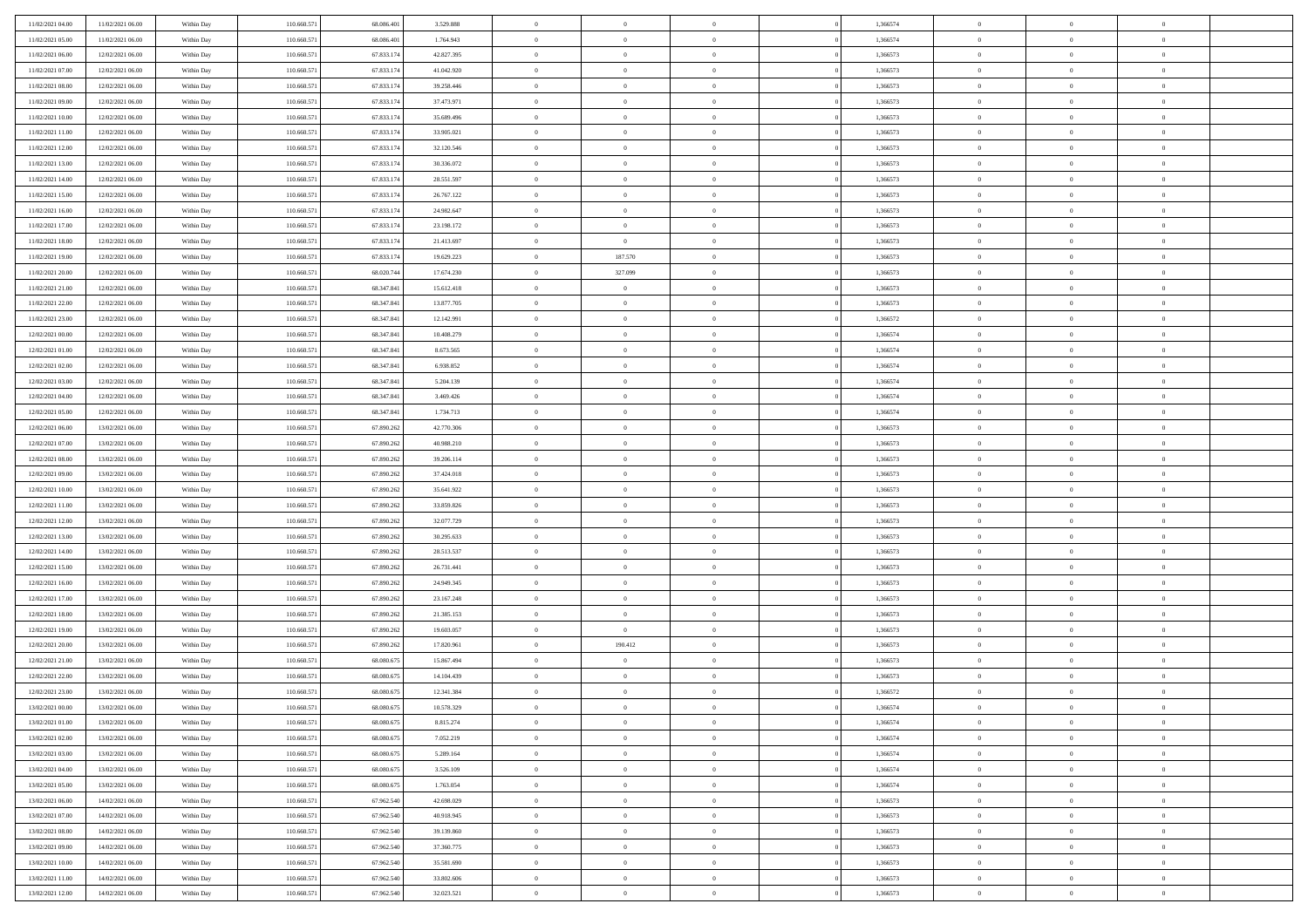| 11/02/2021 04:00 | 11/02/2021 06:00 | Within Day | 110.660.571 | 68,086,401 | 3.529.888  | $\overline{0}$ | $\overline{0}$ | $\Omega$       | 1,366574 | $\bf{0}$       | $\mathbf{0}$   | $\bf{0}$       |  |
|------------------|------------------|------------|-------------|------------|------------|----------------|----------------|----------------|----------|----------------|----------------|----------------|--|
| 11/02/2021 05:00 | 11/02/2021 06:00 | Within Day | 110.660.571 | 68.086.401 | 1.764.943  | $\mathbf{0}$   | $\overline{0}$ | $\overline{0}$ | 1,366574 | $\overline{0}$ | $\overline{0}$ | $\overline{0}$ |  |
| 11/02/2021 06:00 | 12/02/2021 06:00 | Within Day | 110.660.571 | 67.833.174 | 42.827.395 | $\,$ 0         | $\overline{0}$ | $\bf{0}$       | 1,366573 | $\,$ 0         | $\overline{0}$ | $\,$ 0 $\,$    |  |
| 11/02/2021 07:00 | 12/02/2021 06:00 | Within Day | 110,660.57  | 67.833.174 | 41.042.920 | $\bf{0}$       | $\overline{0}$ | $\Omega$       | 1,366573 | $\bf{0}$       | $\theta$       | $\theta$       |  |
| 11/02/2021 08:00 | 12/02/2021 06:00 | Within Dav | 110.660.571 | 67.833.174 | 39.258.446 | $\bf{0}$       | $\overline{0}$ | $\overline{0}$ | 1,366573 | $\mathbf{0}$   | $\overline{0}$ | $\overline{0}$ |  |
| 11/02/2021 09:00 | 12/02/2021 06:00 | Within Day | 110.660.571 | 67.833.174 | 37.473.971 | $\bf{0}$       | $\overline{0}$ | $\bf{0}$       | 1,366573 | $\,$ 0         | $\overline{0}$ | $\,$ 0 $\,$    |  |
| 11/02/2021 10:00 | 12/02/2021 06:00 | Within Day | 110.660.571 | 67.833.174 | 35.689.496 | $\bf{0}$       | $\overline{0}$ | $\overline{0}$ | 1,366573 | $\bf{0}$       | $\bf{0}$       | $\theta$       |  |
| 11/02/2021 11:00 | 12/02/2021 06:00 | Within Day | 110.660.571 | 67.833.174 | 33.905.021 | $\overline{0}$ | $\overline{0}$ | $\overline{0}$ | 1,366573 | $\mathbf{0}$   | $\overline{0}$ | $\overline{0}$ |  |
| 11/02/2021 12:00 | 12/02/2021 06:00 | Within Day | 110.660.571 | 67.833.174 | 32.120.546 | $\bf{0}$       | $\overline{0}$ | $\bf{0}$       | 1,366573 | $\,$ 0         | $\overline{0}$ | $\,$ 0 $\,$    |  |
| 11/02/2021 13:00 | 12/02/2021 06:00 | Within Day | 110,660,571 | 67.833.174 | 30.336.072 | $\bf{0}$       | $\overline{0}$ | $\Omega$       | 1,366573 | $\theta$       | $\mathbf{0}$   | $\theta$       |  |
| 11/02/2021 14:00 | 12/02/2021 06:00 | Within Day | 110.660.571 | 67.833.174 | 28.551.597 | $\overline{0}$ | $\overline{0}$ | $\overline{0}$ | 1,366573 | $\mathbf{0}$   | $\overline{0}$ | $\overline{0}$ |  |
| 11/02/2021 15:00 | 12/02/2021 06:00 | Within Day | 110.660.571 | 67.833.174 | 26.767.122 | $\bf{0}$       | $\overline{0}$ | $\bf{0}$       | 1,366573 | $\,$ 0         | $\overline{0}$ | $\,$ 0 $\,$    |  |
| 11/02/2021 16:00 | 12/02/2021 06:00 | Within Day | 110,660.57  | 67.833.174 | 24.982.647 | $\bf{0}$       | $\overline{0}$ | $\Omega$       | 1,366573 | $\theta$       | $\mathbf{0}$   | $\theta$       |  |
| 11/02/2021 17:00 | 12/02/2021 06:00 | Within Day | 110.660.571 | 67.833.174 | 23.198.172 | $\overline{0}$ | $\overline{0}$ | $\overline{0}$ | 1,366573 | $\overline{0}$ | $\overline{0}$ | $\overline{0}$ |  |
| 11/02/2021 18:00 | 12/02/2021 06:00 | Within Day | 110.660.571 | 67.833.174 | 21.413.697 | $\bf{0}$       | $\overline{0}$ | $\bf{0}$       | 1,366573 | $\,$ 0         | $\overline{0}$ | $\,$ 0 $\,$    |  |
| 11/02/2021 19:00 | 12/02/2021 06:00 | Within Day | 110.660.571 | 67.833.174 | 19.629.223 | $\bf{0}$       | 187.570        | $\overline{0}$ | 1,366573 | $\bf{0}$       | $\mathbf{0}$   | $\bf{0}$       |  |
| 11/02/2021 20:00 | 12/02/2021 06:00 | Within Day | 110.660.571 | 68.020.744 | 17.674.230 | $\overline{0}$ | 327.099        | $\overline{0}$ | 1,366573 | $\mathbf{0}$   | $\overline{0}$ | $\overline{0}$ |  |
| 11/02/2021 21:00 | 12/02/2021 06:00 | Within Day | 110.660.571 | 68.347.841 | 15.612.418 | $\bf{0}$       | $\overline{0}$ | $\bf{0}$       | 1,366573 | $\,$ 0         | $\overline{0}$ | $\,$ 0 $\,$    |  |
| 11/02/2021 22.00 | 12/02/2021 06:00 | Within Day | 110,660,571 | 68.347.841 | 13.877.705 | $\bf{0}$       | $\overline{0}$ | $\Omega$       | 1,366573 | $\theta$       | $\mathbf{0}$   | $\theta$       |  |
| 11/02/2021 23:00 | 12/02/2021 06:00 | Within Day | 110.660.571 | 68.347.841 | 12.142.991 | $\overline{0}$ | $\overline{0}$ | $\overline{0}$ | 1,366572 | $\mathbf{0}$   | $\overline{0}$ | $\overline{0}$ |  |
| 12/02/2021 00:00 | 12/02/2021 06:00 | Within Day | 110.660.571 | 68.347.841 | 10.408.279 | $\bf{0}$       | $\overline{0}$ | $\bf{0}$       | 1,366574 | $\,$ 0         | $\overline{0}$ | $\,$ 0 $\,$    |  |
| 12/02/2021 01:00 | 12/02/2021 06:00 | Within Day | 110,660.57  | 68.347.841 | 8.673.565  | $\bf{0}$       | $\overline{0}$ | $\Omega$       | 1,366574 | $\theta$       | $\theta$       | $\theta$       |  |
| 12/02/2021 02:00 | 12/02/2021 06:00 | Within Day | 110.660.571 | 68.347.841 | 6.938.852  | $\overline{0}$ | $\overline{0}$ | $\overline{0}$ | 1,366574 | $\mathbf{0}$   | $\overline{0}$ | $\overline{0}$ |  |
| 12/02/2021 03:00 | 12/02/2021 06:00 | Within Day | 110.660.571 | 68.347.841 | 5.204.139  | $\bf{0}$       | $\overline{0}$ | $\bf{0}$       | 1,366574 | $\,$ 0         | $\overline{0}$ | $\,$ 0 $\,$    |  |
| 12/02/2021 04:00 | 12/02/2021 06:00 | Within Day | 110.660.571 | 68.347.841 | 3.469.426  | $\bf{0}$       | $\overline{0}$ | $\overline{0}$ | 1,366574 | $\bf{0}$       | $\bf{0}$       | $\bf{0}$       |  |
| 12/02/2021 05:00 | 12/02/2021 06:00 | Within Day | 110.660.571 | 68.347.841 | 1.734.713  | $\overline{0}$ | $\overline{0}$ | $\overline{0}$ | 1,366574 | $\mathbf{0}$   | $\overline{0}$ | $\overline{0}$ |  |
| 12/02/2021 06:00 | 13/02/2021 06:00 | Within Day | 110.660.571 | 67.890.262 | 42.770.306 | $\bf{0}$       | $\overline{0}$ | $\bf{0}$       | 1,366573 | $\,$ 0         | $\overline{0}$ | $\,$ 0 $\,$    |  |
| 12/02/2021 07:00 | 13/02/2021 06:00 | Within Day | 110,660,571 | 67.890.262 | 40.988.210 | $\bf{0}$       | $\overline{0}$ | $\Omega$       | 1,366573 | $\theta$       | $\mathbf{0}$   | $\theta$       |  |
| 12/02/2021 08:00 | 13/02/2021 06:00 | Within Day | 110.660.571 | 67.890.262 | 39.206.114 | $\overline{0}$ | $\overline{0}$ | $\overline{0}$ | 1,366573 | $\mathbf{0}$   | $\overline{0}$ | $\overline{0}$ |  |
| 12/02/2021 09:00 | 13/02/2021 06:00 | Within Day | 110.660.571 | 67.890.262 | 37.424.018 | $\bf{0}$       | $\overline{0}$ | $\bf{0}$       | 1,366573 | $\,$ 0         | $\overline{0}$ | $\,$ 0 $\,$    |  |
| 12/02/2021 10:00 | 13/02/2021 06:00 | Within Day | 110.660.571 | 67.890.262 | 35.641.922 | $\,$ 0         | $\bf{0}$       | $\overline{0}$ | 1,366573 | $\bf{0}$       | $\overline{0}$ | $\,0\,$        |  |
| 12/02/2021 11:00 | 13/02/2021 06:00 | Within Day | 110.660.571 | 67.890.262 | 33.859.826 | $\overline{0}$ | $\overline{0}$ | $\overline{0}$ | 1,366573 | $\mathbf{0}$   | $\overline{0}$ | $\overline{0}$ |  |
| 12/02/2021 12:00 | 13/02/2021 06:00 | Within Day | 110.660.571 | 67.890.262 | 32.077.729 | $\bf{0}$       | $\overline{0}$ | $\bf{0}$       | 1,366573 | $\,$ 0         | $\overline{0}$ | $\,$ 0 $\,$    |  |
| 12/02/2021 13:00 | 13/02/2021 06:00 | Within Day | 110.660.571 | 67.890.262 | 30.295.633 | $\bf{0}$       | $\bf{0}$       | $\bf{0}$       | 1,366573 | $\bf{0}$       | $\overline{0}$ | $\,0\,$        |  |
| 12/02/2021 14:00 | 13/02/2021 06:00 | Within Day | 110.660.571 | 67.890.262 | 28.513.537 | $\overline{0}$ | $\overline{0}$ | $\overline{0}$ | 1,366573 | $\overline{0}$ | $\overline{0}$ | $\overline{0}$ |  |
| 12/02/2021 15:00 | 13/02/2021 06:00 | Within Day | 110.660.571 | 67.890.262 | 26.731.441 | $\bf{0}$       | $\overline{0}$ | $\bf{0}$       | 1,366573 | $\,$ 0         | $\overline{0}$ | $\,$ 0 $\,$    |  |
| 12/02/2021 16:00 | 13/02/2021 06:00 | Within Day | 110.660.571 | 67.890.262 | 24.949.345 | $\bf{0}$       | $\bf{0}$       | $\overline{0}$ | 1,366573 | $\bf{0}$       | $\overline{0}$ | $\,0\,$        |  |
| 12/02/2021 17:00 | 13/02/2021 06:00 | Within Day | 110.660.571 | 67.890.262 | 23.167.248 | $\overline{0}$ | $\overline{0}$ | $\overline{0}$ | 1,366573 | $\mathbf{0}$   | $\overline{0}$ | $\overline{0}$ |  |
| 12/02/2021 18:00 | 13/02/2021 06:00 | Within Day | 110.660.571 | 67.890.262 | 21.385.153 | $\bf{0}$       | $\overline{0}$ | $\bf{0}$       | 1,366573 | $\,$ 0         | $\overline{0}$ | $\,$ 0 $\,$    |  |
| 12/02/2021 19:00 | 13/02/2021 06:00 | Within Day | 110.660.571 | 67.890.262 | 19.603.057 | $\bf{0}$       | $\bf{0}$       | $\overline{0}$ | 1,366573 | $\bf{0}$       | $\overline{0}$ | $\,0\,$        |  |
| 12/02/2021 20:00 | 13/02/2021 06:00 | Within Day | 110.660.571 | 67.890.262 | 17.820.961 | $\overline{0}$ | 190.412        | $\overline{0}$ | 1,366573 | $\mathbf{0}$   | $\overline{0}$ | $\overline{0}$ |  |
| 12/02/2021 21:00 | 13/02/2021 06:00 | Within Day | 110.660.571 | 68.080.675 | 15.867.494 | $\bf{0}$       | $\overline{0}$ | $\bf{0}$       | 1,366573 | $\,$ 0         | $\overline{0}$ | $\,$ 0 $\,$    |  |
| 12/02/2021 22.00 | 13/02/2021 06:00 | Within Day | 110.660.571 | 68.080.675 | 14.104.439 | $\bf{0}$       | $\bf{0}$       | $\bf{0}$       | 1,366573 | $\bf{0}$       | $\overline{0}$ | $\,0\,$        |  |
| 12/02/2021 23:00 | 13/02/2021 06:00 | Within Day | 110.660.571 | 68.080.675 | 12.341.384 | $\mathbf{0}$   | $\overline{0}$ | $\overline{0}$ | 1,366572 | $\mathbf{0}$   | $\overline{0}$ | $\overline{0}$ |  |
| 13/02/2021 00:00 | 13/02/2021 06:00 | Within Day | 110.660.571 | 68.080.675 | 10.578.329 | $\bf{0}$       | $\overline{0}$ | $\overline{0}$ | 1,366574 | $\overline{0}$ | $\theta$       | $\theta$       |  |
| 13/02/2021 01:00 | 13/02/2021 06:00 | Within Day | 110.660.571 | 68.080.675 | 8.815.274  | $\bf{0}$       | $\bf{0}$       | $\bf{0}$       | 1,366574 | $\bf{0}$       | $\overline{0}$ | $\,0\,$        |  |
| 13/02/2021 02:00 | 13/02/2021 06:00 | Within Day | 110.660.571 | 68.080.675 | 7.052.219  | $\overline{0}$ | $\overline{0}$ | $\overline{0}$ | 1,366574 | $\overline{0}$ | $\bf{0}$       | $\overline{0}$ |  |
| 13/02/2021 03:00 | 13/02/2021 06:00 | Within Day | 110.660.571 | 68.080.675 | 5.289.164  | $\,$ 0 $\,$    | $\overline{0}$ | $\overline{0}$ | 1,366574 | $\mathbf{0}$   | $\,$ 0 $\,$    | $\,$ 0 $\,$    |  |
| 13/02/2021 04:00 | 13/02/2021 06:00 | Within Day | 110.660.571 | 68.080.675 | 3.526.109  | $\bf{0}$       | $\bf{0}$       | $\overline{0}$ | 1,366574 | $\bf{0}$       | $\overline{0}$ | $\bf{0}$       |  |
| 13/02/2021 05:00 | 13/02/2021 06:00 | Within Day | 110.660.571 | 68.080.675 | 1.763.054  | $\bf{0}$       | $\overline{0}$ | $\overline{0}$ | 1,366574 | $\overline{0}$ | $\overline{0}$ | $\overline{0}$ |  |
| 13/02/2021 06:00 | 14/02/2021 06:00 | Within Day | 110.660.571 | 67.962.540 | 42.698.029 | $\,$ 0 $\,$    | $\overline{0}$ | $\overline{0}$ | 1,366573 | $\,$ 0 $\,$    | $\overline{0}$ | $\,$ 0 $\,$    |  |
| 13/02/2021 07:00 | 14/02/2021 06:00 | Within Day | 110.660.571 | 67.962.540 | 40.918.945 | $\bf{0}$       | $\overline{0}$ | $\overline{0}$ | 1,366573 | $\bf{0}$       | $\overline{0}$ | $\overline{0}$ |  |
| 13/02/2021 08:00 | 14/02/2021 06:00 | Within Day | 110.660.571 | 67.962.540 | 39.139.860 | $\overline{0}$ | $\overline{0}$ | $\overline{0}$ | 1,366573 | $\overline{0}$ | $\bf{0}$       | $\overline{0}$ |  |
| 13/02/2021 09:00 | 14/02/2021 06:00 | Within Day | 110.660.571 | 67.962.540 | 37.360.775 | $\,$ 0 $\,$    | $\overline{0}$ | $\overline{0}$ | 1,366573 | $\,$ 0 $\,$    | $\,$ 0 $\,$    | $\,$ 0 $\,$    |  |
| 13/02/2021 10:00 | 14/02/2021 06:00 | Within Day | 110.660.571 | 67.962.540 | 35.581.690 | $\bf{0}$       | $\bf{0}$       | $\overline{0}$ | 1,366573 | $\mathbf{0}$   | $\overline{0}$ | $\bf{0}$       |  |
| 13/02/2021 11:00 | 14/02/2021 06:00 | Within Day | 110.660.571 | 67.962.540 | 33.802.606 | $\bf{0}$       | $\overline{0}$ | $\overline{0}$ | 1,366573 | $\mathbf{0}$   | $\bf{0}$       | $\overline{0}$ |  |
| 13/02/2021 12:00 | 14/02/2021 06:00 | Within Day | 110.660.571 | 67.962.540 | 32.023.521 | $\,0\,$        | $\overline{0}$ | $\overline{0}$ | 1,366573 | $\,$ 0         | $\overline{0}$ | $\,$ 0 $\,$    |  |
|                  |                  |            |             |            |            |                |                |                |          |                |                |                |  |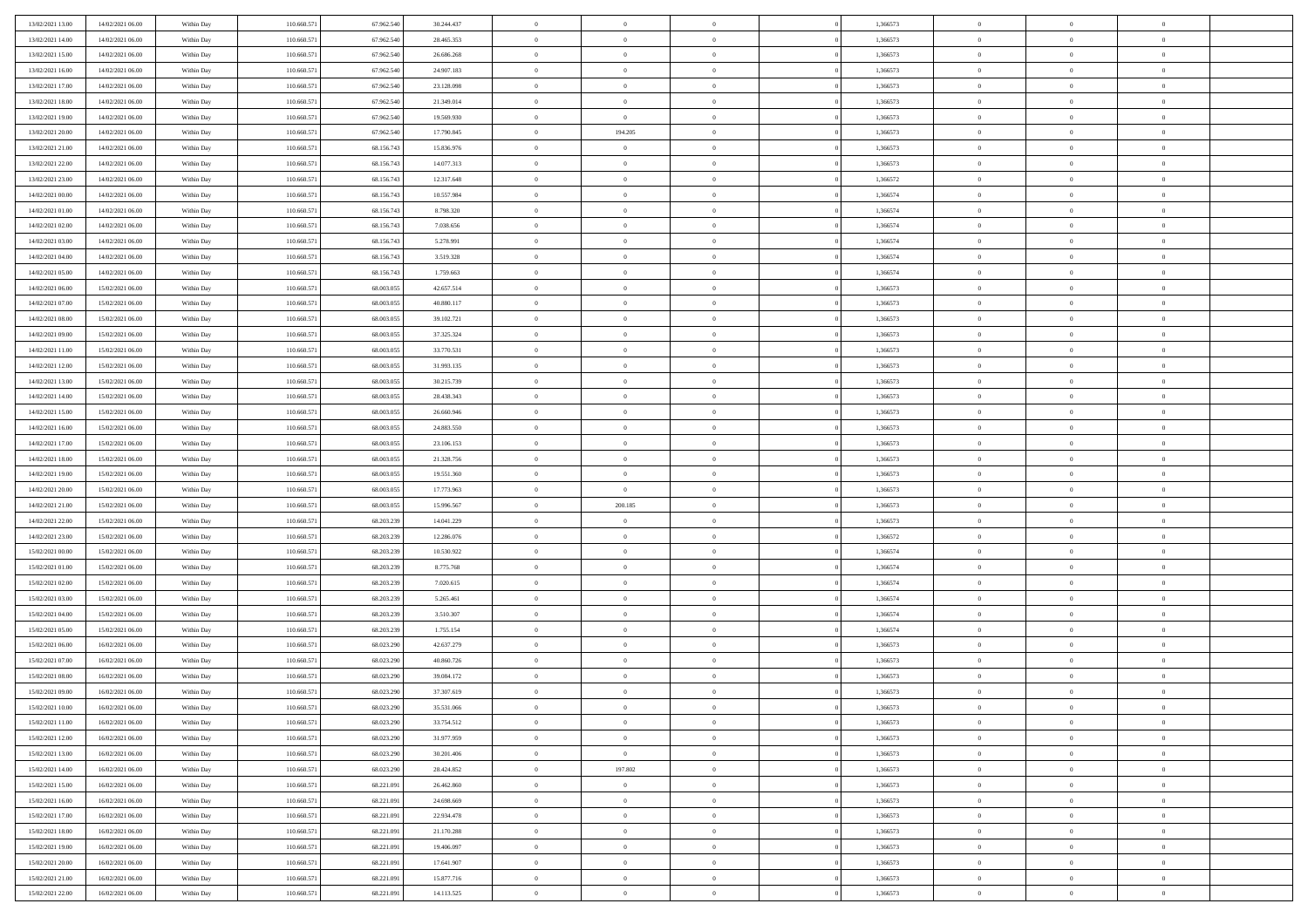| 13/02/2021 13:00                     | 14/02/2021 06:00                     | Within Day               | 110.660.571                | 67.962.540               | 30.244.437               | $\,$ 0                     | $\bf{0}$                         | $\overline{0}$                   |          | 1,366573             | $\bf{0}$                         | $\overline{0}$             | $\,0\,$                        |  |
|--------------------------------------|--------------------------------------|--------------------------|----------------------------|--------------------------|--------------------------|----------------------------|----------------------------------|----------------------------------|----------|----------------------|----------------------------------|----------------------------|--------------------------------|--|
| 13/02/2021 14:00                     | 14/02/2021 06:00                     | Within Day               | 110.660.571                | 67.962.540               | 28.465.353               | $\overline{0}$             | $\overline{0}$                   | $\Omega$                         |          | 1,366573             | $\overline{0}$                   | $\overline{0}$             | $\theta$                       |  |
| 13/02/2021 15:00                     | 14/02/2021 06:00                     | Within Dav               | 110.660.571                | 67.962.540               | 26.686.268               | $\mathbf{0}$               | $\overline{0}$                   | $\overline{0}$                   |          | 1,366573             | $\mathbf{0}$                     | $\overline{0}$             | $\overline{0}$                 |  |
| 13/02/2021 16:00                     | 14/02/2021 06:00                     | Within Day               | 110.660.571                | 67.962.540               | 24.907.183               | $\bf{0}$                   | $\overline{0}$                   | $\bf{0}$                         |          | 1,366573             | $\bf{0}$                         | $\overline{0}$             | $\,0\,$                        |  |
| 13/02/2021 17:00                     | 14/02/2021 06:00                     | Within Day               | 110.660.571                | 67.962.540               | 23.128.098               | $\bf{0}$                   | $\bf{0}$                         | $\overline{0}$                   |          | 1,366573             | $\bf{0}$                         | $\theta$                   | $\,0\,$                        |  |
| 13/02/2021 18:00                     | 14/02/2021 06:00                     | Within Dav               | 110.660.571                | 67.962.540               | 21.349.014               | $\overline{0}$             | $\overline{0}$                   | $\overline{0}$                   |          | 1,366573             | $\mathbf{0}$                     | $\overline{0}$             | $\overline{0}$                 |  |
| 13/02/2021 19:00                     | 14/02/2021 06:00                     | Within Day               | 110.660.571                | 67.962.540               | 19.569.930               | $\bf{0}$                   | $\bf{0}$                         | $\overline{0}$                   |          | 1,366573             | $\bf{0}$                         | $\overline{0}$             | $\,0\,$                        |  |
| 13/02/2021 20:00                     | 14/02/2021 06:00                     | Within Day               | 110.660.571                | 67.962.540               | 17.790.845               | $\overline{0}$             | 194.205                          | $\overline{0}$                   |          | 1,366573             | $\,$ 0 $\,$                      | $\overline{0}$             | $\theta$                       |  |
| 13/02/2021 21:00                     | 14/02/2021 06:00                     | Within Day               | 110.660.571                | 68.156.743               | 15.836.976               | $\mathbf{0}$               | $\overline{0}$                   | $\overline{0}$                   |          | 1,366573             | $\mathbf{0}$                     | $\bf{0}$                   | $\overline{0}$                 |  |
|                                      | 14/02/2021 06:00                     |                          | 110.660.571                | 68.156.743               | 14.077.313               | $\bf{0}$                   | $\bf{0}$                         | $\overline{0}$                   |          | 1,366573             | $\bf{0}$                         | $\overline{0}$             | $\,0\,$                        |  |
| 13/02/2021 22:00                     |                                      | Within Day               |                            |                          |                          |                            | $\overline{0}$                   |                                  |          |                      |                                  | $\overline{0}$             | $\theta$                       |  |
| 13/02/2021 23:00<br>14/02/2021 00:00 | 14/02/2021 06:00                     | Within Day               | 110.660.571                | 68.156.743               | 12.317.648               | $\bf{0}$                   |                                  | $\overline{0}$                   |          | 1,366572             | $\bf{0}$                         |                            |                                |  |
|                                      | 14/02/2021 06:00                     | Within Dav               | 110.660.571                | 68.156.743               | 10.557.984               | $\mathbf{0}$               | $\overline{0}$                   | $\overline{0}$                   |          | 1,366574             | $\mathbf{0}$                     | $\overline{0}$             | $\overline{0}$                 |  |
| 14/02/2021 01:00                     | 14/02/2021 06:00                     | Within Day               | 110.660.571                | 68.156.743               | 8.798.320                | $\bf{0}$                   | $\overline{0}$                   | $\bf{0}$                         |          | 1,366574             | $\bf{0}$                         | $\overline{0}$             | $\,0\,$                        |  |
| 14/02/2021 02:00                     | 14/02/2021 06:00                     | Within Day               | 110.660.571                | 68.156.743               | 7.038.656                | $\bf{0}$                   | $\overline{0}$                   | $\overline{0}$                   |          | 1,366574             | $\bf{0}$                         | $\theta$                   | $\,0\,$                        |  |
| 14/02/2021 03:00                     | 14/02/2021 06:00                     | Within Dav               | 110.660.571                | 68.156.743               | 5.278.991                | $\overline{0}$             | $\overline{0}$                   | $\overline{0}$                   |          | 1,366574             | $\mathbf{0}$                     | $\overline{0}$             | $\overline{0}$                 |  |
| 14/02/2021 04:00                     | 14/02/2021 06:00                     | Within Day               | 110.660.571                | 68.156.743               | 3.519.328                | $\bf{0}$                   | $\bf{0}$                         | $\overline{0}$                   |          | 1,366574             | $\bf{0}$                         | $\overline{0}$             | $\,0\,$                        |  |
| 14/02/2021 05:00                     | 14/02/2021 06:00                     | Within Day               | 110.660.571                | 68.156.743               | 1.759.663                | $\bf{0}$                   | $\overline{0}$                   | $\overline{0}$                   |          | 1,366574             | $\,$ 0 $\,$                      | $\overline{0}$             | $\theta$                       |  |
| 14/02/2021 06:00                     | 15/02/2021 06:00                     | Within Day               | 110.660.571                | 68.003.055               | 42.657.514               | $\mathbf{0}$               | $\overline{0}$                   | $\overline{0}$                   |          | 1,366573             | $\mathbf{0}$                     | $\overline{0}$             | $\overline{0}$                 |  |
| 14/02/2021 07:00                     | 15/02/2021 06:00                     | Within Day               | 110.660.571                | 68.003.055               | 40.880.117               | $\bf{0}$                   | $\bf{0}$                         | $\overline{0}$                   |          | 1,366573             | $\bf{0}$                         | $\overline{0}$             | $\,0\,$                        |  |
| 14/02/2021 08:00                     | 15/02/2021 06:00                     | Within Day               | 110.660.571                | 68,003,055               | 39.102.721               | $\bf{0}$                   | $\overline{0}$                   | $\overline{0}$                   |          | 1,366573             | $\bf{0}$                         | $\overline{0}$             | $\theta$                       |  |
| 14/02/2021 09:00                     | 15/02/2021 06:00                     | Within Dav               | 110.660.571                | 68.003.055               | 37.325.324               | $\mathbf{0}$               | $\overline{0}$                   | $\overline{0}$                   |          | 1,366573             | $\mathbf{0}$                     | $\overline{0}$             | $\overline{0}$                 |  |
| 14/02/2021 11:00                     | 15/02/2021 06:00                     | Within Day               | 110.660.571                | 68.003.055               | 33.770.531               | $\bf{0}$                   | $\bf{0}$                         | $\bf{0}$                         |          | 1,366573             | $\bf{0}$                         | $\overline{0}$             | $\bf{0}$                       |  |
| 14/02/2021 12:00                     | 15/02/2021 06:00                     | Within Day               | 110.660.571                | 68,003,055               | 31.993.135               | $\bf{0}$                   | $\bf{0}$                         | $\overline{0}$                   |          | 1,366573             | $\bf{0}$                         | $\bf{0}$                   | $\,0\,$                        |  |
| 14/02/2021 13:00                     | 15/02/2021 06:00                     | Within Dav               | 110.660.571                | 68.003.055               | 30.215.739               | $\mathbf{0}$               | $\overline{0}$                   | $\overline{0}$                   |          | 1,366573             | $\mathbf{0}$                     | $\overline{0}$             | $\theta$                       |  |
| 14/02/2021 14:00                     | 15/02/2021 06:00                     | Within Day               | 110.660.571                | 68.003.055               | 28.438.343               | $\bf{0}$                   | $\overline{0}$                   | $\overline{0}$                   |          | 1,366573             | $\bf{0}$                         | $\overline{0}$             | $\,0\,$                        |  |
| 14/02/2021 15:00                     | 15/02/2021 06:00                     | Within Day               | 110.660.571                | 68,003,055               | 26.660.946               | $\bf{0}$                   | $\overline{0}$                   | $\overline{0}$                   |          | 1,366573             | $\bf{0}$                         | $\overline{0}$             | $\overline{0}$                 |  |
| 14/02/2021 16:00                     | 15/02/2021 06:00                     | Within Dav               | 110.660.571                | 68.003.055               | 24.883.550               | $\mathbf{0}$               | $\overline{0}$                   | $\overline{0}$                   |          | 1,366573             | $\mathbf{0}$                     | $\bf{0}$                   | $\overline{0}$                 |  |
| 14/02/2021 17:00                     | 15/02/2021 06:00                     | Within Day               | 110.660.571                | 68.003.055               | 23.106.153               | $\bf{0}$                   | $\overline{0}$                   | $\overline{0}$                   |          | 1,366573             | $\bf{0}$                         | $\overline{0}$             | $\,0\,$                        |  |
| 14/02/2021 18:00                     | 15/02/2021 06:00                     | Within Day               | 110.660.571                | 68,003,055               | 21.328.756               | $\bf{0}$                   | $\overline{0}$                   | $\overline{0}$                   |          | 1,366573             | $\bf{0}$                         | $\mathbf{0}$               | $\overline{0}$                 |  |
| 14/02/2021 19:00                     | 15/02/2021 06:00                     | Within Day               | 110.660.571                | 68.003.055               | 19.551.360               | $\mathbf{0}$               | $\overline{0}$                   | $\overline{0}$                   |          | 1,366573             | $\mathbf{0}$                     | $\overline{0}$             | $\overline{0}$                 |  |
| 14/02/2021 20:00                     | 15/02/2021 06:00                     | Within Day               | 110.660.571                | 68.003.055               | 17.773.963               | $\bf{0}$                   | $\overline{0}$                   | $\theta$                         |          | 1,366573             | $\,$ 0                           | $\overline{0}$             | $\theta$                       |  |
| 14/02/2021 21:00                     | 15/02/2021 06:00                     | Within Day               | 110.660.571                | 68,003,055               | 15.996.567               | $\bf{0}$                   | 200.185                          | $\overline{0}$                   |          | 1,366573             | $\bf{0}$                         | $\mathbf{0}$               | $\bf{0}$                       |  |
| 14/02/2021 22:00                     | 15/02/2021 06:00                     | Within Dav               | 110.660.571                | 68.203.239               | 14.041.229               | $\overline{0}$             | $\overline{0}$                   | $\overline{0}$                   |          | 1,366573             | $\mathbf{0}$                     | $\overline{0}$             | $\overline{0}$                 |  |
| 14/02/2021 23:00                     | 15/02/2021 06:00                     | Within Day               | 110.660.571                | 68.203.239               | 12.286.076               | $\bf{0}$                   | $\overline{0}$                   | $\theta$                         |          | 1,366572             | $\,$ 0                           | $\overline{0}$             | $\theta$                       |  |
| 15/02/2021 00:00                     | 15/02/2021 06:00                     | Within Day               | 110.660.571                | 68.203.239               | 10.530.922               | $\bf{0}$                   | $\overline{0}$                   | $\overline{0}$                   |          | 1,366574             | $\bf{0}$                         | $\overline{0}$             | $\overline{0}$                 |  |
| 15/02/2021 01:00                     | 15/02/2021 06:00                     | Within Day               | 110.660.571                | 68.203.239               | 8.775.768                | $\mathbf{0}$               | $\overline{0}$                   | $\overline{0}$                   |          | 1,366574             | $\mathbf{0}$                     | $\overline{0}$             | $\overline{0}$                 |  |
| 15/02/2021 02:00                     | 15/02/2021 06:00                     | Within Day               | 110.660.571                | 68.203.239               | 7.020.615                | $\bf{0}$                   | $\overline{0}$                   | $\theta$                         |          | 1,366574             | $\,$ 0                           | $\overline{0}$             | $\theta$                       |  |
| 15/02/2021 03:00                     | 15/02/2021 06:00                     | Within Day               | 110.660.571                | 68.203.239               | 5.265.461                | $\bf{0}$                   | $\overline{0}$                   | $\overline{0}$                   |          | 1,366574             | $\bf{0}$                         | $\mathbf{0}$               | $\bf{0}$                       |  |
| 15/02/2021 04:00                     | 15/02/2021 06:00                     | Within Dav               | 110.660.571                | 68.203.239               | 3.510.307                | $\mathbf{0}$               | $\overline{0}$                   | $\overline{0}$                   |          | 1,366574             | $\mathbf{0}$                     | $\overline{0}$             | $\overline{0}$                 |  |
| 15/02/2021 05:00                     | 15/02/2021 06:00                     | Within Day               | 110.660.571                | 68.203.239               | 1.755.154                | $\bf{0}$                   | $\overline{0}$                   | $\theta$                         |          | 1,366574             | $\,$ 0                           | $\overline{0}$             | $\theta$                       |  |
| 15/02/2021 06:00                     | 16/02/2021 06:00                     | Within Day               | 110.660.571                | 68.023.290               | 42.637.279               | $\bf{0}$                   | $\overline{0}$                   | $\overline{0}$                   |          | 1,366573             | $\bf{0}$                         | $\overline{0}$             | $\bf{0}$                       |  |
| 15/02/2021 07:00                     | 16/02/2021 06:00                     | Within Dav               | 110.660.571                | 68.023.290               | 40.860.726               | $\mathbf{0}$               | $\overline{0}$                   | $\overline{0}$                   |          | 1,366573             | $\mathbf{0}$                     | $\overline{0}$             | $\theta$                       |  |
| 15/02/2021 08:00                     | 16/02/2021 06:00                     | Within Day               | 110.660.571                | 68.023.290               | 39.084.172               | $\bf{0}$                   | $\overline{0}$                   | $\theta$                         |          | 1,366573             | $\,$ 0                           | $\overline{0}$             | $\theta$                       |  |
| 15/02/2021 09:00                     | 16/02/2021 06:00                     | Within Day               | 110.660.57                 | 68.023.290               | 37.307.619               | $\bf{0}$                   | $\overline{0}$                   | $\overline{0}$                   |          | 1,366573             | $\,$ 0 $\,$                      | $\overline{0}$             | $\bf{0}$                       |  |
| 15/02/2021 10:00                     | 16/02/2021 06:00                     | Within Day               | 110.660.571                | 68.023.290               | 35.531.066               | $\overline{0}$             | $\overline{0}$                   |                                  |          | 1,366573             | $\overline{0}$                   | $\theta$                   | $\theta$                       |  |
| 15/02/2021 11:00                     | 16/02/2021 06:00                     |                          | 110.660.571                | 68.023.290               | 33.754.512               | $\,0\,$                    | $\overline{0}$                   | $\theta$                         |          | 1,366573             | $\,$ 0 $\,$                      | $\bf{0}$                   | $\theta$                       |  |
|                                      |                                      | Within Day               |                            |                          |                          |                            |                                  |                                  |          |                      |                                  |                            |                                |  |
| 15/02/2021 12:00<br>15/02/2021 13:00 | 16/02/2021 06:00<br>16/02/2021 06:00 | Within Day<br>Within Day | 110.660.571<br>110.660.571 | 68.023.290<br>68.023.290 | 31.977.959<br>30.201.406 | $\overline{0}$<br>$\bf{0}$ | $\overline{0}$<br>$\overline{0}$ | $\overline{0}$<br>$\overline{0}$ |          | 1,366573<br>1,366573 | $\overline{0}$<br>$\overline{0}$ | $\overline{0}$<br>$\bf{0}$ | $\overline{0}$<br>$\mathbf{0}$ |  |
|                                      |                                      |                          |                            |                          |                          |                            |                                  |                                  |          |                      |                                  |                            |                                |  |
| 15/02/2021 14:00                     | 16/02/2021 06:00                     | Within Day               | 110.660.571                | 68.023.290               | 28.424.852               | $\bf{0}$                   | 197.802                          | $\overline{0}$                   | $\theta$ | 1,366573             | $\,$ 0 $\,$                      | $\bf{0}$                   | $\,$ 0 $\,$                    |  |
| 15/02/2021 15:00                     | 16/02/2021 06:00                     | Within Day               | 110.660.571                | 68.221.091               | 26.462.860               | $\bf{0}$                   | $\overline{0}$                   | $\overline{0}$                   |          | 1,366573             | $\,$ 0 $\,$                      | $\overline{0}$             | $\overline{0}$                 |  |
| 15/02/2021 16:00                     | 16/02/2021 06:00                     | Within Day               | 110.660.571                | 68.221.091               | 24.698.669               | $\bf{0}$                   | $\overline{0}$                   | $\overline{0}$                   |          | 1,366573             | $\mathbf{0}$                     | $\overline{0}$             | $\overline{0}$                 |  |
| 15/02/2021 17:00                     | 16/02/2021 06:00                     | Within Day               | 110.660.571                | 68.221.091               | 22.934.478               | $\,0\,$                    | $\overline{0}$                   | $\mathbf{0}$                     | $\theta$ | 1,366573             | $\,$ 0 $\,$                      | $\overline{0}$             | $\overline{0}$                 |  |
| 15/02/2021 18:00                     | 16/02/2021 06:00                     | Within Day               | 110.660.571                | 68.221.091               | 21.170.288               | $\bf{0}$                   | $\overline{0}$                   | $\overline{0}$                   |          | 1,366573             | $\overline{0}$                   | $\overline{0}$             | $\overline{0}$                 |  |
| 15/02/2021 19:00                     | 16/02/2021 06:00                     | Within Day               | 110.660.571                | 68.221.091               | 19.406.097               | $\bf{0}$                   | $\overline{0}$                   | $\overline{0}$                   |          | 1,366573             | $\mathbf{0}$                     | $\overline{0}$             | $\mathbf{0}$                   |  |
| 15/02/2021 20:00                     | 16/02/2021 06:00                     | Within Day               | 110.660.571                | 68.221.091               | 17.641.907               | $\,0\,$                    | $\overline{0}$                   | $\overline{0}$                   |          | 1,366573             | $\,$ 0 $\,$                      | $\mathbf{0}$               | $\overline{0}$                 |  |
| 15/02/2021 21:00                     | 16/02/2021 06:00                     | Within Day               | 110.660.571                | 68.221.091               | 15.877.716               | $\bf{0}$                   | $\bf{0}$                         | $\overline{0}$                   |          | 1,366573             | $\mathbf{0}$                     | $\mathbf{0}$               | $\overline{0}$                 |  |
| 15/02/2021 22:00                     | 16/02/2021 06:00                     | Within Day               | 110.660.571                | 68.221.091               | 14.113.525               | $\mathbf{0}$               | $\overline{0}$                   | $\overline{0}$                   |          | 1,366573             | $\mathbf{0}$                     | $\overline{0}$             | $\overline{0}$                 |  |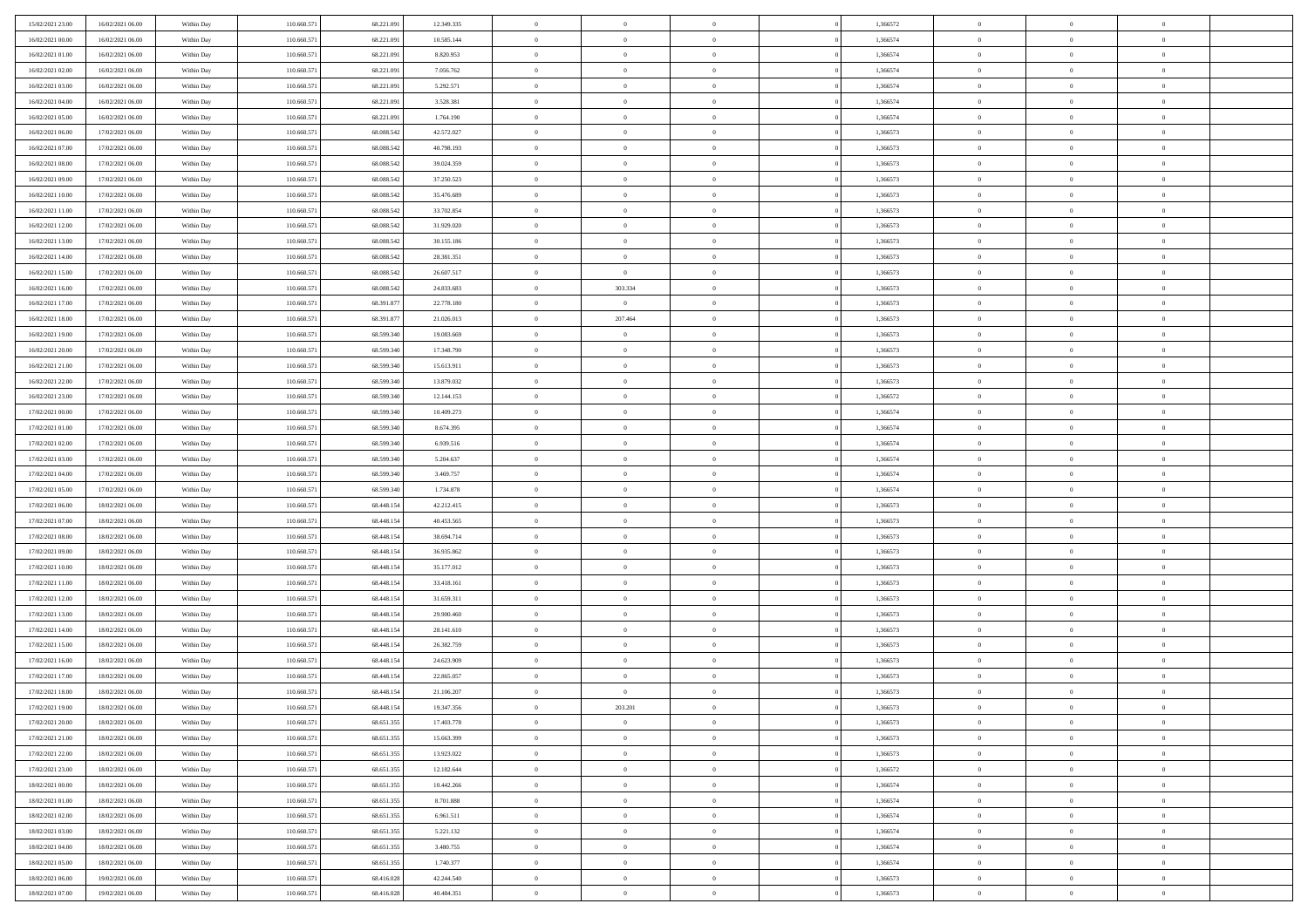| 15/02/2021 23.00 | 16/02/2021 06:00 | Within Day | 110.660.571 | 68.221.091 | 12.349.335 | $\overline{0}$ | $\overline{0}$ | $\Omega$       | 1,366572 | $\bf{0}$       | $\mathbf{0}$   | $\bf{0}$       |  |
|------------------|------------------|------------|-------------|------------|------------|----------------|----------------|----------------|----------|----------------|----------------|----------------|--|
| 16/02/2021 00:00 | 16/02/2021 06:00 | Within Day | 110.660.571 | 68.221.091 | 10.585.144 | $\mathbf{0}$   | $\overline{0}$ | $\overline{0}$ | 1,366574 | $\overline{0}$ | $\overline{0}$ | $\overline{0}$ |  |
| 16/02/2021 01:00 | 16/02/2021 06:00 | Within Day | 110.660.571 | 68.221.091 | 8.820.953  | $\,$ 0         | $\overline{0}$ | $\bf{0}$       | 1,366574 | $\,$ 0         | $\overline{0}$ | $\,$ 0 $\,$    |  |
| 16/02/2021 02:00 | 16/02/2021 06:00 | Within Day | 110,660.57  | 68.221.091 | 7.056.762  | $\bf{0}$       | $\overline{0}$ | $\Omega$       | 1,366574 | $\bf{0}$       | $\theta$       | $\theta$       |  |
| 16/02/2021 03:00 | 16/02/2021 06:00 | Within Dav | 110.660.571 | 68.221.091 | 5.292.571  | $\bf{0}$       | $\overline{0}$ | $\overline{0}$ | 1,366574 | $\overline{0}$ | $\overline{0}$ | $\overline{0}$ |  |
| 16/02/2021 04:00 | 16/02/2021 06:00 | Within Day | 110.660.571 | 68.221.091 | 3.528.381  | $\bf{0}$       | $\overline{0}$ | $\bf{0}$       | 1,366574 | $\,$ 0         | $\overline{0}$ | $\,$ 0 $\,$    |  |
| 16/02/2021 05:00 | 16/02/2021 06:00 | Within Day | 110.660.571 | 68.221.091 | 1.764.190  | $\bf{0}$       | $\overline{0}$ | $\overline{0}$ | 1,366574 | $\bf{0}$       | $\overline{0}$ | $\theta$       |  |
| 16/02/2021 06:00 | 17/02/2021 06:00 | Within Day | 110.660.571 | 68.088.542 | 42.572.027 | $\overline{0}$ | $\overline{0}$ | $\overline{0}$ | 1,366573 | $\mathbf{0}$   | $\overline{0}$ | $\overline{0}$ |  |
| 16/02/2021 07:00 | 17/02/2021 06:00 | Within Day | 110.660.571 | 68.088.542 | 40.798.193 | $\bf{0}$       | $\overline{0}$ | $\bf{0}$       | 1,366573 | $\,$ 0         | $\overline{0}$ | $\,$ 0 $\,$    |  |
| 16/02/2021 08:00 | 17/02/2021 06:00 | Within Day | 110,660,571 | 68,088,542 | 39.024.359 | $\bf{0}$       | $\overline{0}$ | $\Omega$       | 1,366573 | $\theta$       | $\mathbf{0}$   | $\theta$       |  |
| 16/02/2021 09:00 | 17/02/2021 06:00 | Within Day | 110.660.571 | 68.088.542 | 37.250.523 | $\overline{0}$ | $\overline{0}$ | $\overline{0}$ | 1,366573 | $\mathbf{0}$   | $\overline{0}$ | $\overline{0}$ |  |
| 16/02/2021 10:00 | 17/02/2021 06:00 | Within Day | 110.660.571 | 68.088.542 | 35.476.689 | $\bf{0}$       | $\overline{0}$ | $\bf{0}$       | 1,366573 | $\,$ 0         | $\overline{0}$ | $\,$ 0 $\,$    |  |
| 16/02/2021 11:00 | 17/02/2021 06:00 | Within Day | 110,660.57  | 68.088.542 | 33.702.854 | $\bf{0}$       | $\overline{0}$ | $\Omega$       | 1,366573 | $\overline{0}$ | $\theta$       | $\theta$       |  |
| 16/02/2021 12:00 | 17/02/2021 06:00 | Within Day | 110.660.571 | 68.088.542 | 31.929.020 | $\overline{0}$ | $\overline{0}$ | $\overline{0}$ | 1,366573 | $\overline{0}$ | $\overline{0}$ | $\overline{0}$ |  |
| 16/02/2021 13:00 | 17/02/2021 06:00 | Within Day | 110.660.571 | 68.088.542 | 30.155.186 | $\bf{0}$       | $\overline{0}$ | $\bf{0}$       | 1,366573 | $\,$ 0         | $\overline{0}$ | $\,$ 0 $\,$    |  |
| 16/02/2021 14:00 | 17/02/2021 06:00 | Within Day | 110.660.571 | 68.088.542 | 28.381.351 | $\bf{0}$       | $\overline{0}$ | $\overline{0}$ | 1,366573 | $\bf{0}$       | $\mathbf{0}$   | $\bf{0}$       |  |
| 16/02/2021 15:00 | 17/02/2021 06:00 | Within Day | 110.660.571 | 68.088.542 | 26.607.517 | $\overline{0}$ | $\overline{0}$ | $\overline{0}$ | 1,366573 | $\mathbf{0}$   | $\overline{0}$ | $\overline{0}$ |  |
| 16/02/2021 16:00 | 17/02/2021 06:00 | Within Day | 110.660.571 | 68.088.542 | 24.833.683 | $\bf{0}$       | 303.334        | $\bf{0}$       | 1,366573 | $\,$ 0         | $\overline{0}$ | $\,$ 0 $\,$    |  |
| 16/02/2021 17:00 | 17/02/2021 06:00 | Within Day | 110,660,571 | 68.391.877 | 22.778.180 | $\bf{0}$       | $\overline{0}$ | $\Omega$       | 1,366573 | $\theta$       | $\mathbf{0}$   | $\theta$       |  |
| 16/02/2021 18:00 | 17/02/2021 06:00 | Within Day | 110.660.571 | 68.391.877 | 21.026.013 | $\overline{0}$ | 207.464        | $\overline{0}$ | 1,366573 | $\mathbf{0}$   | $\overline{0}$ | $\overline{0}$ |  |
| 16/02/2021 19:00 | 17/02/2021 06:00 | Within Day | 110.660.571 | 68.599.340 | 19.083.669 | $\bf{0}$       | $\overline{0}$ | $\bf{0}$       | 1,366573 | $\,$ 0         | $\overline{0}$ | $\,$ 0 $\,$    |  |
| 16/02/2021 20:00 | 17/02/2021 06:00 | Within Day | 110,660.57  | 68.599.340 | 17.348.790 | $\bf{0}$       | $\overline{0}$ | $\Omega$       | 1,366573 | $\theta$       | $\theta$       | $\theta$       |  |
| 16/02/2021 21:00 | 17/02/2021 06:00 | Within Day | 110.660.571 | 68.599.340 | 15.613.911 | $\overline{0}$ | $\overline{0}$ | $\overline{0}$ | 1,366573 | $\mathbf{0}$   | $\overline{0}$ | $\overline{0}$ |  |
| 16/02/2021 22:00 | 17/02/2021 06:00 | Within Day | 110.660.571 | 68.599.340 | 13.879.032 | $\bf{0}$       | $\overline{0}$ | $\bf{0}$       | 1,366573 | $\,$ 0         | $\overline{0}$ | $\,$ 0 $\,$    |  |
| 16/02/2021 23:00 | 17/02/2021 06:00 | Within Day | 110.660.571 | 68.599.340 | 12.144.153 | $\bf{0}$       | $\overline{0}$ | $\overline{0}$ | 1,366572 | $\bf{0}$       | $\overline{0}$ | $\bf{0}$       |  |
| 17/02/2021 00:00 | 17/02/2021 06:00 | Within Day | 110.660.571 | 68.599.340 | 10.409.273 | $\overline{0}$ | $\overline{0}$ | $\overline{0}$ | 1,366574 | $\mathbf{0}$   | $\overline{0}$ | $\overline{0}$ |  |
| 17/02/2021 01:00 | 17/02/2021 06:00 | Within Day | 110.660.571 | 68.599.340 | 8.674.395  | $\bf{0}$       | $\overline{0}$ | $\bf{0}$       | 1,366574 | $\,$ 0         | $\overline{0}$ | $\,$ 0 $\,$    |  |
| 17/02/2021 02:00 | 17/02/2021 06:00 | Within Day | 110,660,571 | 68,599,340 | 6.939.516  | $\bf{0}$       | $\overline{0}$ | $\Omega$       | 1,366574 | $\theta$       | $\mathbf{0}$   | $\theta$       |  |
| 17/02/2021 03:00 | 17/02/2021 06:00 | Within Day | 110.660.571 | 68.599.340 | 5.204.637  | $\overline{0}$ | $\overline{0}$ | $\overline{0}$ | 1,366574 | $\mathbf{0}$   | $\overline{0}$ | $\overline{0}$ |  |
| 17/02/2021 04:00 | 17/02/2021 06:00 | Within Day | 110.660.571 | 68.599.340 | 3.469.757  | $\bf{0}$       | $\overline{0}$ | $\bf{0}$       | 1,366574 | $\,$ 0         | $\overline{0}$ | $\,$ 0 $\,$    |  |
| 17/02/2021 05:00 | 17/02/2021 06:00 | Within Day | 110.660.571 | 68.599.340 | 1.734.878  | $\,$ 0         | $\overline{0}$ | $\overline{0}$ | 1,366574 | $\bf{0}$       | $\overline{0}$ | $\,0\,$        |  |
| 17/02/2021 06:00 | 18/02/2021 06:00 | Within Dav | 110.660.571 | 68.448.154 | 42.212.415 | $\overline{0}$ | $\overline{0}$ | $\overline{0}$ | 1,366573 | $\mathbf{0}$   | $\overline{0}$ | $\overline{0}$ |  |
| 17/02/2021 07:00 | 18/02/2021 06:00 | Within Day | 110.660.571 | 68.448.154 | 40.453.565 | $\bf{0}$       | $\overline{0}$ | $\bf{0}$       | 1,366573 | $\,$ 0         | $\overline{0}$ | $\,$ 0 $\,$    |  |
| 17/02/2021 08:00 | 18/02/2021 06:00 | Within Day | 110.660.571 | 68.448.154 | 38.694.714 | $\bf{0}$       | $\overline{0}$ | $\bf{0}$       | 1,366573 | $\bf{0}$       | $\overline{0}$ | $\,0\,$        |  |
| 17/02/2021 09:00 | 18/02/2021 06:00 | Within Day | 110.660.571 | 68.448.154 | 36.935.862 | $\overline{0}$ | $\overline{0}$ | $\overline{0}$ | 1,366573 | $\overline{0}$ | $\overline{0}$ | $\overline{0}$ |  |
| 17/02/2021 10:00 | 18/02/2021 06:00 | Within Day | 110.660.571 | 68.448.154 | 35.177.012 | $\bf{0}$       | $\overline{0}$ | $\bf{0}$       | 1,366573 | $\,$ 0         | $\overline{0}$ | $\,$ 0 $\,$    |  |
| 17/02/2021 11:00 | 18/02/2021 06:00 | Within Day | 110.660.571 | 68.448.154 | 33.418.161 | $\bf{0}$       | $\overline{0}$ | $\theta$       | 1,366573 | $\bf{0}$       | $\overline{0}$ | $\,0\,$        |  |
| 17/02/2021 12:00 | 18/02/2021 06:00 | Within Day | 110.660.571 | 68.448.154 | 31.659.311 | $\overline{0}$ | $\overline{0}$ | $\overline{0}$ | 1,366573 | $\mathbf{0}$   | $\overline{0}$ | $\overline{0}$ |  |
| 17/02/2021 13:00 | 18/02/2021 06:00 | Within Day | 110.660.571 | 68.448.154 | 29.900.460 | $\bf{0}$       | $\overline{0}$ | $\bf{0}$       | 1,366573 | $\,$ 0         | $\overline{0}$ | $\,$ 0 $\,$    |  |
| 17/02/2021 14:00 | 18/02/2021 06:00 | Within Day | 110.660.571 | 68.448.154 | 28.141.610 | $\bf{0}$       | $\overline{0}$ | $\overline{0}$ | 1,366573 | $\bf{0}$       | $\overline{0}$ | $\,0\,$        |  |
| 17/02/2021 15:00 | 18/02/2021 06:00 | Within Day | 110.660.571 | 68.448.154 | 26.382.759 | $\overline{0}$ | $\overline{0}$ | $\overline{0}$ | 1,366573 | $\overline{0}$ | $\overline{0}$ | $\overline{0}$ |  |
| 17/02/2021 16:00 | 18/02/2021 06:00 | Within Day | 110.660.571 | 68.448.154 | 24.623.909 | $\bf{0}$       | $\overline{0}$ | $\bf{0}$       | 1,366573 | $\,$ 0         | $\overline{0}$ | $\,$ 0 $\,$    |  |
| 17/02/2021 17:00 | 18/02/2021 06:00 | Within Day | 110.660.571 | 68.448.154 | 22.865.057 | $\bf{0}$       | $\overline{0}$ | $\bf{0}$       | 1,366573 | $\bf{0}$       | $\overline{0}$ | $\,0\,$        |  |
| 17/02/2021 18:00 | 18/02/2021 06:00 | Within Day | 110.660.571 | 68.448.154 | 21.106.207 | $\mathbf{0}$   | $\overline{0}$ | $\overline{0}$ | 1,366573 | $\mathbf{0}$   | $\overline{0}$ | $\overline{0}$ |  |
| 17/02/2021 19:00 | 18/02/2021 06:00 | Within Day | 110.660.571 | 68.448.154 | 19.347.356 | $\bf{0}$       | 203.201        | $\theta$       | 1,366573 | $\overline{0}$ | $\theta$       | $\theta$       |  |
| 17/02/2021 20:00 | 18/02/2021 06:00 | Within Day | 110.660.571 | 68.651.355 | 17.403.778 | $\bf{0}$       | $\overline{0}$ | $\bf{0}$       | 1,366573 | $\bf{0}$       | $\overline{0}$ | $\,0\,$        |  |
| 17/02/2021 21:00 | 18/02/2021 06:00 | Within Day | 110.660.571 | 68.651.355 | 15.663.399 | $\overline{0}$ | $\overline{0}$ | $\overline{0}$ | 1,366573 | $\overline{0}$ | $\bf{0}$       | $\overline{0}$ |  |
| 17/02/2021 22.00 | 18/02/2021 06:00 | Within Day | 110.660.571 | 68.651.355 | 13.923.022 | $\,$ 0 $\,$    | $\overline{0}$ | $\overline{0}$ | 1,366573 | $\,$ 0 $\,$    | $\,$ 0 $\,$    | $\,$ 0 $\,$    |  |
| 17/02/2021 23.00 | 18/02/2021 06:00 | Within Day | 110.660.571 | 68.651.355 | 12.182.644 | $\bf{0}$       | $\bf{0}$       | $\overline{0}$ | 1,366572 | $\bf{0}$       | $\overline{0}$ | $\bf{0}$       |  |
| 18/02/2021 00:00 | 18/02/2021 06:00 | Within Day | 110.660.571 | 68.651.355 | 10.442.266 | $\bf{0}$       | $\overline{0}$ | $\overline{0}$ | 1,366574 | $\overline{0}$ | $\overline{0}$ | $\overline{0}$ |  |
| 18/02/2021 01:00 | 18/02/2021 06:00 | Within Day | 110.660.571 | 68.651.355 | 8.701.888  | $\,$ 0 $\,$    | $\overline{0}$ | $\overline{0}$ | 1,366574 | $\,$ 0 $\,$    | $\overline{0}$ | $\,$ 0 $\,$    |  |
| 18/02/2021 02:00 | 18/02/2021 06:00 | Within Day | 110.660.571 | 68.651.355 | 6.961.511  | $\bf{0}$       | $\overline{0}$ | $\overline{0}$ | 1,366574 | $\bf{0}$       | $\overline{0}$ | $\overline{0}$ |  |
| 18/02/2021 03:00 | 18/02/2021 06:00 | Within Day | 110.660.571 | 68.651.355 | 5.221.132  | $\overline{0}$ | $\overline{0}$ | $\overline{0}$ | 1,366574 | $\overline{0}$ | $\bf{0}$       | $\overline{0}$ |  |
| 18/02/2021 04:00 | 18/02/2021 06:00 | Within Day | 110.660.571 | 68.651.355 | 3.480.755  | $\,$ 0 $\,$    | $\overline{0}$ | $\overline{0}$ | 1,366574 | $\,$ 0 $\,$    | $\,$ 0 $\,$    | $\,$ 0 $\,$    |  |
| 18/02/2021 05:00 | 18/02/2021 06:00 | Within Day | 110.660.571 | 68.651.355 | 1.740.377  | $\bf{0}$       | $\bf{0}$       | $\overline{0}$ | 1,366574 | $\mathbf{0}$   | $\overline{0}$ | $\bf{0}$       |  |
| 18/02/2021 06:00 | 19/02/2021 06:00 | Within Day | 110.660.571 | 68.416.028 | 42.244.540 | $\bf{0}$       | $\overline{0}$ | $\overline{0}$ | 1,366573 | $\mathbf{0}$   | $\bf{0}$       | $\overline{0}$ |  |
| 18/02/2021 07:00 | 19/02/2021 06:00 | Within Day | 110.660.571 | 68.416.028 | 40.484.351 | $\,0\,$        | $\overline{0}$ | $\overline{0}$ | 1,366573 | $\,$ 0         | $\overline{0}$ | $\,$ 0 $\,$    |  |
|                  |                  |            |             |            |            |                |                |                |          |                |                |                |  |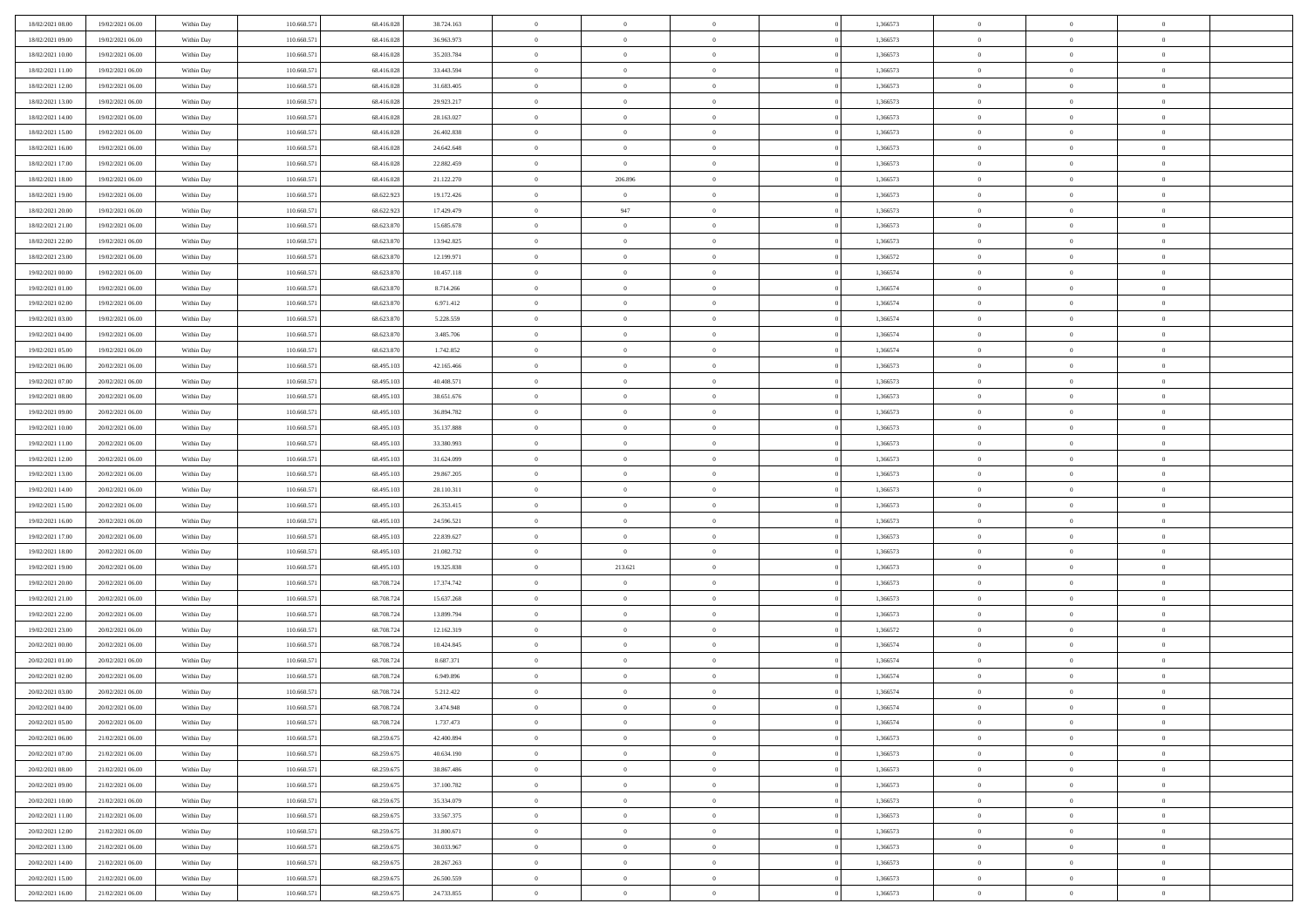| 18/02/2021 08:00                     | 19/02/2021 06:00                     | Within Day               | 110.660.571                | 68.416.028               | 38.724.163               | $\,$ 0                     | $\bf{0}$                         | $\theta$                         |          | 1,366573             | $\bf{0}$                 | $\overline{0}$                   | $\,0\,$                          |  |
|--------------------------------------|--------------------------------------|--------------------------|----------------------------|--------------------------|--------------------------|----------------------------|----------------------------------|----------------------------------|----------|----------------------|--------------------------|----------------------------------|----------------------------------|--|
| 18/02/2021 09:00                     | 19/02/2021 06:00                     | Within Day               | 110.660.57                 | 68.416.028               | 36.963.973               | $\overline{0}$             | $\overline{0}$                   | $\overline{0}$                   |          | 1,366573             | $\overline{0}$           | $\overline{0}$                   | $\theta$                         |  |
| 18/02/2021 10:00                     | 19/02/2021 06:00                     | Within Dav               | 110.660.571                | 68.416.028               | 35.203.784               | $\mathbf{0}$               | $\overline{0}$                   | $\overline{0}$                   |          | 1,366573             | $\mathbf{0}$             | $\overline{0}$                   | $\overline{0}$                   |  |
| 18/02/2021 11:00                     | 19/02/2021 06:00                     | Within Day               | 110.660.571                | 68.416.028               | 33.443.594               | $\bf{0}$                   | $\overline{0}$                   | $\bf{0}$                         |          | 1,366573             | $\bf{0}$                 | $\overline{0}$                   | $\bf{0}$                         |  |
| 18/02/2021 12:00                     | 19/02/2021 06:00                     | Within Day               | 110.660.571                | 68.416.028               | 31.683.405               | $\bf{0}$                   | $\bf{0}$                         | $\overline{0}$                   |          | 1,366573             | $\bf{0}$                 | $\bf{0}$                         | $\,0\,$                          |  |
| 18/02/2021 13:00                     | 19/02/2021 06:00                     | Within Dav               | 110.660.571                | 68.416.028               | 29.923.217               | $\mathbf{0}$               | $\overline{0}$                   | $\overline{0}$                   |          | 1,366573             | $\mathbf{0}$             | $\overline{0}$                   | $\overline{0}$                   |  |
| 18/02/2021 14:00                     | 19/02/2021 06:00                     | Within Day               | 110.660.571                | 68.416.028               | 28.163.027               | $\bf{0}$                   | $\bf{0}$                         | $\overline{0}$                   |          | 1,366573             | $\bf{0}$                 | $\overline{0}$                   | $\,0\,$                          |  |
| 18/02/2021 15:00                     | 19/02/2021 06:00                     | Within Day               | 110.660.571                | 68.416.028               | 26.402.838               | $\overline{0}$             | $\overline{0}$                   | $\overline{0}$                   |          | 1,366573             | $\,$ 0 $\,$              | $\overline{0}$                   | $\theta$                         |  |
| 18/02/2021 16:00                     | 19/02/2021 06:00                     | Within Dav               | 110.660.571                | 68.416.028               | 24.642.648               | $\mathbf{0}$               | $\overline{0}$                   | $\overline{0}$                   |          | 1,366573             | $\mathbf{0}$             | $\overline{0}$                   | $\overline{0}$                   |  |
| 18/02/2021 17:00                     | 19/02/2021 06:00                     | Within Day               | 110.660.571                | 68.416.028               | 22.882.459               | $\bf{0}$                   | $\bf{0}$                         | $\theta$                         |          | 1,366573             | $\bf{0}$                 | $\overline{0}$                   | $\,0\,$                          |  |
| 18/02/2021 18:00                     | 19/02/2021 06:00                     | Within Day               | 110.660.571                | 68.416.028               | 21.122.270               | $\bf{0}$                   | 206.896                          | $\overline{0}$                   |          | 1,366573             | $\bf{0}$                 | $\overline{0}$                   | $\theta$                         |  |
| 18/02/2021 19:00                     | 19/02/2021 06:00                     | Within Dav               | 110.660.571                | 68.622.923               | 19.172.426               | $\mathbf{0}$               | $\overline{0}$                   | $\overline{0}$                   |          | 1,366573             | $\mathbf{0}$             | $\overline{0}$                   | $\overline{0}$                   |  |
| 18/02/2021 20:00                     | 19/02/2021 06:00                     | Within Day               | 110.660.571                | 68.622.923               | 17.429.479               | $\bf{0}$                   | 947                              | $\bf{0}$                         |          | 1,366573             | $\bf{0}$                 | $\overline{0}$                   | $\bf{0}$                         |  |
| 18/02/2021 21:00                     | 19/02/2021 06:00                     | Within Day               | 110.660.571                | 68.623.870               | 15.685.678               | $\bf{0}$                   | $\overline{0}$                   | $\overline{0}$                   |          | 1,366573             | $\bf{0}$                 | $\theta$                         | $\,0\,$                          |  |
| 18/02/2021 22:00                     | 19/02/2021 06:00                     | Within Dav               | 110.660.571                | 68.623.870               | 13.942.825               | $\overline{0}$             | $\overline{0}$                   | $\overline{0}$                   |          | 1,366573             | $\mathbf{0}$             | $\overline{0}$                   | $\overline{0}$                   |  |
| 18/02/2021 23:00                     | 19/02/2021 06:00                     | Within Day               | 110.660.571                | 68.623.870               | 12.199.971               | $\bf{0}$                   | $\bf{0}$                         | $\overline{0}$                   |          | 1,366572             | $\bf{0}$                 | $\overline{0}$                   | $\,0\,$                          |  |
| 19/02/2021 00:00                     | 19/02/2021 06:00                     | Within Day               | 110.660.571                | 68.623.870               | 10.457.118               | $\overline{0}$             | $\overline{0}$                   | $\overline{0}$                   |          | 1,366574             | $\,$ 0 $\,$              | $\overline{0}$                   | $\theta$                         |  |
| 19/02/2021 01:00                     | 19/02/2021 06:00                     | Within Day               | 110.660.571                | 68.623.870               | 8.714.266                | $\mathbf{0}$               | $\overline{0}$                   | $\overline{0}$                   |          | 1,366574             | $\mathbf{0}$             | $\overline{0}$                   | $\overline{0}$                   |  |
| 19/02/2021 02:00                     | 19/02/2021 06:00                     | Within Day               | 110.660.571                | 68.623.870               | 6.971.412                | $\bf{0}$                   | $\bf{0}$                         | $\overline{0}$                   |          | 1,366574             | $\bf{0}$                 | $\overline{0}$                   | $\,0\,$                          |  |
| 19/02/2021 03:00                     | 19/02/2021 06:00                     | Within Day               | 110.660.571                | 68.623.870               | 5.228.559                | $\bf{0}$                   | $\overline{0}$                   | $\overline{0}$                   |          | 1,366574             | $\bf{0}$                 | $\overline{0}$                   | $\overline{0}$                   |  |
| 19/02/2021 04:00                     | 19/02/2021 06:00                     | Within Dav               | 110.660.571                | 68.623.870               | 3.485.706                | $\mathbf{0}$               | $\overline{0}$                   | $\overline{0}$                   |          | 1,366574             | $\mathbf{0}$             | $\overline{0}$                   | $\overline{0}$                   |  |
| 19/02/2021 05:00                     | 19/02/2021 06:00                     | Within Day               | 110.660.571                | 68.623.870               | 1.742.852                | $\bf{0}$                   | $\overline{0}$                   | $\bf{0}$                         |          | 1,366574             | $\bf{0}$                 | $\overline{0}$                   | $\bf{0}$                         |  |
|                                      | 20/02/2021 06:00                     |                          | 110.660.571                | 68.495.103               |                          | $\bf{0}$                   | $\bf{0}$                         | $\overline{0}$                   |          | 1,366573             | $\bf{0}$                 | $\bf{0}$                         | $\,0\,$                          |  |
| 19/02/2021 06:00<br>19/02/2021 07:00 | 20/02/2021 06:00                     | Within Day<br>Within Dav | 110.660.571                | 68.495.103               | 42.165.466<br>40.408.571 | $\mathbf{0}$               | $\overline{0}$                   | $\overline{0}$                   |          | 1,366573             | $\mathbf{0}$             | $\overline{0}$                   | $\theta$                         |  |
| 19/02/2021 08:00                     | 20/02/2021 06:00                     | Within Day               | 110.660.571                | 68.495.103               | 38.651.676               | $\bf{0}$                   | $\bf{0}$                         | $\overline{0}$                   |          | 1,366573             | $\bf{0}$                 | $\overline{0}$                   | $\,0\,$                          |  |
|                                      |                                      |                          |                            | 68,495.10                |                          | $\bf{0}$                   | $\overline{0}$                   | $\overline{0}$                   |          |                      | $\,$ 0 $\,$              | $\overline{0}$                   | $\overline{0}$                   |  |
| 19/02/2021 09:00                     | 20/02/2021 06:00                     | Within Day               | 110.660.571                |                          | 36.894.782               | $\mathbf{0}$               |                                  |                                  |          | 1,366573             | $\mathbf{0}$             |                                  | $\overline{0}$                   |  |
| 19/02/2021 10:00                     | 20/02/2021 06:00<br>20/02/2021 06:00 | Within Dav               | 110.660.571                | 68.495.103               | 35.137.888               |                            | $\overline{0}$                   | $\overline{0}$<br>$\overline{0}$ |          | 1,366573             |                          | $\bf{0}$<br>$\overline{0}$       |                                  |  |
| 19/02/2021 11:00                     |                                      | Within Day               | 110.660.571                | 68.495.103               | 33.380.993               | $\bf{0}$                   | $\bf{0}$                         |                                  |          | 1,366573             | $\bf{0}$                 |                                  | $\,0\,$                          |  |
| 19/02/2021 12:00                     | 20/02/2021 06:00                     | Within Day               | 110.660.571                | 68,495.103               | 31.624.099               | $\bf{0}$<br>$\mathbf{0}$   | $\bf{0}$                         | $\overline{0}$                   |          | 1,366573             | $\bf{0}$<br>$\mathbf{0}$ | $\mathbf{0}$                     | $\overline{0}$<br>$\overline{0}$ |  |
| 19/02/2021 13:00                     | 20/02/2021 06:00                     | Within Dav               | 110.660.571                | 68.495.103               | 29.867.205               |                            | $\overline{0}$                   | $\overline{0}$                   |          | 1,366573             |                          | $\overline{0}$                   | $\theta$                         |  |
| 19/02/2021 14:00                     | 20/02/2021 06:00                     | Within Day               | 110.660.571                | 68.495.103               | 28.110.311               | $\bf{0}$                   | $\overline{0}$                   | $\theta$                         |          | 1,366573             | $\,$ 0                   | $\overline{0}$<br>$\mathbf{0}$   |                                  |  |
| 19/02/2021 15:00                     | 20/02/2021 06:00                     | Within Day               | 110.660.571                | 68.495.103               | 26.353.415               | $\bf{0}$<br>$\overline{0}$ | $\bf{0}$                         | $\overline{0}$                   |          | 1,366573             | $\bf{0}$<br>$\mathbf{0}$ |                                  | $\bf{0}$<br>$\overline{0}$       |  |
| 19/02/2021 16:00                     | 20/02/2021 06:00                     | Within Dav               | 110.660.571                | 68.495.103               | 24.596.521               | $\bf{0}$                   | $\overline{0}$                   | $\overline{0}$                   |          | 1,366573             |                          | $\overline{0}$                   | $\theta$                         |  |
| 19/02/2021 17:00                     | 20/02/2021 06:00                     | Within Day               | 110.660.571                | 68.495.103<br>68,495.103 | 22.839.627               |                            | $\overline{0}$                   | $\theta$<br>$\overline{0}$       |          | 1,366573             | $\,$ 0                   | $\overline{0}$<br>$\overline{0}$ | $\overline{0}$                   |  |
| 19/02/2021 18:00                     | 20/02/2021 06:00                     | Within Day               | 110.660.571                |                          | 21.082.732               | $\bf{0}$<br>$\mathbf{0}$   | $\overline{0}$                   |                                  |          | 1,366573             | $\bf{0}$<br>$\mathbf{0}$ |                                  | $\overline{0}$                   |  |
| 19/02/2021 19:00                     | 20/02/2021 06:00                     | Within Day               | 110.660.571                | 68.495.103               | 19.325.838               |                            | 213.621                          | $\overline{0}$                   |          | 1,366573             |                          | $\overline{0}$                   |                                  |  |
| 19/02/2021 20:00                     | 20/02/2021 06:00                     | Within Day               | 110.660.571                | 68.708.724               | 17.374.742               | $\bf{0}$                   | $\overline{0}$                   | $\theta$                         |          | 1,366573             | $\,$ 0                   | $\overline{0}$                   | $\theta$                         |  |
| 19/02/2021 21:00                     | 20/02/2021 06:00                     | Within Day               | 110.660.571                | 68.708.724               | 15.637.268               | $\bf{0}$<br>$\mathbf{0}$   | $\overline{0}$                   | $\overline{0}$                   |          | 1,366573             | $\bf{0}$<br>$\mathbf{0}$ | $\mathbf{0}$                     | $\bf{0}$<br>$\overline{0}$       |  |
| 19/02/2021 22:00                     | 20/02/2021 06:00                     | Within Dav               | 110.660.571                | 68.708.724               | 13.899.794               |                            | $\overline{0}$                   | $\overline{0}$                   |          | 1,366573             |                          | $\overline{0}$                   |                                  |  |
| 19/02/2021 23:00                     | 20/02/2021 06:00                     | Within Day               | 110.660.571                | 68.708.724               | 12.162.319               | $\bf{0}$                   | $\overline{0}$                   | $\theta$                         |          | 1,366572             | $\,$ 0                   | $\overline{0}$<br>$\overline{0}$ | $\theta$                         |  |
| 20/02/2021 00:00<br>20/02/2021 01:00 | 20/02/2021 06:00<br>20/02/2021 06:00 | Within Day<br>Within Dav | 110.660.571<br>110.660.571 | 68.708.724<br>68.708.724 | 10.424.845<br>8.687.371  | $\bf{0}$<br>$\mathbf{0}$   | $\overline{0}$<br>$\overline{0}$ | $\overline{0}$                   |          | 1,366574<br>1,366574 | $\bf{0}$<br>$\mathbf{0}$ | $\overline{0}$                   | $\bf{0}$<br>$\overline{0}$       |  |
|                                      |                                      |                          |                            |                          |                          | $\bf{0}$                   | $\overline{0}$                   | $\overline{0}$<br>$\theta$       |          |                      | $\,$ 0                   | $\overline{0}$                   | $\theta$                         |  |
| 20/02/2021 02:00<br>20/02/2021 03:00 | 20/02/2021 06:00<br>20/02/2021 06:00 | Within Day               | 110.660.571<br>110.660.57  | 68.708.724<br>68.708.724 | 6.949.896                | $\bf{0}$                   | $\overline{0}$                   | $\overline{0}$                   |          | 1,366574<br>1,366574 | $\,$ 0 $\,$              | $\overline{0}$                   | $\bf{0}$                         |  |
| 20/02/2021 04:00                     | 20/02/2021 06:00                     | Within Day<br>Within Day | 110.660.571                | 68.708.724               | 5.212.422<br>3.474.948   | $\bf{0}$                   | $\overline{0}$                   |                                  |          | 1,366574             | $\overline{0}$           | $\theta$                         | $\theta$                         |  |
|                                      |                                      |                          |                            |                          |                          |                            |                                  |                                  |          |                      |                          |                                  | $\theta$                         |  |
| 20/02/2021 05:00                     | 20/02/2021 06:00                     | Within Day               | 110.660.571                | 68.708.724<br>68.259.675 | 1.737.473                | $\,0\,$                    | $\overline{0}$                   | $\theta$                         |          | 1,366574             | $\,$ 0 $\,$              | $\bf{0}$<br>$\overline{0}$       |                                  |  |
| 20/02/2021 06:00                     | 21/02/2021 06:00                     | Within Day               | 110.660.571                |                          | 42.400.894               | $\overline{0}$             | $\overline{0}$                   | $\overline{0}$                   |          | 1,366573             | $\,$ 0 $\,$              |                                  | $\overline{0}$                   |  |
| 20/02/2021 07:00                     | 21/02/2021 06:00                     | Within Day               | 110.660.571                | 68.259.675               | 40.634.190               | $\bf{0}$                   | $\overline{0}$                   | $\overline{0}$                   |          | 1,366573             | $\overline{0}$           | $\bf{0}$                         | $\mathbf{0}$                     |  |
| 20/02/2021 08:00                     | 21/02/2021 06:00                     | Within Day               | 110.660.571                | 68.259.675               | 38.867.486               | $\bf{0}$                   | $\overline{0}$                   | $\overline{0}$                   | $\theta$ | 1,366573             | $\mathbf{0}$             | $\bf{0}$                         | $\,$ 0 $\,$                      |  |
| 20/02/2021 09:00                     | 21/02/2021 06:00                     | Within Day               | 110.660.571                | 68.259.675               | 37.100.782               | $\bf{0}$                   | $\overline{0}$                   | $\overline{0}$                   |          | 1,366573             | $\,$ 0 $\,$              | $\overline{0}$                   | $\overline{0}$                   |  |
| 20/02/2021 10:00                     | 21/02/2021 06:00                     | Within Day               | 110.660.571                | 68.259.675               | 35.334.079               | $\bf{0}$                   | $\overline{0}$                   | $\overline{0}$                   |          | 1,366573             | $\mathbf{0}$             | $\overline{0}$                   | $\overline{0}$                   |  |
| 20/02/2021 11:00                     | 21/02/2021 06:00                     | Within Day               | 110.660.571                | 68.259.675               | 33.567.375               | $\,0\,$                    | $\overline{0}$                   | $\overline{0}$                   | $\theta$ | 1,366573             | $\mathbf{0}$             | $\mathbf{0}$                     | $\overline{0}$                   |  |
| 20/02/2021 12:00                     | 21/02/2021 06:00                     | Within Day               | 110.660.571                | 68.259.675               | 31.800.671               | $\bf{0}$                   | $\overline{0}$                   | $\overline{0}$                   |          | 1,366573             | $\mathbf{0}$             | $\overline{0}$                   | $\overline{0}$                   |  |
| 20/02/2021 13:00                     | 21/02/2021 06:00                     | Within Day               | 110.660.571                | 68.259.675               | 30.033.967               | $\bf{0}$                   | $\overline{0}$                   | $\overline{0}$                   |          | 1,366573             | $\overline{0}$           | $\bf{0}$                         | $\overline{0}$                   |  |
| 20/02/2021 14:00                     | 21/02/2021 06:00                     | Within Day               | 110.660.571                | 68.259.675               | 28.267.263               | $\,0\,$                    | $\overline{0}$                   | $\overline{0}$                   |          | 1,366573             | $\mathbf{0}$             | $\mathbf{0}$                     | $\overline{0}$                   |  |
| 20/02/2021 15:00                     | 21/02/2021 06:00                     | Within Day               | 110.660.571                | 68.259.675               | 26.500.559               | $\bf{0}$                   | $\bf{0}$                         | $\overline{0}$                   |          | 1,366573             | $\mathbf{0}$             | $\mathbf{0}$                     | $\overline{0}$                   |  |
| 20/02/2021 16:00                     | 21/02/2021 06:00                     | Within Day               | 110.660.571                | 68.259.675               | 24.733.855               | $\mathbf{0}$               | $\overline{0}$                   | $\overline{0}$                   |          | 1,366573             | $\mathbf{0}$             | $\overline{0}$                   | $\overline{0}$                   |  |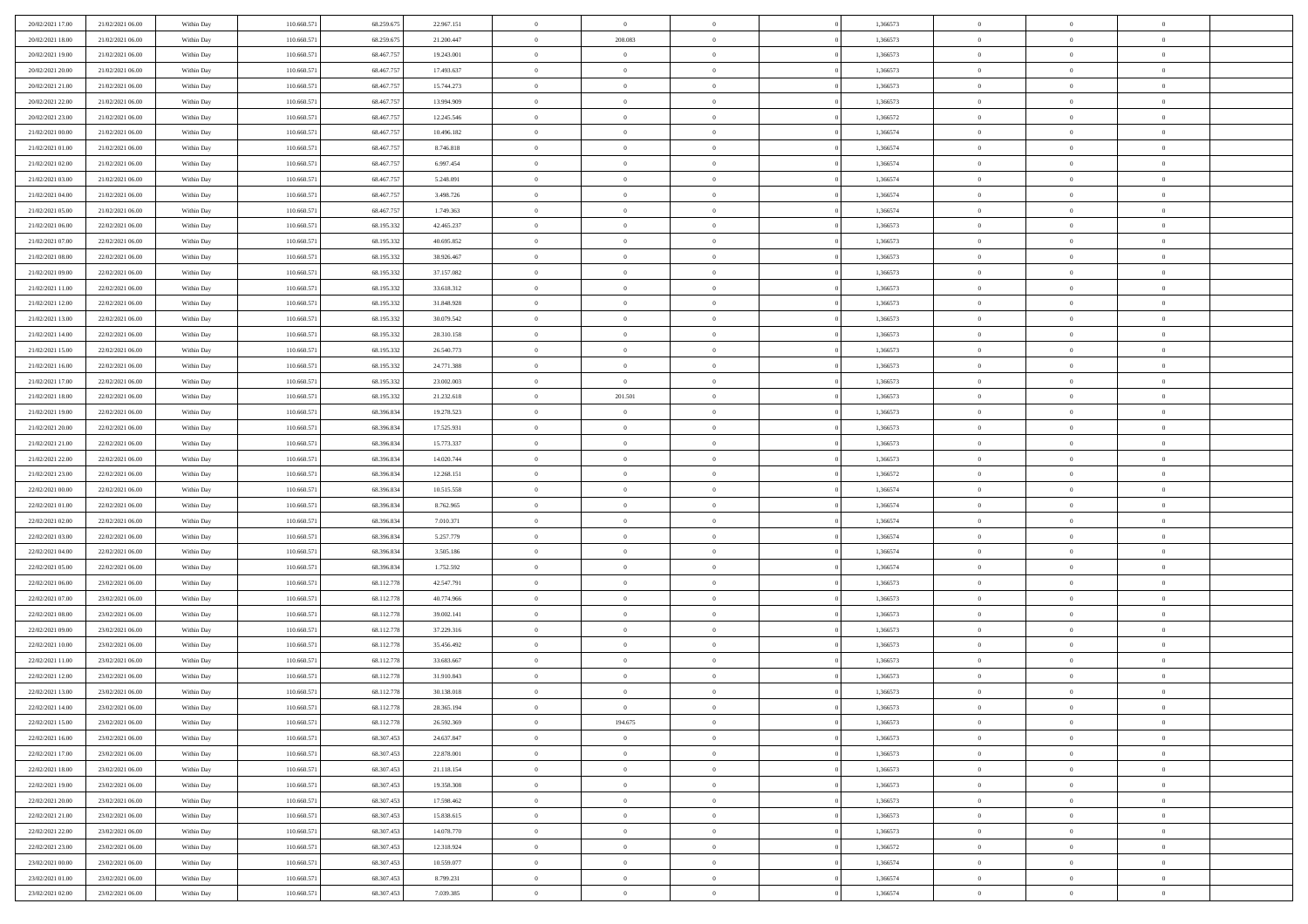| 20/02/2021 17:00                     | 21/02/2021 06:00 | Within Day               | 110.660.571 | 68.259.675 | 22.967.151               | $\,0\,$                | $\bf{0}$       | $\bf{0}$       |                | 1,366573 | $\,$ 0 $\,$    | $\overline{0}$             | $\bf{0}$       |  |
|--------------------------------------|------------------|--------------------------|-------------|------------|--------------------------|------------------------|----------------|----------------|----------------|----------|----------------|----------------------------|----------------|--|
| 20/02/2021 18:00                     | 21/02/2021 06:00 | Within Day               | 110,660.57  | 68.259.67  | 21.200.447               | $\overline{0}$         | 208,083        | $\overline{0}$ |                | 1,366573 | $\bf{0}$       | $\overline{0}$             | $\theta$       |  |
| 20/02/2021 19:00                     | 21/02/2021 06:00 | Within Day               | 110.660.571 | 68.467.757 | 19.243.001               | $\mathbf{0}$           | $\overline{0}$ | $\overline{0}$ |                | 1,366573 | $\theta$       | $\overline{0}$             | $\overline{0}$ |  |
| 20/02/2021 20:00                     | 21/02/2021 06:00 | Within Day               | 110.660.571 | 68.467.757 | 17.493.637               | $\bf{0}$               | $\overline{0}$ | $\bf{0}$       |                | 1,366573 | $\bf{0}$       | $\overline{0}$             | $\bf{0}$       |  |
| 20/02/2021 21:00                     | 21/02/2021 06:00 | Within Day               | 110.660.571 | 68.467.757 | 15.744.273               | $\bf{0}$               | $\overline{0}$ | $\overline{0}$ |                | 1,366573 | $\bf{0}$       | $\bf{0}$                   | $\bf{0}$       |  |
| 20/02/2021 22:00                     | 21/02/2021 06:00 | Within Day               | 110.660.571 | 68.467.757 | 13.994.909               | $\mathbf{0}$           | $\overline{0}$ | $\overline{0}$ |                | 1,366573 | $\theta$       | $\bf{0}$                   | $\theta$       |  |
| 20/02/2021 23:00                     | 21/02/2021 06:00 | Within Day               | 110.660.571 | 68.467.757 | 12.245.546               | $\,0\,$                | $\overline{0}$ | $\overline{0}$ |                | 1,366572 | $\bf{0}$       | $\overline{0}$             | $\theta$       |  |
| 21/02/2021 00:00                     | 21/02/2021 06:00 | Within Day               | 110,660.57  | 68.467.75  | 10.496.182               | $\bf{0}$               | $\overline{0}$ | $\overline{0}$ |                | 1,366574 | $\,$ 0 $\,$    | $\overline{0}$             | $\theta$       |  |
| 21/02/2021 01:00                     | 21/02/2021 06:00 | Within Day               | 110.660.571 | 68.467.757 | 8.746.818                | $\mathbf{0}$           | $\overline{0}$ | $\overline{0}$ |                | 1,366574 | $\theta$       | $\overline{0}$             | $\overline{0}$ |  |
| 21/02/2021 02:00                     | 21/02/2021 06:00 | Within Day               | 110.660.571 | 68.467.757 | 6.997.454                | $\bf{0}$               | $\overline{0}$ | $\bf{0}$       |                | 1,366574 | $\bf{0}$       | $\overline{0}$             | $\bf{0}$       |  |
|                                      | 21/02/2021 06:00 |                          | 110.660.571 | 68.467.757 |                          | $\bf{0}$               | $\overline{0}$ | $\overline{0}$ |                | 1,366574 | $\bf{0}$       | $\theta$                   | $\bf{0}$       |  |
| 21/02/2021 03:00<br>21/02/2021 04:00 | 21/02/2021 06:00 | Within Day<br>Within Day | 110.660.571 | 68.467.757 | 5.248.091<br>3.498.726   | $\mathbf{0}$           | $\overline{0}$ | $\overline{0}$ |                | 1,366574 | $\theta$       | $\overline{0}$             | $\overline{0}$ |  |
| 21/02/2021 05:00                     | 21/02/2021 06:00 | Within Day               | 110.660.571 | 68.467.757 | 1.749.363                | $\,0\,$                | $\overline{0}$ | $\bf{0}$       |                | 1,366574 | $\bf{0}$       | $\overline{0}$             | $\bf{0}$       |  |
|                                      | 22/02/2021 06:00 |                          | 110.660.571 | 68.195.332 |                          | $\bf{0}$               | $\overline{0}$ | $\overline{0}$ |                | 1,366573 | $\,$ 0 $\,$    | $\overline{0}$             | $\theta$       |  |
| 21/02/2021 06:00<br>21/02/2021 07:00 | 22/02/2021 06:00 | Within Day<br>Within Day | 110.660.571 | 68.195.332 | 42.465.237<br>40.695.852 | $\mathbf{0}$           | $\overline{0}$ | $\overline{0}$ |                | 1,366573 | $\theta$       |                            | $\overline{0}$ |  |
|                                      |                  |                          |             |            |                          |                        | $\overline{0}$ | $\overline{0}$ |                |          |                | $\bf{0}$<br>$\overline{0}$ |                |  |
| 21/02/2021 08:00                     | 22/02/2021 06:00 | Within Day               | 110.660.571 | 68.195.332 | 38.926.467               | $\,0\,$                |                |                |                | 1,366573 | $\bf{0}$       |                            | $\bf{0}$       |  |
| 21/02/2021 09:00                     | 22/02/2021 06:00 | Within Day               | 110.660.571 | 68.195.332 | 37.157.082               | $\bf{0}$               | $\overline{0}$ | $\overline{0}$ |                | 1,366573 | $\bf{0}$       | $\overline{0}$             | $\overline{0}$ |  |
| 21/02/2021 11:00                     | 22/02/2021 06:00 | Within Day               | 110.660.571 | 68.195.332 | 33.618.312               | $\mathbf{0}$           | $\overline{0}$ | $\overline{0}$ |                | 1,366573 | $\theta$       | $\overline{0}$             | $\overline{0}$ |  |
| 21/02/2021 12:00                     | 22/02/2021 06:00 | Within Day               | 110.660.571 | 68.195.332 | 31.848.928               | $\bf{0}$               | $\overline{0}$ | $\bf{0}$       |                | 1,366573 | $\bf{0}$       | $\overline{0}$             | $\bf{0}$       |  |
| 21/02/2021 13:00                     | 22/02/2021 06:00 | Within Day               | 110.660.57  | 68.195.332 | 30.079.542               | $\bf{0}$               | $\overline{0}$ | $\overline{0}$ |                | 1,366573 | $\,$ 0 $\,$    | $\overline{0}$             | $\bf{0}$       |  |
| 21/02/2021 14:00                     | 22/02/2021 06:00 | Within Day               | 110.660.571 | 68.195.332 | 28.310.158               | $\overline{0}$         | $\overline{0}$ | $\overline{0}$ |                | 1,366573 | $\theta$       | $\bf{0}$                   | $\overline{0}$ |  |
| 21/02/2021 15:00                     | 22/02/2021 06:00 | Within Day               | 110.660.571 | 68.195.332 | 26.540.773               | $\,0\,$                | $\overline{0}$ | $\overline{0}$ |                | 1,366573 | $\bf{0}$       | $\overline{0}$             | $\theta$       |  |
| 21/02/2021 16:00                     | 22/02/2021 06:00 | Within Day               | 110.660.571 | 68.195.332 | 24.771.388               | $\bf{0}$               | $\overline{0}$ | $\overline{0}$ |                | 1,366573 | $\,$ 0 $\,$    | $\overline{0}$             | $\overline{0}$ |  |
| 21/02/2021 17:00                     | 22/02/2021 06:00 | Within Day               | 110.660.571 | 68.195.332 | 23.002.003               | $\mathbf{0}$           | $\overline{0}$ | $\overline{0}$ |                | 1,366573 | $\theta$       | $\overline{0}$             | $\overline{0}$ |  |
| 21/02/2021 18:00                     | 22/02/2021 06:00 | Within Day               | 110.660.571 | 68.195.332 | 21.232.618               | $\bf{0}$               | 201.501        | $\overline{0}$ |                | 1,366573 | $\bf{0}$       | $\overline{0}$             | $\bf{0}$       |  |
| 21/02/2021 19:00                     | 22/02/2021 06:00 | Within Day               | 110.660.571 | 68.396.834 | 19.278.523               | $\bf{0}$               | $\overline{0}$ | $\overline{0}$ |                | 1,366573 | $\,$ 0 $\,$    | $\overline{0}$             | $\bf{0}$       |  |
| 21/02/2021 20:00                     | 22/02/2021 06:00 | Within Day               | 110.660.571 | 68.396.834 | 17.525.931               | $\mathbf{0}$           | $\overline{0}$ | $\overline{0}$ |                | 1,366573 | $\theta$       | $\overline{0}$             | $\overline{0}$ |  |
| 21/02/2021 21:00                     | 22/02/2021 06:00 | Within Day               | 110.660.571 | 68.396.834 | 15.773.337               | $\,0\,$                | $\overline{0}$ | $\bf{0}$       |                | 1,366573 | $\bf{0}$       | $\overline{0}$             | $\bf{0}$       |  |
| 21/02/2021 22:00                     | 22/02/2021 06:00 | Within Day               | 110.660.571 | 68.396.834 | 14.020.744               | $\overline{0}$         | $\overline{0}$ | $\overline{0}$ |                | 1,366573 | $\,$ 0 $\,$    | $\overline{0}$             | $\overline{0}$ |  |
| 21/02/2021 23:00                     | 22/02/2021 06:00 | Within Day               | 110.660.571 | 68.396.834 | 12.268.151               | $\mathbf{0}$           | $\overline{0}$ | $\overline{0}$ |                | 1,366572 | $\theta$       | $\overline{0}$             | $\overline{0}$ |  |
| 22/02/2021 00:00                     | 22/02/2021 06:00 | Within Day               | 110.660.571 | 68.396.834 | 10.515.558               | $\mathbf{0}$           | $\overline{0}$ | $\overline{0}$ |                | 1,366574 | $\,$ 0 $\,$    | $\overline{0}$             | $\theta$       |  |
| 22/02/2021 01:00                     | 22/02/2021 06:00 | Within Day               | 110.660.57  | 68.396.834 | 8.762.965                | $\bf{0}$               | $\overline{0}$ | $\overline{0}$ |                | 1,366574 | $\bf{0}$       | $\overline{0}$             | $\overline{0}$ |  |
| 22/02/2021 02:00                     | 22/02/2021 06:00 | Within Day               | 110.660.571 | 68.396.834 | 7.010.371                | $\mathbf{0}$           | $\overline{0}$ | $\overline{0}$ |                | 1,366574 | $\theta$       | $\overline{0}$             | $\overline{0}$ |  |
| 22/02/2021 03:00                     | 22/02/2021 06:00 | Within Day               | 110.660.571 | 68.396.834 | 5.257.779                | $\mathbf{0}$           | $\overline{0}$ | $\overline{0}$ |                | 1,366574 | $\,$ 0 $\,$    | $\overline{0}$             | $\theta$       |  |
| 22/02/2021 04:00                     | 22/02/2021 06:00 | Within Day               | 110.660.571 | 68.396.834 | 3.505.186                | $\bf{0}$               | $\overline{0}$ | $\overline{0}$ |                | 1,366574 | $\,$ 0 $\,$    | $\overline{0}$             | $\overline{0}$ |  |
| 22/02/2021 05:00                     | 22/02/2021 06:00 | Within Day               | 110.660.571 | 68.396.834 | 1.752.592                | $\mathbf{0}$           | $\overline{0}$ | $\overline{0}$ |                | 1,366574 | $\theta$       | $\overline{0}$             | $\overline{0}$ |  |
| 22/02/2021 06:00                     | 23/02/2021 06:00 | Within Day               | 110.660.571 | 68.112.778 | 42.547.791               | $\mathbf{0}$           | $\overline{0}$ | $\theta$       |                | 1,366573 | $\,$ 0 $\,$    | $\overline{0}$             | $\theta$       |  |
| 22/02/2021 07:00                     | 23/02/2021 06:00 | Within Day               | 110.660.57  | 68.112.77  | 40.774.966               | $\bf{0}$               | $\overline{0}$ | $\overline{0}$ |                | 1,366573 | $\,$ 0 $\,$    | $\overline{0}$             | $\overline{0}$ |  |
| 22/02/2021 08:00                     | 23/02/2021 06:00 | Within Day               | 110.660.571 | 68.112.778 | 39.002.141               | $\mathbf{0}$           | $\overline{0}$ | $\overline{0}$ |                | 1,366573 | $\theta$       | $\overline{0}$             | $\overline{0}$ |  |
| 22/02/2021 09:00                     | 23/02/2021 06:00 | Within Day               | 110.660.571 | 68.112.778 | 37.229.316               | $\,$ 0 $\,$            | $\overline{0}$ | $\bf{0}$       |                | 1,366573 | $\,$ 0 $\,$    | $\overline{0}$             | $\theta$       |  |
| 22/02/2021 10:00                     | 23/02/2021 06:00 | Within Day               | 110.660.57  | 68.112.778 | 35.456.492               | $\bf{0}$               | $\overline{0}$ | $\overline{0}$ |                | 1,366573 | $\bf{0}$       | $\overline{0}$             | $\overline{0}$ |  |
| 22/02/2021 11:00                     | 23/02/2021 06:00 | Within Day               | 110.660.571 | 68.112.778 | 33.683.667               | $\mathbf{0}$           | $\overline{0}$ | $\overline{0}$ |                | 1,366573 | $\theta$       | $\overline{0}$             | $\overline{0}$ |  |
| 22/02/2021 12:00                     | 23/02/2021 06:00 | Within Day               | 110.660.571 | 68.112.778 | 31.910.843               | $\mathbf{0}$           | $\overline{0}$ | $\overline{0}$ |                | 1,366573 | $\,$ 0 $\,$    | $\overline{0}$             | $\theta$       |  |
| 22/02/2021 13:00                     | 23/02/2021 06:00 | Within Day               | 110.660.57  | 68.112.77  | 30.138.018               | $\bf{0}$               | $\overline{0}$ | $\overline{0}$ |                | 1,366573 | $\,$ 0 $\,$    | $\overline{0}$             | $\overline{0}$ |  |
| 22/02/2021 14:00                     | 23/02/2021 06:00 | Within Day               | 110.660.571 | 68.112.778 | 28.365.194               | $\bf{0}$               | $\overline{0}$ | $\Omega$       |                | 1,366573 | $\overline{0}$ | $^{\circ}$                 | $\theta$       |  |
| 22/02/2021 15:00                     | 23/02/2021 06:00 | Within Day               | 110.660.571 | 68.112.778 | 26.592.369               | $\,$ 0 $\,$            | 194.675        | $\overline{0}$ |                | 1,366573 | $\,$ 0 $\,$    | $\overline{0}$             | $\theta$       |  |
| 22/02/2021 16:00                     | 23/02/2021 06:00 | Within Day               | 110.660.571 | 68.307.45  | 24.637.847               | $\mathbf{0}$           | $\overline{0}$ | $\overline{0}$ |                | 1,366573 | $\,$ 0 $\,$    | $\overline{0}$             | $\overline{0}$ |  |
| 22/02/2021 17:00                     | 23/02/2021 06:00 | Within Day               | 110.660.571 | 68.307.453 | 22.878.001               | $\mathbf{0}$           | $\overline{0}$ | $\overline{0}$ |                | 1,366573 | $\mathbf{0}$   | $\overline{0}$             | $\mathbf{0}$   |  |
| 22/02/2021 18:00                     | 23/02/2021 06:00 | Within Day               | 110.660.571 | 68.307.453 | 21.118.154               | $\,$ 0                 | $\overline{0}$ | $\bf{0}$       | $\overline{0}$ | 1,366573 | $\,$ 0 $\,$    | $\bf{0}$                   | $\theta$       |  |
| 22/02/2021 19:00                     | 23/02/2021 06:00 | Within Day               | 110.660.571 | 68.307.453 | 19.358.308               | $\hspace{0.1mm}\bm{0}$ | $\overline{0}$ | $\overline{0}$ |                | 1,366573 | $\,$ 0 $\,$    | $\overline{0}$             | $\mathbf{0}$   |  |
| 22/02/2021 20:00                     | 23/02/2021 06:00 | Within Day               | 110.660.571 | 68.307.453 | 17.598.462               | $\mathbf{0}$           | $\overline{0}$ | $\overline{0}$ |                | 1,366573 | $\overline{0}$ | $\overline{0}$             | $\overline{0}$ |  |
| 22/02/2021 21:00                     | 23/02/2021 06:00 | Within Day               | 110.660.571 | 68.307.453 | 15.838.615               | $\,$ 0 $\,$            | $\overline{0}$ | $\overline{0}$ |                | 1,366573 | $\,$ 0 $\,$    | $\overline{0}$             | $\theta$       |  |
| 22/02/2021 22:00                     | 23/02/2021 06:00 | Within Day               | 110.660.571 | 68.307.45  | 14.078.770               | $\overline{0}$         | $\overline{0}$ | $\overline{0}$ |                | 1,366573 | $\overline{0}$ | $\overline{0}$             | $\bf{0}$       |  |
| 22/02/2021 23:00                     | 23/02/2021 06:00 | Within Day               | 110.660.571 | 68.307.453 | 12.318.924               | $\mathbf{0}$           | $\overline{0}$ | $\overline{0}$ |                | 1,366572 | $\mathbf{0}$   | $\overline{0}$             | $\mathbf{0}$   |  |
| 23/02/2021 00:00                     | 23/02/2021 06:00 | Within Day               | 110.660.571 | 68.307.453 | 10.559.077               | $\,$ 0 $\,$            | $\overline{0}$ | $\bf{0}$       |                | 1,366574 | $\,$ 0 $\,$    | $\bf{0}$                   | $\,$ 0 $\,$    |  |
| 23/02/2021 01:00                     | 23/02/2021 06:00 | Within Day               | 110.660.571 | 68.307.453 | 8.799.231                | $\bf{0}$               | $\overline{0}$ | $\overline{0}$ |                | 1,366574 | $\,$ 0 $\,$    | $\mathbf{0}$               | $\bf{0}$       |  |
| 23/02/2021 02:00                     | 23/02/2021 06:00 | Within Day               | 110.660.571 | 68.307.453 | 7.039.385                | $\overline{0}$         | $\overline{0}$ | $\overline{0}$ |                | 1,366574 | $\mathbf{0}$   | $\overline{0}$             | $\overline{0}$ |  |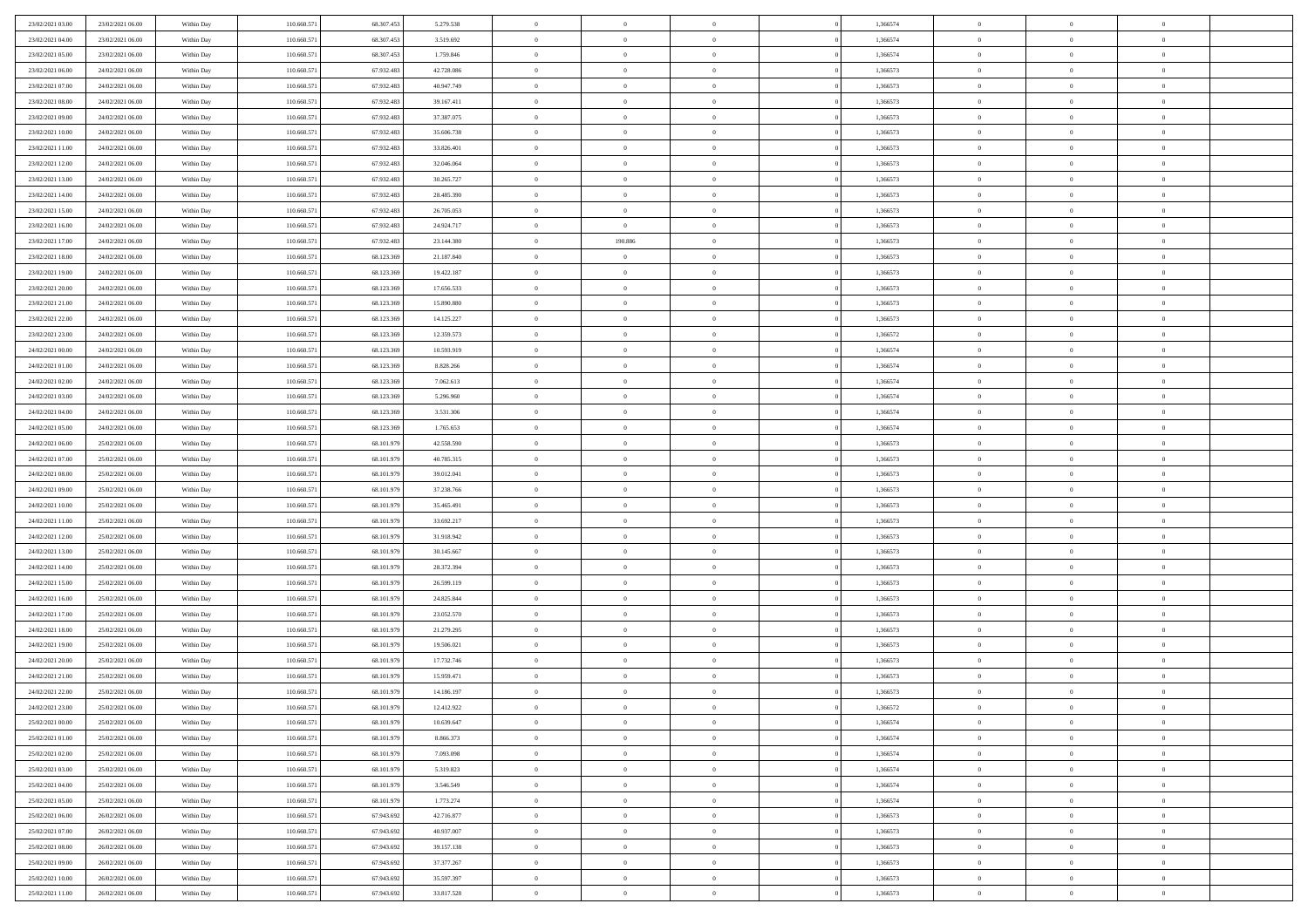| 23/02/2021 03:00 | 23/02/2021 06:00 | Within Day | 110.660.571 | 68.307.453 | 5.279.538  | $\bf{0}$       | $\overline{0}$ | $\Omega$       | 1,366574 | $\bf{0}$       | $\mathbf{0}$   | $\bf{0}$       |  |
|------------------|------------------|------------|-------------|------------|------------|----------------|----------------|----------------|----------|----------------|----------------|----------------|--|
| 23/02/2021 04:00 | 23/02/2021 06:00 | Within Day | 110.660.571 | 68.307.453 | 3.519.692  | $\mathbf{0}$   | $\overline{0}$ | $\overline{0}$ | 1,366574 | $\overline{0}$ | $\overline{0}$ | $\overline{0}$ |  |
| 23/02/2021 05:00 | 23/02/2021 06:00 | Within Day | 110.660.571 | 68.307.453 | 1.759.846  | $\,$ 0         | $\overline{0}$ | $\bf{0}$       | 1,366574 | $\,$ 0         | $\overline{0}$ | $\,$ 0 $\,$    |  |
| 23/02/2021 06:00 | 24/02/2021 06:00 | Within Day | 110,660.57  | 67.932.483 | 42.728.086 | $\bf{0}$       | $\overline{0}$ | $\Omega$       | 1,366573 | $\bf{0}$       | $\theta$       | $\theta$       |  |
| 23/02/2021 07:00 | 24/02/2021 06:00 | Within Day | 110.660.571 | 67.932.483 | 40.947.749 | $\bf{0}$       | $\overline{0}$ | $\overline{0}$ | 1,366573 | $\overline{0}$ | $\overline{0}$ | $\overline{0}$ |  |
| 23/02/2021 08:00 | 24/02/2021 06:00 | Within Day | 110.660.571 | 67.932.483 | 39.167.411 | $\bf{0}$       | $\overline{0}$ | $\bf{0}$       | 1,366573 | $\,$ 0         | $\overline{0}$ | $\,$ 0 $\,$    |  |
| 23/02/2021 09:00 | 24/02/2021 06:00 | Within Day | 110.660.571 | 67.932.483 | 37.387.075 | $\bf{0}$       | $\overline{0}$ | $\overline{0}$ | 1,366573 | $\bf{0}$       | $\overline{0}$ | $\theta$       |  |
| 23/02/2021 10:00 | 24/02/2021 06:00 | Within Day | 110.660.571 | 67.932.483 | 35.606.738 | $\overline{0}$ | $\overline{0}$ | $\overline{0}$ | 1,366573 | $\mathbf{0}$   | $\overline{0}$ | $\overline{0}$ |  |
| 23/02/2021 11:00 | 24/02/2021 06:00 | Within Day | 110.660.571 | 67.932.483 | 33.826.401 | $\bf{0}$       | $\overline{0}$ | $\bf{0}$       | 1,366573 | $\,$ 0         | $\overline{0}$ | $\,$ 0 $\,$    |  |
| 23/02/2021 12:00 | 24/02/2021 06:00 | Within Day | 110,660,571 | 67.932.483 | 32.046.064 | $\bf{0}$       | $\overline{0}$ | $\Omega$       | 1,366573 | $\theta$       | $\mathbf{0}$   | $\theta$       |  |
| 23/02/2021 13:00 | 24/02/2021 06:00 | Within Day | 110.660.571 | 67.932.483 | 30.265.727 | $\overline{0}$ | $\overline{0}$ | $\overline{0}$ | 1,366573 | $\mathbf{0}$   | $\overline{0}$ | $\overline{0}$ |  |
| 23/02/2021 14:00 | 24/02/2021 06:00 | Within Day | 110.660.571 | 67.932.483 | 28.485.390 | $\bf{0}$       | $\overline{0}$ | $\bf{0}$       | 1,366573 | $\,$ 0         | $\overline{0}$ | $\,$ 0 $\,$    |  |
| 23/02/2021 15:00 | 24/02/2021 06:00 | Within Day | 110,660.57  | 67.932.483 | 26.705.053 | $\bf{0}$       | $\overline{0}$ | $\Omega$       | 1,366573 | $\overline{0}$ | $\mathbf{0}$   | $\theta$       |  |
| 23/02/2021 16:00 | 24/02/2021 06:00 | Within Day | 110.660.571 | 67.932.483 | 24.924.717 | $\overline{0}$ | $\overline{0}$ | $\overline{0}$ | 1,366573 | $\overline{0}$ | $\overline{0}$ | $\overline{0}$ |  |
| 23/02/2021 17:00 | 24/02/2021 06:00 | Within Day | 110.660.571 | 67.932.483 | 23.144.380 | $\bf{0}$       | 190.886        | $\bf{0}$       | 1,366573 | $\,$ 0         | $\overline{0}$ | $\,$ 0 $\,$    |  |
| 23/02/2021 18:00 | 24/02/2021 06:00 | Within Day | 110.660.571 | 68.123.369 | 21.187.840 | $\bf{0}$       | $\overline{0}$ | $\overline{0}$ | 1,366573 | $\bf{0}$       | $\mathbf{0}$   | $\bf{0}$       |  |
| 23/02/2021 19:00 | 24/02/2021 06:00 | Within Day | 110.660.571 | 68.123.369 | 19.422.187 | $\overline{0}$ | $\overline{0}$ | $\overline{0}$ | 1,366573 | $\mathbf{0}$   | $\overline{0}$ | $\overline{0}$ |  |
| 23/02/2021 20:00 | 24/02/2021 06:00 | Within Day | 110.660.571 | 68.123.369 | 17.656.533 | $\bf{0}$       | $\overline{0}$ | $\bf{0}$       | 1,366573 | $\,$ 0         | $\overline{0}$ | $\,$ 0 $\,$    |  |
| 23/02/2021 21:00 | 24/02/2021 06:00 | Within Day | 110,660,571 | 68.123.369 | 15,890,880 | $\bf{0}$       | $\overline{0}$ | $\overline{0}$ | 1,366573 | $\theta$       | $\mathbf{0}$   | $\theta$       |  |
| 23/02/2021 22:00 | 24/02/2021 06:00 | Within Day | 110.660.571 | 68.123.369 | 14.125.227 | $\overline{0}$ | $\overline{0}$ | $\overline{0}$ | 1,366573 | $\mathbf{0}$   | $\overline{0}$ | $\overline{0}$ |  |
| 23/02/2021 23:00 | 24/02/2021 06:00 | Within Day | 110.660.571 | 68.123.369 | 12.359.573 | $\bf{0}$       | $\overline{0}$ | $\bf{0}$       | 1,366572 | $\,$ 0         | $\overline{0}$ | $\,$ 0 $\,$    |  |
| 24/02/2021 00:00 | 24/02/2021 06:00 | Within Day | 110,660.57  | 68.123.369 | 10.593.919 | $\bf{0}$       | $\overline{0}$ | $\Omega$       | 1,366574 | $\theta$       | $\theta$       | $\theta$       |  |
| 24/02/2021 01:00 | 24/02/2021 06:00 | Within Day | 110.660.571 | 68.123.369 | 8.828.266  | $\overline{0}$ | $\overline{0}$ | $\overline{0}$ | 1,366574 | $\mathbf{0}$   | $\overline{0}$ | $\overline{0}$ |  |
| 24/02/2021 02:00 | 24/02/2021 06:00 | Within Day | 110.660.571 | 68.123.369 | 7.062.613  | $\bf{0}$       | $\overline{0}$ | $\bf{0}$       | 1,366574 | $\,$ 0         | $\overline{0}$ | $\,$ 0 $\,$    |  |
| 24/02/2021 03:00 | 24/02/2021 06:00 | Within Day | 110.660.571 | 68.123.369 | 5.296.960  | $\bf{0}$       | $\overline{0}$ | $\overline{0}$ | 1,366574 | $\bf{0}$       | $\overline{0}$ | $\bf{0}$       |  |
| 24/02/2021 04:00 | 24/02/2021 06:00 | Within Day | 110.660.571 | 68.123.369 | 3.531.306  | $\overline{0}$ | $\overline{0}$ | $\overline{0}$ | 1,366574 | $\mathbf{0}$   | $\overline{0}$ | $\overline{0}$ |  |
| 24/02/2021 05:00 | 24/02/2021 06:00 | Within Day | 110.660.571 | 68.123.369 | 1.765.653  | $\bf{0}$       | $\overline{0}$ | $\bf{0}$       | 1,366574 | $\,$ 0         | $\overline{0}$ | $\,$ 0 $\,$    |  |
| 24/02/2021 06:00 | 25/02/2021 06:00 | Within Day | 110,660,571 | 68.101.979 | 42.558.590 | $\bf{0}$       | $\overline{0}$ | $\Omega$       | 1,366573 | $\theta$       | $\mathbf{0}$   | $\theta$       |  |
| 24/02/2021 07:00 | 25/02/2021 06:00 | Within Day | 110.660.571 | 68.101.979 | 40.785.315 | $\overline{0}$ | $\overline{0}$ | $\overline{0}$ | 1,366573 | $\mathbf{0}$   | $\overline{0}$ | $\overline{0}$ |  |
| 24/02/2021 08:00 | 25/02/2021 06:00 | Within Day | 110.660.571 | 68.101.979 | 39.012.041 | $\bf{0}$       | $\overline{0}$ | $\bf{0}$       | 1,366573 | $\,$ 0         | $\overline{0}$ | $\,$ 0 $\,$    |  |
| 24/02/2021 09:00 | 25/02/2021 06:00 | Within Day | 110.660.571 | 68.101.979 | 37.238.766 | $\,$ 0         | $\bf{0}$       | $\overline{0}$ | 1,366573 | $\bf{0}$       | $\overline{0}$ | $\,0\,$        |  |
| 24/02/2021 10:00 | 25/02/2021 06:00 | Within Day | 110.660.571 | 68.101.979 | 35.465.491 | $\overline{0}$ | $\overline{0}$ | $\overline{0}$ | 1,366573 | $\mathbf{0}$   | $\overline{0}$ | $\overline{0}$ |  |
| 24/02/2021 11:00 | 25/02/2021 06:00 | Within Day | 110.660.571 | 68.101.979 | 33.692.217 | $\bf{0}$       | $\overline{0}$ | $\bf{0}$       | 1,366573 | $\,$ 0         | $\overline{0}$ | $\,$ 0 $\,$    |  |
| 24/02/2021 12:00 | 25/02/2021 06:00 | Within Day | 110.660.571 | 68.101.979 | 31.918.942 | $\bf{0}$       | $\bf{0}$       | $\bf{0}$       | 1,366573 | $\bf{0}$       | $\overline{0}$ | $\,0\,$        |  |
| 24/02/2021 13:00 | 25/02/2021 06:00 | Within Day | 110.660.571 | 68.101.979 | 30.145.667 | $\overline{0}$ | $\overline{0}$ | $\overline{0}$ | 1,366573 | $\mathbf{0}$   | $\overline{0}$ | $\overline{0}$ |  |
| 24/02/2021 14:00 | 25/02/2021 06:00 | Within Day | 110.660.571 | 68.101.979 | 28.372.394 | $\bf{0}$       | $\overline{0}$ | $\bf{0}$       | 1,366573 | $\,$ 0         | $\overline{0}$ | $\,$ 0 $\,$    |  |
| 24/02/2021 15:00 | 25/02/2021 06:00 | Within Day | 110.660.571 | 68.101.979 | 26.599.119 | $\,$ 0         | $\bf{0}$       | $\theta$       | 1,366573 | $\bf{0}$       | $\overline{0}$ | $\,0\,$        |  |
| 24/02/2021 16:00 | 25/02/2021 06:00 | Within Day | 110.660.571 | 68.101.979 | 24.825.844 | $\overline{0}$ | $\overline{0}$ | $\overline{0}$ | 1,366573 | $\mathbf{0}$   | $\overline{0}$ | $\overline{0}$ |  |
| 24/02/2021 17:00 | 25/02/2021 06:00 | Within Day | 110.660.571 | 68.101.979 | 23.052.570 | $\bf{0}$       | $\overline{0}$ | $\bf{0}$       | 1,366573 | $\,$ 0         | $\overline{0}$ | $\,$ 0 $\,$    |  |
| 24/02/2021 18:00 | 25/02/2021 06:00 | Within Day | 110.660.571 | 68.101.979 | 21.279.295 | $\bf{0}$       | $\bf{0}$       | $\overline{0}$ | 1,366573 | $\bf{0}$       | $\overline{0}$ | $\,0\,$        |  |
| 24/02/2021 19:00 | 25/02/2021 06:00 | Within Day | 110.660.571 | 68.101.979 | 19.506.021 | $\overline{0}$ | $\overline{0}$ | $\overline{0}$ | 1,366573 | $\mathbf{0}$   | $\overline{0}$ | $\overline{0}$ |  |
| 24/02/2021 20:00 | 25/02/2021 06:00 | Within Day | 110.660.571 | 68.101.979 | 17.732.746 | $\bf{0}$       | $\overline{0}$ | $\bf{0}$       | 1,366573 | $\,$ 0         | $\overline{0}$ | $\,$ 0 $\,$    |  |
| 24/02/2021 21:00 | 25/02/2021 06:00 | Within Day | 110.660.571 | 68.101.979 | 15.959.471 | $\bf{0}$       | $\bf{0}$       | $\bf{0}$       | 1,366573 | $\bf{0}$       | $\overline{0}$ | $\,0\,$        |  |
| 24/02/2021 22:00 | 25/02/2021 06:00 | Within Day | 110.660.571 | 68.101.979 | 14.186.197 | $\mathbf{0}$   | $\overline{0}$ | $\overline{0}$ | 1,366573 | $\mathbf{0}$   | $\overline{0}$ | $\overline{0}$ |  |
| 24/02/2021 23:00 | 25/02/2021 06:00 | Within Day | 110.660.571 | 68.101.979 | 12.412.922 | $\bf{0}$       | $\overline{0}$ | $\theta$       | 1,366572 | $\overline{0}$ | $\theta$       | $\theta$       |  |
| 25/02/2021 00:00 | 25/02/2021 06:00 | Within Day | 110.660.571 | 68.101.979 | 10.639.647 | $\bf{0}$       | $\bf{0}$       | $\bf{0}$       | 1,366574 | $\bf{0}$       | $\overline{0}$ | $\,0\,$        |  |
| 25/02/2021 01:00 | 25/02/2021 06:00 | Within Day | 110.660.571 | 68.101.979 | 8.866.373  | $\overline{0}$ | $\overline{0}$ | $\overline{0}$ | 1,366574 | $\overline{0}$ | $\bf{0}$       | $\overline{0}$ |  |
| 25/02/2021 02:00 | 25/02/2021 06:00 | Within Day | 110.660.571 | 68.101.979 | 7.093.098  | $\,$ 0 $\,$    | $\overline{0}$ | $\overline{0}$ | 1,366574 | $\,$ 0 $\,$    | $\,$ 0 $\,$    | $\,$ 0 $\,$    |  |
| 25/02/2021 03:00 | 25/02/2021 06:00 | Within Day | 110.660.571 | 68.101.979 | 5.319.823  | $\bf{0}$       | $\bf{0}$       | $\overline{0}$ | 1,366574 | $\bf{0}$       | $\overline{0}$ | $\bf{0}$       |  |
| 25/02/2021 04:00 | 25/02/2021 06:00 | Within Day | 110.660.571 | 68.101.979 | 3.546.549  | $\bf{0}$       | $\overline{0}$ | $\overline{0}$ | 1,366574 | $\overline{0}$ | $\overline{0}$ | $\overline{0}$ |  |
| 25/02/2021 05:00 | 25/02/2021 06:00 | Within Day | 110.660.571 | 68.101.979 | 1.773.274  | $\,$ 0 $\,$    | $\overline{0}$ | $\overline{0}$ | 1,366574 | $\,$ 0 $\,$    | $\overline{0}$ | $\,$ 0 $\,$    |  |
| 25/02/2021 06:00 | 26/02/2021 06:00 | Within Day | 110.660.571 | 67.943.692 | 42.716.877 | $\bf{0}$       | $\overline{0}$ | $\overline{0}$ | 1,366573 | $\bf{0}$       | $\overline{0}$ | $\overline{0}$ |  |
| 25/02/2021 07:00 | 26/02/2021 06:00 | Within Day | 110.660.571 | 67.943.692 | 40.937.007 | $\overline{0}$ | $\overline{0}$ | $\overline{0}$ | 1,366573 | $\overline{0}$ | $\bf{0}$       | $\mathbf{0}$   |  |
| 25/02/2021 08:00 | 26/02/2021 06:00 | Within Day | 110.660.571 | 67.943.692 | 39.157.138 | $\,$ 0 $\,$    | $\overline{0}$ | $\overline{0}$ | 1,366573 | $\,$ 0 $\,$    | $\,$ 0 $\,$    | $\,$ 0 $\,$    |  |
| 25/02/2021 09:00 | 26/02/2021 06:00 | Within Day | 110.660.571 | 67.943.692 | 37.377.267 | $\bf{0}$       | $\bf{0}$       | $\overline{0}$ | 1,366573 | $\mathbf{0}$   | $\overline{0}$ | $\bf{0}$       |  |
| 25/02/2021 10:00 | 26/02/2021 06:00 | Within Day | 110.660.571 | 67.943.692 | 35.597.397 | $\bf{0}$       | $\overline{0}$ | $\overline{0}$ | 1,366573 | $\mathbf{0}$   | $\bf{0}$       | $\overline{0}$ |  |
| 25/02/2021 11:00 | 26/02/2021 06:00 | Within Day | 110.660.571 | 67.943.692 | 33.817.528 | $\,0\,$        | $\overline{0}$ | $\overline{0}$ | 1,366573 | $\,$ 0         | $\overline{0}$ | $\,$ 0 $\,$    |  |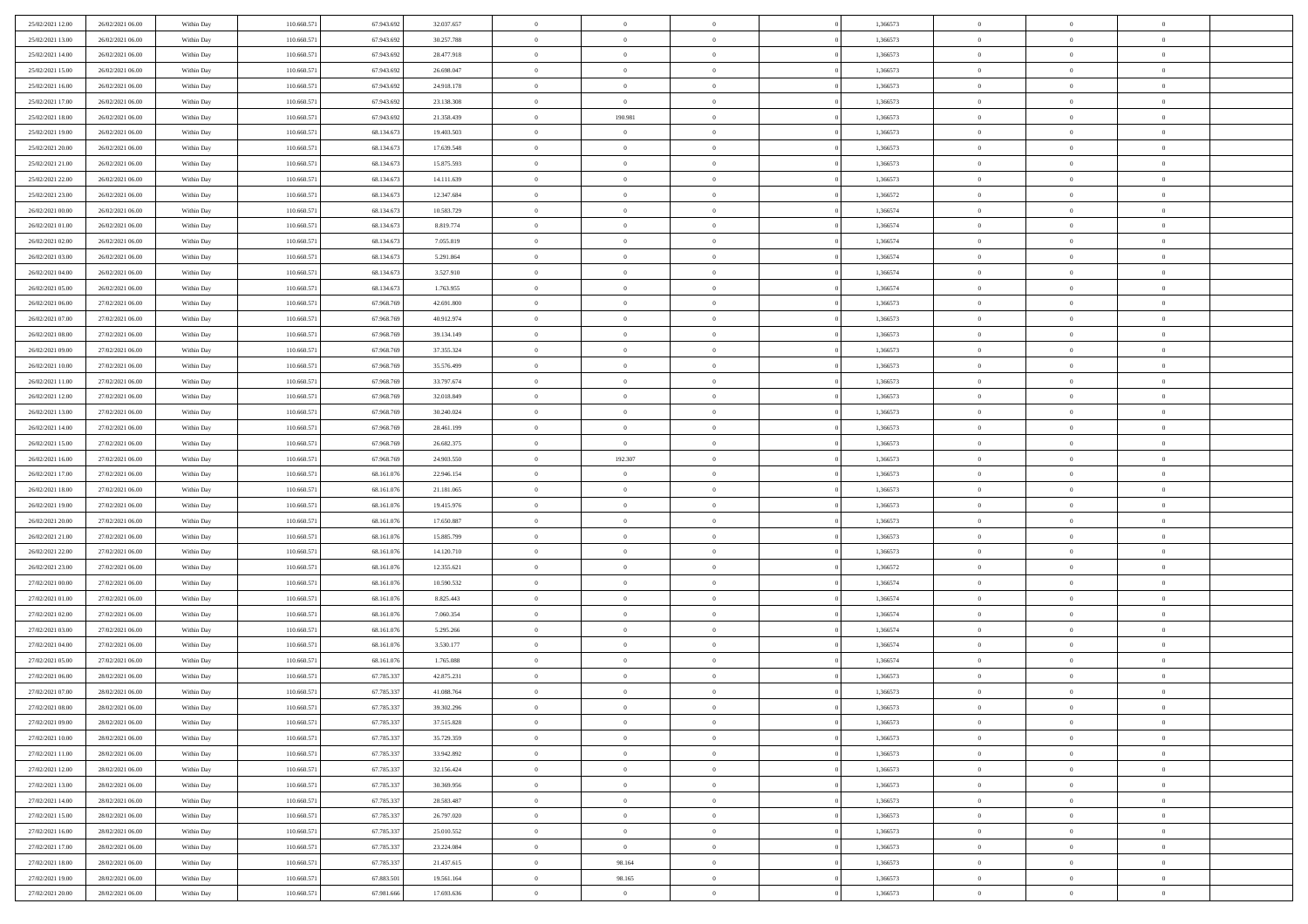| 25/02/2021 12:00 | 26/02/2021 06:00 | Within Day               | 110.660.571 | 67.943.692 | 32.037.657               | $\,$ 0         | $\bf{0}$       | $\theta$                         |          | 1,366573 | $\bf{0}$       | $\overline{0}$ | $\,0\,$        |  |
|------------------|------------------|--------------------------|-------------|------------|--------------------------|----------------|----------------|----------------------------------|----------|----------|----------------|----------------|----------------|--|
| 25/02/2021 13:00 | 26/02/2021 06:00 | Within Day               | 110.660.571 | 67.943.69  | 30.257.788               | $\theta$       | $\overline{0}$ | $\overline{0}$                   |          | 1,366573 | $\overline{0}$ | $\overline{0}$ | $\theta$       |  |
| 25/02/2021 14:00 | 26/02/2021 06:00 | Within Dav               | 110.660.571 | 67.943.692 | 28.477.918               | $\mathbf{0}$   | $\overline{0}$ | $\overline{0}$                   |          | 1,366573 | $\mathbf{0}$   | $\overline{0}$ | $\overline{0}$ |  |
| 25/02/2021 15:00 | 26/02/2021 06:00 | Within Day               | 110.660.571 | 67.943.692 | 26.698.047               | $\bf{0}$       | $\overline{0}$ | $\bf{0}$                         |          | 1,366573 | $\bf{0}$       | $\overline{0}$ | $\bf{0}$       |  |
| 25/02/2021 16:00 | 26/02/2021 06:00 | Within Day               | 110.660.571 | 67.943.692 | 24.918.178               | $\bf{0}$       | $\bf{0}$       | $\overline{0}$                   |          | 1,366573 | $\bf{0}$       | $\bf{0}$       | $\,0\,$        |  |
| 25/02/2021 17:00 | 26/02/2021 06:00 | Within Dav               | 110.660.571 | 67.943.692 | 23.138.308               | $\overline{0}$ | $\overline{0}$ | $\overline{0}$                   |          | 1,366573 | $\mathbf{0}$   | $\overline{0}$ | $\overline{0}$ |  |
| 25/02/2021 18:00 | 26/02/2021 06:00 | Within Day               | 110.660.571 | 67.943.692 | 21.358.439               | $\bf{0}$       | 190.981        | $\overline{0}$                   |          | 1,366573 | $\bf{0}$       | $\overline{0}$ | $\,0\,$        |  |
| 25/02/2021 19:00 | 26/02/2021 06:00 | Within Day               | 110.660.571 | 68.134.673 | 19.403.503               | $\overline{0}$ | $\overline{0}$ | $\overline{0}$                   |          | 1,366573 | $\,$ 0 $\,$    | $\overline{0}$ | $\overline{0}$ |  |
| 25/02/2021 20:00 | 26/02/2021 06:00 | Within Dav               | 110.660.571 | 68.134.673 | 17.639.548               | $\mathbf{0}$   | $\overline{0}$ | $\overline{0}$                   |          | 1,366573 | $\mathbf{0}$   | $\overline{0}$ | $\overline{0}$ |  |
| 25/02/2021 21:00 | 26/02/2021 06:00 | Within Day               | 110.660.571 | 68.134.673 | 15.875.593               | $\bf{0}$       | $\overline{0}$ | $\overline{0}$                   |          | 1,366573 | $\bf{0}$       | $\overline{0}$ | $\,0\,$        |  |
| 25/02/2021 22.00 | 26/02/2021 06:00 | Within Day               | 110.660.571 | 68.134.673 | 14.111.639               | $\bf{0}$       | $\overline{0}$ | $\overline{0}$                   |          | 1,366573 | $\bf{0}$       | $\overline{0}$ | $\theta$       |  |
| 25/02/2021 23:00 | 26/02/2021 06:00 | Within Dav               | 110.660.571 | 68.134.673 | 12.347.684               | $\mathbf{0}$   | $\overline{0}$ | $\overline{0}$                   |          | 1,366572 | $\mathbf{0}$   | $\overline{0}$ | $\overline{0}$ |  |
| 26/02/2021 00:00 | 26/02/2021 06:00 | Within Day               | 110.660.571 | 68.134.673 | 10.583.729               | $\bf{0}$       | $\overline{0}$ | $\bf{0}$                         |          | 1,366574 | $\bf{0}$       | $\overline{0}$ | $\bf{0}$       |  |
| 26/02/2021 01:00 | 26/02/2021 06:00 | Within Day               | 110.660.571 | 68.134.673 | 8.819.774                | $\bf{0}$       | $\overline{0}$ | $\overline{0}$                   |          | 1,366574 | $\bf{0}$       | $\theta$       | $\,0\,$        |  |
| 26/02/2021 02:00 | 26/02/2021 06:00 | Within Dav               | 110.660.571 | 68.134.673 | 7.055.819                | $\overline{0}$ | $\overline{0}$ | $\overline{0}$                   |          | 1,366574 | $\mathbf{0}$   | $\overline{0}$ | $\overline{0}$ |  |
| 26/02/2021 03:00 | 26/02/2021 06:00 | Within Day               | 110.660.571 | 68.134.673 | 5.291.864                | $\bf{0}$       | $\overline{0}$ | $\overline{0}$                   |          | 1,366574 | $\bf{0}$       | $\overline{0}$ | $\bf{0}$       |  |
| 26/02/2021 04:00 | 26/02/2021 06:00 |                          | 110.660.571 | 68.134.673 | 3.527.910                | $\bf{0}$       | $\overline{0}$ | $\overline{0}$                   |          | 1,366574 | $\,$ 0 $\,$    | $\overline{0}$ | $\theta$       |  |
| 26/02/2021 05:00 | 26/02/2021 06:00 | Within Day<br>Within Day | 110.660.571 | 68.134.673 | 1.763.955                | $\mathbf{0}$   | $\overline{0}$ |                                  |          | 1,366574 | $\mathbf{0}$   | $\overline{0}$ | $\overline{0}$ |  |
| 26/02/2021 06:00 | 27/02/2021 06:00 | Within Day               | 110.660.571 | 67.968.769 | 42.691.800               | $\bf{0}$       | $\overline{0}$ | $\overline{0}$<br>$\overline{0}$ |          | 1,366573 | $\bf{0}$       | $\overline{0}$ | $\,0\,$        |  |
| 26/02/2021 07:00 | 27/02/2021 06:00 |                          | 110.660.571 | 67.968.769 |                          | $\bf{0}$       | $\overline{0}$ | $\overline{0}$                   |          | 1,366573 | $\bf{0}$       | $\overline{0}$ | $\overline{0}$ |  |
| 26/02/2021 08:00 | 27/02/2021 06:00 | Within Day<br>Within Dav | 110.660.571 | 67.968.769 | 40.912.974<br>39.134.149 | $\mathbf{0}$   | $\overline{0}$ | $\overline{0}$                   |          | 1,366573 | $\mathbf{0}$   | $\overline{0}$ | $\overline{0}$ |  |
|                  |                  |                          |             |            |                          | $\bf{0}$       |                |                                  |          |          | $\bf{0}$       |                | $\bf{0}$       |  |
| 26/02/2021 09:00 | 27/02/2021 06:00 | Within Day               | 110.660.571 | 67.968.769 | 37.355.324               |                | $\overline{0}$ | $\bf{0}$                         |          | 1,366573 |                | $\overline{0}$ |                |  |
| 26/02/2021 10:00 | 27/02/2021 06:00 | Within Day               | 110.660.571 | 67.968.769 | 35.576.499               | $\bf{0}$       | $\overline{0}$ | $\overline{0}$                   |          | 1,366573 | $\bf{0}$       | $\bf{0}$       | $\,0\,$        |  |
| 26/02/2021 11:00 | 27/02/2021 06:00 | Within Dav               | 110.660.571 | 67.968.769 | 33.797.674               | $\mathbf{0}$   | $\overline{0}$ | $\overline{0}$                   |          | 1,366573 | $\mathbf{0}$   | $\overline{0}$ | $\theta$       |  |
| 26/02/2021 12:00 | 27/02/2021 06:00 | Within Day               | 110.660.571 | 67.968.769 | 32.018.849               | $\bf{0}$       | $\overline{0}$ | $\overline{0}$                   |          | 1,366573 | $\bf{0}$       | $\overline{0}$ | $\,0\,$        |  |
| 26/02/2021 13:00 | 27/02/2021 06:00 | Within Day               | 110.660.571 | 67.968.769 | 30.240.024               | $\bf{0}$       | $\overline{0}$ | $\overline{0}$                   |          | 1,366573 | $\bf{0}$       | $\overline{0}$ | $\overline{0}$ |  |
| 26/02/2021 14:00 | 27/02/2021 06:00 | Within Dav               | 110.660.571 | 67.968.769 | 28.461.199               | $\mathbf{0}$   | $\overline{0}$ | $\overline{0}$                   |          | 1,366573 | $\mathbf{0}$   | $\overline{0}$ | $\overline{0}$ |  |
| 26/02/2021 15:00 | 27/02/2021 06:00 | Within Day               | 110.660.571 | 67.968.769 | 26.682.375               | $\bf{0}$       | $\bf{0}$       | $\overline{0}$                   |          | 1,366573 | $\bf{0}$       | $\overline{0}$ | $\,0\,$        |  |
| 26/02/2021 16:00 | 27/02/2021 06:00 | Within Day               | 110.660.571 | 67.968.769 | 24.903.550               | $\bf{0}$       | 192.307        | $\overline{0}$                   |          | 1,366573 | $\bf{0}$       | $\bf{0}$       | $\overline{0}$ |  |
| 26/02/2021 17:00 | 27/02/2021 06:00 | Within Dav               | 110.660.571 | 68.161.076 | 22.946.154               | $\mathbf{0}$   | $\overline{0}$ | $\overline{0}$                   |          | 1,366573 | $\mathbf{0}$   | $\overline{0}$ | $\overline{0}$ |  |
| 26/02/2021 18:00 | 27/02/2021 06:00 | Within Day               | 110.660.571 | 68.161.076 | 21.181.065               | $\bf{0}$       | $\overline{0}$ | $\overline{0}$                   |          | 1,366573 | $\,$ 0         | $\overline{0}$ | $\theta$       |  |
| 26/02/2021 19:00 | 27/02/2021 06:00 | Within Day               | 110.660.571 | 68.161.076 | 19.415.976               | $\bf{0}$       | $\bf{0}$       | $\overline{0}$                   |          | 1,366573 | $\bf{0}$       | $\bf{0}$       | $\overline{0}$ |  |
| 26/02/2021 20:00 | 27/02/2021 06:00 | Within Dav               | 110.660.571 | 68.161.076 | 17.650.887               | $\overline{0}$ | $\overline{0}$ | $\overline{0}$                   |          | 1,366573 | $\mathbf{0}$   | $\overline{0}$ | $\overline{0}$ |  |
| 26/02/2021 21:00 | 27/02/2021 06:00 | Within Day               | 110.660.571 | 68.161.076 | 15.885.799               | $\bf{0}$       | $\overline{0}$ | $\overline{0}$                   |          | 1,366573 | $\,$ 0         | $\overline{0}$ | $\theta$       |  |
| 26/02/2021 22:00 | 27/02/2021 06:00 | Within Day               | 110.660.571 | 68.161.076 | 14.120.710               | $\bf{0}$       | $\overline{0}$ | $\overline{0}$                   |          | 1,366573 | $\bf{0}$       | $\overline{0}$ | $\overline{0}$ |  |
| 26/02/2021 23:00 | 27/02/2021 06:00 | Within Day               | 110.660.571 | 68.161.076 | 12.355.621               | $\mathbf{0}$   | $\overline{0}$ | $\overline{0}$                   |          | 1,366572 | $\mathbf{0}$   | $\overline{0}$ | $\overline{0}$ |  |
| 27/02/2021 00:00 | 27/02/2021 06:00 | Within Day               | 110.660.571 | 68.161.076 | 10.590.532               | $\bf{0}$       | $\overline{0}$ | $\overline{0}$                   |          | 1,366574 | $\,$ 0         | $\overline{0}$ | $\theta$       |  |
| 27/02/2021 01:00 | 27/02/2021 06:00 | Within Day               | 110.660.571 | 68.161.076 | 8.825.443                | $\bf{0}$       | $\bf{0}$       | $\overline{0}$                   |          | 1,366574 | $\bf{0}$       | $\bf{0}$       | $\overline{0}$ |  |
| 27/02/2021 02:00 | 27/02/2021 06:00 | Within Dav               | 110.660.571 | 68.161.076 | 7.060.354                | $\mathbf{0}$   | $\overline{0}$ | $\overline{0}$                   |          | 1,366574 | $\mathbf{0}$   | $\overline{0}$ | $\overline{0}$ |  |
| 27/02/2021 03:00 | 27/02/2021 06:00 | Within Day               | 110.660.571 | 68.161.076 | 5.295.266                | $\,0\,$        | $\overline{0}$ | $\overline{0}$                   |          | 1,366574 | $\,$ 0         | $\overline{0}$ | $\theta$       |  |
| 27/02/2021 04:00 | 27/02/2021 06:00 | Within Day               | 110.660.571 | 68.161.076 | 3.530.177                | $\bf{0}$       | $\overline{0}$ | $\overline{0}$                   |          | 1,366574 | $\bf{0}$       | $\overline{0}$ | $\bf{0}$       |  |
| 27/02/2021 05:00 | 27/02/2021 06:00 | Within Dav               | 110.660.571 | 68.161.076 | 1.765.088                | $\mathbf{0}$   | $\overline{0}$ | $\overline{0}$                   |          | 1,366574 | $\mathbf{0}$   | $\overline{0}$ | $\overline{0}$ |  |
| 27/02/2021 06:00 | 28/02/2021 06:00 | Within Day               | 110.660.571 | 67.785.337 | 42.875.231               | $\bf{0}$       | $\overline{0}$ | $\overline{0}$                   |          | 1,366573 | $\,$ 0         | $\overline{0}$ | $\theta$       |  |
| 27/02/2021 07:00 | 28/02/2021 06:00 | Within Day               | 110.660.57  | 67.785.337 | 41.088.764               | $\bf{0}$       | $\overline{0}$ | $\overline{0}$                   |          | 1,366573 | $\,$ 0 $\,$    | $\overline{0}$ | $\bf{0}$       |  |
| 27/02/2021 08:00 | 28/02/2021 06:00 | Within Day               | 110.660.571 | 67.785.337 | 39.302.296               | $\bf{0}$       | $\overline{0}$ |                                  |          | 1,366573 | $\overline{0}$ | $\theta$       | $\theta$       |  |
| 27/02/2021 09:00 | 28/02/2021 06:00 | Within Day               | 110.660.571 | 67.785.337 | 37.515.828               | $\,0\,$        | $\overline{0}$ | $\overline{0}$                   |          | 1,366573 | $\,$ 0 $\,$    | $\bf{0}$       | $\theta$       |  |
| 27/02/2021 10:00 | 28/02/2021 06:00 | Within Day               | 110.660.571 | 67.785.337 | 35.729.359               | $\overline{0}$ | $\overline{0}$ | $\overline{0}$                   |          | 1,366573 | $\overline{0}$ | $\overline{0}$ | $\overline{0}$ |  |
| 27/02/2021 11:00 | 28/02/2021 06:00 | Within Day               | 110.660.571 | 67.785.337 | 33.942.892               | $\bf{0}$       | $\overline{0}$ | $\overline{0}$                   |          | 1,366573 | $\overline{0}$ | $\bf{0}$       | $\mathbf{0}$   |  |
| 27/02/2021 12:00 | 28/02/2021 06:00 | Within Day               | 110.660.571 | 67.785.337 | 32.156.424               | $\bf{0}$       | $\overline{0}$ | $\overline{0}$                   | $\theta$ | 1,366573 | $\mathbf{0}$   | $\bf{0}$       | $\,$ 0 $\,$    |  |
| 27/02/2021 13:00 | 28/02/2021 06:00 | Within Day               | 110.660.571 | 67.785.337 | 30.369.956               | $\bf{0}$       | $\overline{0}$ | $\overline{0}$                   |          | 1,366573 | $\,$ 0 $\,$    | $\overline{0}$ | $\overline{0}$ |  |
| 27/02/2021 14:00 | 28/02/2021 06:00 | Within Day               | 110.660.571 | 67.785.337 | 28.583.487               | $\bf{0}$       | $\overline{0}$ | $\overline{0}$                   |          | 1,366573 | $\mathbf{0}$   | $\overline{0}$ | $\overline{0}$ |  |
| 27/02/2021 15:00 | 28/02/2021 06:00 | Within Day               | 110.660.571 | 67.785.337 | 26.797.020               | $\,0\,$        | $\overline{0}$ | $\mathbf{0}$                     | $\theta$ | 1,366573 | $\,$ 0 $\,$    | $\overline{0}$ | $\overline{0}$ |  |
| 27/02/2021 16:00 | 28/02/2021 06:00 | Within Day               | 110.660.571 | 67.785.337 | 25.010.552               | $\bf{0}$       | $\overline{0}$ | $\overline{0}$                   |          | 1,366573 | $\overline{0}$ | $\overline{0}$ | $\overline{0}$ |  |
| 27/02/2021 17:00 | 28/02/2021 06:00 | Within Day               | 110.660.571 | 67.785.337 | 23.224.084               | $\bf{0}$       | $\overline{0}$ | $\overline{0}$                   |          | 1,366573 | $\mathbf{0}$   | $\overline{0}$ | $\mathbf{0}$   |  |
| 27/02/2021 18:00 | 28/02/2021 06:00 | Within Day               | 110.660.571 | 67.785.337 | 21.437.615               | $\,0\,$        | 98.164         | $\overline{0}$                   |          | 1,366573 | $\,$ 0 $\,$    | $\overline{0}$ | $\overline{0}$ |  |
| 27/02/2021 19:00 | 28/02/2021 06:00 | Within Day               | 110.660.571 | 67.883.501 | 19.561.164               | $\bf{0}$       | 98.165         | $\overline{0}$                   |          | 1,366573 | $\mathbf{0}$   | $\mathbf{0}$   | $\overline{0}$ |  |
| 27/02/2021 20:00 | 28/02/2021 06:00 | Within Day               | 110.660.571 | 67.981.666 | 17.693.636               | $\mathbf{0}$   | $\overline{0}$ | $\overline{0}$                   |          | 1,366573 | $\mathbf{0}$   | $\overline{0}$ | $\overline{0}$ |  |